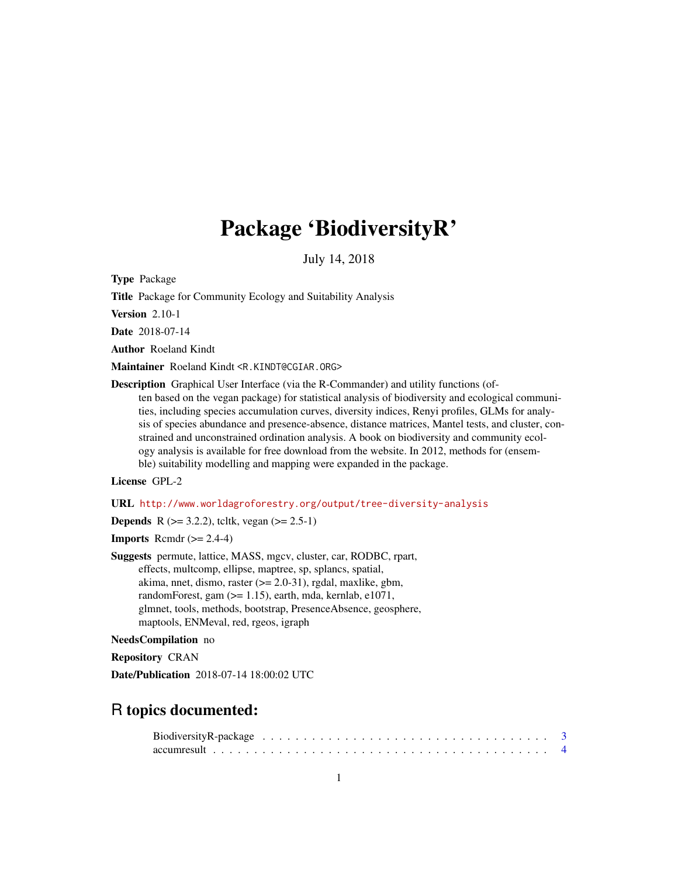# Package 'BiodiversityR'

July 14, 2018

<span id="page-0-0"></span>Type Package

Title Package for Community Ecology and Suitability Analysis

Version 2.10-1

Date 2018-07-14

Author Roeland Kindt

Maintainer Roeland Kindt <R.KINDT@CGIAR.ORG>

Description Graphical User Interface (via the R-Commander) and utility functions (often based on the vegan package) for statistical analysis of biodiversity and ecological communities, including species accumulation curves, diversity indices, Renyi profiles, GLMs for analysis of species abundance and presence-absence, distance matrices, Mantel tests, and cluster, constrained and unconstrained ordination analysis. A book on biodiversity and community ecology analysis is available for free download from the website. In 2012, methods for (ensemble) suitability modelling and mapping were expanded in the package.

# License GPL-2

URL <http://www.worldagroforestry.org/output/tree-diversity-analysis>

**Depends** R  $(>= 3.2.2)$ , tcltk, vegan  $(>= 2.5-1)$ 

**Imports** Rcmdr  $(>= 2.4-4)$ 

Suggests permute, lattice, MASS, mgcv, cluster, car, RODBC, rpart, effects, multcomp, ellipse, maptree, sp, splancs, spatial, akima, nnet, dismo, raster  $(>= 2.0-31)$ , rgdal, maxlike, gbm, randomForest, gam (>= 1.15), earth, mda, kernlab, e1071, glmnet, tools, methods, bootstrap, PresenceAbsence, geosphere, maptools, ENMeval, red, rgeos, igraph

#### NeedsCompilation no

Repository CRAN

Date/Publication 2018-07-14 18:00:02 UTC

# R topics documented:

| Biodiversity R-package $\ldots \ldots \ldots \ldots \ldots \ldots \ldots \ldots \ldots \ldots \ldots \ldots$ |  |  |  |  |  |  |  |  |  |  |  |  |  |  |  |  |  |  |  |
|--------------------------------------------------------------------------------------------------------------|--|--|--|--|--|--|--|--|--|--|--|--|--|--|--|--|--|--|--|
|                                                                                                              |  |  |  |  |  |  |  |  |  |  |  |  |  |  |  |  |  |  |  |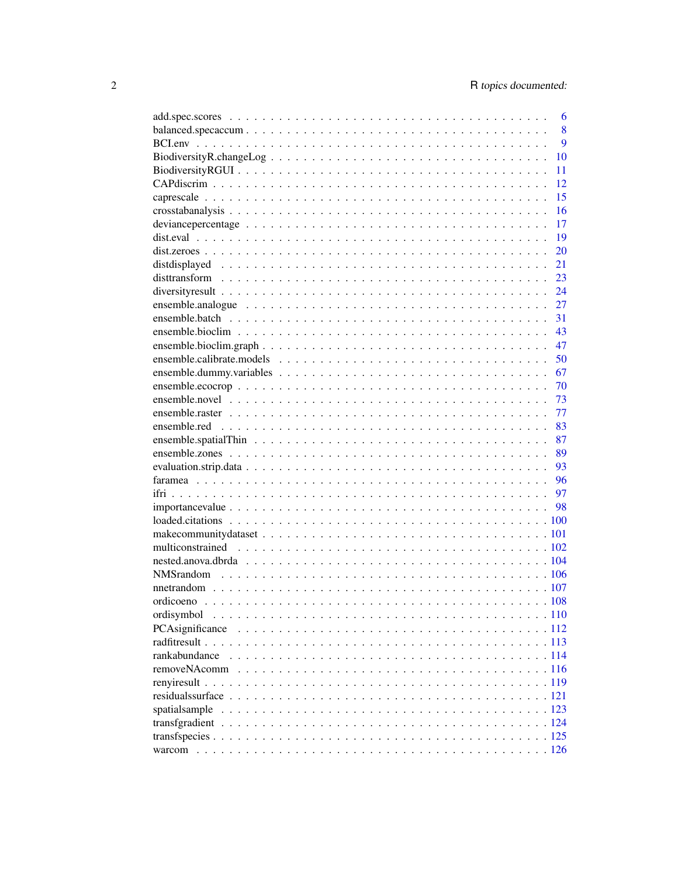|                                                                                                                   | 6  |
|-------------------------------------------------------------------------------------------------------------------|----|
|                                                                                                                   | 8  |
|                                                                                                                   | 9  |
|                                                                                                                   | 10 |
|                                                                                                                   | 11 |
|                                                                                                                   | 12 |
|                                                                                                                   | 15 |
|                                                                                                                   | 16 |
|                                                                                                                   | 17 |
|                                                                                                                   | 19 |
|                                                                                                                   | 20 |
|                                                                                                                   | 21 |
|                                                                                                                   | 23 |
|                                                                                                                   | 24 |
|                                                                                                                   | 27 |
|                                                                                                                   | 31 |
|                                                                                                                   | 43 |
|                                                                                                                   | 47 |
|                                                                                                                   | 50 |
|                                                                                                                   | 67 |
| $ensemble.eocrop \dots \dots \dots \dots \dots \dots \dots \dots \dots \dots \dots \dots \dots \dots \dots \dots$ | 70 |
|                                                                                                                   | 73 |
|                                                                                                                   | 77 |
|                                                                                                                   | 83 |
|                                                                                                                   | 87 |
|                                                                                                                   | 89 |
|                                                                                                                   | 93 |
|                                                                                                                   | 96 |
|                                                                                                                   | 97 |
|                                                                                                                   |    |
|                                                                                                                   |    |
|                                                                                                                   |    |
|                                                                                                                   |    |
|                                                                                                                   |    |
|                                                                                                                   |    |
|                                                                                                                   |    |
|                                                                                                                   |    |
| ordisymbol                                                                                                        |    |
|                                                                                                                   |    |
|                                                                                                                   |    |
| rankabundance                                                                                                     |    |
|                                                                                                                   |    |
|                                                                                                                   |    |
|                                                                                                                   |    |
| spatialsample                                                                                                     |    |
|                                                                                                                   |    |
|                                                                                                                   |    |
|                                                                                                                   |    |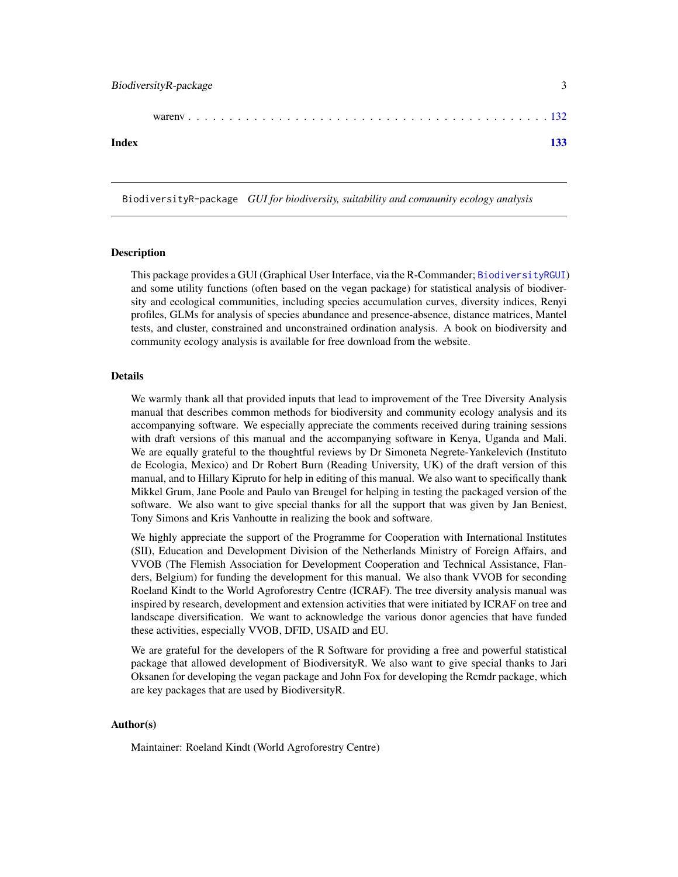<span id="page-2-0"></span>BiodiversityR-package 3

|--|--|

#### **Index** [133](#page-132-0)

BiodiversityR-package *GUI for biodiversity, suitability and community ecology analysis*

## Description

This package provides a GUI (Graphical User Interface, via the R-Commander; [BiodiversityRGUI](#page-10-1)) and some utility functions (often based on the vegan package) for statistical analysis of biodiversity and ecological communities, including species accumulation curves, diversity indices, Renyi profiles, GLMs for analysis of species abundance and presence-absence, distance matrices, Mantel tests, and cluster, constrained and unconstrained ordination analysis. A book on biodiversity and community ecology analysis is available for free download from the website.

#### Details

We warmly thank all that provided inputs that lead to improvement of the Tree Diversity Analysis manual that describes common methods for biodiversity and community ecology analysis and its accompanying software. We especially appreciate the comments received during training sessions with draft versions of this manual and the accompanying software in Kenya, Uganda and Mali. We are equally grateful to the thoughtful reviews by Dr Simoneta Negrete-Yankelevich (Instituto de Ecologia, Mexico) and Dr Robert Burn (Reading University, UK) of the draft version of this manual, and to Hillary Kipruto for help in editing of this manual. We also want to specifically thank Mikkel Grum, Jane Poole and Paulo van Breugel for helping in testing the packaged version of the software. We also want to give special thanks for all the support that was given by Jan Beniest, Tony Simons and Kris Vanhoutte in realizing the book and software.

We highly appreciate the support of the Programme for Cooperation with International Institutes (SII), Education and Development Division of the Netherlands Ministry of Foreign Affairs, and VVOB (The Flemish Association for Development Cooperation and Technical Assistance, Flanders, Belgium) for funding the development for this manual. We also thank VVOB for seconding Roeland Kindt to the World Agroforestry Centre (ICRAF). The tree diversity analysis manual was inspired by research, development and extension activities that were initiated by ICRAF on tree and landscape diversification. We want to acknowledge the various donor agencies that have funded these activities, especially VVOB, DFID, USAID and EU.

We are grateful for the developers of the R Software for providing a free and powerful statistical package that allowed development of BiodiversityR. We also want to give special thanks to Jari Oksanen for developing the vegan package and John Fox for developing the Rcmdr package, which are key packages that are used by BiodiversityR.

# Author(s)

Maintainer: Roeland Kindt (World Agroforestry Centre)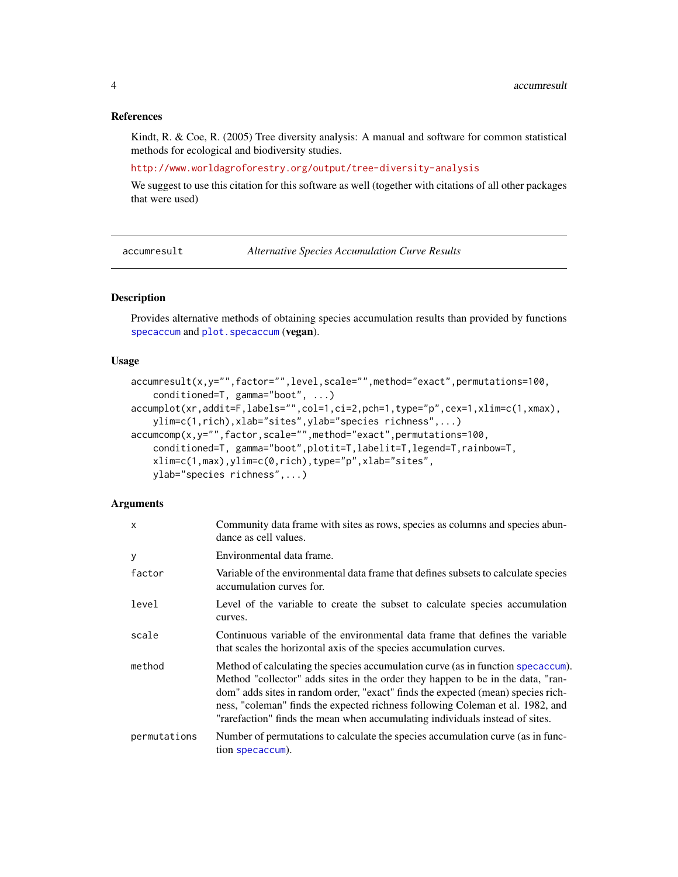## References

Kindt, R. & Coe, R. (2005) Tree diversity analysis: A manual and software for common statistical methods for ecological and biodiversity studies.

<http://www.worldagroforestry.org/output/tree-diversity-analysis>

We suggest to use this citation for this software as well (together with citations of all other packages that were used)

<span id="page-3-1"></span>accumresult *Alternative Species Accumulation Curve Results*

# Description

Provides alternative methods of obtaining species accumulation results than provided by functions [specaccum](#page-0-0) and [plot.specaccum](#page-0-0) (vegan).

# Usage

```
accumresult(x,y="",factor="",level,scale="",method="exact",permutations=100,
   conditioned=T, gamma="boot", ...)
accumplot(xr,addit=F,labels="",col=1,ci=2,pch=1,type="p",cex=1,xlim=c(1,xmax),
   ylim=c(1,rich),xlab="sites",ylab="species richness",...)
accumcomp(x,y="",factor,scale="",method="exact",permutations=100,
   conditioned=T, gamma="boot",plotit=T,labelit=T,legend=T,rainbow=T,
   xlim=c(1,max),ylim=c(0,rich),type="p",xlab="sites",
   ylab="species richness",...)
```
#### Arguments

| X            | Community data frame with sites as rows, species as columns and species abun-<br>dance as cell values.                                                                                                                                                                                                                                                                                                                    |
|--------------|---------------------------------------------------------------------------------------------------------------------------------------------------------------------------------------------------------------------------------------------------------------------------------------------------------------------------------------------------------------------------------------------------------------------------|
| y            | Environmental data frame.                                                                                                                                                                                                                                                                                                                                                                                                 |
| factor       | Variable of the environmental data frame that defines subsets to calculate species<br>accumulation curves for.                                                                                                                                                                                                                                                                                                            |
| level        | Level of the variable to create the subset to calculate species accumulation<br>curves.                                                                                                                                                                                                                                                                                                                                   |
| scale        | Continuous variable of the environmental data frame that defines the variable<br>that scales the horizontal axis of the species accumulation curves.                                                                                                                                                                                                                                                                      |
| method       | Method of calculating the species accumulation curve (as in function specaccum).<br>Method "collector" adds sites in the order they happen to be in the data, "ran-<br>dom" adds sites in random order, "exact" finds the expected (mean) species rich-<br>ness, "coleman" finds the expected richness following Coleman et al. 1982, and<br>"rarefaction" finds the mean when accumulating individuals instead of sites. |
| permutations | Number of permutations to calculate the species accumulation curve (as in func-<br>tion specaccum).                                                                                                                                                                                                                                                                                                                       |

<span id="page-3-0"></span>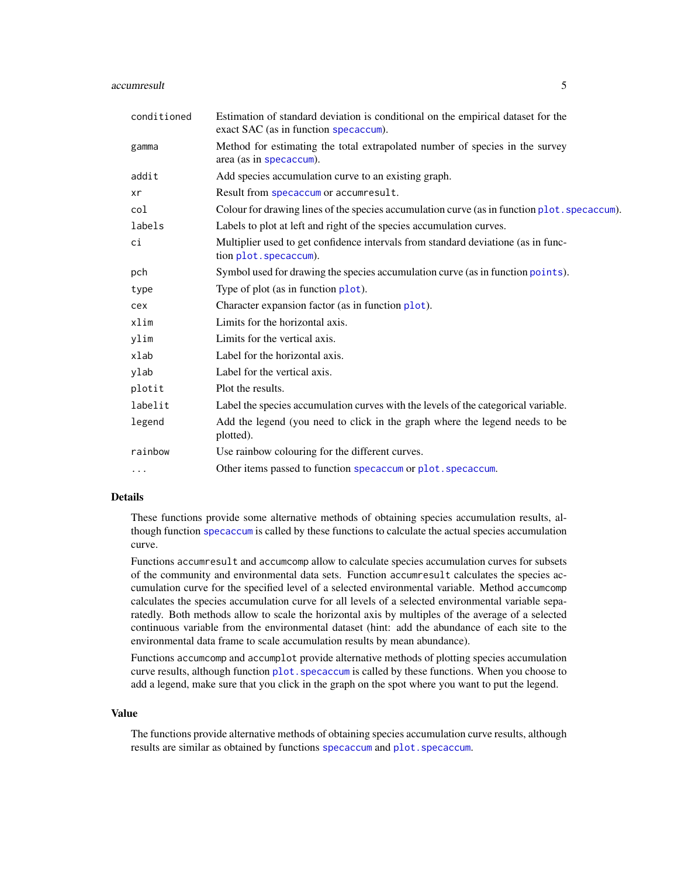#### accumresult 5

| conditioned | Estimation of standard deviation is conditional on the empirical dataset for the<br>exact SAC (as in function specaccum). |
|-------------|---------------------------------------------------------------------------------------------------------------------------|
| gamma       | Method for estimating the total extrapolated number of species in the survey<br>area (as in specaccum).                   |
| addit       | Add species accumulation curve to an existing graph.                                                                      |
| xr          | Result from specaccum or accumresult.                                                                                     |
| col         | Colour for drawing lines of the species accumulation curve (as in function plot. specaccum).                              |
| labels      | Labels to plot at left and right of the species accumulation curves.                                                      |
| сi          | Multiplier used to get confidence intervals from standard deviatione (as in func-<br>tion plot. specaccum).               |
| pch         | Symbol used for drawing the species accumulation curve (as in function points).                                           |
| type        | Type of plot (as in function plot).                                                                                       |
| cex         | Character expansion factor (as in function plot).                                                                         |
| xlim        | Limits for the horizontal axis.                                                                                           |
| ylim        | Limits for the vertical axis.                                                                                             |
| xlab        | Label for the horizontal axis.                                                                                            |
| ylab        | Label for the vertical axis.                                                                                              |
| plotit      | Plot the results.                                                                                                         |
| labelit     | Label the species accumulation curves with the levels of the categorical variable.                                        |
| legend      | Add the legend (you need to click in the graph where the legend needs to be<br>plotted).                                  |
| rainbow     | Use rainbow colouring for the different curves.                                                                           |
| $\cdot$     | Other items passed to function specaccum or plot. specaccum.                                                              |

# Details

These functions provide some alternative methods of obtaining species accumulation results, although function [specaccum](#page-0-0) is called by these functions to calculate the actual species accumulation curve.

Functions accumresult and accumcomp allow to calculate species accumulation curves for subsets of the community and environmental data sets. Function accumresult calculates the species accumulation curve for the specified level of a selected environmental variable. Method accumcomp calculates the species accumulation curve for all levels of a selected environmental variable separatedly. Both methods allow to scale the horizontal axis by multiples of the average of a selected continuous variable from the environmental dataset (hint: add the abundance of each site to the environmental data frame to scale accumulation results by mean abundance).

Functions accumcomp and accumplot provide alternative methods of plotting species accumulation curve results, although function plot. specaccum is called by these functions. When you choose to add a legend, make sure that you click in the graph on the spot where you want to put the legend.

#### Value

The functions provide alternative methods of obtaining species accumulation curve results, although results are similar as obtained by functions [specaccum](#page-0-0) and plot. specaccum.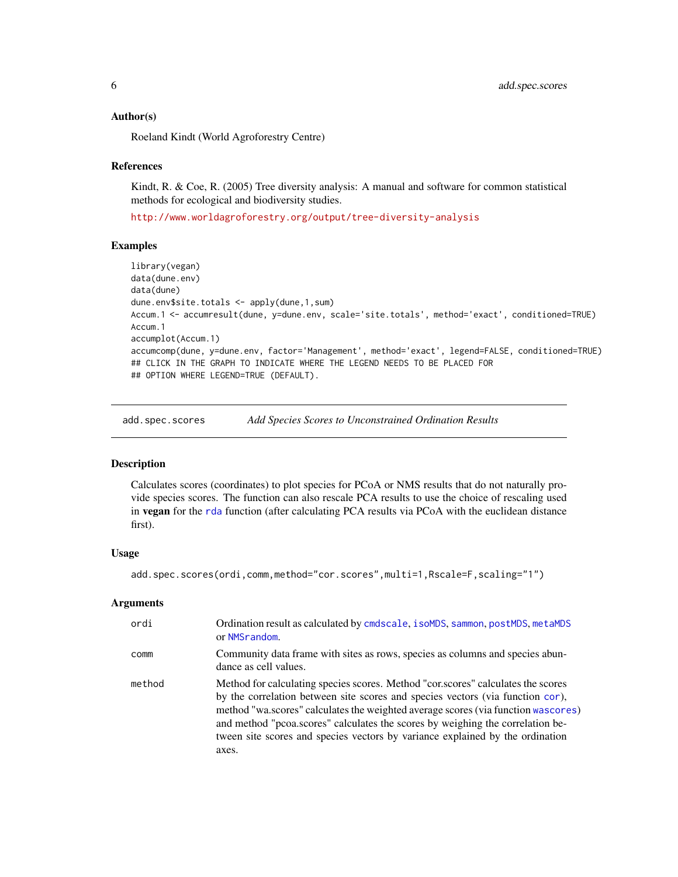## <span id="page-5-0"></span>Author(s)

Roeland Kindt (World Agroforestry Centre)

#### References

Kindt, R. & Coe, R. (2005) Tree diversity analysis: A manual and software for common statistical methods for ecological and biodiversity studies.

<http://www.worldagroforestry.org/output/tree-diversity-analysis>

## Examples

```
library(vegan)
data(dune.env)
data(dune)
dune.env$site.totals <- apply(dune,1,sum)
Accum.1 <- accumresult(dune, y=dune.env, scale='site.totals', method='exact', conditioned=TRUE)
Accum.1
accumplot(Accum.1)
accumcomp(dune, y=dune.env, factor='Management', method='exact', legend=FALSE, conditioned=TRUE)
## CLICK IN THE GRAPH TO INDICATE WHERE THE LEGEND NEEDS TO BE PLACED FOR
## OPTION WHERE LEGEND=TRUE (DEFAULT).
```
<span id="page-5-1"></span>add.spec.scores *Add Species Scores to Unconstrained Ordination Results*

# **Description**

Calculates scores (coordinates) to plot species for PCoA or NMS results that do not naturally provide species scores. The function can also rescale PCA results to use the choice of rescaling used in vegan for the [rda](#page-0-0) function (after calculating PCA results via PCoA with the euclidean distance first).

#### Usage

```
add.spec.scores(ordi,comm,method="cor.scores",multi=1,Rscale=F,scaling="1")
```
# Arguments

| ordi   | Ordination result as calculated by cmdscale, isoMDS, sammon, postMDS, metaMDS<br>or NMSrandom.                                                                                                                                                                                                                                                                                                                                      |
|--------|-------------------------------------------------------------------------------------------------------------------------------------------------------------------------------------------------------------------------------------------------------------------------------------------------------------------------------------------------------------------------------------------------------------------------------------|
| comm   | Community data frame with sites as rows, species as columns and species abun-<br>dance as cell values.                                                                                                                                                                                                                                                                                                                              |
| method | Method for calculating species scores. Method "cor.scores" calculates the scores<br>by the correlation between site scores and species vectors (via function cor),<br>method "wa.scores" calculates the weighted average scores (via function wascores)<br>and method "pcoa.scores" calculates the scores by weighing the correlation be-<br>tween site scores and species vectors by variance explained by the ordination<br>axes. |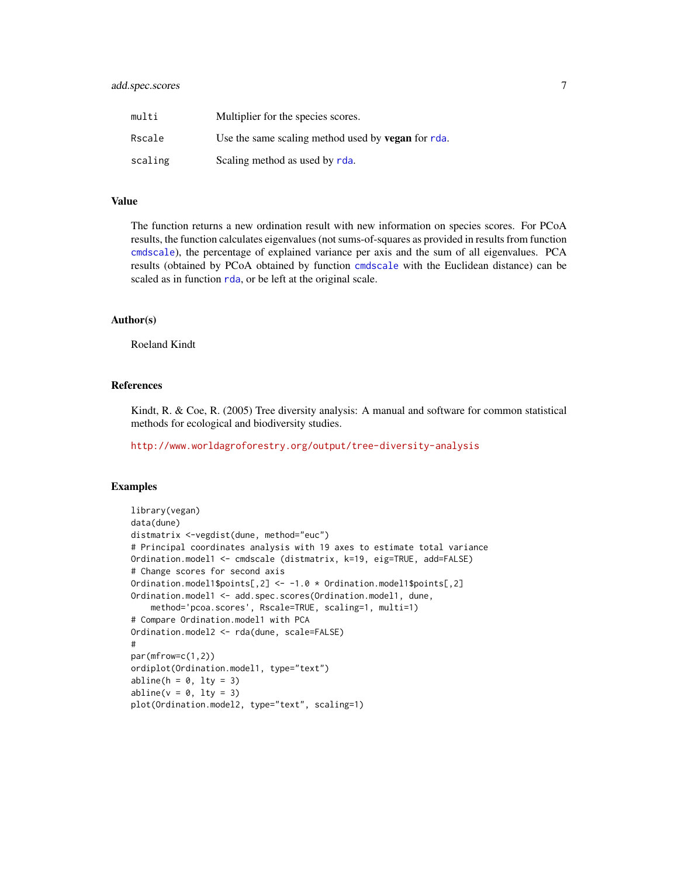| multi   | Multiplier for the species scores.                        |
|---------|-----------------------------------------------------------|
| Rscale  | Use the same scaling method used by <b>vegan</b> for rda. |
| scaling | Scaling method as used by rda.                            |

#### Value

The function returns a new ordination result with new information on species scores. For PCoA results, the function calculates eigenvalues (not sums-of-squares as provided in results from function [cmdscale](#page-0-0)), the percentage of explained variance per axis and the sum of all eigenvalues. PCA results (obtained by PCoA obtained by function [cmdscale](#page-0-0) with the Euclidean distance) can be scaled as in function [rda](#page-0-0), or be left at the original scale.

# Author(s)

Roeland Kindt

## References

Kindt, R. & Coe, R. (2005) Tree diversity analysis: A manual and software for common statistical methods for ecological and biodiversity studies.

<http://www.worldagroforestry.org/output/tree-diversity-analysis>

# Examples

```
library(vegan)
data(dune)
distmatrix <-vegdist(dune, method="euc")
# Principal coordinates analysis with 19 axes to estimate total variance
Ordination.model1 <- cmdscale (distmatrix, k=19, eig=TRUE, add=FALSE)
# Change scores for second axis
Ordination.model1$points[,2] <- -1.0 * Ordination.model1$points[,2]
Ordination.model1 <- add.spec.scores(Ordination.model1, dune,
    method='pcoa.scores', Rscale=TRUE, scaling=1, multi=1)
# Compare Ordination.model1 with PCA
Ordination.model2 <- rda(dune, scale=FALSE)
#
par(mfrow=c(1,2))
ordiplot(Ordination.model1, type="text")
abline(h = 0, lty = 3)abline(v = 0, lty = 3)plot(Ordination.model2, type="text", scaling=1)
```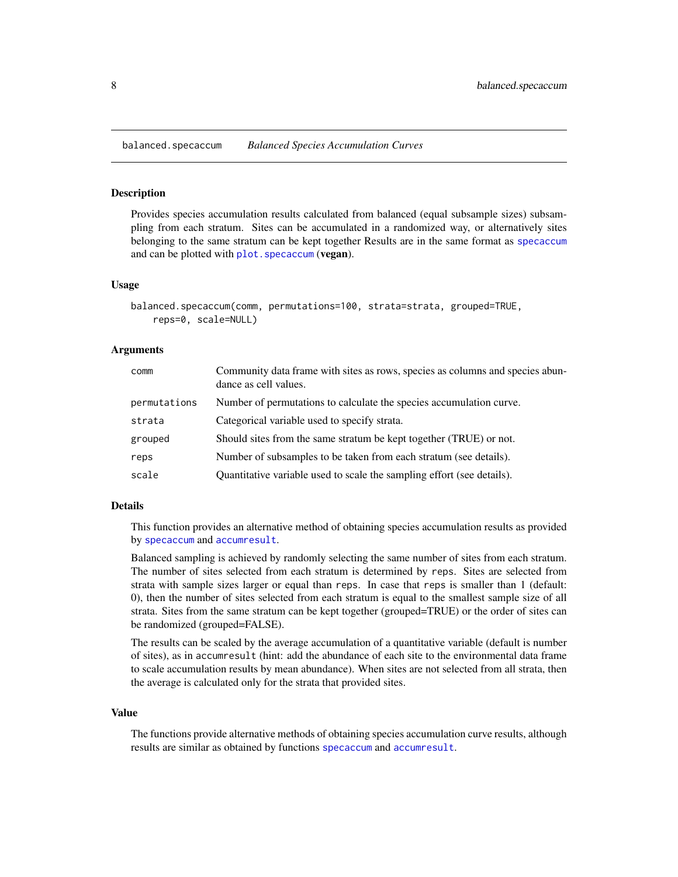<span id="page-7-0"></span>balanced.specaccum *Balanced Species Accumulation Curves*

## Description

Provides species accumulation results calculated from balanced (equal subsample sizes) subsampling from each stratum. Sites can be accumulated in a randomized way, or alternatively sites belonging to the same stratum can be kept together Results are in the same format as [specaccum](#page-0-0) and can be plotted with plot. specaccum (vegan).

# Usage

```
balanced.specaccum(comm, permutations=100, strata=strata, grouped=TRUE,
    reps=0, scale=NULL)
```
## Arguments

| comm         | Community data frame with sites as rows, species as columns and species abun-<br>dance as cell values. |
|--------------|--------------------------------------------------------------------------------------------------------|
| permutations | Number of permutations to calculate the species accumulation curve.                                    |
| strata       | Categorical variable used to specify strata.                                                           |
| grouped      | Should sites from the same stratum be kept together (TRUE) or not.                                     |
| reps         | Number of subsamples to be taken from each stratum (see details).                                      |
| scale        | Quantitative variable used to scale the sampling effort (see details).                                 |

#### Details

This function provides an alternative method of obtaining species accumulation results as provided by [specaccum](#page-0-0) and [accumresult](#page-3-1).

Balanced sampling is achieved by randomly selecting the same number of sites from each stratum. The number of sites selected from each stratum is determined by reps. Sites are selected from strata with sample sizes larger or equal than reps. In case that reps is smaller than 1 (default: 0), then the number of sites selected from each stratum is equal to the smallest sample size of all strata. Sites from the same stratum can be kept together (grouped=TRUE) or the order of sites can be randomized (grouped=FALSE).

The results can be scaled by the average accumulation of a quantitative variable (default is number of sites), as in accumresult (hint: add the abundance of each site to the environmental data frame to scale accumulation results by mean abundance). When sites are not selected from all strata, then the average is calculated only for the strata that provided sites.

## Value

The functions provide alternative methods of obtaining species accumulation curve results, although results are similar as obtained by functions [specaccum](#page-0-0) and [accumresult](#page-3-1).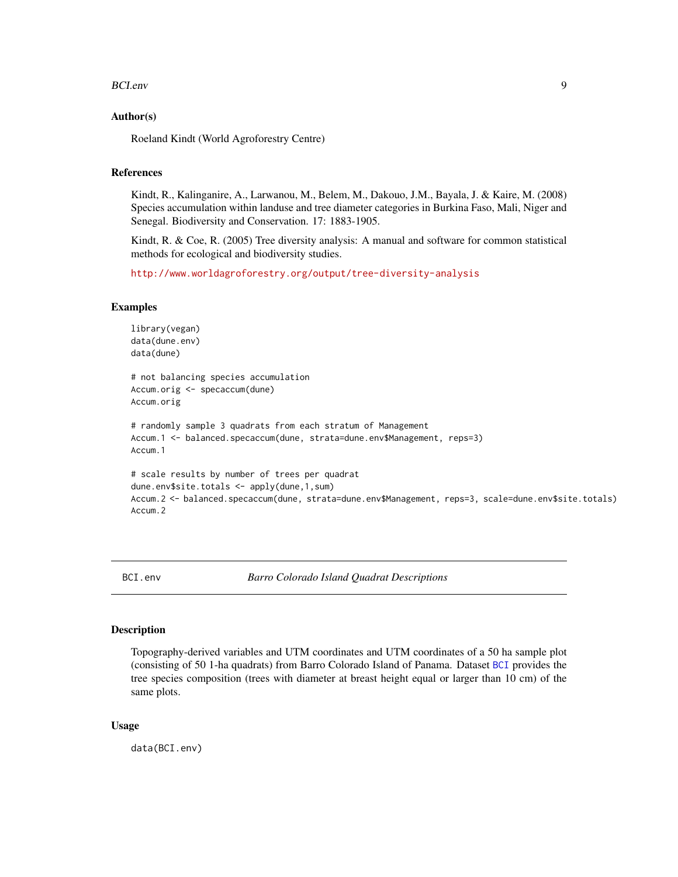#### <span id="page-8-0"></span>BCI.env 9

## Author(s)

Roeland Kindt (World Agroforestry Centre)

## References

Kindt, R., Kalinganire, A., Larwanou, M., Belem, M., Dakouo, J.M., Bayala, J. & Kaire, M. (2008) Species accumulation within landuse and tree diameter categories in Burkina Faso, Mali, Niger and Senegal. Biodiversity and Conservation. 17: 1883-1905.

Kindt, R. & Coe, R. (2005) Tree diversity analysis: A manual and software for common statistical methods for ecological and biodiversity studies.

<http://www.worldagroforestry.org/output/tree-diversity-analysis>

#### Examples

```
library(vegan)
data(dune.env)
data(dune)
# not balancing species accumulation
Accum.orig <- specaccum(dune)
Accum.orig
# randomly sample 3 quadrats from each stratum of Management
Accum.1 <- balanced.specaccum(dune, strata=dune.env$Management, reps=3)
Accum.1
# scale results by number of trees per quadrat
dune.env$site.totals <- apply(dune,1,sum)
Accum.2 <- balanced.specaccum(dune, strata=dune.env$Management, reps=3, scale=dune.env$site.totals)
Accum.2
```
BCI.env *Barro Colorado Island Quadrat Descriptions*

## Description

Topography-derived variables and UTM coordinates and UTM coordinates of a 50 ha sample plot (consisting of 50 1-ha quadrats) from Barro Colorado Island of Panama. Dataset [BCI](#page-0-0) provides the tree species composition (trees with diameter at breast height equal or larger than 10 cm) of the same plots.

## Usage

data(BCI.env)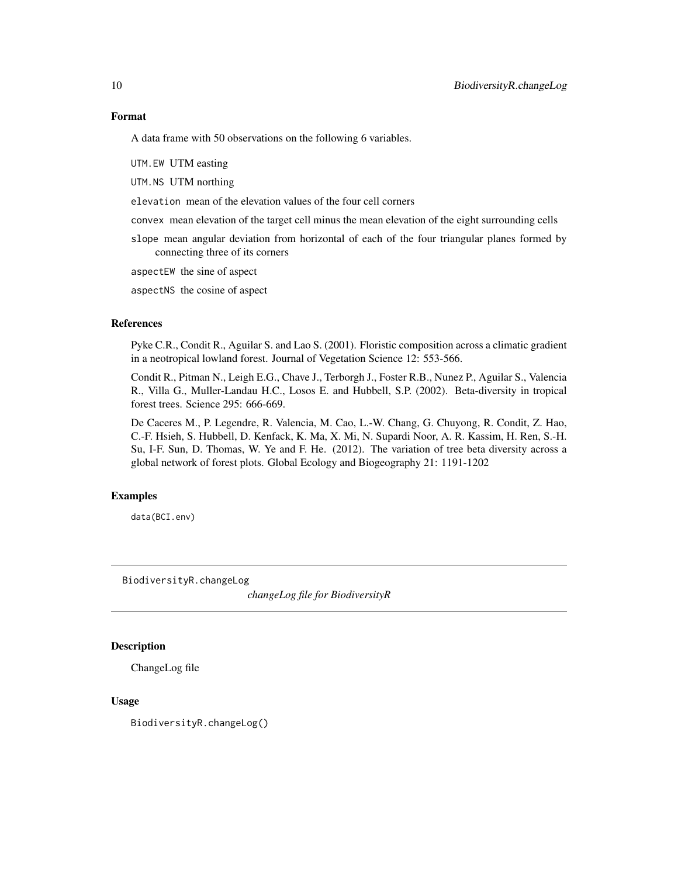# <span id="page-9-0"></span>Format

A data frame with 50 observations on the following 6 variables.

UTM.EW UTM easting

UTM.NS UTM northing

elevation mean of the elevation values of the four cell corners

convex mean elevation of the target cell minus the mean elevation of the eight surrounding cells

slope mean angular deviation from horizontal of each of the four triangular planes formed by connecting three of its corners

aspectEW the sine of aspect

aspectNS the cosine of aspect

## References

Pyke C.R., Condit R., Aguilar S. and Lao S. (2001). Floristic composition across a climatic gradient in a neotropical lowland forest. Journal of Vegetation Science 12: 553-566.

Condit R., Pitman N., Leigh E.G., Chave J., Terborgh J., Foster R.B., Nunez P., Aguilar S., Valencia R., Villa G., Muller-Landau H.C., Losos E. and Hubbell, S.P. (2002). Beta-diversity in tropical forest trees. Science 295: 666-669.

De Caceres M., P. Legendre, R. Valencia, M. Cao, L.-W. Chang, G. Chuyong, R. Condit, Z. Hao, C.-F. Hsieh, S. Hubbell, D. Kenfack, K. Ma, X. Mi, N. Supardi Noor, A. R. Kassim, H. Ren, S.-H. Su, I-F. Sun, D. Thomas, W. Ye and F. He. (2012). The variation of tree beta diversity across a global network of forest plots. Global Ecology and Biogeography 21: 1191-1202

## Examples

data(BCI.env)

BiodiversityR.changeLog

*changeLog file for BiodiversityR*

## Description

ChangeLog file

## Usage

BiodiversityR.changeLog()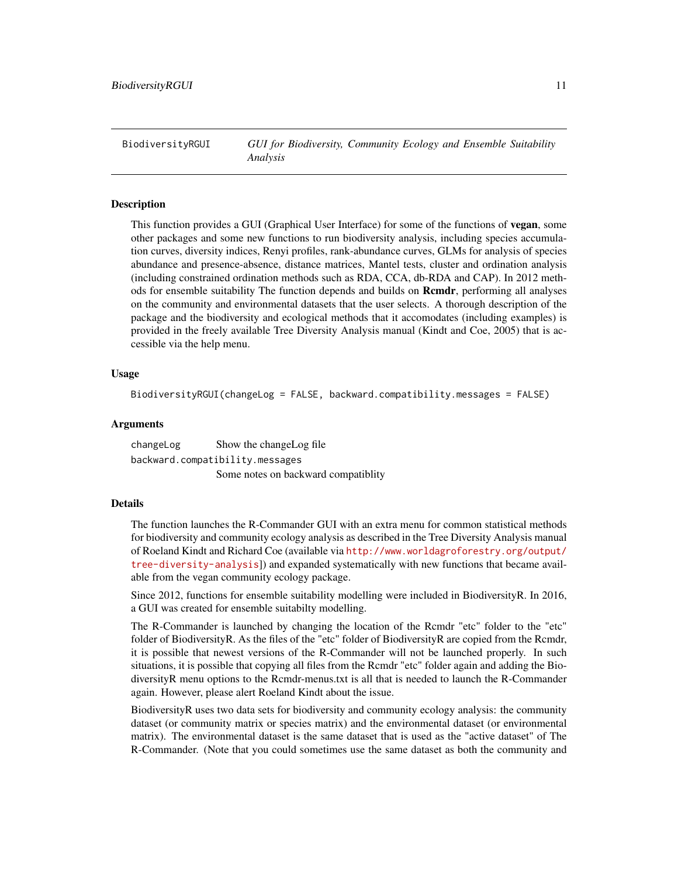<span id="page-10-1"></span><span id="page-10-0"></span>BiodiversityRGUI *GUI for Biodiversity, Community Ecology and Ensemble Suitability Analysis*

#### **Description**

This function provides a GUI (Graphical User Interface) for some of the functions of **vegan**, some other packages and some new functions to run biodiversity analysis, including species accumulation curves, diversity indices, Renyi profiles, rank-abundance curves, GLMs for analysis of species abundance and presence-absence, distance matrices, Mantel tests, cluster and ordination analysis (including constrained ordination methods such as RDA, CCA, db-RDA and CAP). In 2012 methods for ensemble suitability The function depends and builds on **Rcmdr**, performing all analyses on the community and environmental datasets that the user selects. A thorough description of the package and the biodiversity and ecological methods that it accomodates (including examples) is provided in the freely available Tree Diversity Analysis manual (Kindt and Coe, 2005) that is accessible via the help menu.

#### Usage

BiodiversityRGUI(changeLog = FALSE, backward.compatibility.messages = FALSE)

# Arguments

changeLog Show the changeLog file backward.compatibility.messages Some notes on backward compatiblity

#### Details

The function launches the R-Commander GUI with an extra menu for common statistical methods for biodiversity and community ecology analysis as described in the Tree Diversity Analysis manual of Roeland Kindt and Richard Coe (available via [http://www.worldagroforestry.org/output/](http://www.worldagroforestry.org/output/tree-diversity-analysis) [tree-diversity-analysis](http://www.worldagroforestry.org/output/tree-diversity-analysis)]) and expanded systematically with new functions that became available from the vegan community ecology package.

Since 2012, functions for ensemble suitability modelling were included in BiodiversityR. In 2016, a GUI was created for ensemble suitabilty modelling.

The R-Commander is launched by changing the location of the Rcmdr "etc" folder to the "etc" folder of BiodiversityR. As the files of the "etc" folder of BiodiversityR are copied from the Rcmdr, it is possible that newest versions of the R-Commander will not be launched properly. In such situations, it is possible that copying all files from the Rcmdr "etc" folder again and adding the BiodiversityR menu options to the Rcmdr-menus.txt is all that is needed to launch the R-Commander again. However, please alert Roeland Kindt about the issue.

BiodiversityR uses two data sets for biodiversity and community ecology analysis: the community dataset (or community matrix or species matrix) and the environmental dataset (or environmental matrix). The environmental dataset is the same dataset that is used as the "active dataset" of The R-Commander. (Note that you could sometimes use the same dataset as both the community and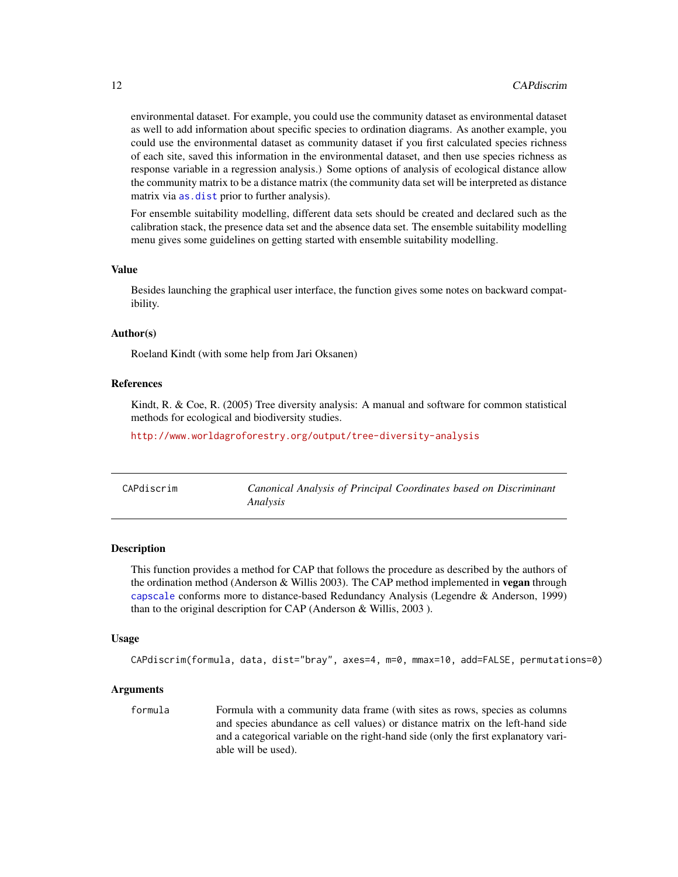environmental dataset. For example, you could use the community dataset as environmental dataset as well to add information about specific species to ordination diagrams. As another example, you could use the environmental dataset as community dataset if you first calculated species richness of each site, saved this information in the environmental dataset, and then use species richness as response variable in a regression analysis.) Some options of analysis of ecological distance allow the community matrix to be a distance matrix (the community data set will be interpreted as distance matrix via [as.dist](#page-0-0) prior to further analysis).

For ensemble suitability modelling, different data sets should be created and declared such as the calibration stack, the presence data set and the absence data set. The ensemble suitability modelling menu gives some guidelines on getting started with ensemble suitability modelling.

## Value

Besides launching the graphical user interface, the function gives some notes on backward compatibility.

#### Author(s)

Roeland Kindt (with some help from Jari Oksanen)

# References

Kindt, R. & Coe, R. (2005) Tree diversity analysis: A manual and software for common statistical methods for ecological and biodiversity studies.

<http://www.worldagroforestry.org/output/tree-diversity-analysis>

| CAPdiscrim | Canonical Analysis of Principal Coordinates based on Discriminant<br>Analysis |
|------------|-------------------------------------------------------------------------------|
|            |                                                                               |

# **Description**

This function provides a method for CAP that follows the procedure as described by the authors of the ordination method (Anderson & Willis 2003). The CAP method implemented in vegan through [capscale](#page-0-0) conforms more to distance-based Redundancy Analysis (Legendre & Anderson, 1999) than to the original description for CAP (Anderson & Willis, 2003 ).

#### Usage

CAPdiscrim(formula, data, dist="bray", axes=4, m=0, mmax=10, add=FALSE, permutations=0)

#### Arguments

formula Formula with a community data frame (with sites as rows, species as columns and species abundance as cell values) or distance matrix on the left-hand side and a categorical variable on the right-hand side (only the first explanatory variable will be used).

<span id="page-11-0"></span>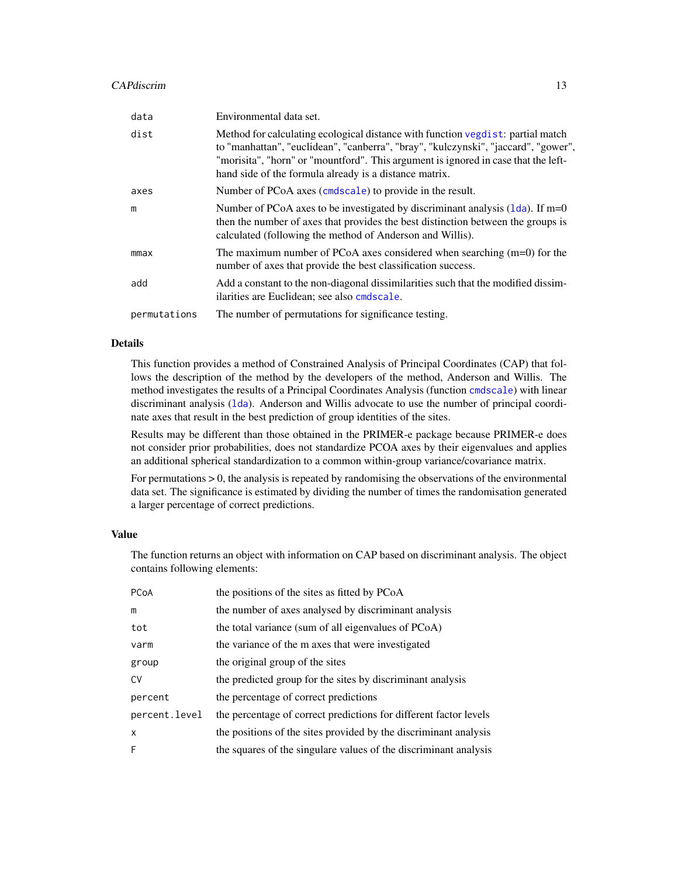## CAPdiscrim and the contract of the contract of the contract of the contract of the contract of the contract of the contract of the contract of the contract of the contract of the contract of the contract of the contract of

| data         | Environmental data set.                                                                                                                                                                                                                                                                                               |
|--------------|-----------------------------------------------------------------------------------------------------------------------------------------------------------------------------------------------------------------------------------------------------------------------------------------------------------------------|
| dist         | Method for calculating ecological distance with function vegdist: partial match<br>to "manhattan", "euclidean", "canberra", "bray", "kulczynski", "jaccard", "gower",<br>"morisita", "horn" or "mountford". This argument is ignored in case that the left-<br>hand side of the formula already is a distance matrix. |
| axes         | Number of PCoA axes (cmdscale) to provide in the result.                                                                                                                                                                                                                                                              |
| m            | Number of PCoA axes to be investigated by discriminant analysis $(1da)$ . If m=0<br>then the number of axes that provides the best distinction between the groups is<br>calculated (following the method of Anderson and Willis).                                                                                     |
| mmax         | The maximum number of PCoA axes considered when searching $(m=0)$ for the<br>number of axes that provide the best classification success.                                                                                                                                                                             |
| add          | Add a constant to the non-diagonal dissimilarities such that the modified dissim-<br>ilarities are Euclidean; see also condscale.                                                                                                                                                                                     |
| permutations | The number of permutations for significance testing.                                                                                                                                                                                                                                                                  |

#### Details

This function provides a method of Constrained Analysis of Principal Coordinates (CAP) that follows the description of the method by the developers of the method, Anderson and Willis. The method investigates the results of a Principal Coordinates Analysis (function [cmdscale](#page-0-0)) with linear discriminant analysis ([lda](#page-0-0)). Anderson and Willis advocate to use the number of principal coordinate axes that result in the best prediction of group identities of the sites.

Results may be different than those obtained in the PRIMER-e package because PRIMER-e does not consider prior probabilities, does not standardize PCOA axes by their eigenvalues and applies an additional spherical standardization to a common within-group variance/covariance matrix.

For permutations > 0, the analysis is repeated by randomising the observations of the environmental data set. The significance is estimated by dividing the number of times the randomisation generated a larger percentage of correct predictions.

## Value

The function returns an object with information on CAP based on discriminant analysis. The object contains following elements:

| PCoA                      | the positions of the sites as fitted by PCoA                      |
|---------------------------|-------------------------------------------------------------------|
| m                         | the number of axes analysed by discriminant analysis              |
| tot                       | the total variance (sum of all eigenvalues of PCoA)               |
| varm                      | the variance of the m axes that were investigated                 |
| group                     | the original group of the sites                                   |
| <b>CV</b>                 | the predicted group for the sites by discriminant analysis        |
| percent                   | the percentage of correct predictions                             |
| percent.level             | the percentage of correct predictions for different factor levels |
| $\boldsymbol{\mathsf{x}}$ | the positions of the sites provided by the discriminant analysis  |
| F                         | the squares of the singulare values of the discriminant analysis  |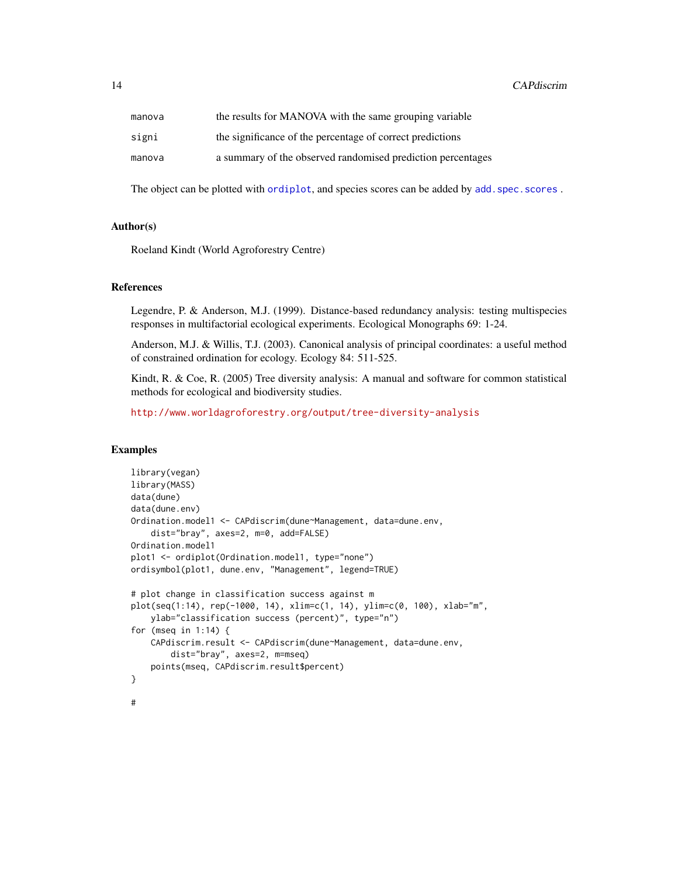| manova | the results for MANOVA with the same grouping variable      |
|--------|-------------------------------------------------------------|
| signi  | the significance of the percentage of correct predictions   |
| manova | a summary of the observed randomised prediction percentages |

The object can be plotted with [ordiplot](#page-0-0), and species scores can be added by add. spec. scores.

# Author(s)

Roeland Kindt (World Agroforestry Centre)

# References

Legendre, P. & Anderson, M.J. (1999). Distance-based redundancy analysis: testing multispecies responses in multifactorial ecological experiments. Ecological Monographs 69: 1-24.

Anderson, M.J. & Willis, T.J. (2003). Canonical analysis of principal coordinates: a useful method of constrained ordination for ecology. Ecology 84: 511-525.

Kindt, R. & Coe, R. (2005) Tree diversity analysis: A manual and software for common statistical methods for ecological and biodiversity studies.

<http://www.worldagroforestry.org/output/tree-diversity-analysis>

# **Examples**

```
library(vegan)
library(MASS)
data(dune)
data(dune.env)
Ordination.model1 <- CAPdiscrim(dune~Management, data=dune.env,
    dist="bray", axes=2, m=0, add=FALSE)
Ordination.model1
plot1 <- ordiplot(Ordination.model1, type="none")
ordisymbol(plot1, dune.env, "Management", legend=TRUE)
# plot change in classification success against m
plot(seq(1:14), rep(-1000, 14), xlim=c(1, 14), ylim=c(0, 100), xlab="m",
    ylab="classification success (percent)", type="n")
for (mseq in 1:14) {
    CAPdiscrim.result <- CAPdiscrim(dune~Management, data=dune.env,
        dist="bray", axes=2, m=mseq)
    points(mseq, CAPdiscrim.result$percent)
}
#
```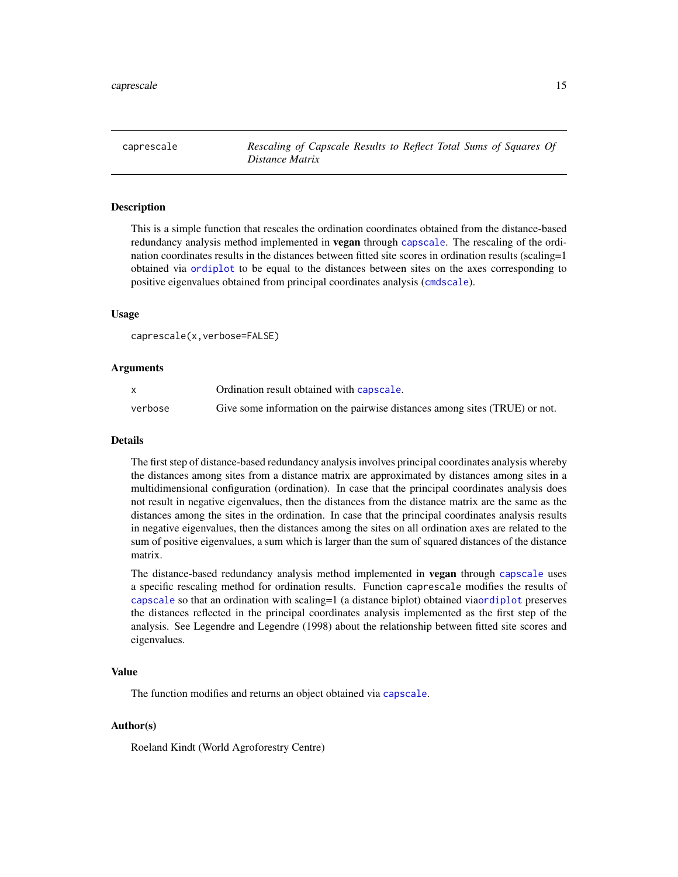<span id="page-14-0"></span>caprescale *Rescaling of Capscale Results to Reflect Total Sums of Squares Of Distance Matrix*

# Description

This is a simple function that rescales the ordination coordinates obtained from the distance-based redundancy analysis method implemented in **vegan** through [capscale](#page-0-0). The rescaling of the ordination coordinates results in the distances between fitted site scores in ordination results (scaling=1 obtained via [ordiplot](#page-0-0) to be equal to the distances between sites on the axes corresponding to positive eigenvalues obtained from principal coordinates analysis ([cmdscale](#page-0-0)).

## Usage

caprescale(x,verbose=FALSE)

#### Arguments

|         | Ordination result obtained with capscale.                                  |
|---------|----------------------------------------------------------------------------|
| verbose | Give some information on the pairwise distances among sites (TRUE) or not. |

#### Details

The first step of distance-based redundancy analysis involves principal coordinates analysis whereby the distances among sites from a distance matrix are approximated by distances among sites in a multidimensional configuration (ordination). In case that the principal coordinates analysis does not result in negative eigenvalues, then the distances from the distance matrix are the same as the distances among the sites in the ordination. In case that the principal coordinates analysis results in negative eigenvalues, then the distances among the sites on all ordination axes are related to the sum of positive eigenvalues, a sum which is larger than the sum of squared distances of the distance matrix.

The distance-based redundancy analysis method implemented in vegan through [capscale](#page-0-0) uses a specific rescaling method for ordination results. Function caprescale modifies the results of [capscale](#page-0-0) so that an ordination with scaling=1 (a distance biplot) obtained via[ordiplot](#page-0-0) preserves the distances reflected in the principal coordinates analysis implemented as the first step of the analysis. See Legendre and Legendre (1998) about the relationship between fitted site scores and eigenvalues.

## Value

The function modifies and returns an object obtained via [capscale](#page-0-0).

# Author(s)

Roeland Kindt (World Agroforestry Centre)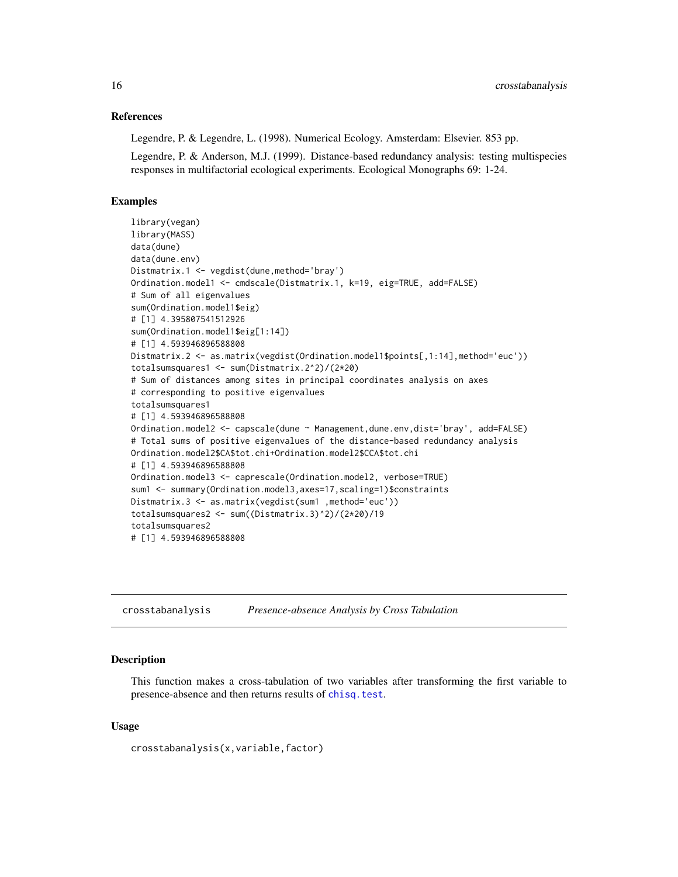#### <span id="page-15-0"></span>References

Legendre, P. & Legendre, L. (1998). Numerical Ecology. Amsterdam: Elsevier. 853 pp.

Legendre, P. & Anderson, M.J. (1999). Distance-based redundancy analysis: testing multispecies responses in multifactorial ecological experiments. Ecological Monographs 69: 1-24.

## Examples

```
library(vegan)
library(MASS)
data(dune)
data(dune.env)
Distmatrix.1 <- vegdist(dune,method='bray')
Ordination.model1 <- cmdscale(Distmatrix.1, k=19, eig=TRUE, add=FALSE)
# Sum of all eigenvalues
sum(Ordination.model1$eig)
# [1] 4.395807541512926
sum(Ordination.model1$eig[1:14])
# [1] 4.593946896588808
Distmatrix.2 <- as.matrix(vegdist(Ordination.model1$points[,1:14],method='euc'))
totalsumsquares1 <- sum(Distmatrix.2^2)/(2*20)
# Sum of distances among sites in principal coordinates analysis on axes
# corresponding to positive eigenvalues
totalsumsquares1
# [1] 4.593946896588808
Ordination.model2 <- capscale(dune ~ Management,dune.env,dist='bray', add=FALSE)
# Total sums of positive eigenvalues of the distance-based redundancy analysis
Ordination.model2$CA$tot.chi+Ordination.model2$CCA$tot.chi
# [1] 4.593946896588808
Ordination.model3 <- caprescale(Ordination.model2, verbose=TRUE)
sum1 <- summary(Ordination.model3, axes=17, scaling=1)$constraints
Distmatrix.3 <- as.matrix(vegdist(sum1 ,method='euc'))
totalsumsquares2 <- sum((Distmatrix.3)^2)/(2*20)/19
totalsumsquares2
# [1] 4.593946896588808
```
crosstabanalysis *Presence-absence Analysis by Cross Tabulation*

#### Description

This function makes a cross-tabulation of two variables after transforming the first variable to presence-absence and then returns results of [chisq.test](#page-0-0).

#### Usage

crosstabanalysis(x,variable,factor)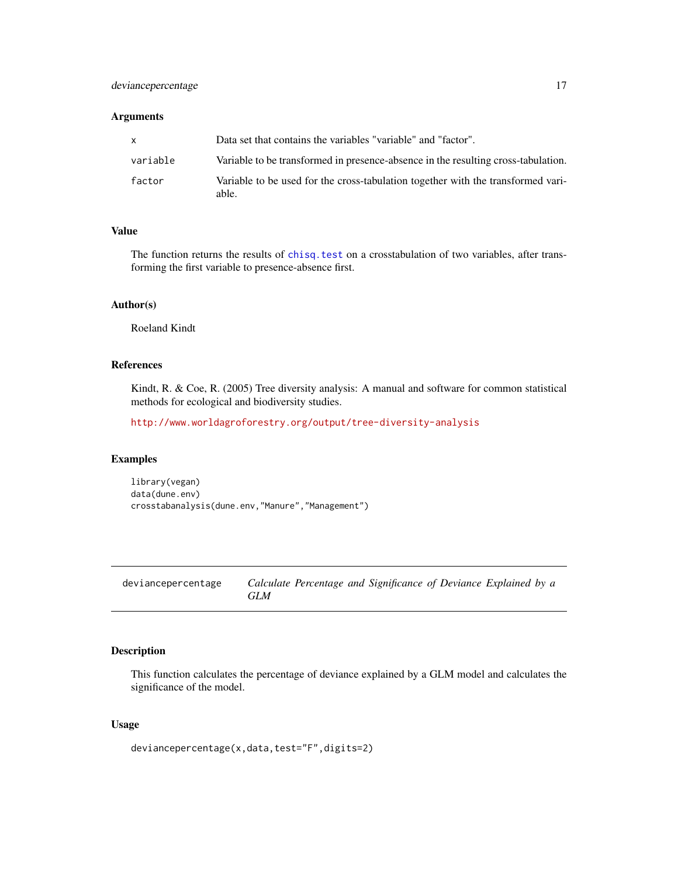# <span id="page-16-0"></span>deviance percentage 17

# Arguments

| <b>X</b> | Data set that contains the variables "variable" and "factor".                             |
|----------|-------------------------------------------------------------------------------------------|
| variable | Variable to be transformed in presence-absence in the resulting cross-tabulation.         |
| factor   | Variable to be used for the cross-tabulation together with the transformed vari-<br>able. |

# Value

The function returns the results of [chisq.test](#page-0-0) on a crosstabulation of two variables, after transforming the first variable to presence-absence first.

# Author(s)

Roeland Kindt

# References

Kindt, R. & Coe, R. (2005) Tree diversity analysis: A manual and software for common statistical methods for ecological and biodiversity studies.

<http://www.worldagroforestry.org/output/tree-diversity-analysis>

#### Examples

library(vegan) data(dune.env) crosstabanalysis(dune.env,"Manure","Management")

deviancepercentage *Calculate Percentage and Significance of Deviance Explained by a GLM*

# Description

This function calculates the percentage of deviance explained by a GLM model and calculates the significance of the model.

# Usage

deviancepercentage(x,data,test="F",digits=2)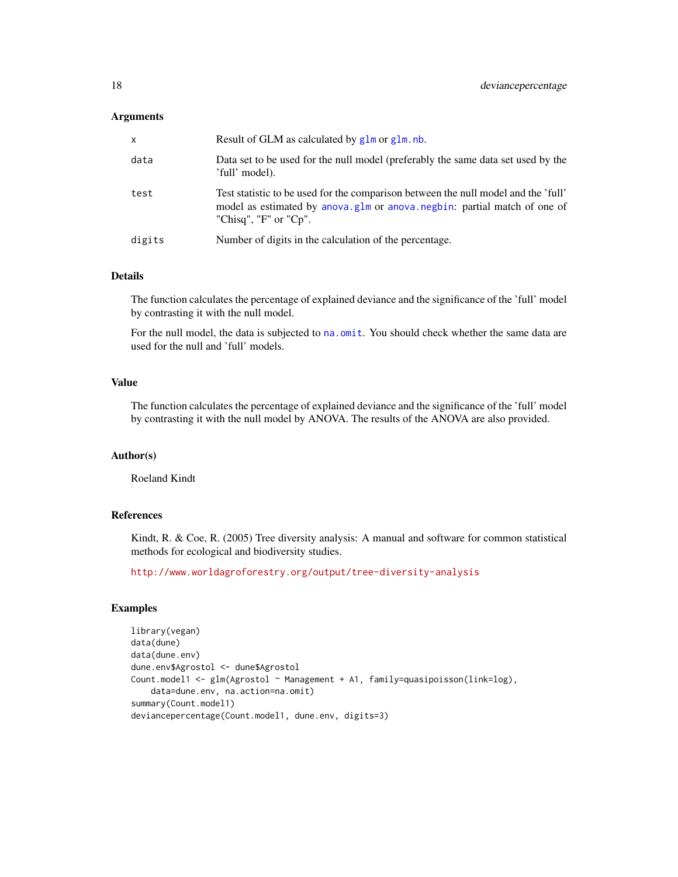## **Arguments**

| x      | Result of GLM as calculated by glm or glm, nb.                                                                                                                                                  |
|--------|-------------------------------------------------------------------------------------------------------------------------------------------------------------------------------------------------|
| data   | Data set to be used for the null model (preferably the same data set used by the<br>'full' model).                                                                                              |
| test   | Test statistic to be used for the comparison between the null model and the 'full'<br>model as estimated by anova.glm or anova.negbin: partial match of one of<br>"Chisq", " $F$ " or " $Cp$ ". |
| digits | Number of digits in the calculation of the percentage.                                                                                                                                          |

# Details

The function calculates the percentage of explained deviance and the significance of the 'full' model by contrasting it with the null model.

For the null model, the data is subjected to na. omit. You should check whether the same data are used for the null and 'full' models.

# Value

The function calculates the percentage of explained deviance and the significance of the 'full' model by contrasting it with the null model by ANOVA. The results of the ANOVA are also provided.

# Author(s)

Roeland Kindt

# References

Kindt, R. & Coe, R. (2005) Tree diversity analysis: A manual and software for common statistical methods for ecological and biodiversity studies.

<http://www.worldagroforestry.org/output/tree-diversity-analysis>

# Examples

```
library(vegan)
data(dune)
data(dune.env)
dune.env$Agrostol <- dune$Agrostol
Count.model1 <- glm(Agrostol ~ Management + A1, family=quasipoisson(link=log),
   data=dune.env, na.action=na.omit)
summary(Count.model1)
deviancepercentage(Count.model1, dune.env, digits=3)
```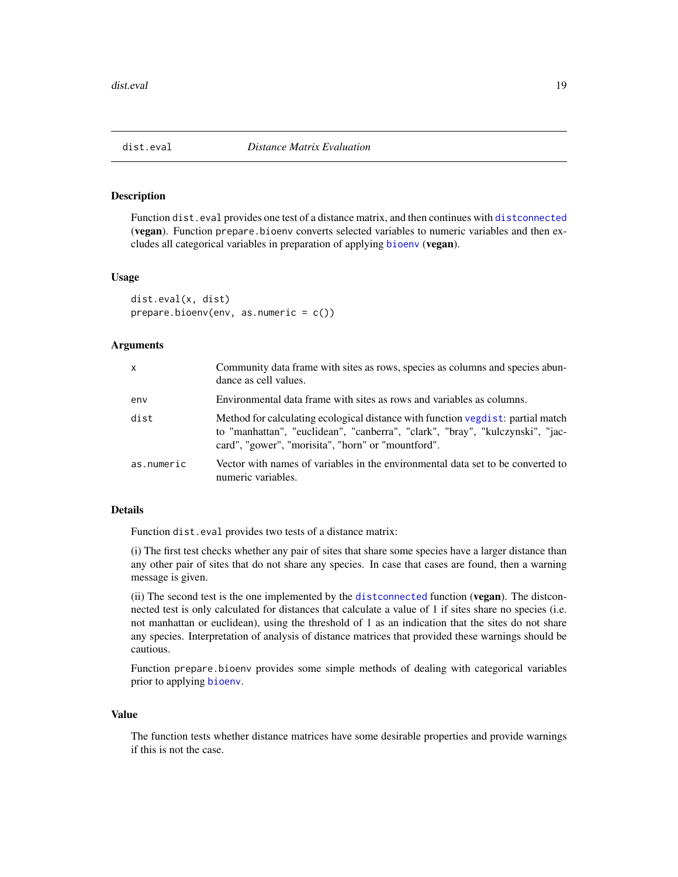<span id="page-18-0"></span>

## Description

Function dist.eval provides one test of a distance matrix, and then continues with [distconnected](#page-0-0) (vegan). Function prepare.bioenv converts selected variables to numeric variables and then excludes all categorical variables in preparation of applying [bioenv](#page-0-0) (vegan).

#### Usage

```
dist.eval(x, dist)
prepare.bioenv(env, as.numeric = c())
```
# Arguments

| $\mathsf{x}$ | Community data frame with sites as rows, species as columns and species abun-<br>dance as cell values.                                                                                                                 |
|--------------|------------------------------------------------------------------------------------------------------------------------------------------------------------------------------------------------------------------------|
| env          | Environmental data frame with sites as rows and variables as columns.                                                                                                                                                  |
| dist         | Method for calculating ecological distance with function vegdist: partial match<br>to "manhattan", "euclidean", "canberra", "clark", "bray", "kulczynski", "jac-<br>card", "gower", "morisita", "horn" or "mountford". |
| as.numeric   | Vector with names of variables in the environmental data set to be converted to<br>numeric variables.                                                                                                                  |

## Details

Function dist.eval provides two tests of a distance matrix:

(i) The first test checks whether any pair of sites that share some species have a larger distance than any other pair of sites that do not share any species. In case that cases are found, then a warning message is given.

(ii) The second test is the one implemented by the [distconnected](#page-0-0) function ( $vegan$ ). The distconnected test is only calculated for distances that calculate a value of 1 if sites share no species (i.e. not manhattan or euclidean), using the threshold of 1 as an indication that the sites do not share any species. Interpretation of analysis of distance matrices that provided these warnings should be cautious.

Function prepare.bioenv provides some simple methods of dealing with categorical variables prior to applying [bioenv](#page-0-0).

# Value

The function tests whether distance matrices have some desirable properties and provide warnings if this is not the case.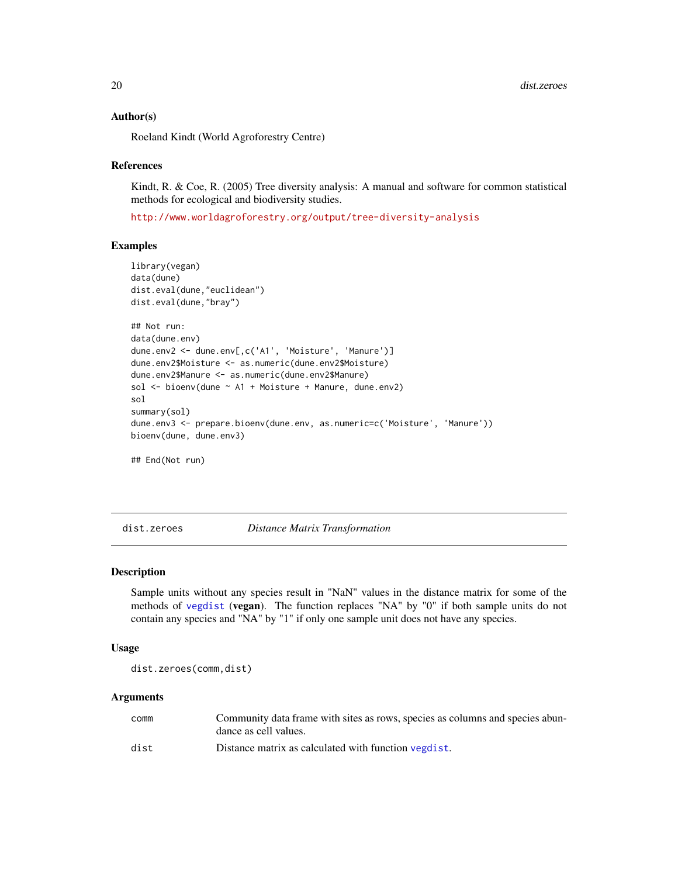#### Author(s)

Roeland Kindt (World Agroforestry Centre)

#### References

Kindt, R. & Coe, R. (2005) Tree diversity analysis: A manual and software for common statistical methods for ecological and biodiversity studies.

<http://www.worldagroforestry.org/output/tree-diversity-analysis>

#### Examples

```
library(vegan)
data(dune)
dist.eval(dune,"euclidean")
dist.eval(dune,"bray")
## Not run:
data(dune.env)
dune.env2 <- dune.env[,c('A1', 'Moisture', 'Manure')]
dune.env2$Moisture <- as.numeric(dune.env2$Moisture)
dune.env2$Manure <- as.numeric(dune.env2$Manure)
sol <- bioenv(dune ~ A1 + Moisture + Manure, dune.env2)
sol
summary(sol)
dune.env3 <- prepare.bioenv(dune.env, as.numeric=c('Moisture', 'Manure'))
bioenv(dune, dune.env3)
## End(Not run)
```
dist.zeroes *Distance Matrix Transformation*

# Description

Sample units without any species result in "NaN" values in the distance matrix for some of the methods of [vegdist](#page-0-0) (vegan). The function replaces "NA" by "0" if both sample units do not contain any species and "NA" by "1" if only one sample unit does not have any species.

#### Usage

dist.zeroes(comm,dist)

#### Arguments

| comm | Community data frame with sites as rows, species as columns and species abun- |
|------|-------------------------------------------------------------------------------|
|      | dance as cell values.                                                         |
| dist | Distance matrix as calculated with function vegdist.                          |

<span id="page-19-0"></span>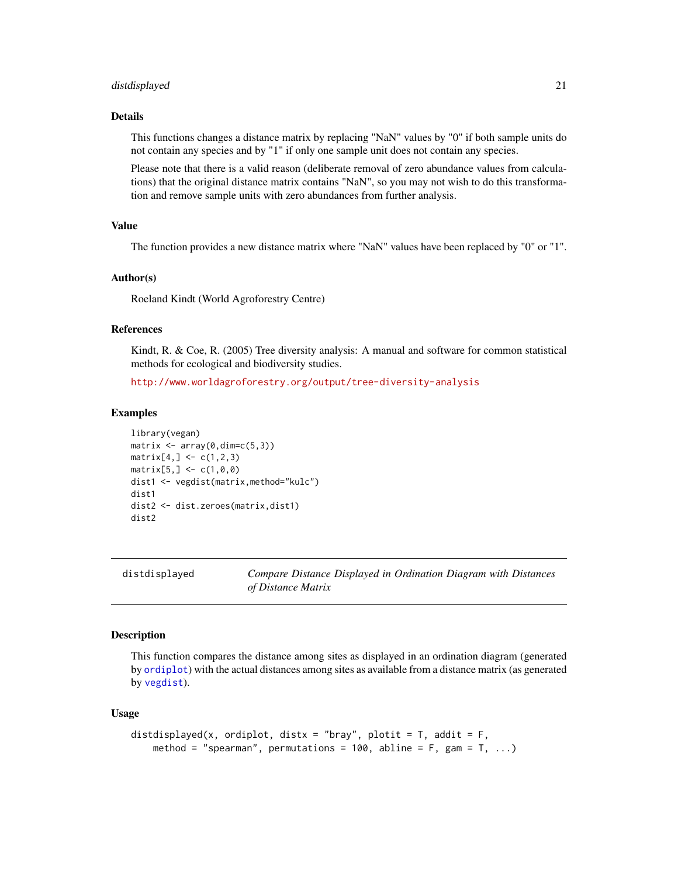#### <span id="page-20-0"></span>distdisplayed 21

#### Details

This functions changes a distance matrix by replacing "NaN" values by "0" if both sample units do not contain any species and by "1" if only one sample unit does not contain any species.

Please note that there is a valid reason (deliberate removal of zero abundance values from calculations) that the original distance matrix contains "NaN", so you may not wish to do this transformation and remove sample units with zero abundances from further analysis.

# Value

The function provides a new distance matrix where "NaN" values have been replaced by "0" or "1".

# Author(s)

Roeland Kindt (World Agroforestry Centre)

#### References

Kindt, R. & Coe, R. (2005) Tree diversity analysis: A manual and software for common statistical methods for ecological and biodiversity studies.

<http://www.worldagroforestry.org/output/tree-diversity-analysis>

#### Examples

```
library(vegan)
matrix \leq array(0,dim=c(5,3))
matrix[4,] < -c(1,2,3)matrix[5,] < -c(1,0,0)dist1 <- vegdist(matrix,method="kulc")
dist1
dist2 <- dist.zeroes(matrix,dist1)
dist2
```
distdisplayed *Compare Distance Displayed in Ordination Diagram with Distances of Distance Matrix*

#### Description

This function compares the distance among sites as displayed in an ordination diagram (generated by [ordiplot](#page-0-0)) with the actual distances among sites as available from a distance matrix (as generated by [vegdist](#page-0-0)).

## Usage

```
distdisplayed(x, ordiplot, distx = "bray", plotit = T, addit = F,
   method = "spearman", permutations = 100, abline = F, gam = T, ...)
```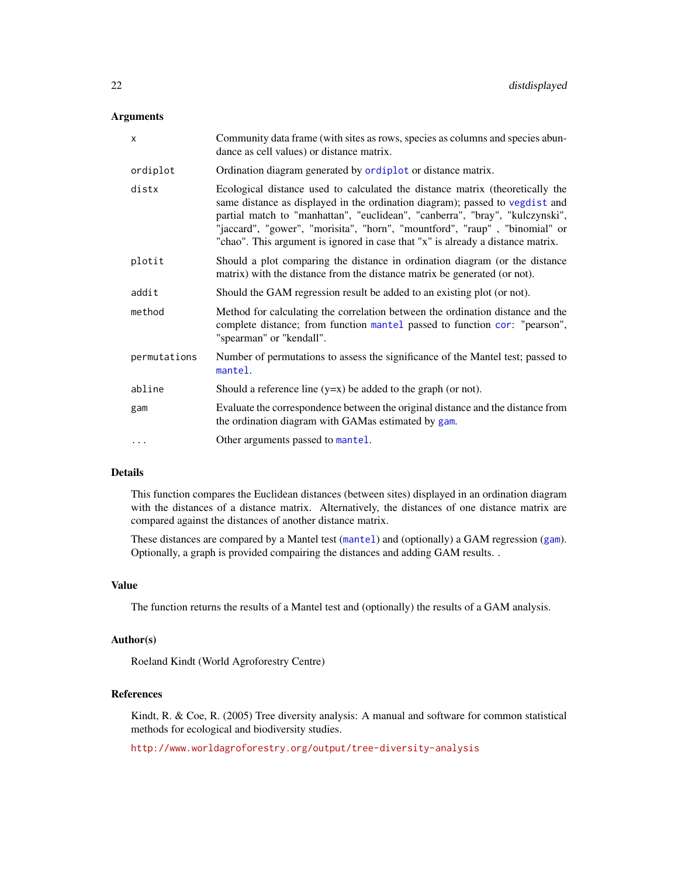## Arguments

| X            | Community data frame (with sites as rows, species as columns and species abun-<br>dance as cell values) or distance matrix.                                                                                                                                                                                                                                                                                    |
|--------------|----------------------------------------------------------------------------------------------------------------------------------------------------------------------------------------------------------------------------------------------------------------------------------------------------------------------------------------------------------------------------------------------------------------|
| ordiplot     | Ordination diagram generated by ordiplot or distance matrix.                                                                                                                                                                                                                                                                                                                                                   |
| distx        | Ecological distance used to calculated the distance matrix (theoretically the<br>same distance as displayed in the ordination diagram); passed to vegdist and<br>partial match to "manhattan", "euclidean", "canberra", "bray", "kulczynski",<br>"jaccard", "gower", "morisita", "horn", "mountford", "raup", "binomial" or<br>"chao". This argument is ignored in case that "x" is already a distance matrix. |
| plotit       | Should a plot comparing the distance in ordination diagram (or the distance<br>matrix) with the distance from the distance matrix be generated (or not).                                                                                                                                                                                                                                                       |
| addit        | Should the GAM regression result be added to an existing plot (or not).                                                                                                                                                                                                                                                                                                                                        |
| method       | Method for calculating the correlation between the ordination distance and the<br>complete distance; from function mantel passed to function cor: "pearson",<br>"spearman" or "kendall".                                                                                                                                                                                                                       |
| permutations | Number of permutations to assess the significance of the Mantel test; passed to<br>mantel.                                                                                                                                                                                                                                                                                                                     |
| abline       | Should a reference line $(y=x)$ be added to the graph (or not).                                                                                                                                                                                                                                                                                                                                                |
| gam          | Evaluate the correspondence between the original distance and the distance from<br>the ordination diagram with GAMas estimated by gam.                                                                                                                                                                                                                                                                         |
| $\cdots$     | Other arguments passed to mantel.                                                                                                                                                                                                                                                                                                                                                                              |

# Details

This function compares the Euclidean distances (between sites) displayed in an ordination diagram with the distances of a distance matrix. Alternatively, the distances of one distance matrix are compared against the distances of another distance matrix.

These distances are compared by a Mantel test ([mantel](#page-0-0)) and (optionally) a GAM regression ([gam](#page-0-0)). Optionally, a graph is provided compairing the distances and adding GAM results. .

# Value

The function returns the results of a Mantel test and (optionally) the results of a GAM analysis.

# Author(s)

Roeland Kindt (World Agroforestry Centre)

# References

Kindt, R. & Coe, R. (2005) Tree diversity analysis: A manual and software for common statistical methods for ecological and biodiversity studies.

<http://www.worldagroforestry.org/output/tree-diversity-analysis>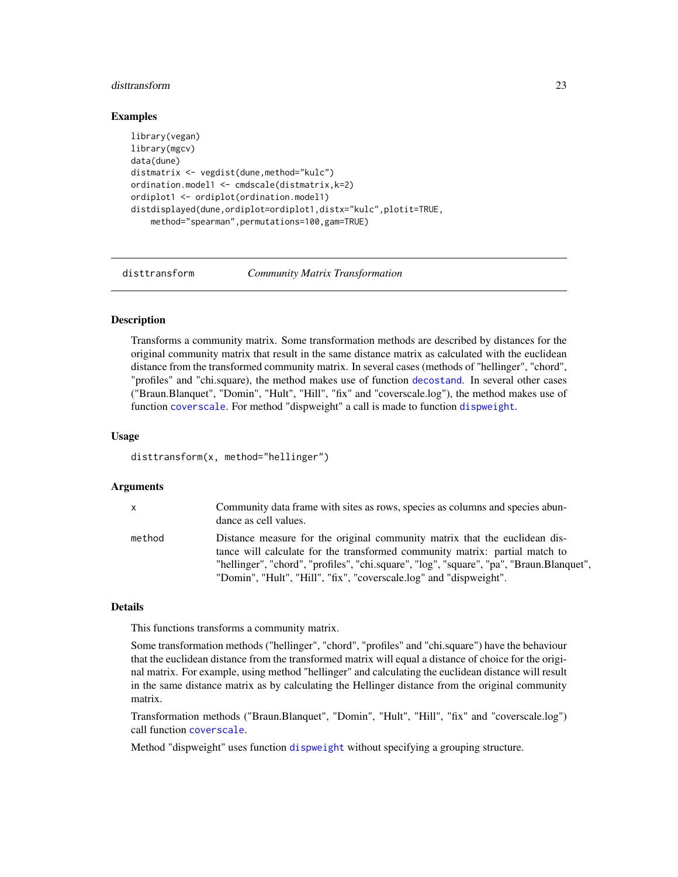#### <span id="page-22-0"></span>disttransform 23

## Examples

```
library(vegan)
library(mgcv)
data(dune)
distmatrix <- vegdist(dune,method="kulc")
ordination.model1 <- cmdscale(distmatrix,k=2)
ordiplot1 <- ordiplot(ordination.model1)
distdisplayed(dune,ordiplot=ordiplot1,distx="kulc",plotit=TRUE,
    method="spearman",permutations=100,gam=TRUE)
```
disttransform *Community Matrix Transformation*

# Description

Transforms a community matrix. Some transformation methods are described by distances for the original community matrix that result in the same distance matrix as calculated with the euclidean distance from the transformed community matrix. In several cases (methods of "hellinger", "chord", "profiles" and "chi.square), the method makes use of function [decostand](#page-0-0). In several other cases ("Braun.Blanquet", "Domin", "Hult", "Hill", "fix" and "coverscale.log"), the method makes use of function [coverscale](#page-0-0). For method "dispweight" a call is made to function [dispweight](#page-0-0).

# Usage

disttransform(x, method="hellinger")

#### Arguments

| $\times$ | Community data frame with sites as rows, species as columns and species abun-<br>dance as cell values.                                                                                                                                                                                                                      |
|----------|-----------------------------------------------------------------------------------------------------------------------------------------------------------------------------------------------------------------------------------------------------------------------------------------------------------------------------|
| method   | Distance measure for the original community matrix that the euclidean dis-<br>tance will calculate for the transformed community matrix: partial match to<br>"hellinger", "chord", "profiles", "chi.square", "log", "square", "pa", "Braun.Blanquet",<br>"Domin", "Hult", "Hill", "fix", "coverscale.log" and "dispweight". |

## Details

This functions transforms a community matrix.

Some transformation methods ("hellinger", "chord", "profiles" and "chi.square") have the behaviour that the euclidean distance from the transformed matrix will equal a distance of choice for the original matrix. For example, using method "hellinger" and calculating the euclidean distance will result in the same distance matrix as by calculating the Hellinger distance from the original community matrix.

Transformation methods ("Braun.Blanquet", "Domin", "Hult", "Hill", "fix" and "coverscale.log") call function [coverscale](#page-0-0).

Method "dispweight" uses function [dispweight](#page-0-0) without specifying a grouping structure.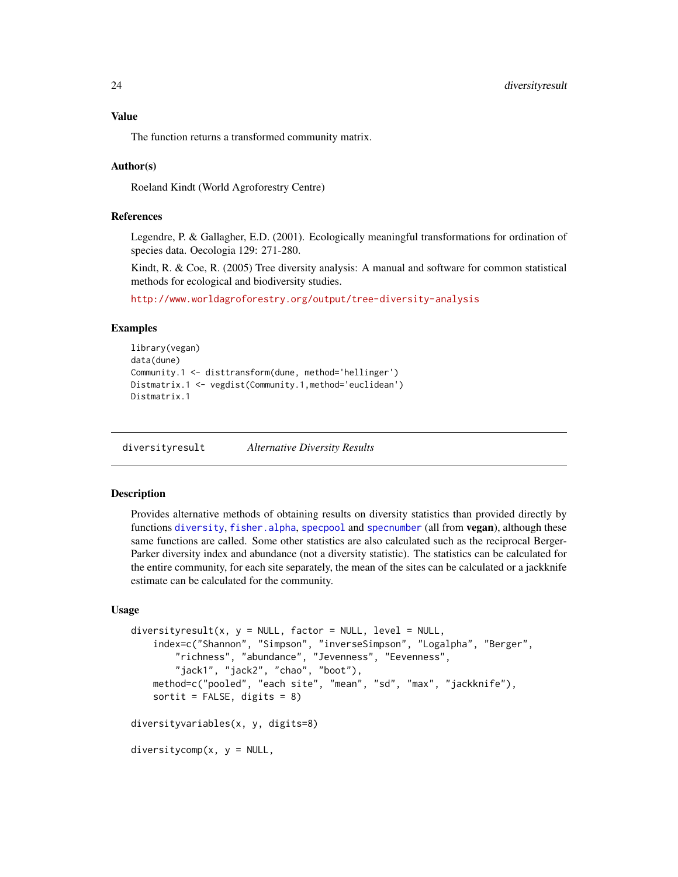# <span id="page-23-0"></span>Value

The function returns a transformed community matrix.

# Author(s)

Roeland Kindt (World Agroforestry Centre)

# References

Legendre, P. & Gallagher, E.D. (2001). Ecologically meaningful transformations for ordination of species data. Oecologia 129: 271-280.

Kindt, R. & Coe, R. (2005) Tree diversity analysis: A manual and software for common statistical methods for ecological and biodiversity studies.

<http://www.worldagroforestry.org/output/tree-diversity-analysis>

## Examples

```
library(vegan)
data(dune)
Community.1 <- disttransform(dune, method='hellinger')
Distmatrix.1 <- vegdist(Community.1,method='euclidean')
Distmatrix.1
```
diversityresult *Alternative Diversity Results*

# **Description**

Provides alternative methods of obtaining results on diversity statistics than provided directly by functions [diversity](#page-0-0), [fisher.alpha](#page-0-0), [specpool](#page-0-0) and [specnumber](#page-0-0) (all from vegan), although these same functions are called. Some other statistics are also calculated such as the reciprocal Berger-Parker diversity index and abundance (not a diversity statistic). The statistics can be calculated for the entire community, for each site separately, the mean of the sites can be calculated or a jackknife estimate can be calculated for the community.

## Usage

```
diversityresult(x, y = NULL, factor = NULL, level = NULL,
   index=c("Shannon", "Simpson", "inverseSimpson", "Logalpha", "Berger",
        "richness", "abundance", "Jevenness", "Eevenness",
        "jack1", "jack2", "chao", "boot"),
   method=c("pooled", "each site", "mean", "sd", "max", "jackknife"),
   sortit = FALSE, digits = 8)diversityvariables(x, y, digits=8)
diversitycomp(x, y = NULL,
```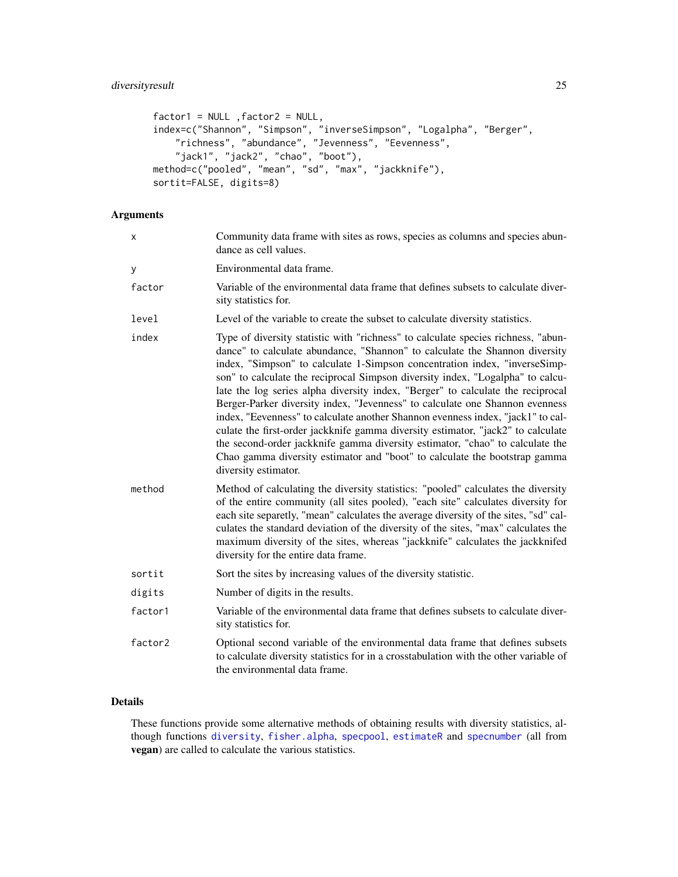# diversityresult 25

```
factor1 = NULL, factor2 = NULL,
index=c("Shannon", "Simpson", "inverseSimpson", "Logalpha", "Berger",
    "richness", "abundance", "Jevenness", "Eevenness",
    "jack1", "jack2", "chao", "boot"),
method=c("pooled", "mean", "sd", "max", "jackknife"),
sortit=FALSE, digits=8)
```
# Arguments

| x       | Community data frame with sites as rows, species as columns and species abun-<br>dance as cell values.                                                                                                                                                                                                                                                                                                                                                                                                                                                                                                                                                                                                                                                                                                                                                            |
|---------|-------------------------------------------------------------------------------------------------------------------------------------------------------------------------------------------------------------------------------------------------------------------------------------------------------------------------------------------------------------------------------------------------------------------------------------------------------------------------------------------------------------------------------------------------------------------------------------------------------------------------------------------------------------------------------------------------------------------------------------------------------------------------------------------------------------------------------------------------------------------|
| у       | Environmental data frame.                                                                                                                                                                                                                                                                                                                                                                                                                                                                                                                                                                                                                                                                                                                                                                                                                                         |
| factor  | Variable of the environmental data frame that defines subsets to calculate diver-<br>sity statistics for.                                                                                                                                                                                                                                                                                                                                                                                                                                                                                                                                                                                                                                                                                                                                                         |
| level   | Level of the variable to create the subset to calculate diversity statistics.                                                                                                                                                                                                                                                                                                                                                                                                                                                                                                                                                                                                                                                                                                                                                                                     |
| index   | Type of diversity statistic with "richness" to calculate species richness, "abun-<br>dance" to calculate abundance, "Shannon" to calculate the Shannon diversity<br>index, "Simpson" to calculate 1-Simpson concentration index, "inverseSimp-<br>son" to calculate the reciprocal Simpson diversity index, "Logalpha" to calcu-<br>late the log series alpha diversity index, "Berger" to calculate the reciprocal<br>Berger-Parker diversity index, "Jevenness" to calculate one Shannon evenness<br>index, "Eevenness" to calculate another Shannon evenness index, "jack1" to cal-<br>culate the first-order jackknife gamma diversity estimator, "jack2" to calculate<br>the second-order jackknife gamma diversity estimator, "chao" to calculate the<br>Chao gamma diversity estimator and "boot" to calculate the bootstrap gamma<br>diversity estimator. |
| method  | Method of calculating the diversity statistics: "pooled" calculates the diversity<br>of the entire community (all sites pooled), "each site" calculates diversity for<br>each site separetly, "mean" calculates the average diversity of the sites, "sd" cal-<br>culates the standard deviation of the diversity of the sites, "max" calculates the<br>maximum diversity of the sites, whereas "jackknife" calculates the jackknifed<br>diversity for the entire data frame.                                                                                                                                                                                                                                                                                                                                                                                      |
| sortit  | Sort the sites by increasing values of the diversity statistic.                                                                                                                                                                                                                                                                                                                                                                                                                                                                                                                                                                                                                                                                                                                                                                                                   |
| digits  | Number of digits in the results.                                                                                                                                                                                                                                                                                                                                                                                                                                                                                                                                                                                                                                                                                                                                                                                                                                  |
| factor1 | Variable of the environmental data frame that defines subsets to calculate diver-<br>sity statistics for.                                                                                                                                                                                                                                                                                                                                                                                                                                                                                                                                                                                                                                                                                                                                                         |
| factor2 | Optional second variable of the environmental data frame that defines subsets<br>to calculate diversity statistics for in a crosstabulation with the other variable of<br>the environmental data frame.                                                                                                                                                                                                                                                                                                                                                                                                                                                                                                                                                                                                                                                           |

# Details

These functions provide some alternative methods of obtaining results with diversity statistics, although functions [diversity](#page-0-0), [fisher.alpha](#page-0-0), [specpool](#page-0-0), [estimateR](#page-0-0) and [specnumber](#page-0-0) (all from vegan) are called to calculate the various statistics.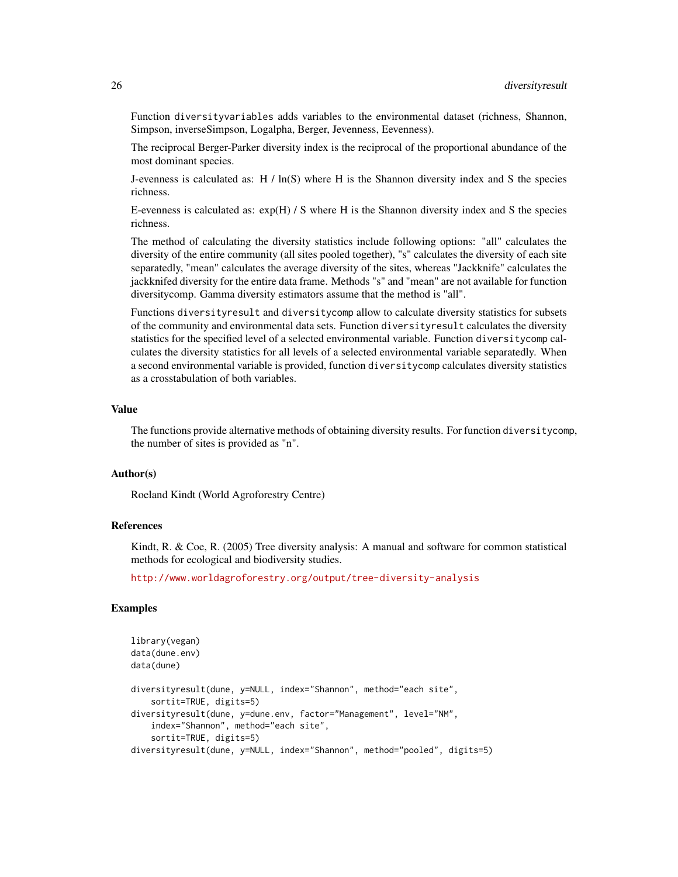Function diversityvariables adds variables to the environmental dataset (richness, Shannon, Simpson, inverseSimpson, Logalpha, Berger, Jevenness, Eevenness).

The reciprocal Berger-Parker diversity index is the reciprocal of the proportional abundance of the most dominant species.

J-evenness is calculated as:  $H / ln(S)$  where H is the Shannon diversity index and S the species richness.

E-evenness is calculated as:  $exp(H)/S$  where H is the Shannon diversity index and S the species richness.

The method of calculating the diversity statistics include following options: "all" calculates the diversity of the entire community (all sites pooled together), "s" calculates the diversity of each site separatedly, "mean" calculates the average diversity of the sites, whereas "Jackknife" calculates the jackknifed diversity for the entire data frame. Methods "s" and "mean" are not available for function diversitycomp. Gamma diversity estimators assume that the method is "all".

Functions diversityresult and diversitycomp allow to calculate diversity statistics for subsets of the community and environmental data sets. Function diversityresult calculates the diversity statistics for the specified level of a selected environmental variable. Function diversitycomp calculates the diversity statistics for all levels of a selected environmental variable separatedly. When a second environmental variable is provided, function diversitycomp calculates diversity statistics as a crosstabulation of both variables.

#### Value

The functions provide alternative methods of obtaining diversity results. For function diversitycomp, the number of sites is provided as "n".

#### Author(s)

Roeland Kindt (World Agroforestry Centre)

## References

Kindt, R. & Coe, R. (2005) Tree diversity analysis: A manual and software for common statistical methods for ecological and biodiversity studies.

<http://www.worldagroforestry.org/output/tree-diversity-analysis>

# **Examples**

```
library(vegan)
data(dune.env)
data(dune)
diversityresult(dune, y=NULL, index="Shannon", method="each site",
    sortit=TRUE, digits=5)
diversityresult(dune, y=dune.env, factor="Management", level="NM",
   index="Shannon", method="each site",
    sortit=TRUE, digits=5)
diversityresult(dune, y=NULL, index="Shannon", method="pooled", digits=5)
```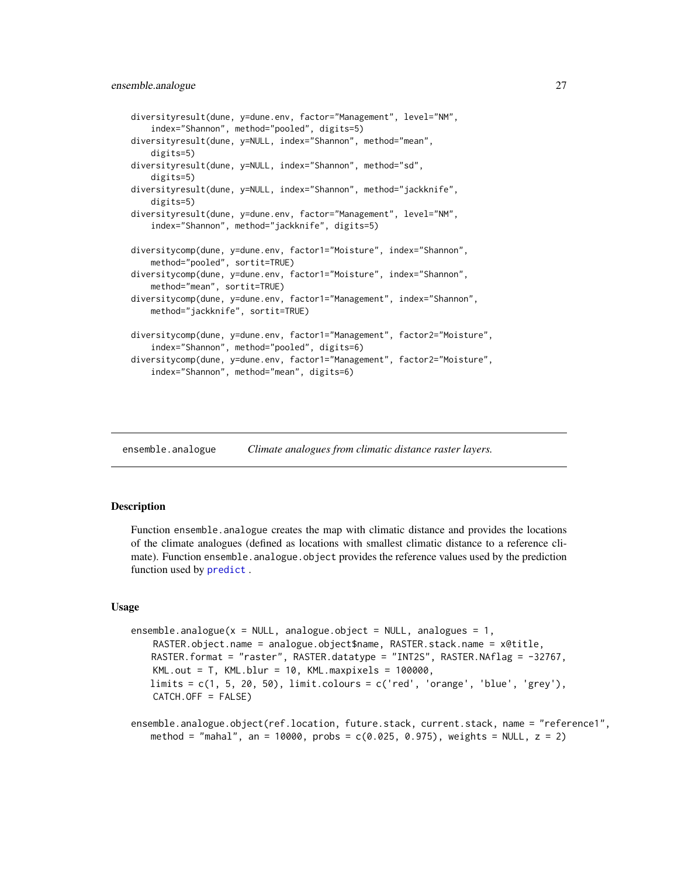```
diversityresult(dune, y=dune.env, factor="Management", level="NM",
    index="Shannon", method="pooled", digits=5)
diversityresult(dune, y=NULL, index="Shannon", method="mean",
   digits=5)
diversityresult(dune, y=NULL, index="Shannon", method="sd",
   digits=5)
diversityresult(dune, y=NULL, index="Shannon", method="jackknife",
   digits=5)
diversityresult(dune, y=dune.env, factor="Management", level="NM",
    index="Shannon", method="jackknife", digits=5)
diversitycomp(dune, y=dune.env, factor1="Moisture", index="Shannon",
    method="pooled", sortit=TRUE)
diversitycomp(dune, y=dune.env, factor1="Moisture", index="Shannon",
   method="mean", sortit=TRUE)
diversitycomp(dune, y=dune.env, factor1="Management", index="Shannon",
   method="jackknife", sortit=TRUE)
diversitycomp(dune, y=dune.env, factor1="Management", factor2="Moisture",
   index="Shannon", method="pooled", digits=6)
diversitycomp(dune, y=dune.env, factor1="Management", factor2="Moisture",
   index="Shannon", method="mean", digits=6)
```
ensemble.analogue *Climate analogues from climatic distance raster layers.*

# <span id="page-26-1"></span>**Description**

Function ensemble.analogue creates the map with climatic distance and provides the locations of the climate analogues (defined as locations with smallest climatic distance to a reference climate). Function ensemble.analogue.object provides the reference values used by the prediction function used by [predict](#page-0-0).

#### Usage

```
ensemble.analogue(x = NULL, analogue.object = NULL, analogues = 1,
    RASTER.object.name = analogue.object$name, RASTER.stack.name = x@title,
   RASTER.format = "raster", RASTER.datatype = "INT2S", RASTER.NAflag = -32767,
   KML.out = T, KML.blur = 10, KML.maxpixels = 100000,
   \text{limits} = c(1, 5, 20, 50), \text{limit.} \text{colours} = c('red', 'orange', 'blue', 'green').CATCH.OFF = FALSE)
```

```
ensemble.analogue.object(ref.location, future.stack, current.stack, name = "reference1",
   method = "mahal", an = 10000, probs = c(0.025, 0.975), weights = NULL, z = 2)
```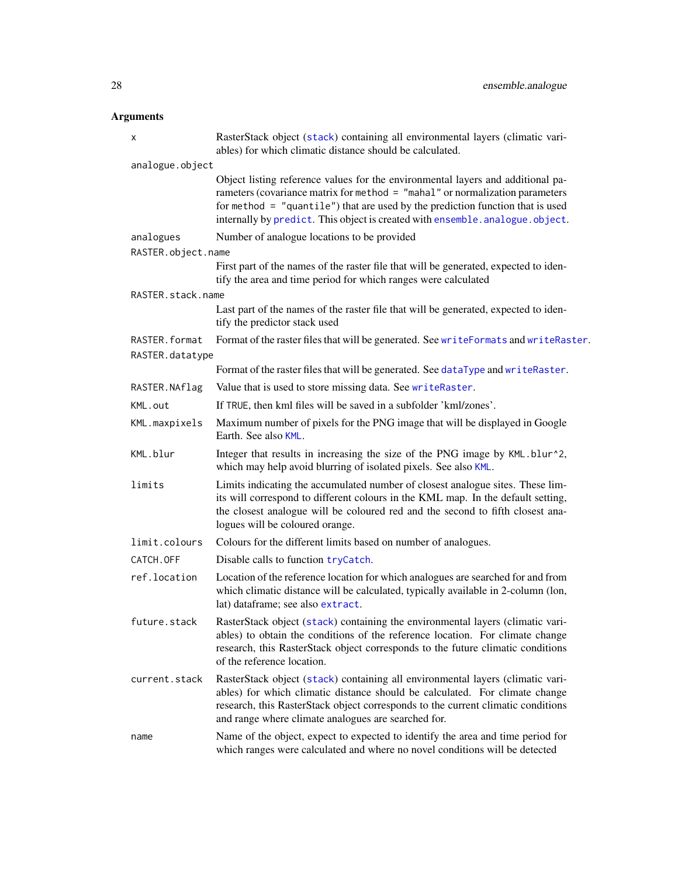# Arguments

| X                                | RasterStack object (stack) containing all environmental layers (climatic vari-<br>ables) for which climatic distance should be calculated.                                                                                                                                                                                            |
|----------------------------------|---------------------------------------------------------------------------------------------------------------------------------------------------------------------------------------------------------------------------------------------------------------------------------------------------------------------------------------|
| analogue.object                  |                                                                                                                                                                                                                                                                                                                                       |
|                                  | Object listing reference values for the environmental layers and additional pa-<br>rameters (covariance matrix for method = "mahal" or normalization parameters<br>for method $=$ "quantile") that are used by the prediction function that is used<br>internally by predict. This object is created with ensemble. analogue. object. |
| analogues                        | Number of analogue locations to be provided                                                                                                                                                                                                                                                                                           |
| RASTER.object.name               |                                                                                                                                                                                                                                                                                                                                       |
|                                  | First part of the names of the raster file that will be generated, expected to iden-<br>tify the area and time period for which ranges were calculated                                                                                                                                                                                |
| RASTER.stack.name                |                                                                                                                                                                                                                                                                                                                                       |
|                                  | Last part of the names of the raster file that will be generated, expected to iden-<br>tify the predictor stack used                                                                                                                                                                                                                  |
| RASTER.format<br>RASTER.datatype | Format of the raster files that will be generated. See writeFormats and writeRaster.                                                                                                                                                                                                                                                  |
|                                  | Format of the raster files that will be generated. See dataType and writeRaster.                                                                                                                                                                                                                                                      |
| RASTER.NAflag                    | Value that is used to store missing data. See writeRaster.                                                                                                                                                                                                                                                                            |
| KML.out                          | If TRUE, then kml files will be saved in a subfolder 'kml/zones'.                                                                                                                                                                                                                                                                     |
| KML.maxpixels                    | Maximum number of pixels for the PNG image that will be displayed in Google<br>Earth. See also KML.                                                                                                                                                                                                                                   |
| KML.blur                         | Integer that results in increasing the size of the PNG image by KML.blur^2,<br>which may help avoid blurring of isolated pixels. See also KML.                                                                                                                                                                                        |
| limits                           | Limits indicating the accumulated number of closest analogue sites. These lim-<br>its will correspond to different colours in the KML map. In the default setting,<br>the closest analogue will be coloured red and the second to fifth closest ana-<br>logues will be coloured orange.                                               |
| limit.colours                    | Colours for the different limits based on number of analogues.                                                                                                                                                                                                                                                                        |
| CATCH.OFF                        | Disable calls to function tryCatch.                                                                                                                                                                                                                                                                                                   |
| ref.location                     | Location of the reference location for which analogues are searched for and from<br>which climatic distance will be calculated, typically available in 2-column (lon,<br>lat) dataframe; see also extract.                                                                                                                            |
| future.stack                     | RasterStack object (stack) containing the environmental layers (climatic vari-<br>ables) to obtain the conditions of the reference location. For climate change<br>research, this RasterStack object corresponds to the future climatic conditions<br>of the reference location.                                                      |
| current.stack                    | RasterStack object (stack) containing all environmental layers (climatic vari-<br>ables) for which climatic distance should be calculated. For climate change<br>research, this RasterStack object corresponds to the current climatic conditions<br>and range where climate analogues are searched for.                              |
| name                             | Name of the object, expect to expected to identify the area and time period for<br>which ranges were calculated and where no novel conditions will be detected                                                                                                                                                                        |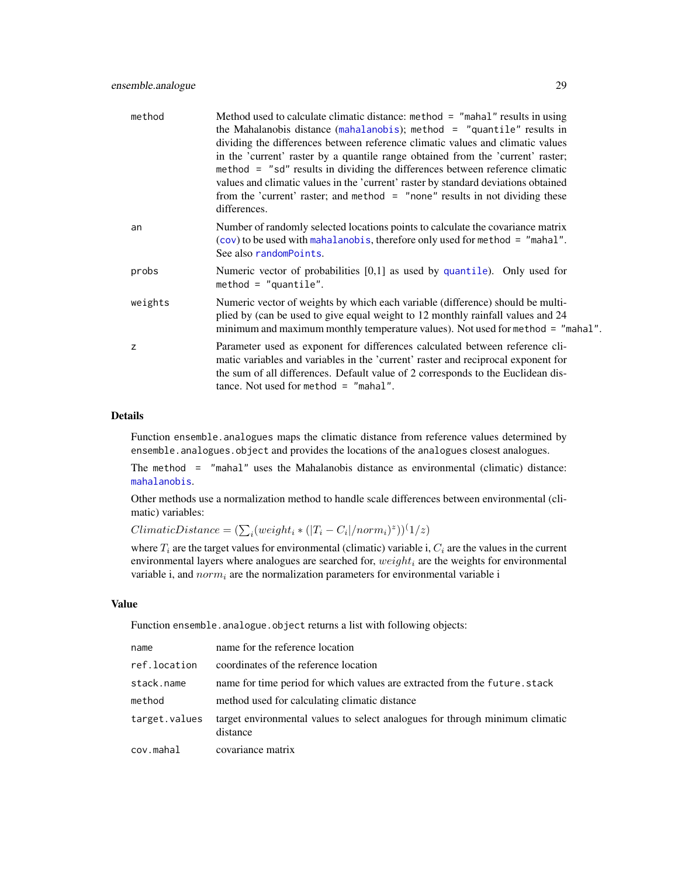| method  | Method used to calculate climatic distance: method = "mahal" results in using<br>the Mahalanobis distance (mahalanobis); method = "quantile" results in<br>dividing the differences between reference climatic values and climatic values<br>in the 'current' raster by a quantile range obtained from the 'current' raster;<br>method = "sd" results in dividing the differences between reference climatic<br>values and climatic values in the 'current' raster by standard deviations obtained<br>from the 'current' raster; and method = "none" results in not dividing these<br>differences. |
|---------|----------------------------------------------------------------------------------------------------------------------------------------------------------------------------------------------------------------------------------------------------------------------------------------------------------------------------------------------------------------------------------------------------------------------------------------------------------------------------------------------------------------------------------------------------------------------------------------------------|
| an      | Number of randomly selected locations points to calculate the covariance matrix<br>$(cov)$ to be used with mahalanobis, therefore only used for method = "mahal".<br>See also randomPoints.                                                                                                                                                                                                                                                                                                                                                                                                        |
| probs   | Numeric vector of probabilities $[0,1]$ as used by quantile). Only used for<br>method = $"quantile".$                                                                                                                                                                                                                                                                                                                                                                                                                                                                                              |
| weights | Numeric vector of weights by which each variable (difference) should be multi-<br>plied by (can be used to give equal weight to 12 monthly rainfall values and 24<br>minimum and maximum monthly temperature values). Not used for method = "mahal".                                                                                                                                                                                                                                                                                                                                               |
| z       | Parameter used as exponent for differences calculated between reference cli-<br>matic variables and variables in the 'current' raster and reciprocal exponent for<br>the sum of all differences. Default value of 2 corresponds to the Euclidean dis-<br>tance. Not used for method $=$ "mahal".                                                                                                                                                                                                                                                                                                   |

# Details

Function ensemble.analogues maps the climatic distance from reference values determined by ensemble.analogues.object and provides the locations of the analogues closest analogues.

The method = "mahal" uses the Mahalanobis distance as environmental (climatic) distance: [mahalanobis](#page-0-0).

Other methods use a normalization method to handle scale differences between environmental (climatic) variables:

 $ClimaticDistance = (\sum_i (weight_i * (|T_i - C_i|/norm_i)^z))^{(1/z)}$ 

where  $T_i$  are the target values for environmental (climatic) variable i,  $C_i$  are the values in the current environmental layers where analogues are searched for,  $weight_i$  are the weights for environmental variable i, and  $norm_i$  are the normalization parameters for environmental variable i

#### Value

Function ensemble.analogue.object returns a list with following objects:

| name          | name for the reference location                                                          |
|---------------|------------------------------------------------------------------------------------------|
| ref.location  | coordinates of the reference location                                                    |
| stack.name    | name for time period for which values are extracted from the future. stack               |
| method        | method used for calculating climatic distance                                            |
| target.values | target environmental values to select analogues for through minimum climatic<br>distance |
| cov.mahal     | covariance matrix                                                                        |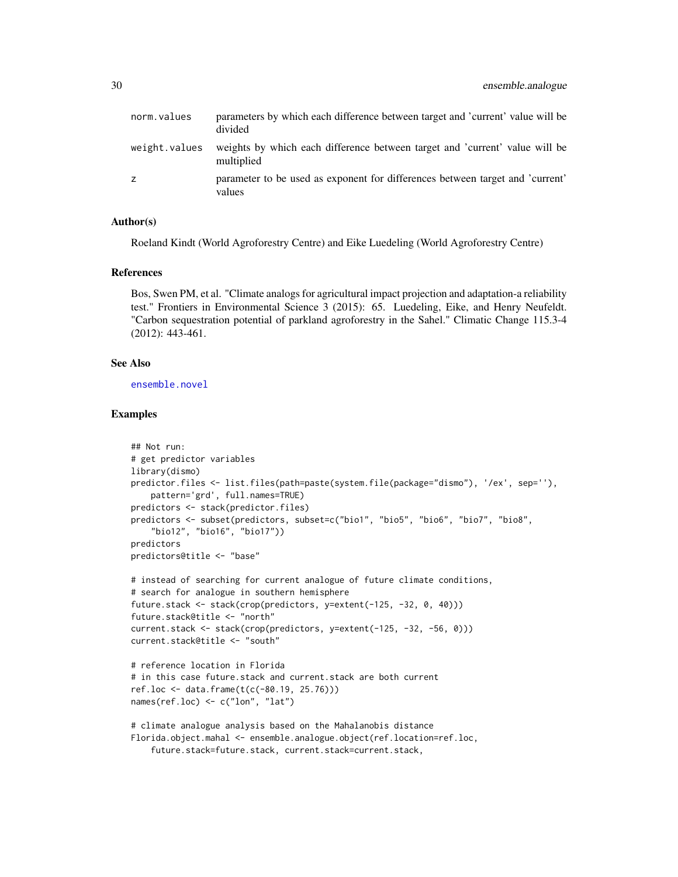| norm.values   | parameters by which each difference between target and 'current' value will be<br>divided |
|---------------|-------------------------------------------------------------------------------------------|
| weight.values | weights by which each difference between target and 'current' value will be<br>multiplied |
| Z.            | parameter to be used as exponent for differences between target and 'current'<br>values   |

## Author(s)

Roeland Kindt (World Agroforestry Centre) and Eike Luedeling (World Agroforestry Centre)

# References

Bos, Swen PM, et al. "Climate analogs for agricultural impact projection and adaptation-a reliability test." Frontiers in Environmental Science 3 (2015): 65. Luedeling, Eike, and Henry Neufeldt. "Carbon sequestration potential of parkland agroforestry in the Sahel." Climatic Change 115.3-4 (2012): 443-461.

# See Also

[ensemble.novel](#page-72-1)

#### Examples

```
## Not run:
# get predictor variables
library(dismo)
predictor.files <- list.files(path=paste(system.file(package="dismo"), '/ex', sep=''),
    pattern='grd', full.names=TRUE)
predictors <- stack(predictor.files)
predictors <- subset(predictors, subset=c("bio1", "bio5", "bio6", "bio7", "bio8",
    "bio12", "bio16", "bio17"))
predictors
predictors@title <- "base"
# instead of searching for current analogue of future climate conditions,
# search for analogue in southern hemisphere
future.stack <- stack(crop(predictors, y=extent(-125, -32, 0, 40)))
future.stack@title <- "north"
current.stack <- stack(crop(predictors, y=extent(-125, -32, -56, 0)))
current.stack@title <- "south"
# reference location in Florida
# in this case future.stack and current.stack are both current
ref.loc <- data.frame(t(c(-80.19, 25.76)))
names(ref.loc) <- c("lon", "lat")
# climate analogue analysis based on the Mahalanobis distance
Florida.object.mahal <- ensemble.analogue.object(ref.location=ref.loc,
    future.stack=future.stack, current.stack=current.stack,
```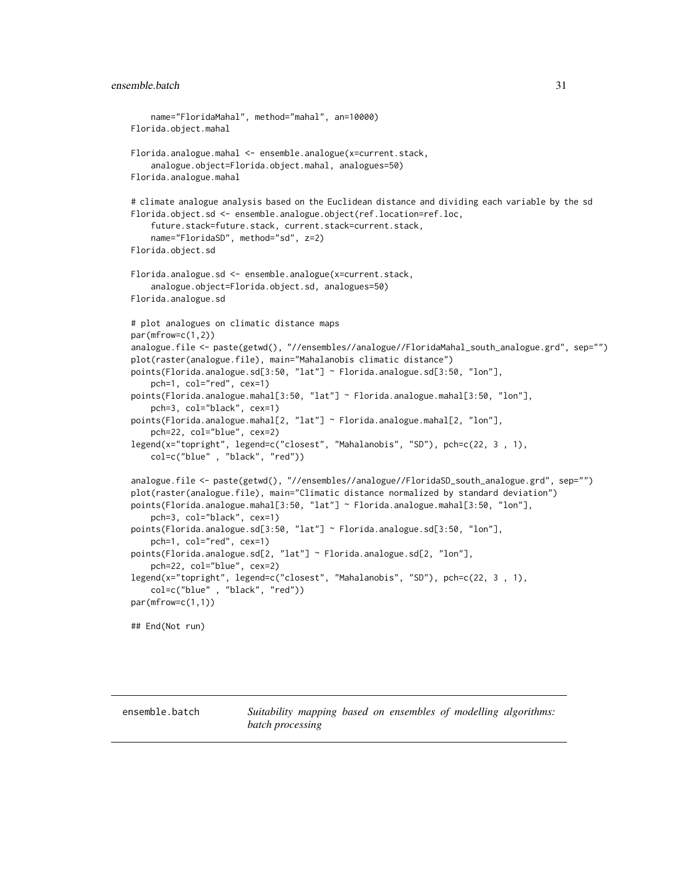## <span id="page-30-0"></span>ensemble.batch 31

```
name="FloridaMahal", method="mahal", an=10000)
Florida.object.mahal
Florida.analogue.mahal <- ensemble.analogue(x=current.stack,
    analogue.object=Florida.object.mahal, analogues=50)
Florida.analogue.mahal
# climate analogue analysis based on the Euclidean distance and dividing each variable by the sd
Florida.object.sd <- ensemble.analogue.object(ref.location=ref.loc,
    future.stack=future.stack, current.stack=current.stack,
    name="FloridaSD", method="sd", z=2)
Florida.object.sd
Florida.analogue.sd <- ensemble.analogue(x=current.stack,
    analogue.object=Florida.object.sd, analogues=50)
Florida.analogue.sd
# plot analogues on climatic distance maps
par(mfrow=c(1,2))
analogue.file <- paste(getwd(), "//ensembles//analogue//FloridaMahal_south_analogue.grd", sep="")
plot(raster(analogue.file), main="Mahalanobis climatic distance")
points(Florida.analogue.sd[3:50, "lat"] ~ Florida.analogue.sd[3:50, "lon"],
    pch=1, col="red", cex=1)
points(Florida.analogue.mahal[3:50, "lat"] ~ Florida.analogue.mahal[3:50, "lon"],
    pch=3, col="black", cex=1)
points(Florida.analogue.mahal[2, "lat"] ~ Florida.analogue.mahal[2, "lon"],
    pch=22, col="blue", cex=2)
legend(x="topright", legend=c("closest", "Mahalanobis", "SD"), pch=c(22, 3 , 1),
   col=c("blue" , "black", "red"))
analogue.file <- paste(getwd(), "//ensembles//analogue//FloridaSD_south_analogue.grd", sep="")
plot(raster(analogue.file), main="Climatic distance normalized by standard deviation")
points(Florida.analogue.mahal[3:50, "lat"] ~ Florida.analogue.mahal[3:50, "lon"],
    pch=3, col="black", cex=1)
points(Florida.analogue.sd[3:50, "lat"] ~ Florida.analogue.sd[3:50, "lon"],
    pch=1, col="red", cex=1)
points(Florida.analogue.sd[2, "lat"] ~ Florida.analogue.sd[2, "lon"],
    pch=22, col="blue", cex=2)
legend(x="topright", legend=c("closest", "Mahalanobis", "SD"), pch=c(22, 3 , 1),
    col=c("blue" , "black", "red"))
par(mfrow=c(1,1))
## End(Not run)
```
ensemble.batch *Suitability mapping based on ensembles of modelling algorithms: batch processing*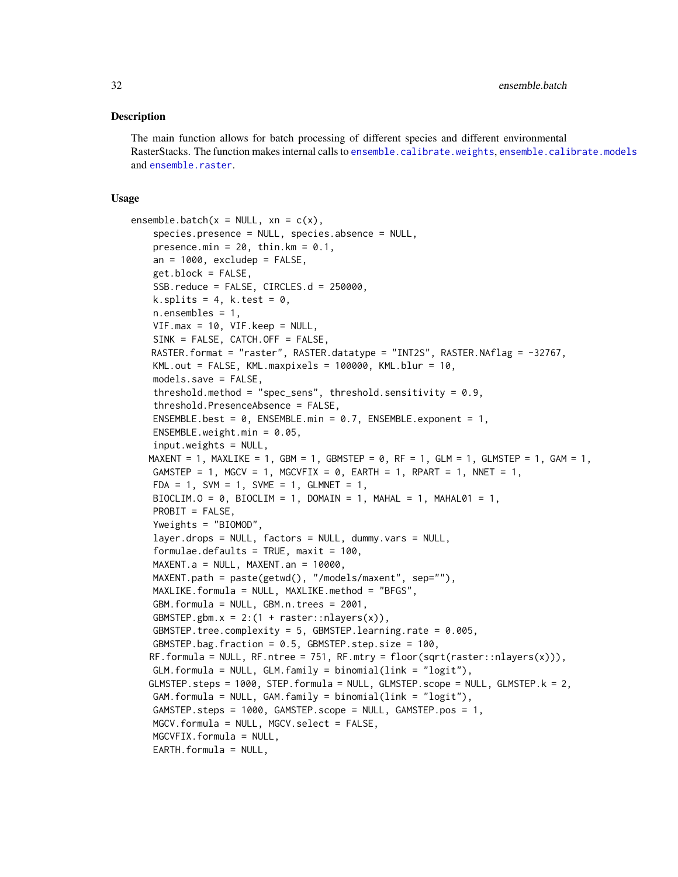#### Description

The main function allows for batch processing of different species and different environmental RasterStacks. The function makes internal calls to [ensemble.calibrate.weights](#page-49-1), [ensemble.calibrate.models](#page-49-2) and [ensemble.raster](#page-76-1).

#### Usage

```
ensemble.batch(x = NULL, xn = c(x),
    species.presence = NULL, species.absence = NULL,
    presence.min = 20, thin.km = 0.1,
    an = 1000, excludep = FALSE,
    get.block = FALSE,
    SSB.reduce = FALSE, CIRCLES.d = 250000,
    k.splits = 4, k.test = 0,
    n.ensembles = 1,
    VIF.max = 10, VIF.keep = NULL,
    SINK = FALSE, CATCH.OFF = FALSE,
   RASTER.format = "raster", RASTER.datatype = "INT2S", RASTER.NAflag = -32767,
    KML.out = FALSE, KML.maxpixels = 100000, KML.blur = 10,
    models.save = FALSE,
    threshold.method = "spec_sens", threshold.sensitivity = 0.9,
    threshold.PresenceAbsence = FALSE,
    ENSEMBLE.best = 0, ENSEMBLE.min = 0.7, ENSEMBLE.exponent = 1,
    ENSEMBLE.weight.min = 0.05,
    input.weights = NULL,
   MAXENT = 1, MAXLIKE = 1, GBM = 1, GBMSTEP = 0, RF = 1, GLM = 1, GLMSTEP = 1, GAM = 1,
    GAMSTEP = 1, MGCV = 1, MGCVFIX = 0, EARTH = 1, RPART = 1, NNET = 1,
    FDA = 1, SVM = 1, SVME = 1, GLMNET = 1,
    BIOCLIM.O = 0, BIOCLIM = 1, DOMAIN = 1, MAHAL = 1, MAHAL01 = 1,
    PROBIT = FALSE,
    Yweights = "BIOMOD",
    layer.drops = NULL, factors = NULL, dummy.vars = NULL,
    formulae.defaults = TRUE, maxit = 100,
    MAXENT.a = NULL, MAXENT.an = 10000,
    MAXENT.path = paste(getwd(), "/models/maxent", sep=""),
    MAXLIKE.formula = NULL, MAXLIKE.method = "BFGS",
    GBM.formula = NULL, GBM.n.trees = 2001,
    GBMSTEP.gbm.x = 2:(1 + \text{raster}: \text{nlayers}(x)),GBMSTEP.tree.complexity = 5, GBMSTEP.learning.rate = 0.005,
    GBMSTEP.bag.fraction = 0.5, GBMSTEP.step.size = 100,
   RF.formula = NULL, RF.ntree = 751, RF.mtry = floor(sqrt(raster::nlayers(x))),
    GLM.formula = NULL, GLM.family = binomial(link = "logit"),
   GLMSTEP.steps = 1000, STEP.formula = NULL, GLMSTEP.scope = NULL, GLMSTEP.k = 2,
    GAM.formula = NULL, GAM.family = binomial(link = "logit"),
    GAMSTEP.steps = 1000, GAMSTEP.scope = NULL, GAMSTEP.pos = 1,
    MGCV.formula = NULL, MGCV.select = FALSE,
   MGCVFIX.formula = NULL,
    EARTH.formula = NULL,
```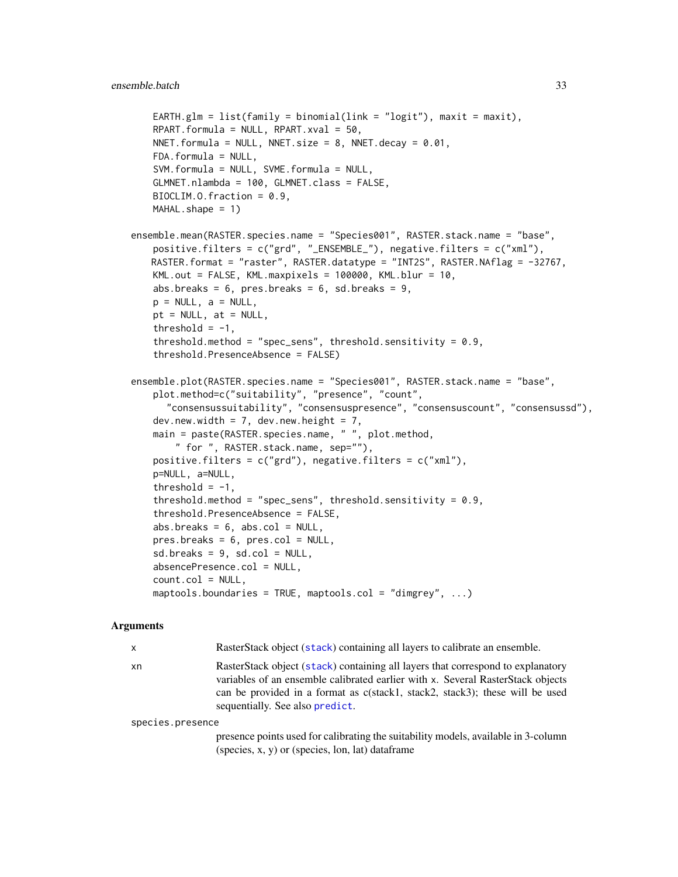```
EARTH.glm = list(family = binomial(link = "logit"), maxit = maxit),
   RPART.formula = NULL, RPART.xval = 50.
   NNET.formula = NULL, NNET.size = 8, NNET.decay = 0.01,
   FDA.formula = NULL,
   SVM.formula = NULL, SVME.formula = NULL,
   GLMNET.nlambda = 100, GLMNET.class = FALSE,
   BIOCLIM.O.fraction = 0.9,
   MAHAL.shape = 1)ensemble.mean(RASTER.species.name = "Species001", RASTER.stack.name = "base",
   positive.filters = c("grd", "_ENSEMBLE_"), negative.filters = c("xml"),
   RASTER.format = "raster", RASTER.datatype = "INT2S", RASTER.NAflag = -32767,
   KML.out = FALSE, KML.maxpixels = 100000, KML.blur = 10,
   abs.breaks = 6, pres.breaks = 6, sd.breaks = 9,
   p = NULL, a = NULL,
   pt = NULL, at = NULL,
   threshold = -1,
    threshold.method = "spec_sens", threshold.sensitivity = 0.9,
    threshold.PresenceAbsence = FALSE)
ensemble.plot(RASTER.species.name = "Species001", RASTER.stack.name = "base",
   plot.method=c("suitability", "presence", "count",
      "consensussuitability", "consensuspresence", "consensuscount", "consensussd"),
   dev.new.width = 7, dev.new.height = 7,
   main = paste(RASTER.species.name, " ", plot.method,
        " for ", RASTER.stack.name, sep=""),
   positive.filters = c("grd"), negative.filters = c("xm1"),
   p=NULL, a=NULL,
   threshold = -1,
   threshold.method = "spec_sens", threshold.sensitivity = 0.9,
   threshold.PresenceAbsence = FALSE,
   abs.breaks = 6, abs.col = NULL,
   pres.breaks = 6, pres.col = NULL,
   sd.breaks = 9, sd,col = NULL,absencePresence.col = NULL,
   count.col = NULL,
   maptools.boundaries = TRUE, maptools.col = "dimgrey", ...)
```
#### Arguments

x RasterStack object ([stack](#page-0-0)) containing all layers to calibrate an ensemble. xn RasterStack object ([stack](#page-0-0)) containing all layers that correspond to explanatory variables of an ensemble calibrated earlier with x. Several RasterStack objects can be provided in a format as c(stack1, stack2, stack3); these will be used sequentially. See also [predict](#page-0-0).

species.presence

presence points used for calibrating the suitability models, available in 3-column (species, x, y) or (species, lon, lat) dataframe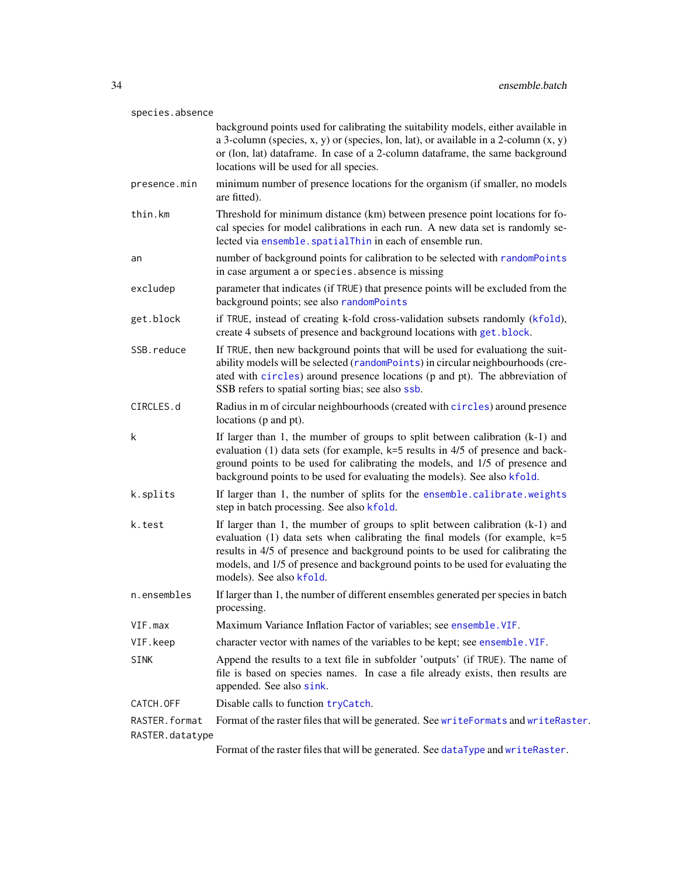| species.absence                  |                                                                                                                                                                                                                                                                                                                                                                       |
|----------------------------------|-----------------------------------------------------------------------------------------------------------------------------------------------------------------------------------------------------------------------------------------------------------------------------------------------------------------------------------------------------------------------|
|                                  | background points used for calibrating the suitability models, either available in<br>a 3-column (species, x, y) or (species, lon, lat), or available in a 2-column $(x, y)$<br>or (lon, lat) dataframe. In case of a 2-column dataframe, the same background<br>locations will be used for all species.                                                              |
| presence.min                     | minimum number of presence locations for the organism (if smaller, no models<br>are fitted).                                                                                                                                                                                                                                                                          |
| thin.km                          | Threshold for minimum distance (km) between presence point locations for fo-<br>cal species for model calibrations in each run. A new data set is randomly se-<br>lected via ensemble. spatialThin in each of ensemble run.                                                                                                                                           |
| an                               | number of background points for calibration to be selected with randomPoints<br>in case argument a or species. absence is missing                                                                                                                                                                                                                                     |
| excludep                         | parameter that indicates (if TRUE) that presence points will be excluded from the<br>background points; see also randomPoints                                                                                                                                                                                                                                         |
| get.block                        | if TRUE, instead of creating k-fold cross-validation subsets randomly (kfold),<br>create 4 subsets of presence and background locations with get.block.                                                                                                                                                                                                               |
| SSB.reduce                       | If TRUE, then new background points that will be used for evaluationg the suit-<br>ability models will be selected (randomPoints) in circular neighbourhoods (cre-<br>ated with circles) around presence locations (p and pt). The abbreviation of<br>SSB refers to spatial sorting bias; see also ssb.                                                               |
| CIRCLES.d                        | Radius in m of circular neighbourhoods (created with circles) around presence<br>locations (p and pt).                                                                                                                                                                                                                                                                |
| k                                | If larger than 1, the mumber of groups to split between calibration $(k-1)$ and<br>evaluation (1) data sets (for example, k=5 results in 4/5 of presence and back-<br>ground points to be used for calibrating the models, and 1/5 of presence and<br>background points to be used for evaluating the models). See also kfold.                                        |
| k.splits                         | If larger than 1, the number of splits for the ensemble.calibrate.weights<br>step in batch processing. See also kfold.                                                                                                                                                                                                                                                |
| k.test                           | If larger than 1, the mumber of groups to split between calibration $(k-1)$ and<br>evaluation $(1)$ data sets when calibrating the final models (for example, $k=5$<br>results in 4/5 of presence and background points to be used for calibrating the<br>models, and 1/5 of presence and background points to be used for evaluating the<br>models). See also kfold. |
| n.ensembles                      | If larger than 1, the number of different ensembles generated per species in batch<br>processing.                                                                                                                                                                                                                                                                     |
| VIF.max                          | Maximum Variance Inflation Factor of variables; see ensemble. VIF.                                                                                                                                                                                                                                                                                                    |
| VIF.keep                         | character vector with names of the variables to be kept; see ensemble. VIF.                                                                                                                                                                                                                                                                                           |
| <b>SINK</b>                      | Append the results to a text file in subfolder 'outputs' (if TRUE). The name of<br>file is based on species names. In case a file already exists, then results are<br>appended. See also sink.                                                                                                                                                                        |
| CATCH.OFF                        | Disable calls to function tryCatch.                                                                                                                                                                                                                                                                                                                                   |
| RASTER.format<br>RASTER.datatype | Format of the raster files that will be generated. See writeFormats and writeRaster.                                                                                                                                                                                                                                                                                  |

Format of the raster files that will be generated. See [dataType](#page-0-0) and [writeRaster](#page-0-0).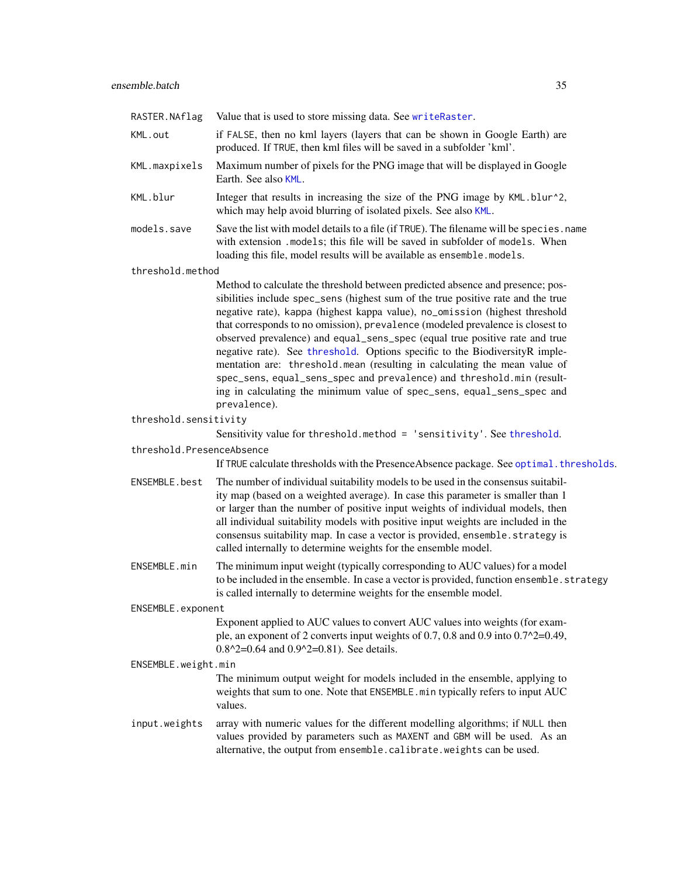| RASTER.NAflag             | Value that is used to store missing data. See writeRaster.                                                                                                                                                                                                                                                                                                                                                                                                                                                                                                                                                                                                                                                                                        |  |
|---------------------------|---------------------------------------------------------------------------------------------------------------------------------------------------------------------------------------------------------------------------------------------------------------------------------------------------------------------------------------------------------------------------------------------------------------------------------------------------------------------------------------------------------------------------------------------------------------------------------------------------------------------------------------------------------------------------------------------------------------------------------------------------|--|
| KML.out                   | if FALSE, then no kml layers (layers that can be shown in Google Earth) are<br>produced. If TRUE, then kml files will be saved in a subfolder 'kml'.                                                                                                                                                                                                                                                                                                                                                                                                                                                                                                                                                                                              |  |
| KML.maxpixels             | Maximum number of pixels for the PNG image that will be displayed in Google<br>Earth. See also KML.                                                                                                                                                                                                                                                                                                                                                                                                                                                                                                                                                                                                                                               |  |
| KML.blur                  | Integer that results in increasing the size of the PNG image by KML.blur^2,<br>which may help avoid blurring of isolated pixels. See also KML.                                                                                                                                                                                                                                                                                                                                                                                                                                                                                                                                                                                                    |  |
| models.save               | Save the list with model details to a file (if TRUE). The filename will be species. name<br>with extension .models; this file will be saved in subfolder of models. When<br>loading this file, model results will be available as ensemble.models.                                                                                                                                                                                                                                                                                                                                                                                                                                                                                                |  |
| threshold.method          |                                                                                                                                                                                                                                                                                                                                                                                                                                                                                                                                                                                                                                                                                                                                                   |  |
|                           | Method to calculate the threshold between predicted absence and presence; pos-<br>sibilities include spec_sens (highest sum of the true positive rate and the true<br>negative rate), kappa (highest kappa value), no_omission (highest threshold<br>that corresponds to no omission), prevalence (modeled prevalence is closest to<br>observed prevalence) and equal_sens_spec (equal true positive rate and true<br>negative rate). See threshold. Options specific to the BiodiversityR imple-<br>mentation are: threshold.mean (resulting in calculating the mean value of<br>spec_sens, equal_sens_spec and prevalence) and threshold.min (result-<br>ing in calculating the minimum value of spec_sens, equal_sens_spec and<br>prevalence). |  |
| threshold.sensitivity     |                                                                                                                                                                                                                                                                                                                                                                                                                                                                                                                                                                                                                                                                                                                                                   |  |
|                           | Sensitivity value for threshold.method = 'sensitivity'. See threshold.                                                                                                                                                                                                                                                                                                                                                                                                                                                                                                                                                                                                                                                                            |  |
| threshold.PresenceAbsence |                                                                                                                                                                                                                                                                                                                                                                                                                                                                                                                                                                                                                                                                                                                                                   |  |
|                           | If TRUE calculate thresholds with the Presence Absence package. See optimal. thresholds.                                                                                                                                                                                                                                                                                                                                                                                                                                                                                                                                                                                                                                                          |  |
| ENSEMBLE.best             | The number of individual suitability models to be used in the consensus suitabil-<br>ity map (based on a weighted average). In case this parameter is smaller than 1<br>or larger than the number of positive input weights of individual models, then<br>all individual suitability models with positive input weights are included in the<br>consensus suitability map. In case a vector is provided, ensemble.strategy is<br>called internally to determine weights for the ensemble model.                                                                                                                                                                                                                                                    |  |
| ENSEMBLE.min              | The minimum input weight (typically corresponding to AUC values) for a model<br>to be included in the ensemble. In case a vector is provided, function ensemble. strategy<br>is called internally to determine weights for the ensemble model.                                                                                                                                                                                                                                                                                                                                                                                                                                                                                                    |  |
| ENSEMBLE.exponent         |                                                                                                                                                                                                                                                                                                                                                                                                                                                                                                                                                                                                                                                                                                                                                   |  |
|                           | Exponent applied to AUC values to convert AUC values into weights (for exam-<br>ple, an exponent of 2 converts input weights of 0.7, 0.8 and 0.9 into $0.7^2$ =0.49,<br>$0.8^2$ =0.64 and $0.9^2$ =0.81). See details.                                                                                                                                                                                                                                                                                                                                                                                                                                                                                                                            |  |
| ENSEMBLE.weight.min       |                                                                                                                                                                                                                                                                                                                                                                                                                                                                                                                                                                                                                                                                                                                                                   |  |
|                           | The minimum output weight for models included in the ensemble, applying to<br>weights that sum to one. Note that ENSEMBLE. min typically refers to input AUC<br>values.                                                                                                                                                                                                                                                                                                                                                                                                                                                                                                                                                                           |  |
| input.weights             | array with numeric values for the different modelling algorithms; if NULL then<br>values provided by parameters such as MAXENT and GBM will be used. As an<br>alternative, the output from ensemble.calibrate.weights can be used.                                                                                                                                                                                                                                                                                                                                                                                                                                                                                                                |  |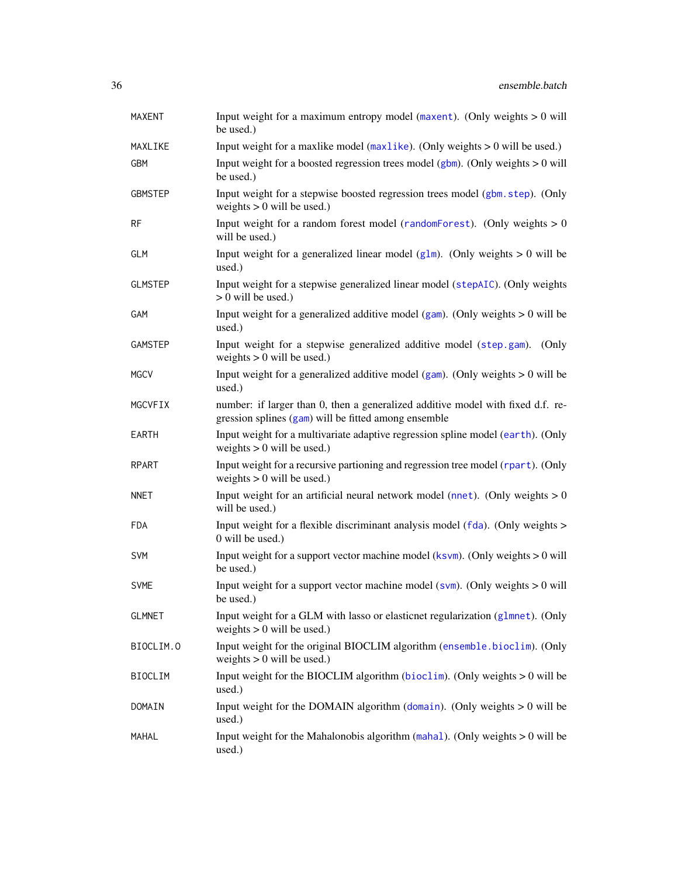| <b>MAXENT</b>  | Input weight for a maximum entropy model (maxent). (Only weights $> 0$ will<br>be used.)                                                |
|----------------|-----------------------------------------------------------------------------------------------------------------------------------------|
| MAXLIKE        | Input weight for a maxiike model ( $maxlike$ ). (Only weights $> 0$ will be used.)                                                      |
| <b>GBM</b>     | Input weight for a boosted regression trees model ( $gbm$ ). (Only weights $> 0$ will<br>be used.)                                      |
| <b>GBMSTEP</b> | Input weight for a stepwise boosted regression trees model (gbm.step). (Only<br>weights $> 0$ will be used.)                            |
| <b>RF</b>      | Input weight for a random forest model (random Forest). (Only weights $> 0$<br>will be used.)                                           |
| <b>GLM</b>     | Input weight for a generalized linear model ( $g1m$ ). (Only weights $> 0$ will be<br>used.)                                            |
| <b>GLMSTEP</b> | Input weight for a stepwise generalized linear model (stepAIC). (Only weights<br>$> 0$ will be used.)                                   |
| GAM            | Input weight for a generalized additive model (gam). (Only weights $> 0$ will be<br>used.)                                              |
| GAMSTEP        | Input weight for a stepwise generalized additive model (step.gam).<br>(Only<br>weights $> 0$ will be used.)                             |
| <b>MGCV</b>    | Input weight for a generalized additive model (gam). (Only weights $> 0$ will be<br>used.)                                              |
| MGCVFIX        | number: if larger than 0, then a generalized additive model with fixed d.f. re-<br>gression splines (gam) will be fitted among ensemble |
| <b>EARTH</b>   | Input weight for a multivariate adaptive regression spline model (earth). (Only<br>weights $> 0$ will be used.)                         |
| <b>RPART</b>   | Input weight for a recursive partioning and regression tree model (rpart). (Only<br>weights $> 0$ will be used.)                        |
| <b>NNET</b>    | Input weight for an artificial neural network model (nnet). (Only weights $> 0$<br>will be used.)                                       |
| <b>FDA</b>     | Input weight for a flexible discriminant analysis model (fda). (Only weights ><br>0 will be used.)                                      |
| <b>SVM</b>     | Input weight for a support vector machine model ( $kswm$ ). (Only weights $> 0$ will<br>be used.)                                       |
| <b>SVME</b>    | Input weight for a support vector machine model (svm). (Only weights $> 0$ will<br>be used.)                                            |
| <b>GLMNET</b>  | Input weight for a GLM with lasso or elasticnet regularization (glmnet). (Only<br>weights $> 0$ will be used.)                          |
| BIOCLIM.O      | Input weight for the original BIOCLIM algorithm (ensemble.bioclim). (Only<br>weights $> 0$ will be used.)                               |
| <b>BIOCLIM</b> | Input weight for the BIOCLIM algorithm ( $bioclim$ ). (Only weights $> 0$ will be<br>used.)                                             |
| DOMAIN         | Input weight for the DOMAIN algorithm (domain). (Only weights $> 0$ will be<br>used.)                                                   |
| MAHAL          | Input weight for the Mahalonobis algorithm (mahal). (Only weights $> 0$ will be<br>used.)                                               |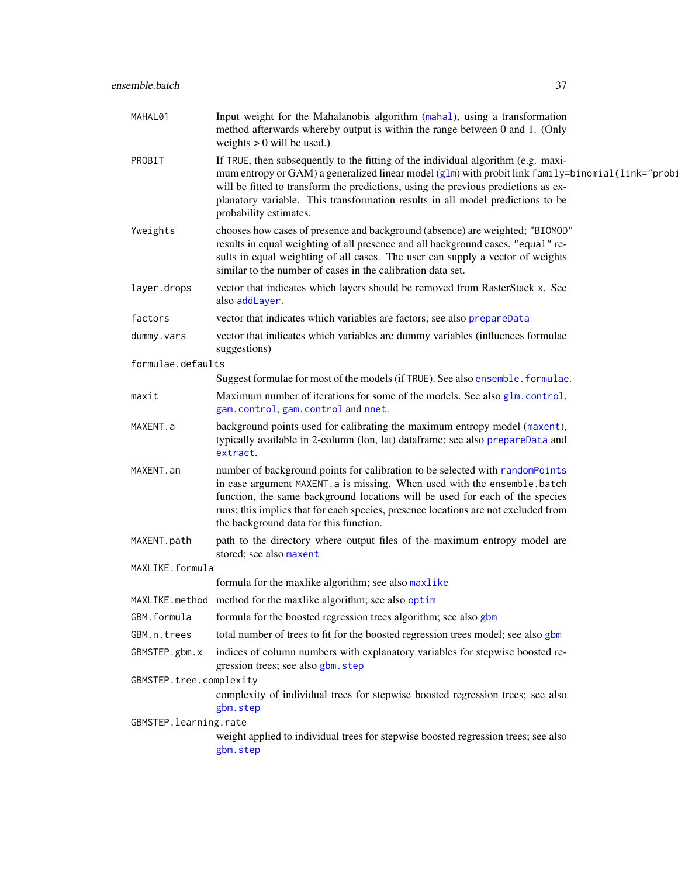| MAHAL01                 | Input weight for the Mahalanobis algorithm (mahal), using a transformation<br>method afterwards whereby output is within the range between 0 and 1. (Only<br>weights $> 0$ will be used.)                                                                                                                                                                                                |
|-------------------------|------------------------------------------------------------------------------------------------------------------------------------------------------------------------------------------------------------------------------------------------------------------------------------------------------------------------------------------------------------------------------------------|
| PROBIT                  | If TRUE, then subsequently to the fitting of the individual algorithm (e.g. maxi-<br>mum entropy or GAM) a generalized linear model (g1m) with probit link family=binomial(link="prob:<br>will be fitted to transform the predictions, using the previous predictions as ex-<br>planatory variable. This transformation results in all model predictions to be<br>probability estimates. |
| Yweights                | chooses how cases of presence and background (absence) are weighted; "BIOMOD"<br>results in equal weighting of all presence and all background cases, "equal" re-<br>sults in equal weighting of all cases. The user can supply a vector of weights<br>similar to the number of cases in the calibration data set.                                                                       |
| layer.drops             | vector that indicates which layers should be removed from RasterStack x. See<br>also addLayer.                                                                                                                                                                                                                                                                                           |
| factors                 | vector that indicates which variables are factors; see also prepareData                                                                                                                                                                                                                                                                                                                  |
| dummy.vars              | vector that indicates which variables are dummy variables (influences formulae<br>suggestions)                                                                                                                                                                                                                                                                                           |
| formulae.defaults       |                                                                                                                                                                                                                                                                                                                                                                                          |
|                         | Suggest formulae for most of the models (if TRUE). See also ensemble. formulae.                                                                                                                                                                                                                                                                                                          |
| maxit                   | Maximum number of iterations for some of the models. See also glm.control,<br>gam.control, gam.control and nnet.                                                                                                                                                                                                                                                                         |
| MAXENT.a                | background points used for calibrating the maximum entropy model (maxent),<br>typically available in 2-column (lon, lat) dataframe; see also prepareData and<br>extract.                                                                                                                                                                                                                 |
| MAXENT.an               | number of background points for calibration to be selected with randomPoints<br>in case argument MAXENT. a is missing. When used with the ensemble. batch<br>function, the same background locations will be used for each of the species<br>runs; this implies that for each species, presence locations are not excluded from<br>the background data for this function.                |
| MAXENT.path             | path to the directory where output files of the maximum entropy model are<br>stored; see also maxent                                                                                                                                                                                                                                                                                     |
| MAXLIKE.formula         |                                                                                                                                                                                                                                                                                                                                                                                          |
|                         | formula for the maxlike algorithm; see also maxlike                                                                                                                                                                                                                                                                                                                                      |
|                         | MAXLIKE. method method for the maxlike algorithm; see also optim                                                                                                                                                                                                                                                                                                                         |
| GBM.formula             | formula for the boosted regression trees algorithm; see also gbm                                                                                                                                                                                                                                                                                                                         |
| GBM.n.trees             | total number of trees to fit for the boosted regression trees model; see also gbm                                                                                                                                                                                                                                                                                                        |
| GBMSTEP.gbm.x           | indices of column numbers with explanatory variables for stepwise boosted re-<br>gression trees; see also gbm. step                                                                                                                                                                                                                                                                      |
| GBMSTEP.tree.complexity | complexity of individual trees for stepwise boosted regression trees; see also<br>gbm.step                                                                                                                                                                                                                                                                                               |
| GBMSTEP.learning.rate   |                                                                                                                                                                                                                                                                                                                                                                                          |
|                         | weight applied to individual trees for stepwise boosted regression trees; see also<br>gbm.step                                                                                                                                                                                                                                                                                           |
|                         |                                                                                                                                                                                                                                                                                                                                                                                          |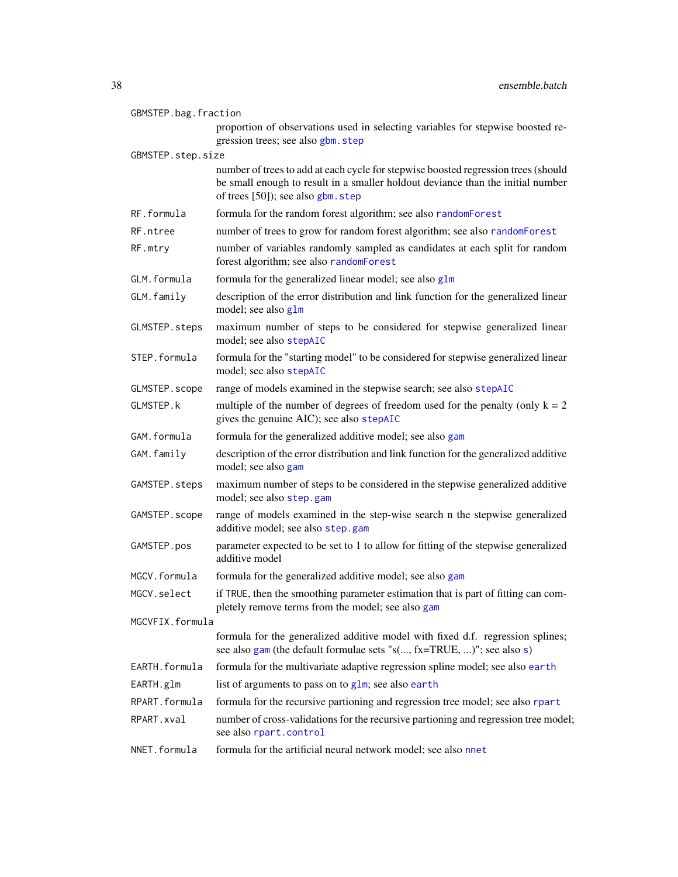| GBMSTEP.bag.fraction |                                                                                                                                                                                                             |
|----------------------|-------------------------------------------------------------------------------------------------------------------------------------------------------------------------------------------------------------|
|                      | proportion of observations used in selecting variables for stepwise boosted re-<br>gression trees; see also gbm. step                                                                                       |
| GBMSTEP.step.size    |                                                                                                                                                                                                             |
|                      | number of trees to add at each cycle for stepwise boosted regression trees (should<br>be small enough to result in a smaller holdout deviance than the initial number<br>of trees [50]); see also gbm. step |
| RF.formula           | formula for the random forest algorithm; see also randomForest                                                                                                                                              |
| RF.ntree             | number of trees to grow for random forest algorithm; see also randomForest                                                                                                                                  |
| RF.mtry              | number of variables randomly sampled as candidates at each split for random<br>forest algorithm; see also randomForest                                                                                      |
| GLM.formula          | formula for the generalized linear model; see also glm                                                                                                                                                      |
| GLM.family           | description of the error distribution and link function for the generalized linear<br>model; see also glm                                                                                                   |
| GLMSTEP.steps        | maximum number of steps to be considered for stepwise generalized linear<br>model; see also stepAIC                                                                                                         |
| STEP.formula         | formula for the "starting model" to be considered for stepwise generalized linear<br>model; see also stepAIC                                                                                                |
| GLMSTEP.scope        | range of models examined in the stepwise search; see also stepAIC                                                                                                                                           |
| GLMSTEP.k            | multiple of the number of degrees of freedom used for the penalty (only $k = 2$<br>gives the genuine AIC); see also stepAIC                                                                                 |
| GAM.formula          | formula for the generalized additive model; see also gam                                                                                                                                                    |
| GAM.family           | description of the error distribution and link function for the generalized additive<br>model; see also gam                                                                                                 |
| GAMSTEP.steps        | maximum number of steps to be considered in the stepwise generalized additive<br>model; see also step.gam                                                                                                   |
| GAMSTEP.scope        | range of models examined in the step-wise search n the stepwise generalized<br>additive model; see also step.gam                                                                                            |
| GAMSTEP.pos          | parameter expected to be set to 1 to allow for fitting of the stepwise generalized<br>additive model                                                                                                        |
| MGCV.formula         | formula for the generalized additive model; see also gam                                                                                                                                                    |
| MGCV.select          | if TRUE, then the smoothing parameter estimation that is part of fitting can com-<br>pletely remove terms from the model; see also gam                                                                      |
| MGCVFIX.formula      |                                                                                                                                                                                                             |
|                      | formula for the generalized additive model with fixed d.f. regression splines;<br>see also gam (the default formulae sets "s(, fx=TRUE, )"; see also s)                                                     |
| EARTH.formula        | formula for the multivariate adaptive regression spline model; see also earth                                                                                                                               |
| EARTH.glm            | list of arguments to pass on to $g1m$ ; see also earth                                                                                                                                                      |
| RPART.formula        | formula for the recursive partioning and regression tree model; see also rpart                                                                                                                              |
| RPART.xval           | number of cross-validations for the recursive partioning and regression tree model;<br>see also rpart.control                                                                                               |
| NNET.formula         | formula for the artificial neural network model; see also nnet                                                                                                                                              |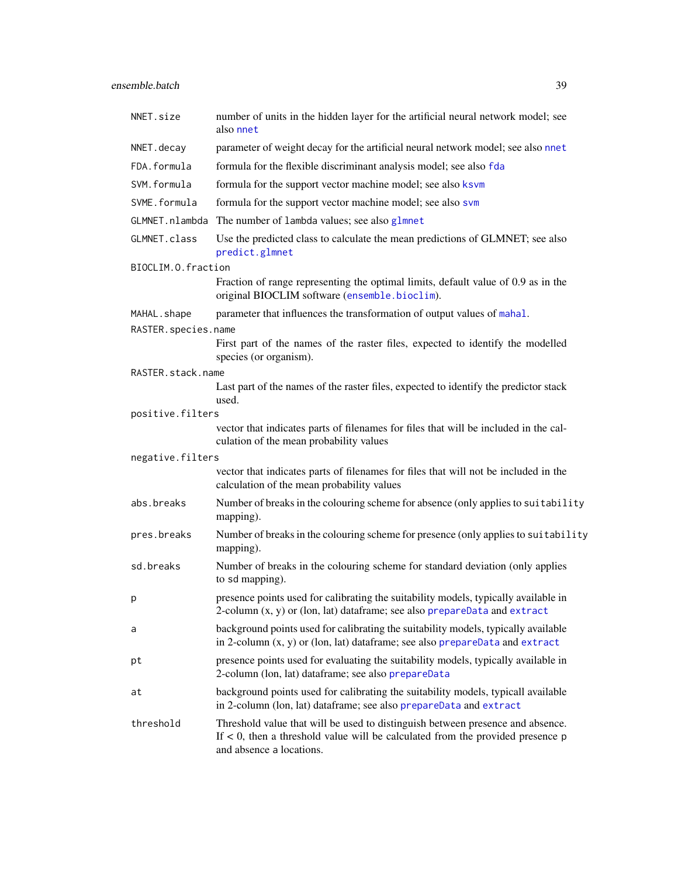| NNET.size           | number of units in the hidden layer for the artificial neural network model; see<br>also nnet                                                                                                    |
|---------------------|--------------------------------------------------------------------------------------------------------------------------------------------------------------------------------------------------|
| NNET.decay          | parameter of weight decay for the artificial neural network model; see also nnet                                                                                                                 |
| FDA.formula         | formula for the flexible discriminant analysis model; see also fda                                                                                                                               |
| SVM.formula         | formula for the support vector machine model; see also ksvm                                                                                                                                      |
| SVME.formula        | formula for the support vector machine model; see also svm                                                                                                                                       |
| GLMNET.nlambda      | The number of lambda values; see also glmnet                                                                                                                                                     |
| GLMNET.class        | Use the predicted class to calculate the mean predictions of GLMNET; see also<br>predict.glmnet                                                                                                  |
| BIOCLIM.O.fraction  |                                                                                                                                                                                                  |
|                     | Fraction of range representing the optimal limits, default value of 0.9 as in the<br>original BIOCLIM software (ensemble.bioclim).                                                               |
| MAHAL.shape         | parameter that influences the transformation of output values of mahal.                                                                                                                          |
| RASTER.species.name |                                                                                                                                                                                                  |
|                     | First part of the names of the raster files, expected to identify the modelled<br>species (or organism).                                                                                         |
| RASTER.stack.name   |                                                                                                                                                                                                  |
|                     | Last part of the names of the raster files, expected to identify the predictor stack<br>used.                                                                                                    |
| positive.filters    |                                                                                                                                                                                                  |
|                     | vector that indicates parts of filenames for files that will be included in the cal-<br>culation of the mean probability values                                                                  |
| negative.filters    |                                                                                                                                                                                                  |
|                     | vector that indicates parts of filenames for files that will not be included in the<br>calculation of the mean probability values                                                                |
| abs.breaks          | Number of breaks in the colouring scheme for absence (only applies to suitability<br>mapping).                                                                                                   |
| pres.breaks         | Number of breaks in the colouring scheme for presence (only applies to suitability<br>mapping).                                                                                                  |
| sd.breaks           | Number of breaks in the colouring scheme for standard deviation (only applies<br>to sd mapping).                                                                                                 |
| р                   | presence points used for calibrating the suitability models, typically available in<br>2-column $(x, y)$ or (lon, lat) dataframe; see also prepareData and extract                               |
| a                   | background points used for calibrating the suitability models, typically available<br>in 2-column $(x, y)$ or (lon, lat) dataframe; see also prepareData and extract                             |
| pt                  | presence points used for evaluating the suitability models, typically available in<br>2-column (lon, lat) dataframe; see also prepareData                                                        |
| at                  | background points used for calibrating the suitability models, typicall available<br>in 2-column (lon, lat) dataframe; see also prepareData and extract                                          |
| threshold           | Threshold value that will be used to distinguish between presence and absence.<br>If $<$ 0, then a threshold value will be calculated from the provided presence $p$<br>and absence a locations. |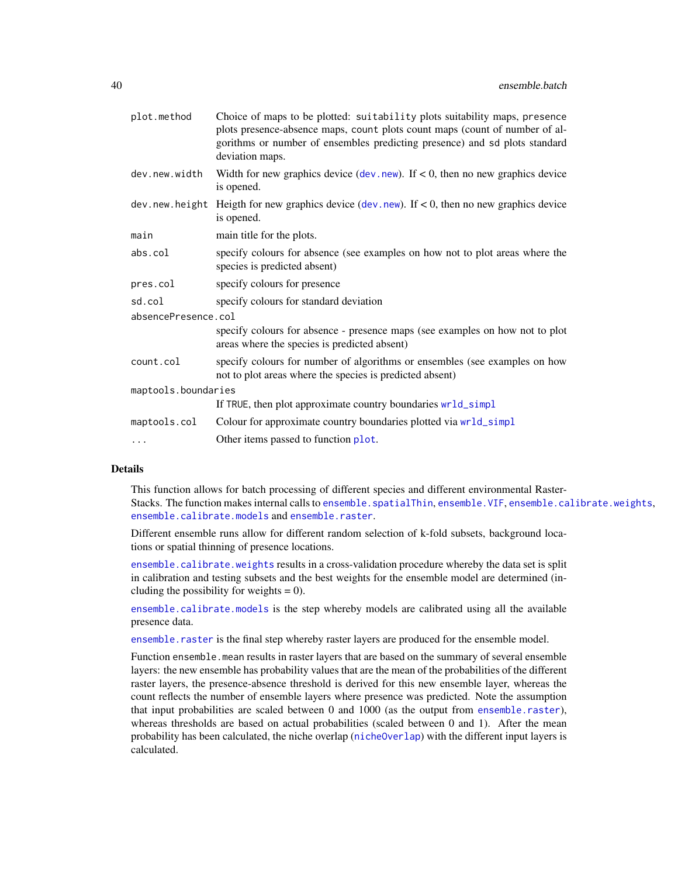| plot.method         | Choice of maps to be plotted: suitability plots suitability maps, presence<br>plots presence-absence maps, count plots count maps (count of number of al-<br>gorithms or number of ensembles predicting presence) and sd plots standard<br>deviation maps. |
|---------------------|------------------------------------------------------------------------------------------------------------------------------------------------------------------------------------------------------------------------------------------------------------|
| dev.new.width       | Width for new graphics device (dev. new). If $< 0$ , then no new graphics device<br>is opened.                                                                                                                                                             |
|                     | dev. new. height Height for new graphics device (dev. new). If $< 0$ , then no new graphics device<br>is opened.                                                                                                                                           |
| main                | main title for the plots.                                                                                                                                                                                                                                  |
| abs.col             | specify colours for absence (see examples on how not to plot areas where the<br>species is predicted absent)                                                                                                                                               |
| pres.col            | specify colours for presence                                                                                                                                                                                                                               |
| sd.col              | specify colours for standard deviation                                                                                                                                                                                                                     |
| absencePresence.col |                                                                                                                                                                                                                                                            |
|                     | specify colours for absence - presence maps (see examples on how not to plot<br>areas where the species is predicted absent)                                                                                                                               |
| count.col           | specify colours for number of algorithms or ensembles (see examples on how<br>not to plot areas where the species is predicted absent)                                                                                                                     |
| maptools.boundaries |                                                                                                                                                                                                                                                            |
|                     | If TRUE, then plot approximate country boundaries wrld_simpl                                                                                                                                                                                               |
| maptools.col        | Colour for approximate country boundaries plotted via wr1d_simpl                                                                                                                                                                                           |
| $\cdots$            | Other items passed to function plot.                                                                                                                                                                                                                       |

# Details

This function allows for batch processing of different species and different environmental RasterStacks. The function makes internal calls to ensemble. spatialThin, ensemble. VIF, [ensemble.calibrate.weights](#page-49-0), [ensemble.calibrate.models](#page-49-1) and [ensemble.raster](#page-76-0).

Different ensemble runs allow for different random selection of k-fold subsets, background locations or spatial thinning of presence locations.

[ensemble.calibrate.weights](#page-49-0) results in a cross-validation procedure whereby the data set is split in calibration and testing subsets and the best weights for the ensemble model are determined (including the possibility for weights  $= 0$ ).

[ensemble.calibrate.models](#page-49-1) is the step whereby models are calibrated using all the available presence data.

[ensemble.raster](#page-76-0) is the final step whereby raster layers are produced for the ensemble model.

Function ensemble.mean results in raster layers that are based on the summary of several ensemble layers: the new ensemble has probability values that are the mean of the probabilities of the different raster layers, the presence-absence threshold is derived for this new ensemble layer, whereas the count reflects the number of ensemble layers where presence was predicted. Note the assumption that input probabilities are scaled between 0 and 1000 (as the output from [ensemble.raster](#page-76-0)), whereas thresholds are based on actual probabilities (scaled between 0 and 1). After the mean probability has been calculated, the niche overlap ([nicheOverlap](#page-0-0)) with the different input layers is calculated.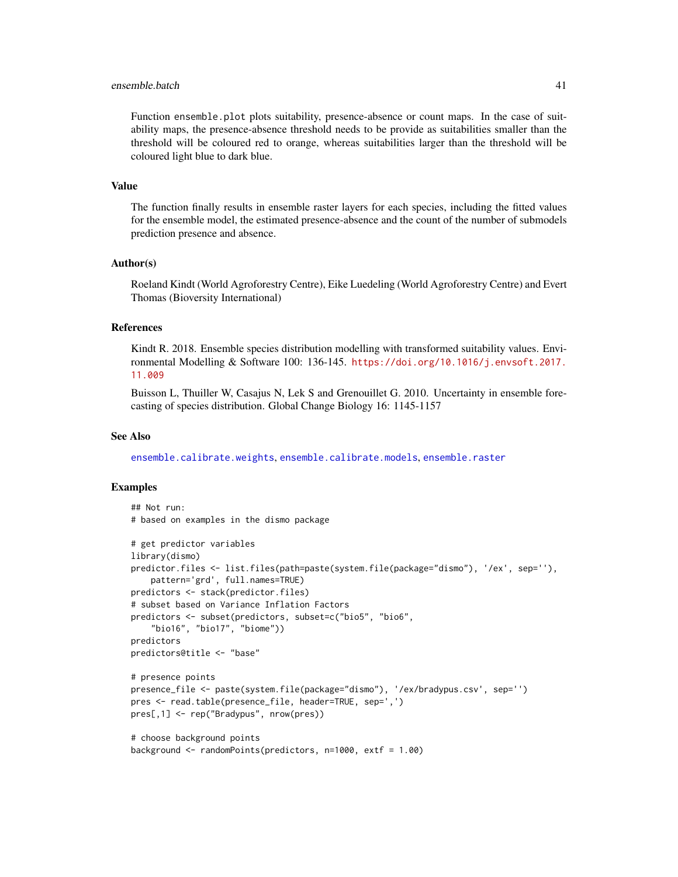### ensemble.batch 41

Function ensemble.plot plots suitability, presence-absence or count maps. In the case of suitability maps, the presence-absence threshold needs to be provide as suitabilities smaller than the threshold will be coloured red to orange, whereas suitabilities larger than the threshold will be coloured light blue to dark blue.

### Value

The function finally results in ensemble raster layers for each species, including the fitted values for the ensemble model, the estimated presence-absence and the count of the number of submodels prediction presence and absence.

### Author(s)

Roeland Kindt (World Agroforestry Centre), Eike Luedeling (World Agroforestry Centre) and Evert Thomas (Bioversity International)

# References

Kindt R. 2018. Ensemble species distribution modelling with transformed suitability values. Environmental Modelling & Software 100: 136-145. [https://doi.org/10.1016/j.envsoft.2017.](https://doi.org/10.1016/j.envsoft.2017.11.009) [11.009](https://doi.org/10.1016/j.envsoft.2017.11.009)

Buisson L, Thuiller W, Casajus N, Lek S and Grenouillet G. 2010. Uncertainty in ensemble forecasting of species distribution. Global Change Biology 16: 1145-1157

# See Also

[ensemble.calibrate.weights](#page-49-0), [ensemble.calibrate.models](#page-49-1), [ensemble.raster](#page-76-0)

```
## Not run:
# based on examples in the dismo package
# get predictor variables
library(dismo)
predictor.files <- list.files(path=paste(system.file(package="dismo"), '/ex', sep=''),
    pattern='grd', full.names=TRUE)
predictors <- stack(predictor.files)
# subset based on Variance Inflation Factors
predictors <- subset(predictors, subset=c("bio5", "bio6",
    "bio16", "bio17", "biome"))
predictors
predictors@title <- "base"
# presence points
presence_file <- paste(system.file(package="dismo"), '/ex/bradypus.csv', sep='')
pres <- read.table(presence_file, header=TRUE, sep=',')
pres[,1] <- rep("Bradypus", nrow(pres))
# choose background points
background <- randomPoints(predictors, n=1000, extf = 1.00)
```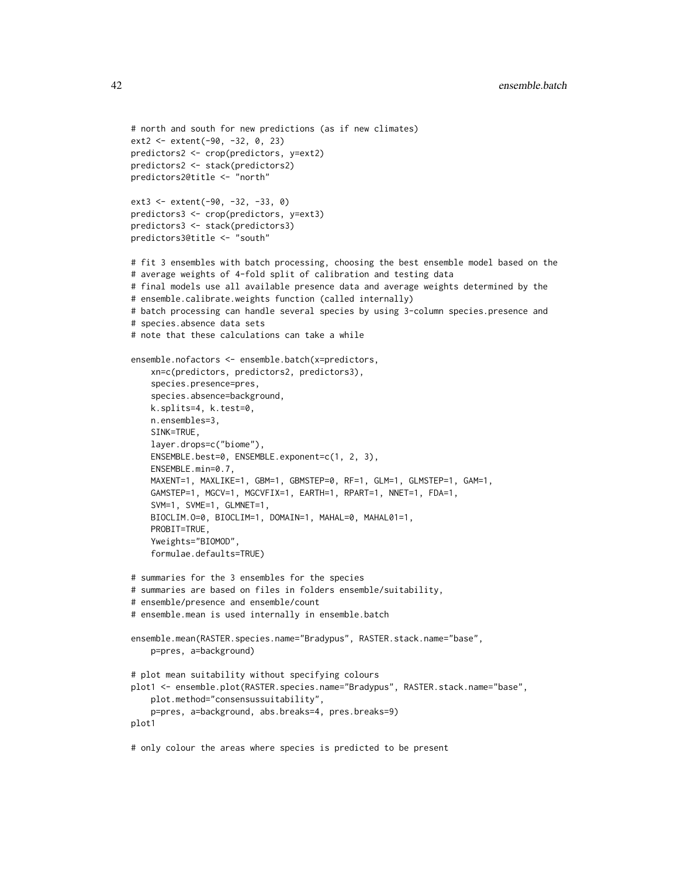```
# north and south for new predictions (as if new climates)
ext2 <- extent(-90, -32, 0, 23)
predictors2 <- crop(predictors, y=ext2)
predictors2 <- stack(predictors2)
predictors2@title <- "north"
ext3 <- extent(-90, -32, -33, 0)
predictors3 <- crop(predictors, y=ext3)
predictors3 <- stack(predictors3)
predictors3@title <- "south"
# fit 3 ensembles with batch processing, choosing the best ensemble model based on the
# average weights of 4-fold split of calibration and testing data
# final models use all available presence data and average weights determined by the
# ensemble.calibrate.weights function (called internally)
# batch processing can handle several species by using 3-column species.presence and
# species.absence data sets
# note that these calculations can take a while
ensemble.nofactors <- ensemble.batch(x=predictors,
    xn=c(predictors, predictors2, predictors3),
    species.presence=pres,
    species.absence=background,
    k.splits=4, k.test=0,
    n.ensembles=3,
    SINK=TRUE,
    layer.drops=c("biome"),
    ENSEMBLE.best=0, ENSEMBLE.exponent=c(1, 2, 3),
    ENSEMBLE.min=0.7,
    MAXENT=1, MAXLIKE=1, GBM=1, GBMSTEP=0, RF=1, GLM=1, GLMSTEP=1, GAM=1,
    GAMSTEP=1, MGCV=1, MGCVFIX=1, EARTH=1, RPART=1, NNET=1, FDA=1,
    SVM=1, SVME=1, GLMNET=1,
    BIOCLIM.O=0, BIOCLIM=1, DOMAIN=1, MAHAL=0, MAHAL01=1,
    PROBIT=TRUE,
    Yweights="BIOMOD",
    formulae.defaults=TRUE)
# summaries for the 3 ensembles for the species
# summaries are based on files in folders ensemble/suitability,
# ensemble/presence and ensemble/count
# ensemble.mean is used internally in ensemble.batch
ensemble.mean(RASTER.species.name="Bradypus", RASTER.stack.name="base",
    p=pres, a=background)
# plot mean suitability without specifying colours
plot1 <- ensemble.plot(RASTER.species.name="Bradypus", RASTER.stack.name="base",
    plot.method="consensussuitability",
    p=pres, a=background, abs.breaks=4, pres.breaks=9)
plot1
# only colour the areas where species is predicted to be present
```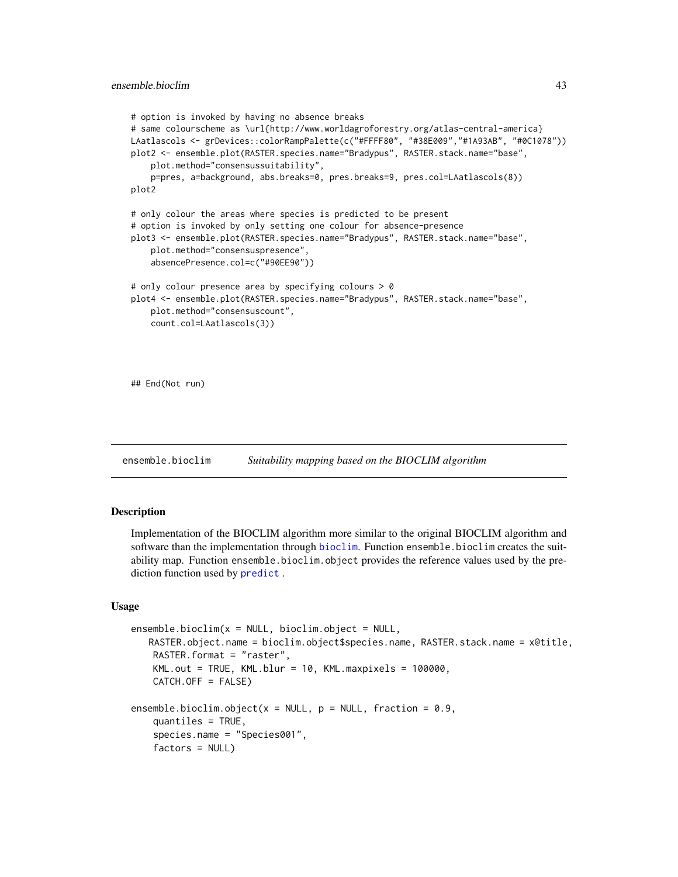```
# option is invoked by having no absence breaks
# same colourscheme as \url{http://www.worldagroforestry.org/atlas-central-america}
LAatlascols <- grDevices::colorRampPalette(c("#FFFF80", "#38E009","#1A93AB", "#0C1078"))
plot2 <- ensemble.plot(RASTER.species.name="Bradypus", RASTER.stack.name="base",
    plot.method="consensussuitability",
    p=pres, a=background, abs.breaks=0, pres.breaks=9, pres.col=LAatlascols(8))
plot2
# only colour the areas where species is predicted to be present
# option is invoked by only setting one colour for absence-presence
plot3 <- ensemble.plot(RASTER.species.name="Bradypus", RASTER.stack.name="base",
    plot.method="consensuspresence",
    absencePresence.col=c("#90EE90"))
# only colour presence area by specifying colours > 0
plot4 <- ensemble.plot(RASTER.species.name="Bradypus", RASTER.stack.name="base",
    plot.method="consensuscount",
    count.col=LAatlascols(3))
## End(Not run)
```
<span id="page-42-0"></span>ensemble.bioclim *Suitability mapping based on the BIOCLIM algorithm*

# <span id="page-42-1"></span>Description

Implementation of the BIOCLIM algorithm more similar to the original BIOCLIM algorithm and software than the implementation through [bioclim](#page-0-0). Function ensemble.bioclim creates the suitability map. Function ensemble.bioclim.object provides the reference values used by the prediction function used by [predict](#page-0-0) .

#### Usage

```
ensemble.bioclim(x = NULL, bioclim.object = NULL,RASTER.object.name = bioclim.object$species.name, RASTER.stack.name = x@title,
   RASTER.format = "raster",
   KML.out = TRUE, KML.blur = 10, KML.maxpixels = 100000,CATCH.OFF = FALSE)
ensemble.bioclim.object(x = NULL, p = NULL, fraction = 0.9,
   quantiles = TRUE,
    species.name = "Species001",
    factors = NULL)
```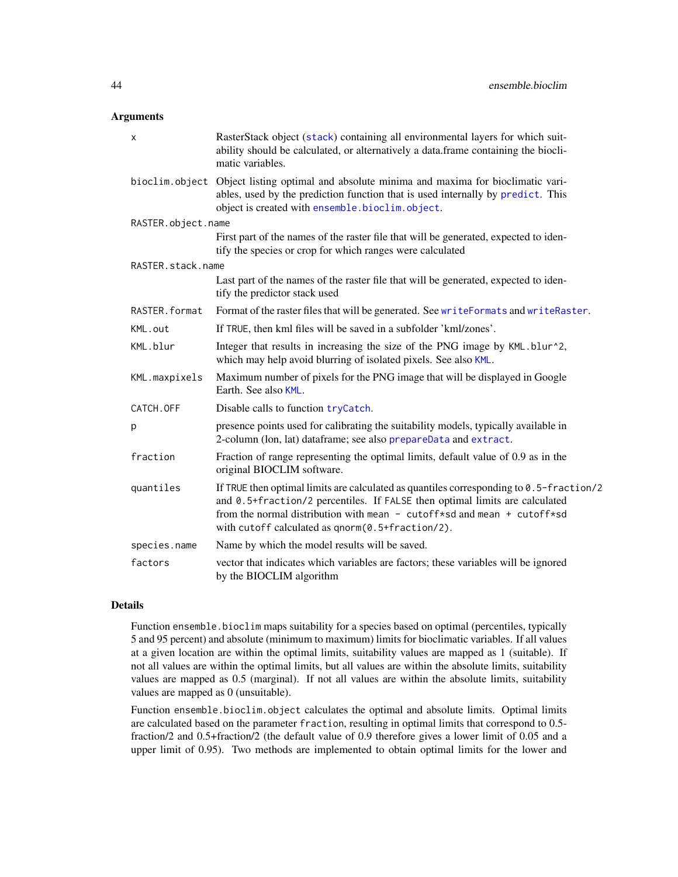# **Arguments**

| RasterStack object (stack) containing all environmental layers for which suit-<br>ability should be calculated, or alternatively a data.frame containing the biocli-<br>matic variables.                                                                                                              |
|-------------------------------------------------------------------------------------------------------------------------------------------------------------------------------------------------------------------------------------------------------------------------------------------------------|
| bioclim.object Object listing optimal and absolute minima and maxima for bioclimatic vari-<br>ables, used by the prediction function that is used internally by predict. This<br>object is created with ensemble.bioclim.object.                                                                      |
| RASTER.object.name                                                                                                                                                                                                                                                                                    |
| First part of the names of the raster file that will be generated, expected to iden-<br>tify the species or crop for which ranges were calculated                                                                                                                                                     |
| RASTER.stack.name                                                                                                                                                                                                                                                                                     |
| Last part of the names of the raster file that will be generated, expected to iden-<br>tify the predictor stack used                                                                                                                                                                                  |
| Format of the raster files that will be generated. See writeFormats and writeRaster.                                                                                                                                                                                                                  |
| If TRUE, then kml files will be saved in a subfolder 'kml/zones'.                                                                                                                                                                                                                                     |
| Integer that results in increasing the size of the PNG image by KML.blur^2,<br>which may help avoid blurring of isolated pixels. See also KML.                                                                                                                                                        |
| Maximum number of pixels for the PNG image that will be displayed in Google<br>Earth. See also KML.                                                                                                                                                                                                   |
| Disable calls to function tryCatch.                                                                                                                                                                                                                                                                   |
| presence points used for calibrating the suitability models, typically available in<br>2-column (lon, lat) dataframe; see also prepareData and extract.                                                                                                                                               |
| Fraction of range representing the optimal limits, default value of 0.9 as in the<br>original BIOCLIM software.                                                                                                                                                                                       |
| If TRUE then optimal limits are calculated as quantiles corresponding to 0.5-fraction/2<br>and 0.5+fraction/2 percentiles. If FALSE then optimal limits are calculated<br>from the normal distribution with mean - cutoff*sd and mean + cutoff*sd<br>with cutoff calculated as qnorm(0.5+fraction/2). |
| Name by which the model results will be saved.                                                                                                                                                                                                                                                        |
| vector that indicates which variables are factors; these variables will be ignored<br>by the BIOCLIM algorithm                                                                                                                                                                                        |
|                                                                                                                                                                                                                                                                                                       |

# Details

Function ensemble.bioclim maps suitability for a species based on optimal (percentiles, typically 5 and 95 percent) and absolute (minimum to maximum) limits for bioclimatic variables. If all values at a given location are within the optimal limits, suitability values are mapped as 1 (suitable). If not all values are within the optimal limits, but all values are within the absolute limits, suitability values are mapped as 0.5 (marginal). If not all values are within the absolute limits, suitability values are mapped as 0 (unsuitable).

Function ensemble.bioclim.object calculates the optimal and absolute limits. Optimal limits are calculated based on the parameter fraction, resulting in optimal limits that correspond to 0.5 fraction/2 and 0.5+fraction/2 (the default value of 0.9 therefore gives a lower limit of 0.05 and a upper limit of 0.95). Two methods are implemented to obtain optimal limits for the lower and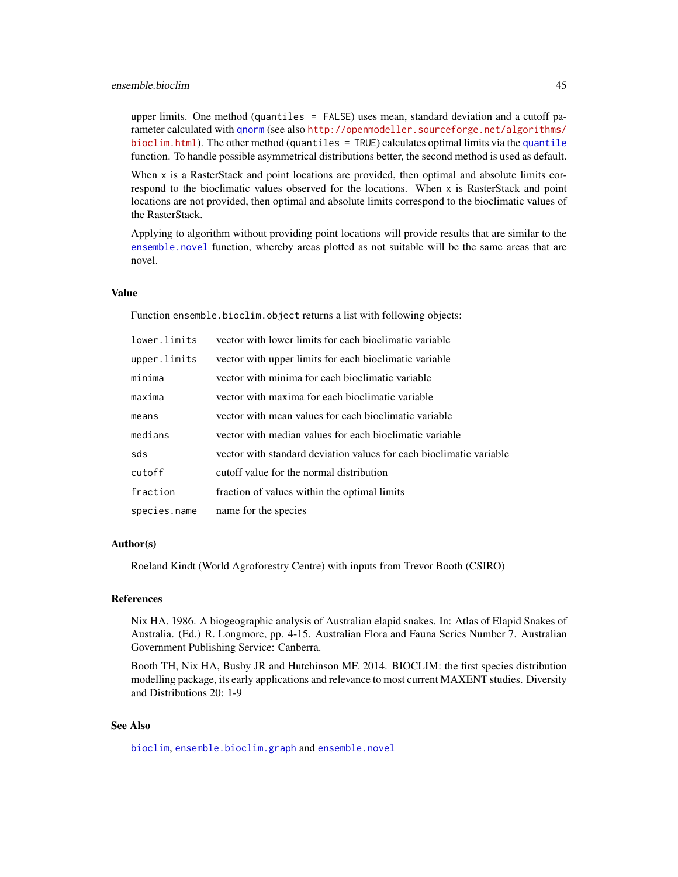upper limits. One method (quantiles = FALSE) uses mean, standard deviation and a cutoff parameter calculated with [qnorm](#page-0-0) (see also [http://openmodeller.sourceforge.net/algorithms/](http://openmodeller.sourceforge.net/algorithms/bioclim.html) [bioclim.html](http://openmodeller.sourceforge.net/algorithms/bioclim.html)). The other method ([quantile](#page-0-0)s  $=$  TRUE) calculates optimal limits via the quantile function. To handle possible asymmetrical distributions better, the second method is used as default.

When x is a RasterStack and point locations are provided, then optimal and absolute limits correspond to the bioclimatic values observed for the locations. When x is RasterStack and point locations are not provided, then optimal and absolute limits correspond to the bioclimatic values of the RasterStack.

Applying to algorithm without providing point locations will provide results that are similar to the [ensemble.novel](#page-72-0) function, whereby areas plotted as not suitable will be the same areas that are novel.

# Value

Function ensemble.bioclim.object returns a list with following objects:

| lower.limits | vector with lower limits for each bioclimatic variable              |
|--------------|---------------------------------------------------------------------|
| upper.limits | vector with upper limits for each bioclimatic variable              |
| minima       | vector with minima for each bioclimatic variable                    |
| maxima       | vector with maxima for each bioclimatic variable                    |
| means        | vector with mean values for each bioclimatic variable               |
| medians      | vector with median values for each bioclimatic variable             |
| sds          | vector with standard deviation values for each bioclimatic variable |
| cutoff       | cutoff value for the normal distribution                            |
| fraction     | fraction of values within the optimal limits                        |
| species.name | name for the species                                                |

# Author(s)

Roeland Kindt (World Agroforestry Centre) with inputs from Trevor Booth (CSIRO)

#### References

Nix HA. 1986. A biogeographic analysis of Australian elapid snakes. In: Atlas of Elapid Snakes of Australia. (Ed.) R. Longmore, pp. 4-15. Australian Flora and Fauna Series Number 7. Australian Government Publishing Service: Canberra.

Booth TH, Nix HA, Busby JR and Hutchinson MF. 2014. BIOCLIM: the first species distribution modelling package, its early applications and relevance to most current MAXENT studies. Diversity and Distributions 20: 1-9

# See Also

[bioclim](#page-0-0), [ensemble.bioclim.graph](#page-46-0) and [ensemble.novel](#page-72-0)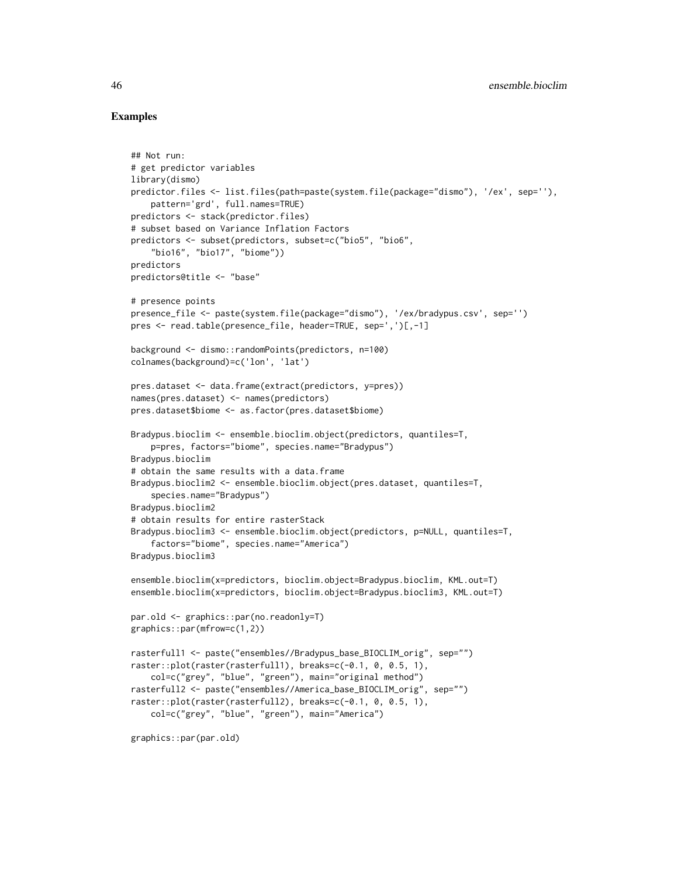```
## Not run:
# get predictor variables
library(dismo)
predictor.files <- list.files(path=paste(system.file(package="dismo"), '/ex', sep=''),
    pattern='grd', full.names=TRUE)
predictors <- stack(predictor.files)
# subset based on Variance Inflation Factors
predictors <- subset(predictors, subset=c("bio5", "bio6",
    "bio16", "bio17", "biome"))
predictors
predictors@title <- "base"
# presence points
presence_file <- paste(system.file(package="dismo"), '/ex/bradypus.csv', sep='')
pres <- read.table(presence_file, header=TRUE, sep=',')[,-1]
background <- dismo::randomPoints(predictors, n=100)
colnames(background)=c('lon', 'lat')
pres.dataset <- data.frame(extract(predictors, y=pres))
names(pres.dataset) <- names(predictors)
pres.dataset$biome <- as.factor(pres.dataset$biome)
Bradypus.bioclim <- ensemble.bioclim.object(predictors, quantiles=T,
    p=pres, factors="biome", species.name="Bradypus")
Bradypus.bioclim
# obtain the same results with a data.frame
Bradypus.bioclim2 <- ensemble.bioclim.object(pres.dataset, quantiles=T,
    species.name="Bradypus")
Bradypus.bioclim2
# obtain results for entire rasterStack
Bradypus.bioclim3 <- ensemble.bioclim.object(predictors, p=NULL, quantiles=T,
    factors="biome", species.name="America")
Bradypus.bioclim3
ensemble.bioclim(x=predictors, bioclim.object=Bradypus.bioclim, KML.out=T)
ensemble.bioclim(x=predictors, bioclim.object=Bradypus.bioclim3, KML.out=T)
par.old <- graphics::par(no.readonly=T)
graphics::par(mfrow=c(1,2))
rasterfull1 <- paste("ensembles//Bradypus_base_BIOCLIM_orig", sep="")
raster::plot(raster(rasterfull1), breaks=c(-0.1, 0, 0.5, 1),
    col=c("grey", "blue", "green"), main="original method")
rasterfull2 <- paste("ensembles//America_base_BIOCLIM_orig", sep="")
raster::plot(raster(rasterfull2), breaks=c(-0.1, 0, 0.5, 1),
    col=c("grey", "blue", "green"), main="America")
```

```
graphics::par(par.old)
```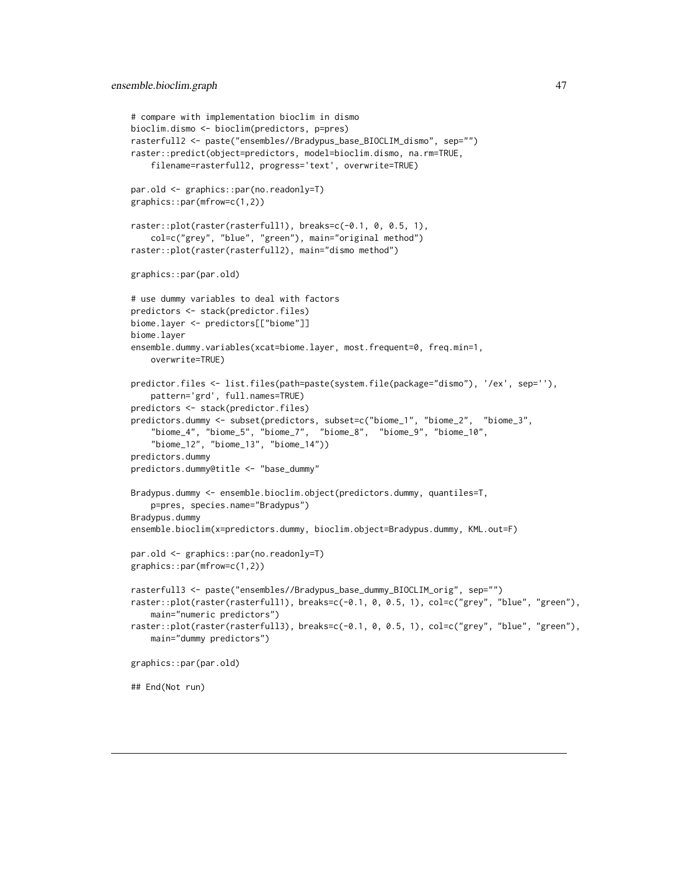```
# compare with implementation bioclim in dismo
bioclim.dismo <- bioclim(predictors, p=pres)
rasterfull2 <- paste("ensembles//Bradypus_base_BIOCLIM_dismo", sep="")
raster::predict(object=predictors, model=bioclim.dismo, na.rm=TRUE,
    filename=rasterfull2, progress='text', overwrite=TRUE)
par.old <- graphics::par(no.readonly=T)
graphics::par(mfrow=c(1,2))
raster::plot(raster(rasterfull1), breaks=c(-0.1, 0, 0.5, 1),
    col=c("grey", "blue", "green"), main="original method")
raster::plot(raster(rasterfull2), main="dismo method")
graphics::par(par.old)
# use dummy variables to deal with factors
predictors <- stack(predictor.files)
biome.layer <- predictors[["biome"]]
biome.layer
ensemble.dummy.variables(xcat=biome.layer, most.frequent=0, freq.min=1,
    overwrite=TRUE)
predictor.files <- list.files(path=paste(system.file(package="dismo"), '/ex', sep=''),
    pattern='grd', full.names=TRUE)
predictors <- stack(predictor.files)
predictors.dummy <- subset(predictors, subset=c("biome_1", "biome_2", "biome_3",
    "biome_4", "biome_5", "biome_7", "biome_8", "biome_9", "biome_10",
    "biome_12", "biome_13", "biome_14"))
predictors.dummy
predictors.dummy@title <- "base_dummy"
Bradypus.dummy <- ensemble.bioclim.object(predictors.dummy, quantiles=T,
    p=pres, species.name="Bradypus")
Bradypus.dummy
ensemble.bioclim(x=predictors.dummy, bioclim.object=Bradypus.dummy, KML.out=F)
par.old <- graphics::par(no.readonly=T)
graphics::par(mfrow=c(1,2))
rasterfull3 <- paste("ensembles//Bradypus_base_dummy_BIOCLIM_orig", sep="")
raster::plot(raster(rasterfull1), breaks=c(-0.1, 0, 0.5, 1), col=c("grey", "blue", "green"),
    main="numeric predictors")
raster::plot(raster(rasterfull3), breaks=c(-0.1, 0, 0.5, 1), col=c("grey", "blue", "green"),
    main="dummy predictors")
graphics::par(par.old)
## End(Not run)
```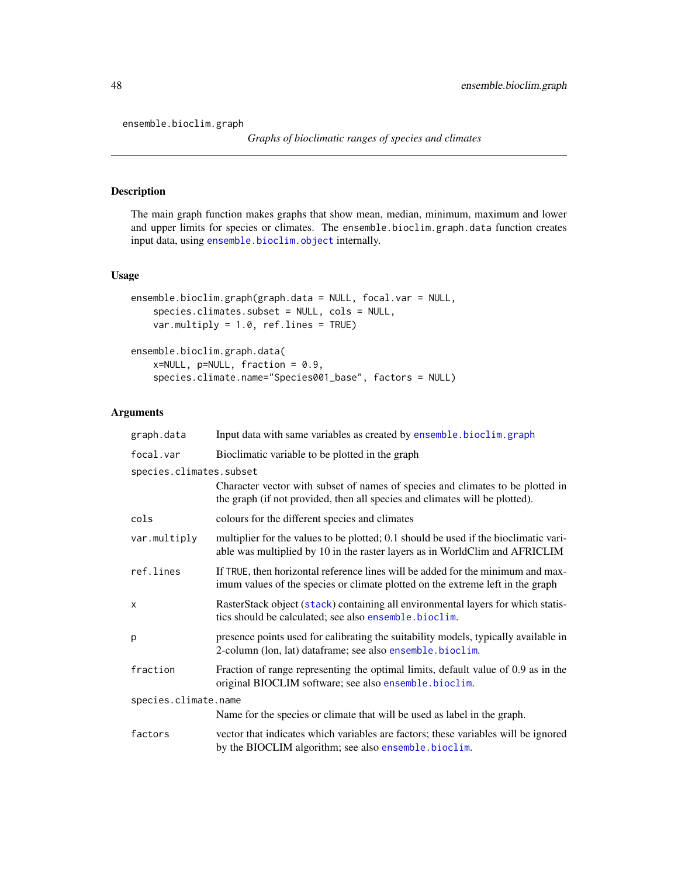ensemble.bioclim.graph

# Description

The main graph function makes graphs that show mean, median, minimum, maximum and lower and upper limits for species or climates. The ensemble.bioclim.graph.data function creates input data, using [ensemble.bioclim.object](#page-42-1) internally.

# Usage

```
ensemble.bioclim.graph(graph.data = NULL, focal.var = NULL,
   species.climates.subset = NULL, cols = NULL,
   var.multiply = 1.0, ref.lines = TRUE)
ensemble.bioclim.graph.data(
   x=NULL, p=NULL, fraction = 0.9,
   species.climate.name="Species001_base", factors = NULL)
```
# Arguments

| graph.data              | Input data with same variables as created by ensemble.bioclim.graph                                                                                                 |
|-------------------------|---------------------------------------------------------------------------------------------------------------------------------------------------------------------|
| focal.var               | Bioclimatic variable to be plotted in the graph                                                                                                                     |
| species.climates.subset |                                                                                                                                                                     |
|                         | Character vector with subset of names of species and climates to be plotted in<br>the graph (if not provided, then all species and climates will be plotted).       |
| cols                    | colours for the different species and climates                                                                                                                      |
| var.multiply            | multiplier for the values to be plotted; 0.1 should be used if the bioclimatic vari-<br>able was multiplied by 10 in the raster layers as in WorldClim and AFRICLIM |
| ref.lines               | If TRUE, then horizontal reference lines will be added for the minimum and max-<br>imum values of the species or climate plotted on the extreme left in the graph   |
| X                       | RasterStack object (stack) containing all environmental layers for which statis-<br>tics should be calculated; see also ensemble.bioclim.                           |
| p                       | presence points used for calibrating the suitability models, typically available in<br>2-column (lon, lat) dataframe; see also ensemble.bioclim.                    |
| fraction                | Fraction of range representing the optimal limits, default value of 0.9 as in the<br>original BIOCLIM software; see also ensemble.bioclim.                          |
| species.climate.name    |                                                                                                                                                                     |
|                         | Name for the species or climate that will be used as label in the graph.                                                                                            |
| factors                 | vector that indicates which variables are factors; these variables will be ignored<br>by the BIOCLIM algorithm; see also ensemble.bioclim.                          |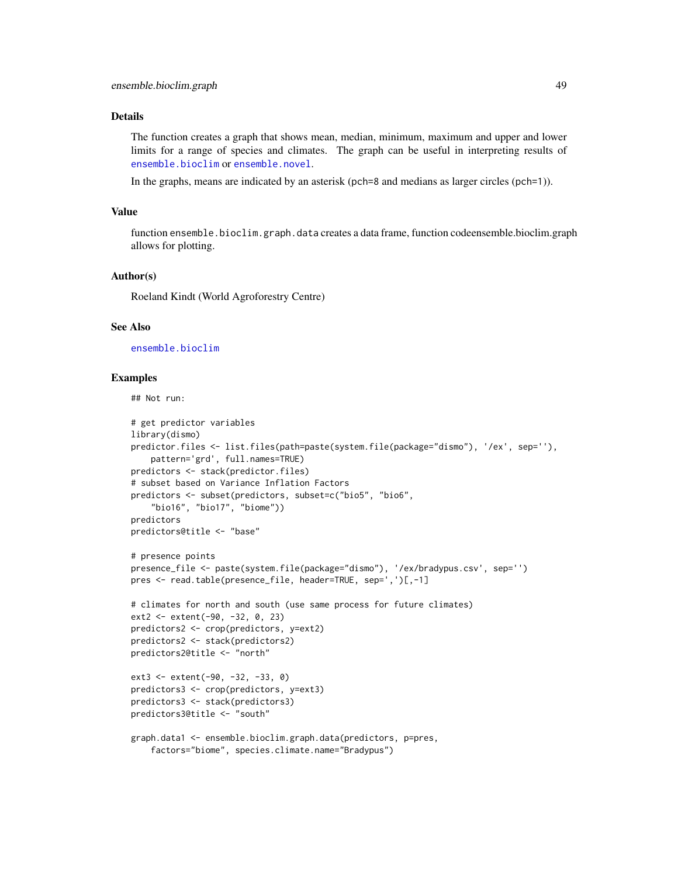### Details

The function creates a graph that shows mean, median, minimum, maximum and upper and lower limits for a range of species and climates. The graph can be useful in interpreting results of [ensemble.bioclim](#page-42-0) or [ensemble.novel](#page-72-0).

In the graphs, means are indicated by an asterisk (pch=8 and medians as larger circles (pch=1)).

### Value

function ensemble.bioclim.graph.data creates a data frame, function codeensemble.bioclim.graph allows for plotting.

### Author(s)

Roeland Kindt (World Agroforestry Centre)

### See Also

[ensemble.bioclim](#page-42-0)

### Examples

## Not run:

```
# get predictor variables
library(dismo)
predictor.files <- list.files(path=paste(system.file(package="dismo"), '/ex', sep=''),
    pattern='grd', full.names=TRUE)
predictors <- stack(predictor.files)
# subset based on Variance Inflation Factors
predictors <- subset(predictors, subset=c("bio5", "bio6",
    "bio16", "bio17", "biome"))
predictors
predictors@title <- "base"
# presence points
presence_file <- paste(system.file(package="dismo"), '/ex/bradypus.csv', sep='')
pres <- read.table(presence_file, header=TRUE, sep=',')[,-1]
# climates for north and south (use same process for future climates)
ext2 <- extent(-90, -32, 0, 23)
predictors2 <- crop(predictors, y=ext2)
predictors2 <- stack(predictors2)
predictors2@title <- "north"
ext3 <- extent(-90, -32, -33, 0)
predictors3 <- crop(predictors, y=ext3)
predictors3 <- stack(predictors3)
predictors3@title <- "south"
graph.data1 <- ensemble.bioclim.graph.data(predictors, p=pres,
    factors="biome", species.climate.name="Bradypus")
```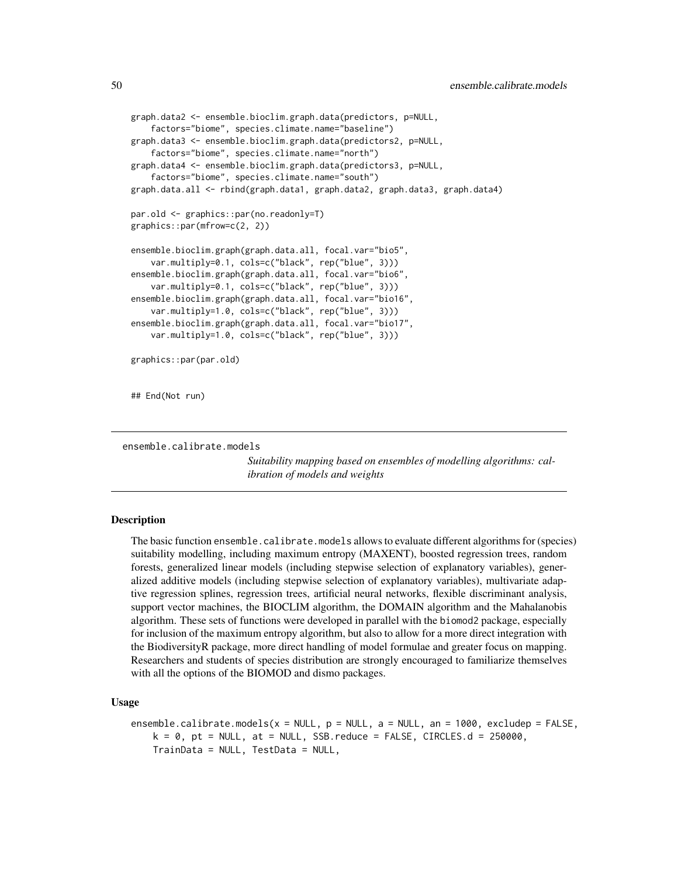```
graph.data2 <- ensemble.bioclim.graph.data(predictors, p=NULL,
    factors="biome", species.climate.name="baseline")
graph.data3 <- ensemble.bioclim.graph.data(predictors2, p=NULL,
    factors="biome", species.climate.name="north")
graph.data4 <- ensemble.bioclim.graph.data(predictors3, p=NULL,
    factors="biome", species.climate.name="south")
graph.data.all <- rbind(graph.data1, graph.data2, graph.data3, graph.data4)
par.old <- graphics::par(no.readonly=T)
graphics::par(mfrow=c(2, 2))
ensemble.bioclim.graph(graph.data.all, focal.var="bio5",
    var.multiply=0.1, cols=c("black", rep("blue", 3)))
ensemble.bioclim.graph(graph.data.all, focal.var="bio6",
    var.multiply=0.1, cols=c("black", rep("blue", 3)))
ensemble.bioclim.graph(graph.data.all, focal.var="bio16",
    var.multiply=1.0, cols=c("black", rep("blue", 3)))
ensemble.bioclim.graph(graph.data.all, focal.var="bio17",
    var.multiply=1.0, cols=c("black", rep("blue", 3)))
graphics::par(par.old)
## End(Not run)
```

```
ensemble.calibrate.models
```
*Suitability mapping based on ensembles of modelling algorithms: calibration of models and weights*

# <span id="page-49-0"></span>Description

The basic function ensemble.calibrate.models allows to evaluate different algorithms for (species) suitability modelling, including maximum entropy (MAXENT), boosted regression trees, random forests, generalized linear models (including stepwise selection of explanatory variables), generalized additive models (including stepwise selection of explanatory variables), multivariate adaptive regression splines, regression trees, artificial neural networks, flexible discriminant analysis, support vector machines, the BIOCLIM algorithm, the DOMAIN algorithm and the Mahalanobis algorithm. These sets of functions were developed in parallel with the biomod2 package, especially for inclusion of the maximum entropy algorithm, but also to allow for a more direct integration with the BiodiversityR package, more direct handling of model formulae and greater focus on mapping. Researchers and students of species distribution are strongly encouraged to familiarize themselves with all the options of the BIOMOD and dismo packages.

## Usage

```
ensemble.calibrate.models(x = NULL, p = NULL, a = NULL, an = 1000, excludep = FALSE,
   k = 0, pt = NULL, at = NULL, SSB.reduce = FALSE, CIRCLES.d = 250000,
   TrainData = NULL, TestData = NULL,
```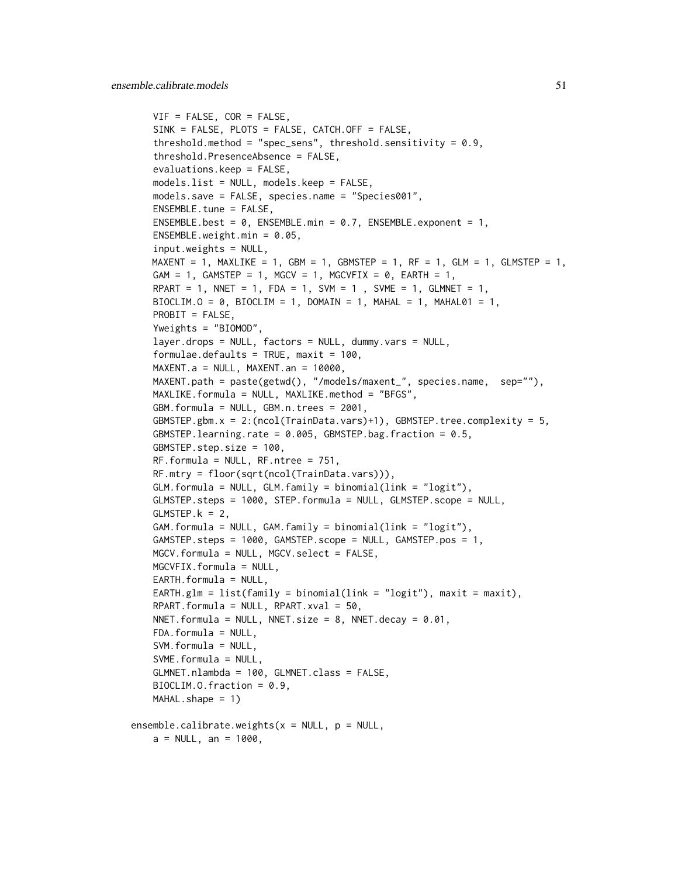```
VIF = FALSE, COR = FALSE,
   SINK = FALSE, PLOTS = FALSE, CATCH.OFF = FALSE,
   threshold.method = "spec_sens", threshold.sensitivity = 0.9,
   threshold.PresenceAbsence = FALSE,
   evaluations.keep = FALSE,
   models.list = NULL, models.keep = FALSE,
   models.save = FALSE, species.name = "Species001",
   ENSEMBLE.tune = FALSE,ENSEMBLE.best = 0, ENSEMBLE.min = 0.7, ENSEMBLE.exponent = 1,
   ENSEMBLE.weight.min = 0.05,
   input.weights = NULL,
   MAXENT = 1, MAXLIKE = 1, GBM = 1, GBMSTEP = 1, RF = 1, GLM = 1, GLMSTEP = 1,
   GAM = 1, GAMSTEP = 1, MGCV = 1, MGCVFIX = 0, EARTH = 1,
   RPART = 1, NNET = 1, FDA = 1, SVM = 1, SVME = 1, GLMNET = 1,
   BIOCLIM.O = 0, BIOCLIM = 1, DOMAIN = 1, MAHAL = 1, MAHAL01 = 1,
   PROBIT = FALSE,
   Yweights = "BIOMOD",
   layer.drops = NULL, factors = NULL, dummy.vars = NULL,
   formulae.defaults = TRUE, maxit = 100,
   MAXENT.a = NULL, MAXENT can = 10000,MAXENT.path = paste(getwd(), "/models/maxent_", species.name, sep=""),
   MAXLIKE.formula = NULL, MAXLIKE.method = "BFGS",
   GBM.formula = NULL, GBM.n.trees = 2001,
   GBMSTEP.gbm.x = 2:(ncol(TrainData.vars)+1), GBMSTEP.tree.complexity = 5,
   GBMSTEP.learning.rate = 0.005, GBMSTEP.bag.fraction = 0.5,
   GBMSTEP.step.size = 100,
   RF.formula = NULL, RF.ntree = 751,
   RF.mtry = floor(sqrt(ncol(TrainData.vars))),
   GLM.formula = NULL, GLM.family = binomial(link = "logit"),
   GLMSTEP.steps = 1000, STEP.formula = NULL, GLMSTEP.scope = NULL,
   GLMSTEP.k = 2,GAM.formula = NULL, GAM.family = binomial(link = "logit"),
   GAMSTEP.steps = 1000, GAMSTEP.scope = NULL, GAMSTEP.pos = 1,
   MGCV.formula = NULL, MGCV.select = FALSE,
   MGCVFIX.formula = NULL,
   EARTH.formula = NULL,
   EARTH.glm = list(family = binomial(link = "logit"), maxit = maxit),
   RPART.formula = NULL, RPART.xval = 50,
   NNET.formula = NULL, NNET.size = 8, NNET.decay = 0.01,
   FDA.formula = NULL,
   SVM.formula = NULL,
   SVME.formula = NULL,
   GLMNET.nlambda = 100, GLMNET.class = FALSE,
   BIOCLIM.O.fraction = 0.9,
   MAHAL.shape = 1)ensemble.calibrate.weights(x = NULL, p = NULL,
   a = NULL, an = 1000,
```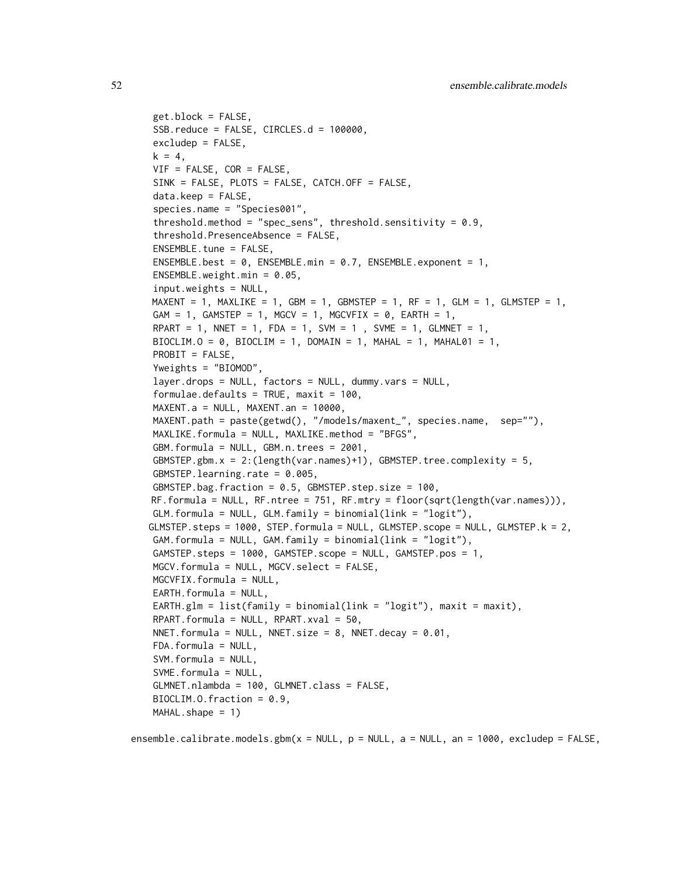```
get.block = FALSE,
SSB.reduce = FALSE, CIRCLES.d = 100000,
excludep = FALSE,
k = 4,
VIF = FALSE, COR = FALSE,
SINK = FALSE, PLOTS = FALSE, CATCH.OFF = FALSE,
data\text{.keep} = FALSE,species.name = "Species001",
threshold.method = "spec_sens", threshold.sensitivity = 0.9,
threshold.PresenceAbsence = FALSE,
ENSEMBLE.tune = FALSE,
ENSEMBLE.best = 0, ENSEMBLE.min = 0.7, ENSEMBLE.exponent = 1,
ENSEMBLE.weight.min = 0.05,
input.weights = NULL,MAXENT = 1, MAXLIKE = 1, GBM = 1, GBMSTEP = 1, RF = 1, GLM = 1, GLMSTEP = 1,
GAM = 1, GAMSTEP = 1, MGCV = 1, MGCVFIN = 0, EARTH = 1,
RPART = 1, NNET = 1, FDA = 1, SVM = 1, SVME = 1, GLMNET = 1,
BIOCLIM.O = 0, BIOCLIM = 1, DOMAIN = 1, MAHAL = 1, MAHAL01 = 1,
PROBIT = FALSE,
Yweights = "BIOMOD",
layer.drops = NULL, factors = NULL, dummy.vars = NULL,
formulae.defaults = TRUE, maxit = 100,
MAXENT.a = NULL, MAXENT.an = 10000,
MAXENT.path = paste(getwd(), "/models/maxent_", species.name, sep=""),
MAXLIKE.formula = NULL, MAXLIKE.method = "BFGS",GBM.formula = NULL, GBM.n.trees = 2001,
GBMSTEP.gbm.x = 2:(length(var.names)+1), GBMSTEP.tree.complexity = 5,
GBMSTEP.learning.rate = 0.005,
GBMSTEP.bag.fraction = 0.5, GBMSTEP.step.size = 100,
RF.formula = NULL, RF.ntree = 751, RF.mtry = floor(sqrt(length(var.names))),
GLM. formula = NULL, GLM. family = binomial(link = "logit"),
GLMSTEP.steps = 1000, STEP.formula = NULL, GLMSTEP.scope = NULL, GLMSTEP.k = 2,
GAM.formula = NULL, GAM.family = binomial(link = "logit"),GAMSTEP.steps = 1000, GAMSTEP.scope = NULL, GAMSTEP.pos = 1,
MGCV.formula = NULL, MGCV.select = FALSE,
MGCVFIX.formula = NULL,
EARTH.formula = NULL,EARTH.glm = list(family = binomial(link = "logit"), maxit = maxit),
RPART.formula = NULL, RPART.xval = 50,
NNET.formula = NULL, NNET.size = 8, NNET.decay = 0.01,
FDA.formula = NULL,
SVM.formula = NULL,
SWME.format = NULL,
GLMNET.nlambda = 100, GLMNET.class = FALSE,
BIOCLIM.O.fraction = 0.9,
MAHAL.shape = 1)
```
ensemble.calibrate.models.gbm( $x = NULL$ ,  $p = NULL$ ,  $a = NULL$ , an = 1000, excludep = FALSE,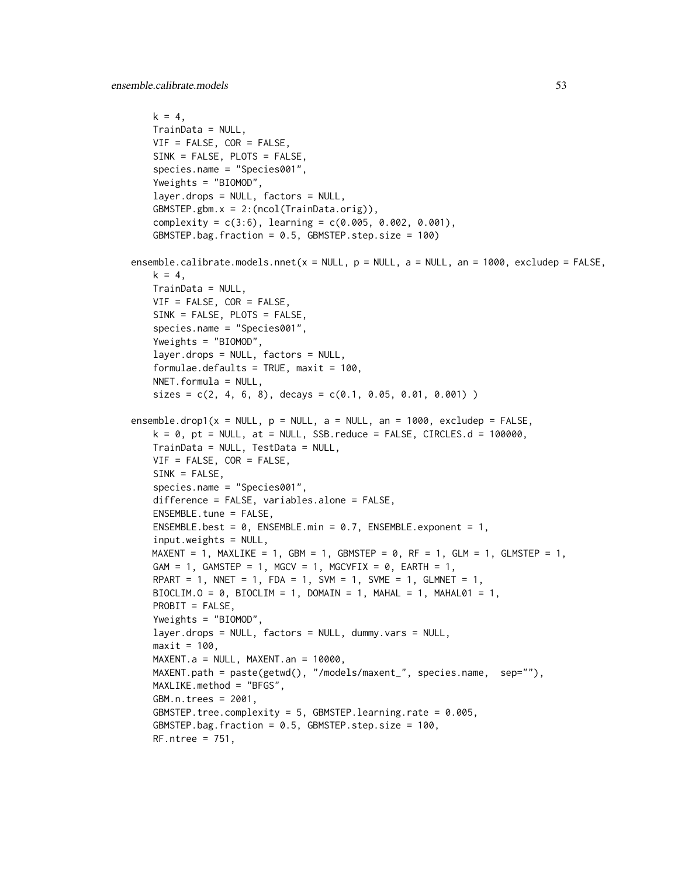```
k = 4,
   TrainData = NULL,
   VIF = FALSE, COR = FALSE,SINK = FALSE, PLOTS = FALSE,
   species.name = "Species001",
   Yweights = "BIOMOD",
   layer.drops = NULL, factors = NULL,
   GBMSTEP.gbm.x = 2:(ncol(TrainData.orig)),
   complexity = c(3:6), learning = c(0.005, 0.002, 0.001),
   GBMSTEP.bag.fraction = 0.5, GBMSTEP.step.size = 100)
ensemble.calibrate.models.nnet(x = NULL, p = NULL, a = NULL, an = 1000, excludep = FALSE,
   k = 4,
   TrainData = NULL,
   VIF = FALSE, COR = FALSE,
   SINK = FALSE, PLOTS = FALSE,
   species.name = "Species001",
   Yweights = "BIOMOD",
   layer.drops = NULL, factors = NULL,
   formulae.defaults = TRUE, maxit = 100.
   NNET.formula = NULL,
   sizes = c(2, 4, 6, 8), decays = c(0.1, 0.05, 0.01, 0.001))
ensemble.drop1(x = NULL, p = NULL, a = NULL, an = 1000, excludep = FALSE,
   k = 0, pt = NULL, at = NULL, SSB.reduce = FALSE, CIRCLES.d = 100000,
   TrainData = NULL, TestData = NULL,
   VIF = FALSE, COR = FALSE,
   SINK = FALSE,species.name = "Species001",
   difference = FALSE, variables.alone = FALSE,
   ENSEMBLE.tune = FALSE,ENSEMBLE.best = 0, ENSEMBLE.min = 0.7, ENSEMBLE.exponent = 1,
   input.weights = NULL,
   MAXENT = 1, MAXLIKE = 1, GBM = 1, GBMSTEP = 0, RF = 1, GLM = 1, GLMSTEP = 1,
   GAM = 1, GAMSTEP = 1, MGCV = 1, MGCVFIX = 0, EARTH = 1,
   RPART = 1, NNET = 1, FDA = 1, SVM = 1, SVME = 1, GLMNET = 1,
   BIOCLIM.O = 0, BIOCLIM = 1, DOMAIN = 1, MAHAL = 1, MAHALO1 = 1,
   PROBIT = FALSE,
   Yweights = "BIOMOD",
   layer.drops = NULL, factors = NULL, dummy.vars = NULL,
   maxit = 100,
   MAXENT.a = NULL, MAXENT.an = 10000,
   MAXENT.path = paste(getwd(), "/models/maxent_", species.name, sep=""),
   MAXLIKE.method = "BFGS",
   GBM.n.trees = 2001,
   GBMSTEP.tree.complexity = 5, GBMSTEP.learning.rate = 0.005,
   GBMSTEP.bag.fraction = 0.5, GBMSTEP.step.size = 100,
   RF.ntree = 751,
```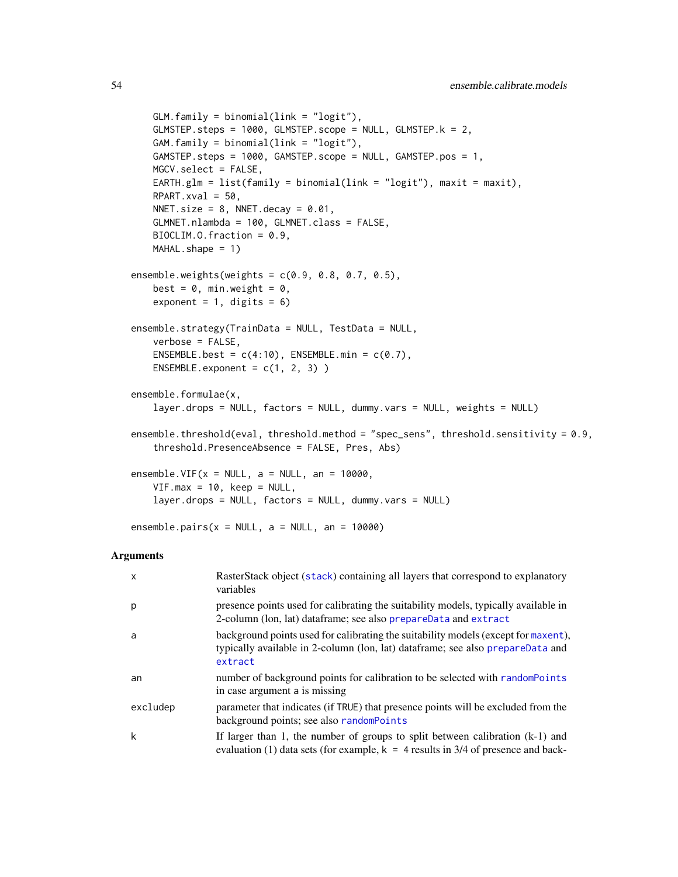```
GLM. family = binomial(link = "logit"),
   GLMSTEP.steps = 1000, GLMSTEP.scope = NULL, GLMSTEP.k = 2,
   GAM.family = binomial(link = "logit").GAMSTEP.steps = 1000, GAMSTEP.scope = NULL, GAMSTEP.pos = 1,
   MGCV.select = FALSE,
   EARTH.glm = list(family = binomial(link = "logit"), maxit = maxit),
   RPART.xval = 50,
   NNET.size = 8, NNET.decay = 0.01,
   GLMNET.nlambda = 100, GLMNET.class = FALSE,
   BIOCLIM.O.fraction = 0.9,
   MAHAL.shape = 1)ensemble.weights(weights = c(0.9, 0.8, 0.7, 0.5),
   best = 0, min.weight = 0,
   exponent = 1, digits = 6)
ensemble.strategy(TrainData = NULL, TestData = NULL,
   verbose = FALSE,
   ENSEMBLE.best = c(4:10), ENSEMBLE.min = c(0.7),
   ENSEMBLE.exponent = c(1, 2, 3))
ensemble.formulae(x,
   layer.drops = NULL, factors = NULL, dummy.vars = NULL, weights = NULL)
ensemble.threshold(eval, threshold.method = "spec_sens", threshold.sensitivity = 0.9,
    threshold.PresenceAbsence = FALSE, Pres, Abs)
ensemble.VIF(x = NULL, a = NULL, an = 10000,
   VIF.max = 10, keep = NULL,
   layer.drops = NULL, factors = NULL, dummy.vars = NULL)
ensemble.pairs(x = NULL, a = NULL, an = 10000)
```
#### Arguments

| $\mathsf{x}$ | RasterStack object (stack) containing all layers that correspond to explanatory<br>variables                                                                                    |
|--------------|---------------------------------------------------------------------------------------------------------------------------------------------------------------------------------|
| p            | presence points used for calibrating the suitability models, typically available in<br>2-column (lon, lat) dataframe; see also prepareData and extract                          |
| a            | background points used for calibrating the suitability models (except for maxent),<br>typically available in 2-column (lon, lat) dataframe; see also prepareData and<br>extract |
| an           | number of background points for calibration to be selected with random Points<br>in case argument a is missing                                                                  |
| excludep     | parameter that indicates (if TRUE) that presence points will be excluded from the<br>background points; see also randomPoints                                                   |
| k            | If larger than 1, the number of groups to split between calibration $(k-1)$ and<br>evaluation (1) data sets (for example, $k = 4$ results in 3/4 of presence and back-          |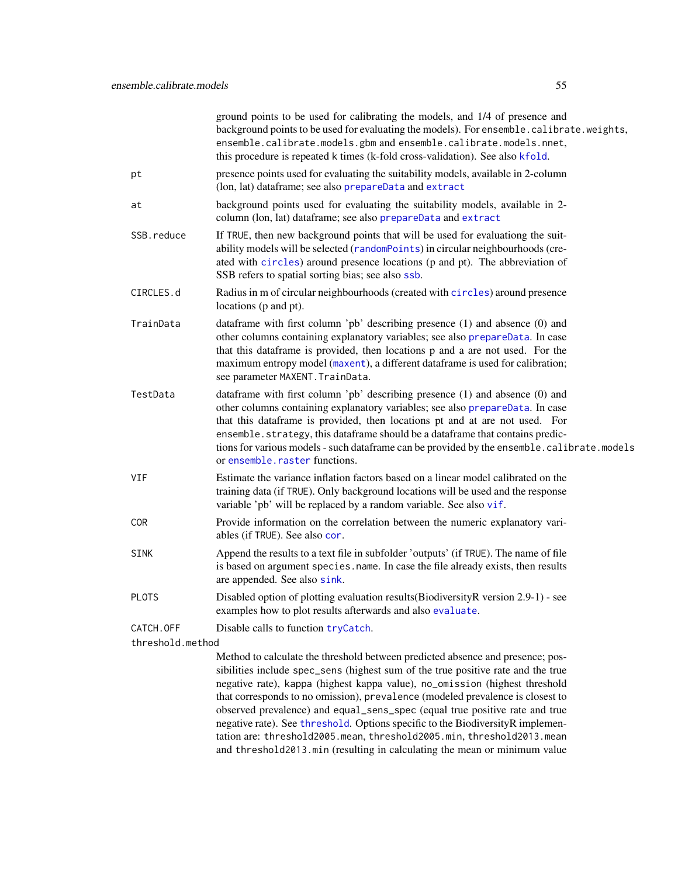|                               | ground points to be used for calibrating the models, and 1/4 of presence and<br>background points to be used for evaluating the models). For ensemble.calibrate.weights,<br>ensemble.calibrate.models.gbm and ensemble.calibrate.models.nnet,<br>this procedure is repeated k times (k-fold cross-validation). See also kfold.                                                                                                                                  |
|-------------------------------|-----------------------------------------------------------------------------------------------------------------------------------------------------------------------------------------------------------------------------------------------------------------------------------------------------------------------------------------------------------------------------------------------------------------------------------------------------------------|
| рt                            | presence points used for evaluating the suitability models, available in 2-column<br>(lon, lat) dataframe; see also prepareData and extract                                                                                                                                                                                                                                                                                                                     |
| at                            | background points used for evaluating the suitability models, available in 2-<br>column (lon, lat) dataframe; see also prepareData and extract                                                                                                                                                                                                                                                                                                                  |
| SSB.reduce                    | If TRUE, then new background points that will be used for evaluationg the suit-<br>ability models will be selected (randomPoints) in circular neighbourhoods (cre-<br>ated with circles) around presence locations (p and pt). The abbreviation of<br>SSB refers to spatial sorting bias; see also ssb.                                                                                                                                                         |
| CIRCLES.d                     | Radius in m of circular neighbourhoods (created with circles) around presence<br>locations (p and pt).                                                                                                                                                                                                                                                                                                                                                          |
| TrainData                     | dataframe with first column 'pb' describing presence (1) and absence (0) and<br>other columns containing explanatory variables; see also prepareData. In case<br>that this dataframe is provided, then locations p and a are not used. For the<br>maximum entropy model (maxent), a different dataframe is used for calibration;<br>see parameter MAXENT. TrainData.                                                                                            |
| TestData                      | dataframe with first column 'pb' describing presence (1) and absence (0) and<br>other columns containing explanatory variables; see also prepareData. In case<br>that this dataframe is provided, then locations pt and at are not used. For<br>ensemble.strategy, this dataframe should be a dataframe that contains predic-<br>tions for various models - such dataframe can be provided by the ensemble. calibrate. models<br>or ensemble. raster functions. |
| VIF                           | Estimate the variance inflation factors based on a linear model calibrated on the<br>training data (if TRUE). Only background locations will be used and the response<br>variable 'pb' will be replaced by a random variable. See also vif.                                                                                                                                                                                                                     |
| <b>COR</b>                    | Provide information on the correlation between the numeric explanatory vari-<br>ables (if TRUE). See also cor.                                                                                                                                                                                                                                                                                                                                                  |
| <b>SINK</b>                   | Append the results to a text file in subfolder 'outputs' (if TRUE). The name of file<br>is based on argument species.name. In case the file already exists, then results<br>are appended. See also sink.                                                                                                                                                                                                                                                        |
| <b>PLOTS</b>                  | Disabled option of plotting evaluation results (Biodiversity R version 2.9-1) - see<br>examples how to plot results afterwards and also evaluate.                                                                                                                                                                                                                                                                                                               |
| CATCH.OFF<br>threshold.method | Disable calls to function tryCatch.                                                                                                                                                                                                                                                                                                                                                                                                                             |
|                               | Method to calculate the threshold between predicted absence and presence; pos-<br>sibilities include spec_sens (highest sum of the true positive rate and the true<br>negative rate), kappa (highest kappa value), no omission (highest threshold                                                                                                                                                                                                               |

negative rate), kappa (highest kappa value), no\_omission (highest threshold that corresponds to no omission), prevalence (modeled prevalence is closest to observed prevalence) and equal\_sens\_spec (equal true positive rate and true negative rate). See [threshold](#page-0-0). Options specific to the BiodiversityR implementation are: threshold2005.mean, threshold2005.min, threshold2013.mean and threshold2013.min (resulting in calculating the mean or minimum value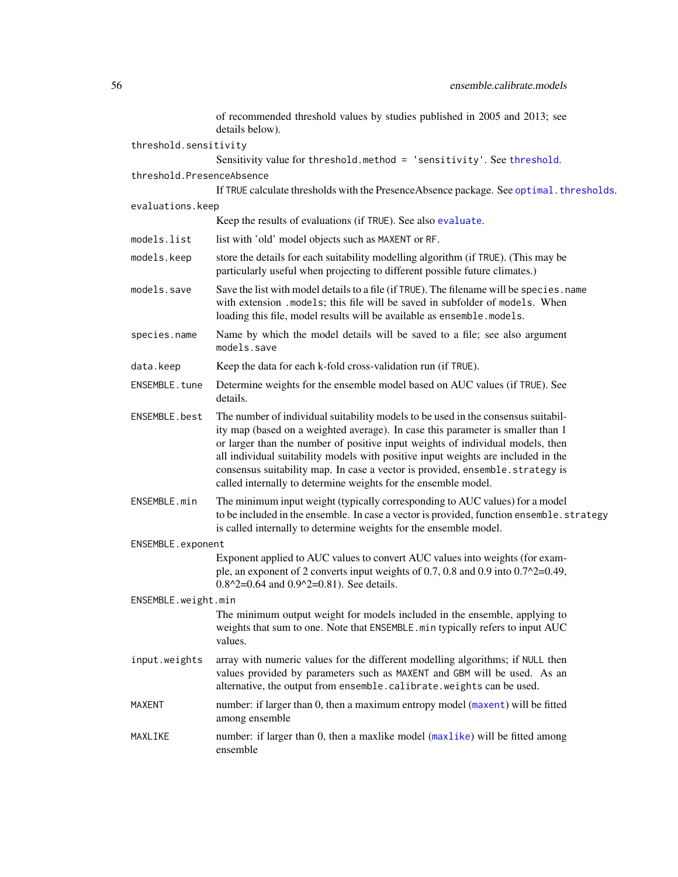|                           | of recommended threshold values by studies published in 2005 and 2013; see<br>details below).                                                                                                                                                                                                                                                                                                                                                                                                  |
|---------------------------|------------------------------------------------------------------------------------------------------------------------------------------------------------------------------------------------------------------------------------------------------------------------------------------------------------------------------------------------------------------------------------------------------------------------------------------------------------------------------------------------|
| threshold.sensitivity     |                                                                                                                                                                                                                                                                                                                                                                                                                                                                                                |
|                           | Sensitivity value for threshold.method = 'sensitivity'. See threshold.                                                                                                                                                                                                                                                                                                                                                                                                                         |
| threshold.PresenceAbsence |                                                                                                                                                                                                                                                                                                                                                                                                                                                                                                |
|                           | If TRUE calculate thresholds with the Presence Absence package. See optimal. thresholds.                                                                                                                                                                                                                                                                                                                                                                                                       |
| evaluations.keep          |                                                                                                                                                                                                                                                                                                                                                                                                                                                                                                |
|                           | Keep the results of evaluations (if TRUE). See also evaluate.                                                                                                                                                                                                                                                                                                                                                                                                                                  |
| models.list               | list with 'old' model objects such as MAXENT or RF.                                                                                                                                                                                                                                                                                                                                                                                                                                            |
| models.keep               | store the details for each suitability modelling algorithm (if TRUE). (This may be<br>particularly useful when projecting to different possible future climates.)                                                                                                                                                                                                                                                                                                                              |
| models.save               | Save the list with model details to a file (if TRUE). The filename will be species. name<br>with extension .models; this file will be saved in subfolder of models. When<br>loading this file, model results will be available as ensemble.models.                                                                                                                                                                                                                                             |
| species.name              | Name by which the model details will be saved to a file; see also argument<br>models.save                                                                                                                                                                                                                                                                                                                                                                                                      |
| data.keep                 | Keep the data for each k-fold cross-validation run (if TRUE).                                                                                                                                                                                                                                                                                                                                                                                                                                  |
| ENSEMBLE.tune             | Determine weights for the ensemble model based on AUC values (if TRUE). See<br>details.                                                                                                                                                                                                                                                                                                                                                                                                        |
| ENSEMBLE.best             | The number of individual suitability models to be used in the consensus suitabil-<br>ity map (based on a weighted average). In case this parameter is smaller than 1<br>or larger than the number of positive input weights of individual models, then<br>all individual suitability models with positive input weights are included in the<br>consensus suitability map. In case a vector is provided, ensemble.strategy is<br>called internally to determine weights for the ensemble model. |
| ENSEMBLE.min              | The minimum input weight (typically corresponding to AUC values) for a model<br>to be included in the ensemble. In case a vector is provided, function ensemble. strategy<br>is called internally to determine weights for the ensemble model.                                                                                                                                                                                                                                                 |
| ENSEMBLE.exponent         |                                                                                                                                                                                                                                                                                                                                                                                                                                                                                                |
|                           | Exponent applied to AUC values to convert AUC values into weights (for exam-<br>ple, an exponent of 2 converts input weights of 0.7, 0.8 and 0.9 into $0.7^2$ =0.49,<br>$0.8^2$ = 0.64 and $0.9^2$ = 0.81). See details.                                                                                                                                                                                                                                                                       |
| ENSEMBLE.weight.min       |                                                                                                                                                                                                                                                                                                                                                                                                                                                                                                |
|                           | The minimum output weight for models included in the ensemble, applying to<br>weights that sum to one. Note that ENSEMBLE. min typically refers to input AUC<br>values.                                                                                                                                                                                                                                                                                                                        |
| input.weights             | array with numeric values for the different modelling algorithms; if NULL then<br>values provided by parameters such as MAXENT and GBM will be used. As an<br>alternative, the output from ensemble.calibrate.weights can be used.                                                                                                                                                                                                                                                             |
| MAXENT                    | number: if larger than 0, then a maximum entropy model (maxent) will be fitted<br>among ensemble                                                                                                                                                                                                                                                                                                                                                                                               |
| MAXLIKE                   | number: if larger than 0, then a maxlike model (maxlike) will be fitted among<br>ensemble                                                                                                                                                                                                                                                                                                                                                                                                      |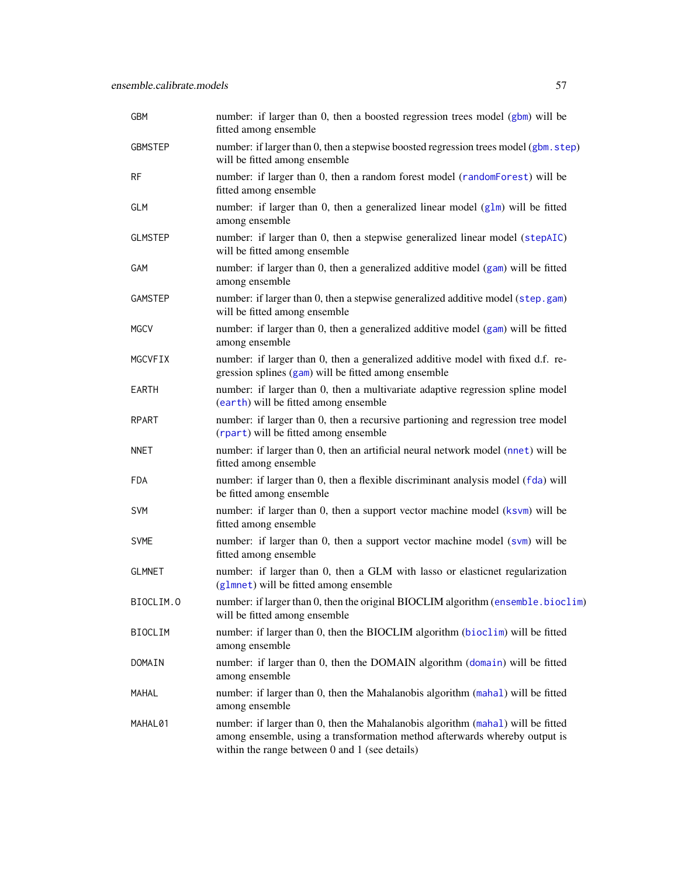| GBM            | number: if larger than 0, then a boosted regression trees model (gbm) will be<br>fitted among ensemble                                                                                                              |
|----------------|---------------------------------------------------------------------------------------------------------------------------------------------------------------------------------------------------------------------|
| <b>GBMSTEP</b> | number: if larger than 0, then a stepwise boosted regression trees model (gbm. step)<br>will be fitted among ensemble                                                                                               |
| <b>RF</b>      | number: if larger than 0, then a random forest model (randomForest) will be<br>fitted among ensemble                                                                                                                |
| <b>GLM</b>     | number: if larger than 0, then a generalized linear model (glm) will be fitted<br>among ensemble                                                                                                                    |
| <b>GLMSTEP</b> | number: if larger than 0, then a stepwise generalized linear model (stepAIC)<br>will be fitted among ensemble                                                                                                       |
| GAM            | number: if larger than 0, then a generalized additive model (gam) will be fitted<br>among ensemble                                                                                                                  |
| GAMSTEP        | number: if larger than 0, then a stepwise generalized additive model (step.gam)<br>will be fitted among ensemble                                                                                                    |
| <b>MGCV</b>    | number: if larger than 0, then a generalized additive model (gam) will be fitted<br>among ensemble                                                                                                                  |
| MGCVFIX        | number: if larger than 0, then a generalized additive model with fixed d.f. re-<br>gression splines (gam) will be fitted among ensemble                                                                             |
| <b>EARTH</b>   | number: if larger than 0, then a multivariate adaptive regression spline model<br>(earth) will be fitted among ensemble                                                                                             |
| RPART          | number: if larger than 0, then a recursive partioning and regression tree model<br>(rpart) will be fitted among ensemble                                                                                            |
| <b>NNET</b>    | number: if larger than 0, then an artificial neural network model (nnet) will be<br>fitted among ensemble                                                                                                           |
| <b>FDA</b>     | number: if larger than 0, then a flexible discriminant analysis model (fda) will<br>be fitted among ensemble                                                                                                        |
| SVM            | number: if larger than 0, then a support vector machine model (ksvm) will be<br>fitted among ensemble                                                                                                               |
| <b>SVME</b>    | number: if larger than 0, then a support vector machine model (svm) will be<br>fitted among ensemble                                                                                                                |
| <b>GLMNET</b>  | number: if larger than 0, then a GLM with lasso or elasticnet regularization<br>(glmnet) will be fitted among ensemble                                                                                              |
| BIOCLIM.O      | number: if larger than 0, then the original BIOCLIM algorithm (ensemble.bioclim)<br>will be fitted among ensemble                                                                                                   |
| <b>BIOCLIM</b> | number: if larger than 0, then the BIOCLIM algorithm (bioclim) will be fitted<br>among ensemble                                                                                                                     |
| DOMAIN         | number: if larger than 0, then the DOMAIN algorithm (domain) will be fitted<br>among ensemble                                                                                                                       |
| MAHAL          | number: if larger than 0, then the Mahalanobis algorithm (mahal) will be fitted<br>among ensemble                                                                                                                   |
| MAHAL01        | number: if larger than 0, then the Mahalanobis algorithm (mahal) will be fitted<br>among ensemble, using a transformation method afterwards whereby output is<br>within the range between $0$ and $1$ (see details) |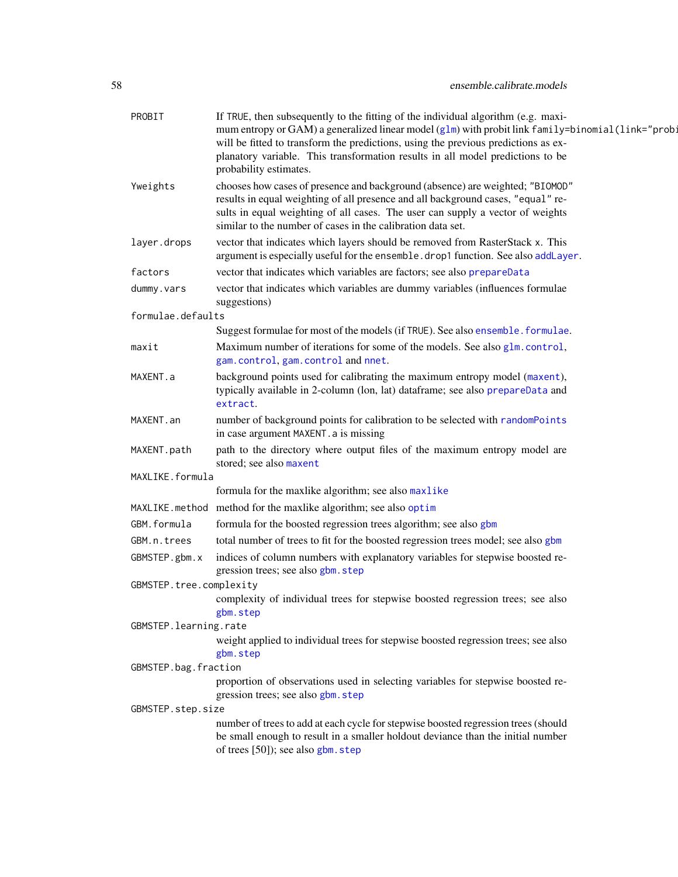# 58 ensemble.calibrate.models

| PROBIT                  | If TRUE, then subsequently to the fitting of the individual algorithm (e.g. maxi-<br>mum entropy or GAM) a generalized linear model (g1m) with probit link family=binomial(link="prob:<br>will be fitted to transform the predictions, using the previous predictions as ex-<br>planatory variable. This transformation results in all model predictions to be<br>probability estimates. |
|-------------------------|------------------------------------------------------------------------------------------------------------------------------------------------------------------------------------------------------------------------------------------------------------------------------------------------------------------------------------------------------------------------------------------|
| Yweights                | chooses how cases of presence and background (absence) are weighted; "BIOMOD"<br>results in equal weighting of all presence and all background cases, "equal" re-<br>sults in equal weighting of all cases. The user can supply a vector of weights<br>similar to the number of cases in the calibration data set.                                                                       |
| layer.drops             | vector that indicates which layers should be removed from RasterStack x. This<br>argument is especially useful for the ensemble. drop1 function. See also addLayer.                                                                                                                                                                                                                      |
| factors                 | vector that indicates which variables are factors; see also prepareData                                                                                                                                                                                                                                                                                                                  |
| dummy.vars              | vector that indicates which variables are dummy variables (influences formulae<br>suggestions)                                                                                                                                                                                                                                                                                           |
| formulae.defaults       |                                                                                                                                                                                                                                                                                                                                                                                          |
|                         | Suggest formulae for most of the models (if TRUE). See also ensemble. formulae.                                                                                                                                                                                                                                                                                                          |
| maxit                   | Maximum number of iterations for some of the models. See also glm.control,<br>gam.control, gam.control and nnet.                                                                                                                                                                                                                                                                         |
| MAXENT.a                | background points used for calibrating the maximum entropy model (maxent),<br>typically available in 2-column (lon, lat) dataframe; see also prepareData and<br>extract.                                                                                                                                                                                                                 |
| MAXENT.an               | number of background points for calibration to be selected with randomPoints<br>in case argument MAXENT. a is missing                                                                                                                                                                                                                                                                    |
| MAXENT.path             | path to the directory where output files of the maximum entropy model are<br>stored; see also maxent                                                                                                                                                                                                                                                                                     |
| MAXLIKE.formula         |                                                                                                                                                                                                                                                                                                                                                                                          |
|                         | formula for the maxlike algorithm; see also maxlike                                                                                                                                                                                                                                                                                                                                      |
|                         | MAXLIKE. method method for the maxlike algorithm; see also optim                                                                                                                                                                                                                                                                                                                         |
| GBM.formula             | formula for the boosted regression trees algorithm; see also gbm                                                                                                                                                                                                                                                                                                                         |
| GBM.n.trees             | total number of trees to fit for the boosted regression trees model; see also gbm                                                                                                                                                                                                                                                                                                        |
| GBMSTEP.gbm.x           | indices of column numbers with explanatory variables for stepwise boosted re-<br>gression trees; see also gbm. step                                                                                                                                                                                                                                                                      |
| GBMSTEP.tree.complexity |                                                                                                                                                                                                                                                                                                                                                                                          |
|                         | complexity of individual trees for stepwise boosted regression trees; see also<br>gbm.step                                                                                                                                                                                                                                                                                               |
| GBMSTEP.learning.rate   |                                                                                                                                                                                                                                                                                                                                                                                          |
|                         | weight applied to individual trees for stepwise boosted regression trees; see also<br>gbm.step                                                                                                                                                                                                                                                                                           |
| GBMSTEP.bag.fraction    |                                                                                                                                                                                                                                                                                                                                                                                          |
|                         | proportion of observations used in selecting variables for stepwise boosted re-<br>gression trees; see also gbm. step                                                                                                                                                                                                                                                                    |
| GBMSTEP.step.size       |                                                                                                                                                                                                                                                                                                                                                                                          |
|                         | number of trees to add at each cycle for stepwise boosted regression trees (should<br>be small enough to result in a smaller holdout deviance than the initial number<br>of trees [50]); see also gbm. step                                                                                                                                                                              |
|                         |                                                                                                                                                                                                                                                                                                                                                                                          |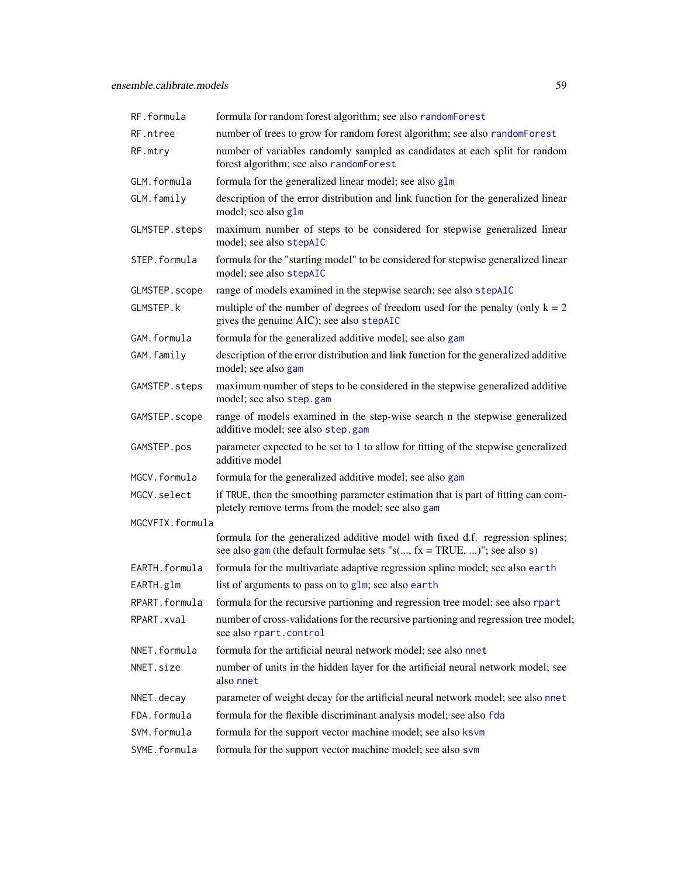| RF.formula      | formula for random forest algorithm; see also randomForest                                                                                                      |
|-----------------|-----------------------------------------------------------------------------------------------------------------------------------------------------------------|
| RF.ntree        | number of trees to grow for random forest algorithm; see also randomForest                                                                                      |
| RF.mtry         | number of variables randomly sampled as candidates at each split for random<br>forest algorithm; see also randomForest                                          |
| GLM.formula     | formula for the generalized linear model; see also glm                                                                                                          |
| GLM.family      | description of the error distribution and link function for the generalized linear<br>model; see also glm                                                       |
| GLMSTEP.steps   | maximum number of steps to be considered for stepwise generalized linear<br>model; see also stepAIC                                                             |
| STEP.formula    | formula for the "starting model" to be considered for stepwise generalized linear<br>model; see also stepAIC                                                    |
| GLMSTEP.scope   | range of models examined in the stepwise search; see also stepAIC                                                                                               |
| GLMSTEP.k       | multiple of the number of degrees of freedom used for the penalty (only $k = 2$<br>gives the genuine AIC); see also stepAIC                                     |
| GAM.formula     | formula for the generalized additive model; see also gam                                                                                                        |
| GAM.family      | description of the error distribution and link function for the generalized additive<br>model; see also gam                                                     |
| GAMSTEP.steps   | maximum number of steps to be considered in the stepwise generalized additive<br>model; see also step.gam                                                       |
| GAMSTEP.scope   | range of models examined in the step-wise search n the stepwise generalized<br>additive model; see also step.gam                                                |
| GAMSTEP.pos     | parameter expected to be set to 1 to allow for fitting of the stepwise generalized<br>additive model                                                            |
| MGCV.formula    | formula for the generalized additive model; see also gam                                                                                                        |
| MGCV.select     | if TRUE, then the smoothing parameter estimation that is part of fitting can com-<br>pletely remove terms from the model; see also gam                          |
| MGCVFIX.formula |                                                                                                                                                                 |
|                 | formula for the generalized additive model with fixed d.f. regression splines;<br>see also gam (the default formulae sets " $s(, fx = TRUE, )$ "; see also $s)$ |
| EARTH.formula   | formula for the multivariate adaptive regression spline model; see also earth                                                                                   |
| EARTH.glm       | list of arguments to pass on to glm; see also earth                                                                                                             |
| RPART.formula   | formula for the recursive partioning and regression tree model; see also rpart                                                                                  |
| RPART.xval      | number of cross-validations for the recursive partioning and regression tree model;<br>see also rpart.control                                                   |
| NNET.formula    | formula for the artificial neural network model; see also nnet                                                                                                  |
| NNET.size       | number of units in the hidden layer for the artificial neural network model; see<br>also nnet                                                                   |
| NNET.decay      | parameter of weight decay for the artificial neural network model; see also nnet                                                                                |
| FDA.formula     | formula for the flexible discriminant analysis model; see also fda                                                                                              |
| SVM.formula     | formula for the support vector machine model; see also ksvm                                                                                                     |
| SVME.formula    | formula for the support vector machine model; see also svm                                                                                                      |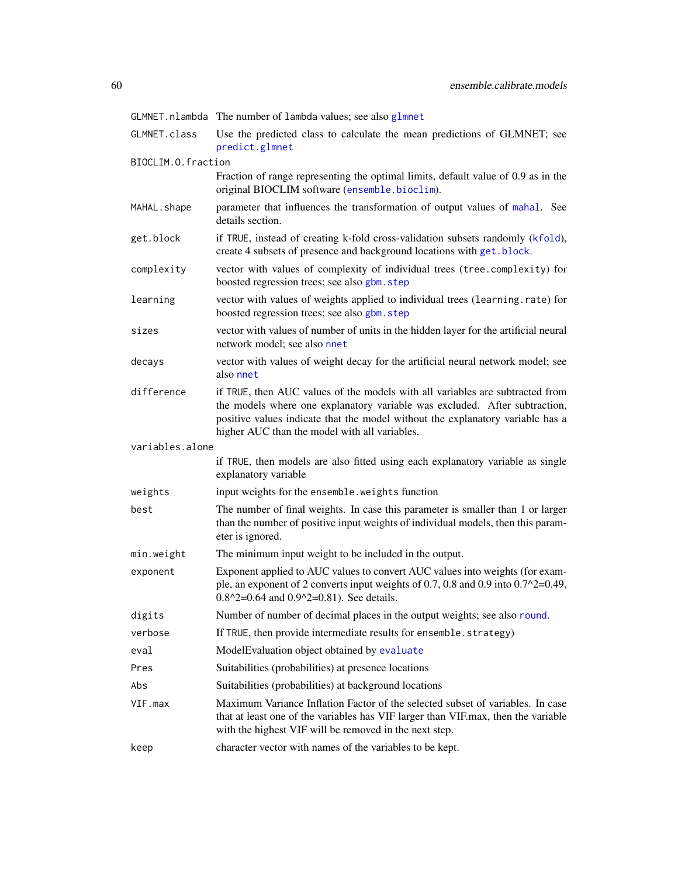|                    | GLMNET.nlambda The number of lambda values; see also glmnet                                                                                                                                                                                                                                    |
|--------------------|------------------------------------------------------------------------------------------------------------------------------------------------------------------------------------------------------------------------------------------------------------------------------------------------|
| GLMNET.class       | Use the predicted class to calculate the mean predictions of GLMNET; see<br>predict.glmnet                                                                                                                                                                                                     |
| BIOCLIM.O.fraction |                                                                                                                                                                                                                                                                                                |
|                    | Fraction of range representing the optimal limits, default value of 0.9 as in the<br>original BIOCLIM software (ensemble.bioclim).                                                                                                                                                             |
| MAHAL.shape        | parameter that influences the transformation of output values of mahal. See<br>details section.                                                                                                                                                                                                |
| get.block          | if TRUE, instead of creating k-fold cross-validation subsets randomly (kfold),<br>create 4 subsets of presence and background locations with get. block.                                                                                                                                       |
| complexity         | vector with values of complexity of individual trees (tree.complexity) for<br>boosted regression trees; see also gbm. step                                                                                                                                                                     |
| learning           | vector with values of weights applied to individual trees (learning.rate) for<br>boosted regression trees; see also gbm. step                                                                                                                                                                  |
| sizes              | vector with values of number of units in the hidden layer for the artificial neural<br>network model; see also nnet                                                                                                                                                                            |
| decays             | vector with values of weight decay for the artificial neural network model; see<br>also nnet                                                                                                                                                                                                   |
| difference         | if TRUE, then AUC values of the models with all variables are subtracted from<br>the models where one explanatory variable was excluded. After subtraction,<br>positive values indicate that the model without the explanatory variable has a<br>higher AUC than the model with all variables. |
| variables.alone    |                                                                                                                                                                                                                                                                                                |
|                    | if TRUE, then models are also fitted using each explanatory variable as single<br>explanatory variable                                                                                                                                                                                         |
| weights            | input weights for the ensemble. weights function                                                                                                                                                                                                                                               |
| best               | The number of final weights. In case this parameter is smaller than 1 or larger<br>than the number of positive input weights of individual models, then this param-<br>eter is ignored.                                                                                                        |
| min.weight         | The minimum input weight to be included in the output.                                                                                                                                                                                                                                         |
| exponent           | Exponent applied to AUC values to convert AUC values into weights (for exam-<br>ple, an exponent of 2 converts input weights of 0.7, 0.8 and 0.9 into $0.7^{\prime\prime}2=0.49$ ,<br>$0.8^2$ = 0.64 and $0.9^2$ = 0.81). See details.                                                         |
| digits             | Number of number of decimal places in the output weights; see also round.                                                                                                                                                                                                                      |
| verbose            | If TRUE, then provide intermediate results for ensemble.strategy)                                                                                                                                                                                                                              |
| eval               | ModelEvaluation object obtained by evaluate                                                                                                                                                                                                                                                    |
| Pres               | Suitabilities (probabilities) at presence locations                                                                                                                                                                                                                                            |
| Abs                | Suitabilities (probabilities) at background locations                                                                                                                                                                                                                                          |
| VIF.max            | Maximum Variance Inflation Factor of the selected subset of variables. In case<br>that at least one of the variables has VIF larger than VIF.max, then the variable<br>with the highest VIF will be removed in the next step.                                                                  |
| keep               | character vector with names of the variables to be kept.                                                                                                                                                                                                                                       |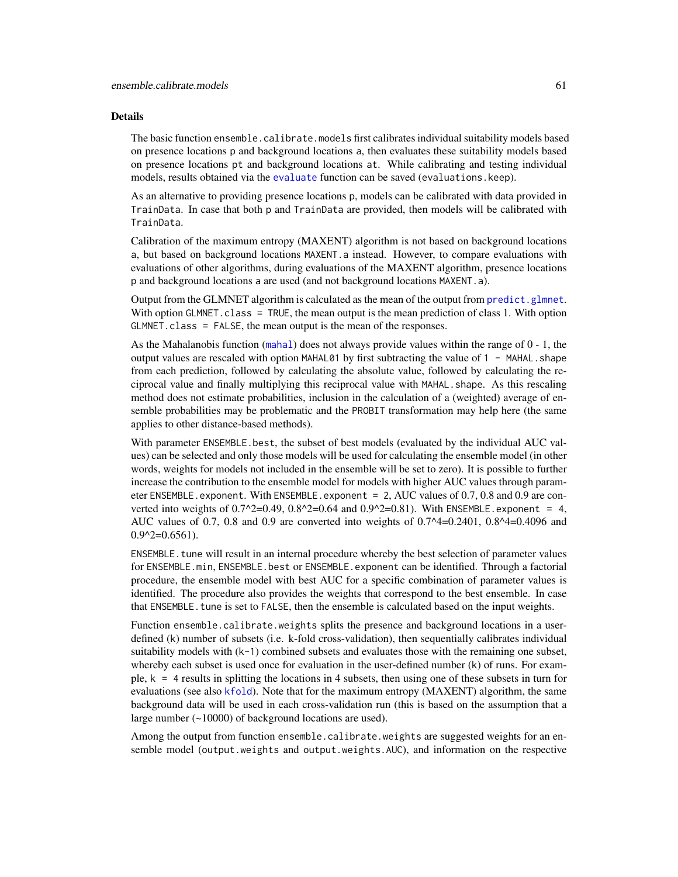### Details

The basic function ensemble.calibrate.models first calibrates individual suitability models based on presence locations p and background locations a, then evaluates these suitability models based on presence locations pt and background locations at. While calibrating and testing individual models, results obtained via the [evaluate](#page-0-0) function can be saved (evaluations.keep).

As an alternative to providing presence locations p, models can be calibrated with data provided in TrainData. In case that both p and TrainData are provided, then models will be calibrated with TrainData.

Calibration of the maximum entropy (MAXENT) algorithm is not based on background locations a, but based on background locations MAXENT.a instead. However, to compare evaluations with evaluations of other algorithms, during evaluations of the MAXENT algorithm, presence locations p and background locations a are used (and not background locations MAXENT.a).

Output from the GLMNET algorithm is calculated as the mean of the output from [predict.glmnet](#page-0-0). With option GLMNET. class = TRUE, the mean output is the mean prediction of class 1. With option GLMNET.class = FALSE, the mean output is the mean of the responses.

As the Mahalanobis function ([mahal](#page-0-0)) does not always provide values within the range of 0 - 1, the output values are rescaled with option MAHAL01 by first subtracting the value of 1 - MAHAL.shape from each prediction, followed by calculating the absolute value, followed by calculating the reciprocal value and finally multiplying this reciprocal value with MAHAL. shape. As this rescaling method does not estimate probabilities, inclusion in the calculation of a (weighted) average of ensemble probabilities may be problematic and the PROBIT transformation may help here (the same applies to other distance-based methods).

With parameter ENSEMBLE.best, the subset of best models (evaluated by the individual AUC values) can be selected and only those models will be used for calculating the ensemble model (in other words, weights for models not included in the ensemble will be set to zero). It is possible to further increase the contribution to the ensemble model for models with higher AUC values through parameter ENSEMBLE.exponent. With ENSEMBLE.exponent =  $2$ , AUC values of 0.7, 0.8 and 0.9 are converted into weights of  $0.7^2=0.49$ ,  $0.8^2=0.64$  and  $0.9^2=0.81$ ). With ENSEMBLE.exponent = 4, AUC values of 0.7, 0.8 and 0.9 are converted into weights of 0.7^4=0.2401, 0.8^4=0.4096 and  $0.9^2$ = $0.6561$ ).

ENSEMBLE. tune will result in an internal procedure whereby the best selection of parameter values for ENSEMBLE.min, ENSEMBLE.best or ENSEMBLE.exponent can be identified. Through a factorial procedure, the ensemble model with best AUC for a specific combination of parameter values is identified. The procedure also provides the weights that correspond to the best ensemble. In case that ENSEMBLE. tune is set to FALSE, then the ensemble is calculated based on the input weights.

Function ensemble.calibrate.weights splits the presence and background locations in a userdefined (k) number of subsets (i.e. k-fold cross-validation), then sequentially calibrates individual suitability models with  $(k-1)$  combined subsets and evaluates those with the remaining one subset, whereby each subset is used once for evaluation in the user-defined number (k) of runs. For example,  $k = 4$  results in splitting the locations in 4 subsets, then using one of these subsets in turn for evaluations (see also [kfold](#page-0-0)). Note that for the maximum entropy (MAXENT) algorithm, the same background data will be used in each cross-validation run (this is based on the assumption that a large number (~10000) of background locations are used).

Among the output from function ensemble.calibrate.weights are suggested weights for an ensemble model (output.weights and output.weights.AUC), and information on the respective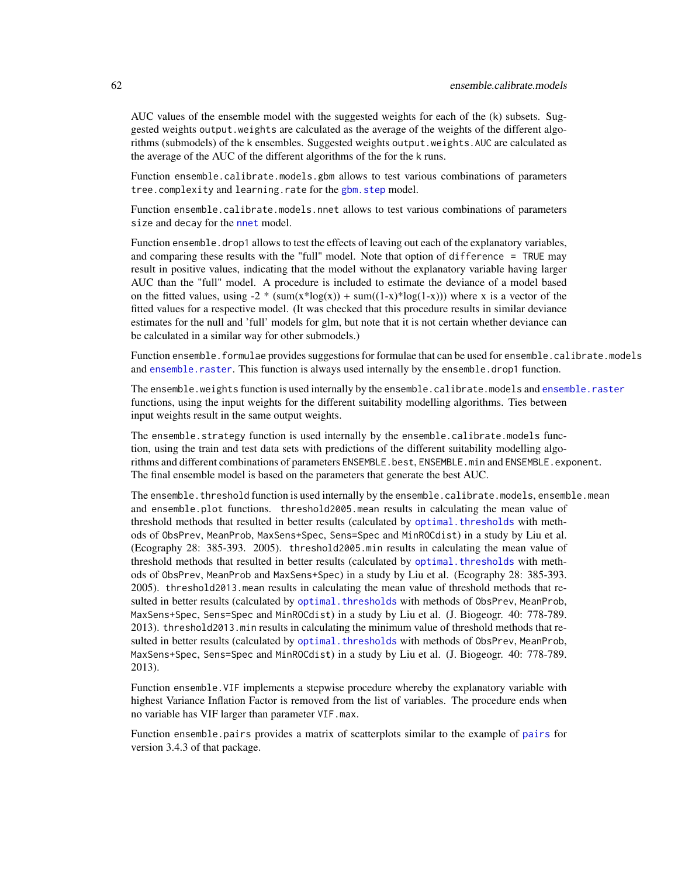AUC values of the ensemble model with the suggested weights for each of the (k) subsets. Suggested weights output.weights are calculated as the average of the weights of the different algorithms (submodels) of the k ensembles. Suggested weights output.weights.AUC are calculated as the average of the AUC of the different algorithms of the for the k runs.

Function ensemble.calibrate.models.gbm allows to test various combinations of parameters tree.complexity and learning.rate for the [gbm.step](#page-0-0) model.

Function ensemble.calibrate.models.nnet allows to test various combinations of parameters size and decay for the [nnet](#page-0-0) model.

Function ensemble.drop1 allows to test the effects of leaving out each of the explanatory variables, and comparing these results with the "full" model. Note that option of difference = TRUE may result in positive values, indicating that the model without the explanatory variable having larger AUC than the "full" model. A procedure is included to estimate the deviance of a model based on the fitted values, using  $-2 \cdot (sum(x * log(x)) + sum((1-x)*log(1-x)))$  where x is a vector of the fitted values for a respective model. (It was checked that this procedure results in similar deviance estimates for the null and 'full' models for glm, but note that it is not certain whether deviance can be calculated in a similar way for other submodels.)

Function ensemble.formulae provides suggestions for formulae that can be used for ensemble.calibrate.models and [ensemble.raster](#page-76-0). This function is always used internally by the ensemble.drop1 function.

The ensemble.weights function is used internally by the ensemble.calibrate.models and [ensemble.raster](#page-76-0) functions, using the input weights for the different suitability modelling algorithms. Ties between input weights result in the same output weights.

The ensemble.strategy function is used internally by the ensemble.calibrate.models function, using the train and test data sets with predictions of the different suitability modelling algorithms and different combinations of parameters ENSEMBLE. best, ENSEMBLE. min and ENSEMBLE. exponent. The final ensemble model is based on the parameters that generate the best AUC.

The ensemble.threshold function is used internally by the ensemble.calibrate.models, ensemble.mean and ensemble.plot functions. threshold2005.mean results in calculating the mean value of threshold methods that resulted in better results (calculated by [optimal.thresholds](#page-0-0) with methods of ObsPrev, MeanProb, MaxSens+Spec, Sens=Spec and MinROCdist) in a study by Liu et al. (Ecography 28: 385-393. 2005). threshold2005.min results in calculating the mean value of threshold methods that resulted in better results (calculated by [optimal.thresholds](#page-0-0) with methods of ObsPrev, MeanProb and MaxSens+Spec) in a study by Liu et al. (Ecography 28: 385-393. 2005). threshold2013.mean results in calculating the mean value of threshold methods that resulted in better results (calculated by [optimal.thresholds](#page-0-0) with methods of ObsPrev, MeanProb, MaxSens+Spec, Sens=Spec and MinROCdist) in a study by Liu et al. (J. Biogeogr. 40: 778-789. 2013). threshold2013.min results in calculating the minimum value of threshold methods that resulted in better results (calculated by optimal. thresholds with methods of ObsPrev, MeanProb, MaxSens+Spec, Sens=Spec and MinROCdist) in a study by Liu et al. (J. Biogeogr. 40: 778-789. 2013).

Function ensemble.VIF implements a stepwise procedure whereby the explanatory variable with highest Variance Inflation Factor is removed from the list of variables. The procedure ends when no variable has VIF larger than parameter VIF.max.

Function ensemble.pairs provides a matrix of scatterplots similar to the example of [pairs](#page-0-0) for version 3.4.3 of that package.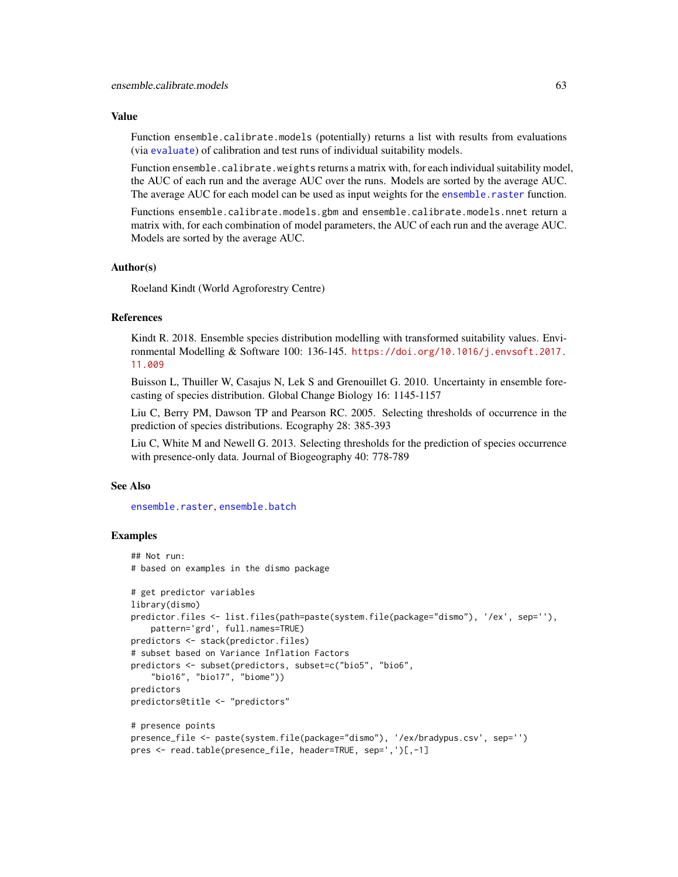### Value

Function ensemble.calibrate.models (potentially) returns a list with results from evaluations (via [evaluate](#page-0-0)) of calibration and test runs of individual suitability models.

Function ensemble.calibrate.weights returns a matrix with, for each individual suitability model, the AUC of each run and the average AUC over the runs. Models are sorted by the average AUC. The average AUC for each model can be used as input weights for the ensemble. raster function.

Functions ensemble.calibrate.models.gbm and ensemble.calibrate.models.nnet return a matrix with, for each combination of model parameters, the AUC of each run and the average AUC. Models are sorted by the average AUC.

# Author(s)

Roeland Kindt (World Agroforestry Centre)

# References

Kindt R. 2018. Ensemble species distribution modelling with transformed suitability values. Environmental Modelling & Software 100: 136-145. [https://doi.org/10.1016/j.envsoft.2017.](https://doi.org/10.1016/j.envsoft.2017.11.009) [11.009](https://doi.org/10.1016/j.envsoft.2017.11.009)

Buisson L, Thuiller W, Casajus N, Lek S and Grenouillet G. 2010. Uncertainty in ensemble forecasting of species distribution. Global Change Biology 16: 1145-1157

Liu C, Berry PM, Dawson TP and Pearson RC. 2005. Selecting thresholds of occurrence in the prediction of species distributions. Ecography 28: 385-393

Liu C, White M and Newell G. 2013. Selecting thresholds for the prediction of species occurrence with presence-only data. Journal of Biogeography 40: 778-789

### See Also

[ensemble.raster](#page-76-0), [ensemble.batch](#page-30-0)

```
## Not run:
# based on examples in the dismo package
# get predictor variables
library(dismo)
predictor.files <- list.files(path=paste(system.file(package="dismo"), '/ex', sep=''),
   pattern='grd', full.names=TRUE)
predictors <- stack(predictor.files)
# subset based on Variance Inflation Factors
predictors <- subset(predictors, subset=c("bio5", "bio6",
    "bio16", "bio17", "biome"))
predictors
predictors@title <- "predictors"
# presence points
presence_file <- paste(system.file(package="dismo"), '/ex/bradypus.csv', sep='')
pres <- read.table(presence_file, header=TRUE, sep=',')[,-1]
```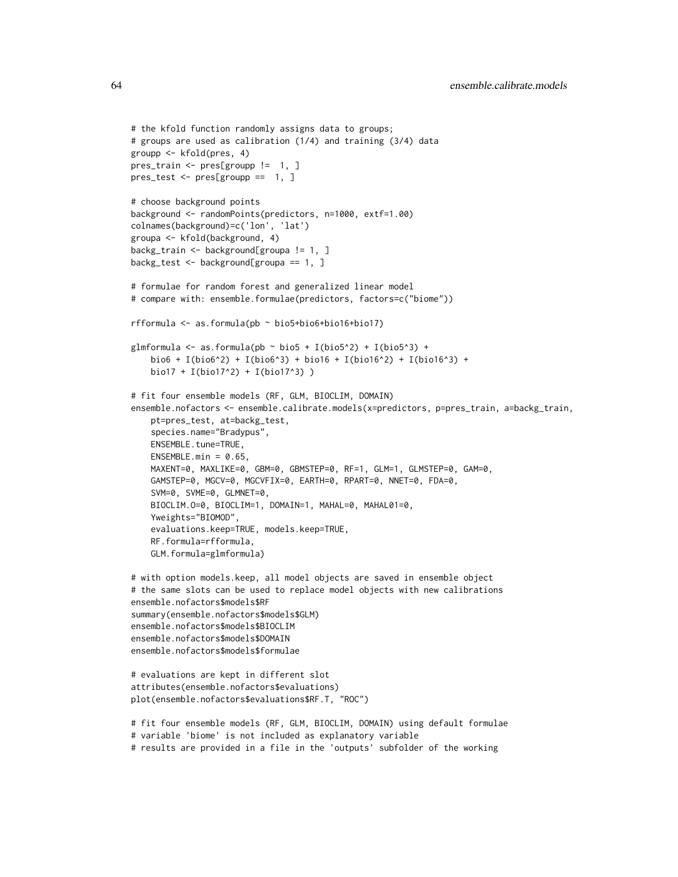```
# the kfold function randomly assigns data to groups;
# groups are used as calibration (1/4) and training (3/4) data
groupp <- kfold(pres, 4)
pres_train <- pres[groupp != 1, ]
pres_test <- pres[groupp == 1, ]
# choose background points
background <- randomPoints(predictors, n=1000, extf=1.00)
colnames(background)=c('lon', 'lat')
groupa <- kfold(background, 4)
backg_train <- background[groupa != 1, ]
backg_test <- background[groupa == 1, ]
# formulae for random forest and generalized linear model
# compare with: ensemble.formulae(predictors, factors=c("biome"))
rfformula <- as.formula(pb ~ bio5+bio6+bio16+bio17)
glmformula \leq as.formula(pb \sim bio5 + I(bio5^2) + I(bio5^3) +
    bio6 + I(bio6^2) + I(bio6^3) + bio16 + I(bio16^2) + I(bio16^3) +bio17 + I(bio17^2) + I(bio17^3) )
# fit four ensemble models (RF, GLM, BIOCLIM, DOMAIN)
ensemble.nofactors <- ensemble.calibrate.models(x=predictors, p=pres_train, a=backg_train,
    pt=pres_test, at=backg_test,
    species.name="Bradypus",
    ENSEMBLE.tune=TRUE,
   ENSEMBLE.min = 0.65,
   MAXENT=0, MAXLIKE=0, GBM=0, GBMSTEP=0, RF=1, GLM=1, GLMSTEP=0, GAM=0,
   GAMSTEP=0, MGCV=0, MGCVFIX=0, EARTH=0, RPART=0, NNET=0, FDA=0,
    SVM=0, SVME=0, GLMNET=0,
   BIOCLIM.O=0, BIOCLIM=1, DOMAIN=1, MAHAL=0, MAHAL01=0,
   Yweights="BIOMOD",
    evaluations.keep=TRUE, models.keep=TRUE,
   RF.formula=rfformula,
    GLM.formula=glmformula)
# with option models.keep, all model objects are saved in ensemble object
# the same slots can be used to replace model objects with new calibrations
ensemble.nofactors$models$RF
summary(ensemble.nofactors$models$GLM)
ensemble.nofactors$models$BIOCLIM
ensemble.nofactors$models$DOMAIN
ensemble.nofactors$models$formulae
# evaluations are kept in different slot
```

```
# fit four ensemble models (RF, GLM, BIOCLIM, DOMAIN) using default formulae
# variable 'biome' is not included as explanatory variable
# results are provided in a file in the 'outputs' subfolder of the working
```
attributes(ensemble.nofactors\$evaluations) plot(ensemble.nofactors\$evaluations\$RF.T, "ROC")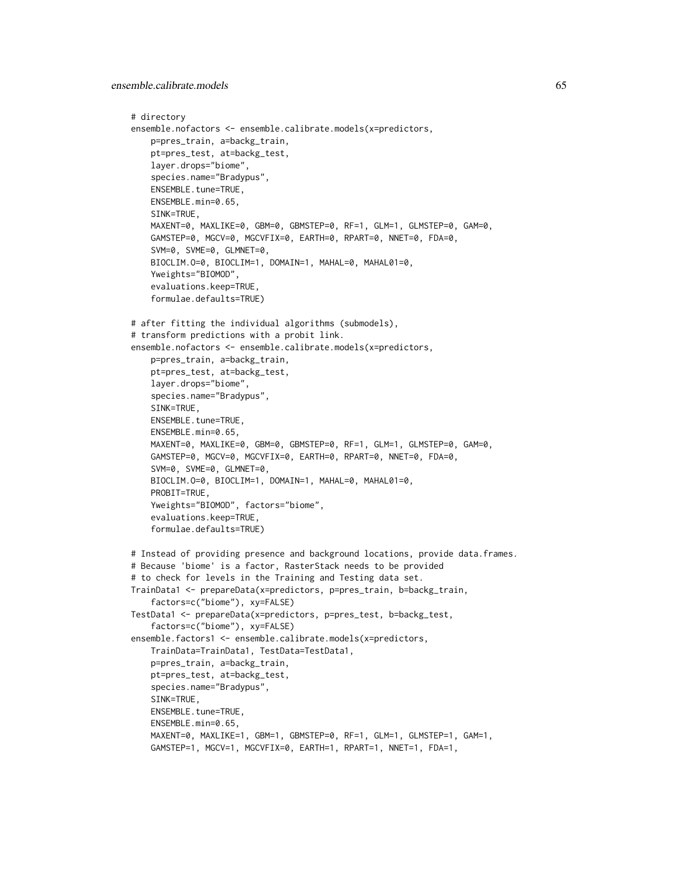ensemble.calibrate.models 65

```
# directory
ensemble.nofactors <- ensemble.calibrate.models(x=predictors,
   p=pres_train, a=backg_train,
   pt=pres_test, at=backg_test,
   layer.drops="biome",
    species.name="Bradypus",
   ENSEMBLE.tune=TRUE,
   ENSEMBLE.min=0.65,
   SINK=TRUE,
   MAXENT=0, MAXLIKE=0, GBM=0, GBMSTEP=0, RF=1, GLM=1, GLMSTEP=0, GAM=0,
   GAMSTEP=0, MGCV=0, MGCVFIX=0, EARTH=0, RPART=0, NNET=0, FDA=0,
    SVM=0, SVME=0, GLMNET=0,
   BIOCLIM.O=0, BIOCLIM=1, DOMAIN=1, MAHAL=0, MAHAL01=0,
    Yweights="BIOMOD",
    evaluations.keep=TRUE,
    formulae.defaults=TRUE)
# after fitting the individual algorithms (submodels),
# transform predictions with a probit link.
ensemble.nofactors <- ensemble.calibrate.models(x=predictors,
   p=pres_train, a=backg_train,
   pt=pres_test, at=backg_test,
   layer.drops="biome",
    species.name="Bradypus",
    SINK=TRUE,
   ENSEMBLE.tune=TRUE,
   ENSEMBLE.min=0.65,
   MAXENT=0, MAXLIKE=0, GBM=0, GBMSTEP=0, RF=1, GLM=1, GLMSTEP=0, GAM=0,
   GAMSTEP=0, MGCV=0, MGCVFIX=0, EARTH=0, RPART=0, NNET=0, FDA=0,
   SVM=0, SVME=0, GLMNET=0,
   BIOCLIM.O=0, BIOCLIM=1, DOMAIN=1, MAHAL=0, MAHAL01=0,
   PROBIT=TRUE,
   Yweights="BIOMOD", factors="biome",
    evaluations.keep=TRUE,
    formulae.defaults=TRUE)
# Instead of providing presence and background locations, provide data.frames.
# Because 'biome' is a factor, RasterStack needs to be provided
# to check for levels in the Training and Testing data set.
TrainData1 <- prepareData(x=predictors, p=pres_train, b=backg_train,
    factors=c("biome"), xy=FALSE)
TestData1 <- prepareData(x=predictors, p=pres_test, b=backg_test,
    factors=c("biome"), xy=FALSE)
ensemble.factors1 <- ensemble.calibrate.models(x=predictors,
   TrainData=TrainData1, TestData=TestData1,
   p=pres_train, a=backg_train,
   pt=pres_test, at=backg_test,
   species.name="Bradypus",
   SINK=TRUE,
   ENSEMBLE.tune=TRUE,
   ENSEMBLE.min=0.65,
   MAXENT=0, MAXLIKE=1, GBM=1, GBMSTEP=0, RF=1, GLM=1, GLMSTEP=1, GAM=1,
   GAMSTEP=1, MGCV=1, MGCVFIX=0, EARTH=1, RPART=1, NNET=1, FDA=1,
```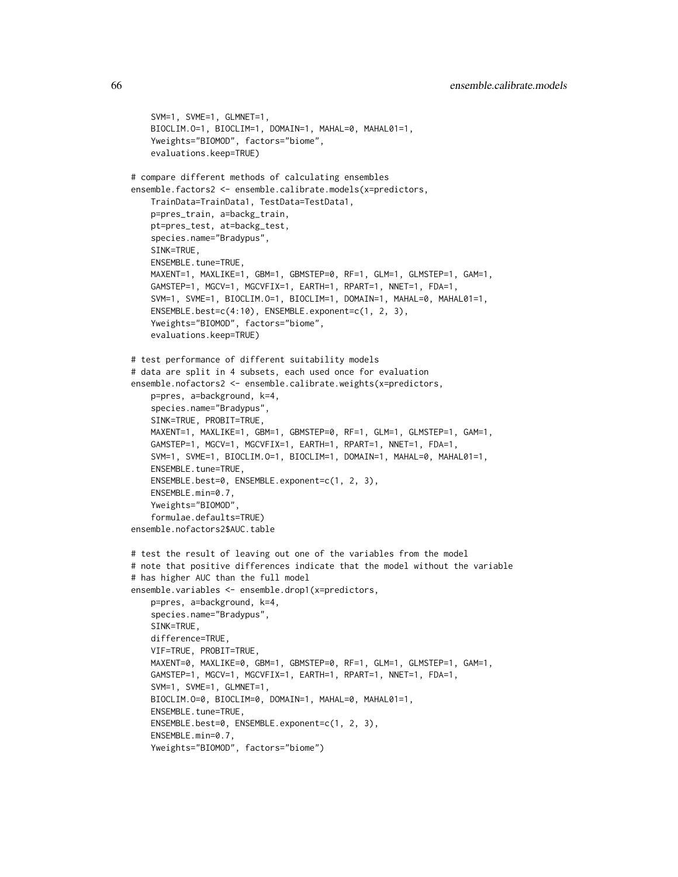```
SVM=1, SVME=1, GLMNET=1,
    BIOCLIM.O=1, BIOCLIM=1, DOMAIN=1, MAHAL=0, MAHAL01=1,
    Yweights="BIOMOD", factors="biome",
   evaluations.keep=TRUE)
# compare different methods of calculating ensembles
ensemble.factors2 <- ensemble.calibrate.models(x=predictors,
    TrainData=TrainData1, TestData=TestData1,
   p=pres_train, a=backg_train,
   pt=pres_test, at=backg_test,
   species.name="Bradypus",
   SINK=TRUE,
   ENSEMBLE.tune=TRUE,
   MAXENT=1, MAXLIKE=1, GBM=1, GBMSTEP=0, RF=1, GLM=1, GLMSTEP=1, GAM=1,
    GAMSTEP=1, MGCV=1, MGCVFIX=1, EARTH=1, RPART=1, NNET=1, FDA=1,
    SVM=1, SVME=1, BIOCLIM.O=1, BIOCLIM=1, DOMAIN=1, MAHAL=0, MAHAL01=1,
   ENSEMBLE.best=c(4:10), ENSEMBLE.exponent=c(1, 2, 3),
    Yweights="BIOMOD", factors="biome",
    evaluations.keep=TRUE)
# test performance of different suitability models
# data are split in 4 subsets, each used once for evaluation
ensemble.nofactors2 <- ensemble.calibrate.weights(x=predictors,
   p=pres, a=background, k=4,
    species.name="Bradypus",
    SINK=TRUE, PROBIT=TRUE,
   MAXENT=1, MAXLIKE=1, GBM=1, GBMSTEP=0, RF=1, GLM=1, GLMSTEP=1, GAM=1,
    GAMSTEP=1, MGCV=1, MGCVFIX=1, EARTH=1, RPART=1, NNET=1, FDA=1,
    SVM=1, SVME=1, BIOCLIM.O=1, BIOCLIM=1, DOMAIN=1, MAHAL=0, MAHAL01=1,
   ENSEMBLE.tune=TRUE,
   ENSEMBLE.best=0, ENSEMBLE.exponent=c(1, 2, 3),
   ENSEMBLE.min=0.7,
   Yweights="BIOMOD",
    formulae.defaults=TRUE)
ensemble.nofactors2$AUC.table
# test the result of leaving out one of the variables from the model
# note that positive differences indicate that the model without the variable
# has higher AUC than the full model
ensemble.variables <- ensemble.drop1(x=predictors,
   p=pres, a=background, k=4,
   species.name="Bradypus",
   SINK=TRUE,
   difference=TRUE,
   VIF=TRUE, PROBIT=TRUE,
   MAXENT=0, MAXLIKE=0, GBM=1, GBMSTEP=0, RF=1, GLM=1, GLMSTEP=1, GAM=1,
    GAMSTEP=1, MGCV=1, MGCVFIX=1, EARTH=1, RPART=1, NNET=1, FDA=1,
    SVM=1, SVME=1, GLMNET=1,
   BIOCLIM.O=0, BIOCLIM=0, DOMAIN=1, MAHAL=0, MAHAL01=1,
   ENSEMBLE.tune=TRUE,
   ENSEMBLE.best=0, ENSEMBLE.exponent=c(1, 2, 3),
   ENSEMBLE.min=0.7,
   Yweights="BIOMOD", factors="biome")
```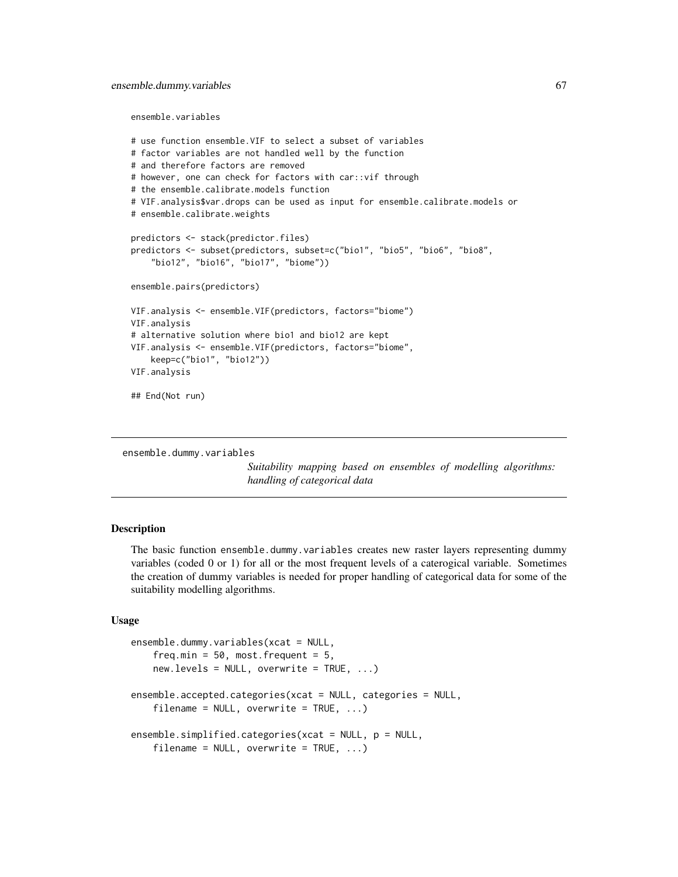### ensemble.dummy.variables 67

ensemble.variables

```
# use function ensemble.VIF to select a subset of variables
# factor variables are not handled well by the function
# and therefore factors are removed
# however, one can check for factors with car::vif through
# the ensemble.calibrate.models function
# VIF.analysis$var.drops can be used as input for ensemble.calibrate.models or
# ensemble.calibrate.weights
predictors <- stack(predictor.files)
predictors <- subset(predictors, subset=c("bio1", "bio5", "bio6", "bio8",
    "bio12", "bio16", "bio17", "biome"))
ensemble.pairs(predictors)
VIF.analysis <- ensemble.VIF(predictors, factors="biome")
VIF.analysis
# alternative solution where bio1 and bio12 are kept
VIF.analysis <- ensemble.VIF(predictors, factors="biome",
    keep=c("bio1", "bio12"))
VIF.analysis
## End(Not run)
```
ensemble.dummy.variables

*Suitability mapping based on ensembles of modelling algorithms: handling of categorical data*

### Description

The basic function ensemble.dummy.variables creates new raster layers representing dummy variables (coded 0 or 1) for all or the most frequent levels of a caterogical variable. Sometimes the creation of dummy variables is needed for proper handling of categorical data for some of the suitability modelling algorithms.

## Usage

```
ensemble.dummy.variables(xcat = NULL,
    freq.min = 50, most.frequent = 5,
    new.\nlevels = NULL, overwrite = TRUE, ...)ensemble.accepted.categories(xcat = NULL, categories = NULL,
    filename = NULL, overwrite = TRUE, ...)
ensemble.simplified.categories(xcat = NULL, p = NULL,
    filename = NULL, overwrite = TRUE, ...)
```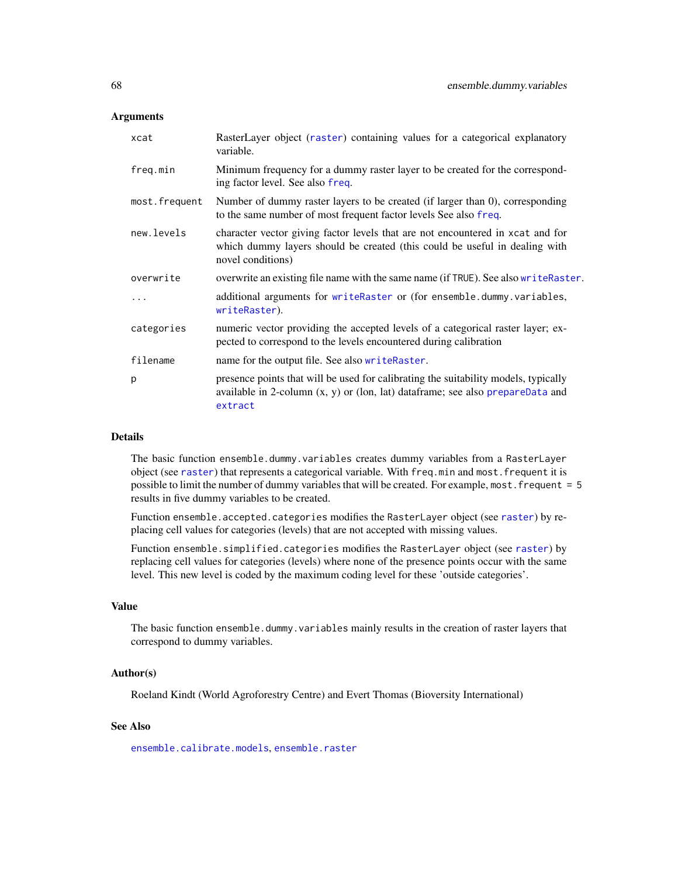### **Arguments**

| xcat          | RasterLayer object (raster) containing values for a categorical explanatory<br>variable.                                                                                           |
|---------------|------------------------------------------------------------------------------------------------------------------------------------------------------------------------------------|
| freq.min      | Minimum frequency for a dummy raster layer to be created for the correspond-<br>ing factor level. See also freq.                                                                   |
| most.frequent | Number of dummy raster layers to be created (if larger than $0$ ), corresponding<br>to the same number of most frequent factor levels See also freq.                               |
| new.levels    | character vector giving factor levels that are not encountered in xcat and for<br>which dummy layers should be created (this could be useful in dealing with<br>novel conditions)  |
| overwrite     | overwrite an existing file name with the same name (if TRUE). See also write Raster.                                                                                               |
| .             | additional arguments for writeRaster or (for ensemble.dummy.variables,<br>writeRaster).                                                                                            |
| categories    | numeric vector providing the accepted levels of a categorical raster layer; ex-<br>pected to correspond to the levels encountered during calibration                               |
| filename      | name for the output file. See also writeRaster.                                                                                                                                    |
| p             | presence points that will be used for calibrating the suitability models, typically<br>available in 2-column $(x, y)$ or (lon, lat) dataframe; see also prepareData and<br>extract |

# Details

The basic function ensemble.dummy.variables creates dummy variables from a RasterLayer object (see [raster](#page-0-0)) that represents a categorical variable. With freq.min and most.frequent it is possible to limit the number of dummy variables that will be created. For example, most.frequent = 5 results in five dummy variables to be created.

Function ensemble.accepted.categories modifies the RasterLayer object (see [raster](#page-0-0)) by replacing cell values for categories (levels) that are not accepted with missing values.

Function ensemble.simplified.categories modifies the RasterLayer object (see [raster](#page-0-0)) by replacing cell values for categories (levels) where none of the presence points occur with the same level. This new level is coded by the maximum coding level for these 'outside categories'.

### Value

The basic function ensemble.dummy.variables mainly results in the creation of raster layers that correspond to dummy variables.

# Author(s)

Roeland Kindt (World Agroforestry Centre) and Evert Thomas (Bioversity International)

# See Also

[ensemble.calibrate.models](#page-49-1), [ensemble.raster](#page-76-0)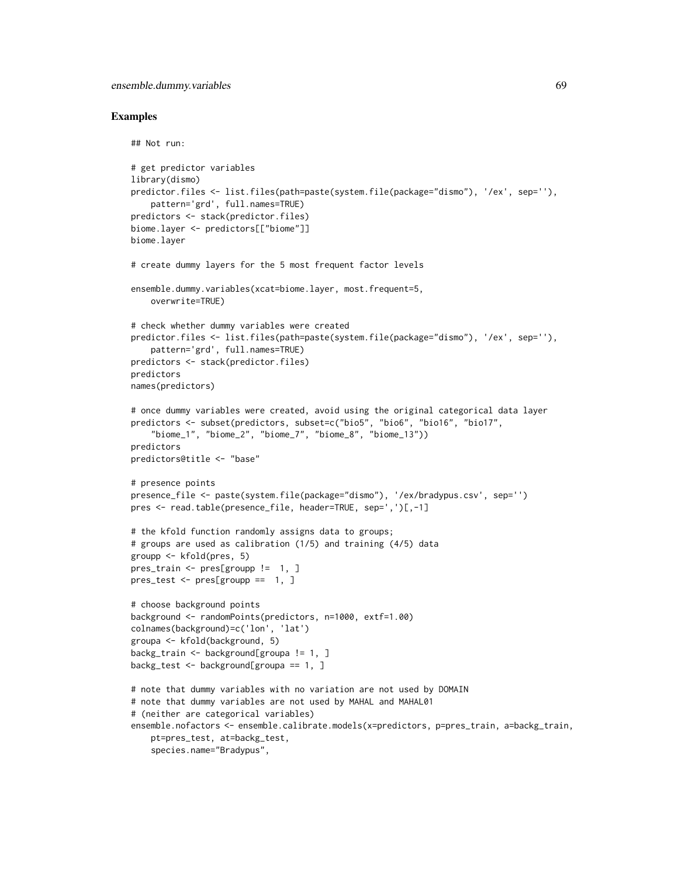```
## Not run:
# get predictor variables
library(dismo)
predictor.files <- list.files(path=paste(system.file(package="dismo"), '/ex', sep=''),
    pattern='grd', full.names=TRUE)
predictors <- stack(predictor.files)
biome.layer <- predictors[["biome"]]
biome.layer
# create dummy layers for the 5 most frequent factor levels
ensemble.dummy.variables(xcat=biome.layer, most.frequent=5,
    overwrite=TRUE)
# check whether dummy variables were created
predictor.files <- list.files(path=paste(system.file(package="dismo"), '/ex', sep=''),
    pattern='grd', full.names=TRUE)
predictors <- stack(predictor.files)
predictors
names(predictors)
# once dummy variables were created, avoid using the original categorical data layer
predictors <- subset(predictors, subset=c("bio5", "bio6", "bio16", "bio17",
    "biome_1", "biome_2", "biome_7", "biome_8", "biome_13"))
predictors
predictors@title <- "base"
# presence points
presence_file <- paste(system.file(package="dismo"), '/ex/bradypus.csv', sep='')
pres <- read.table(presence_file, header=TRUE, sep=',')[,-1]
# the kfold function randomly assigns data to groups;
# groups are used as calibration (1/5) and training (4/5) data
groupp <- kfold(pres, 5)
pres_train <- pres[groupp != 1, ]
pres_test <- pres[groupp == 1, ]
# choose background points
background <- randomPoints(predictors, n=1000, extf=1.00)
colnames(background)=c('lon', 'lat')
groupa <- kfold(background, 5)
backg_train <- background[groupa != 1, ]
backg_test <- background[groupa == 1, ]
# note that dummy variables with no variation are not used by DOMAIN
# note that dummy variables are not used by MAHAL and MAHAL01
# (neither are categorical variables)
ensemble.nofactors <- ensemble.calibrate.models(x=predictors, p=pres_train, a=backg_train,
   pt=pres_test, at=backg_test,
    species.name="Bradypus",
```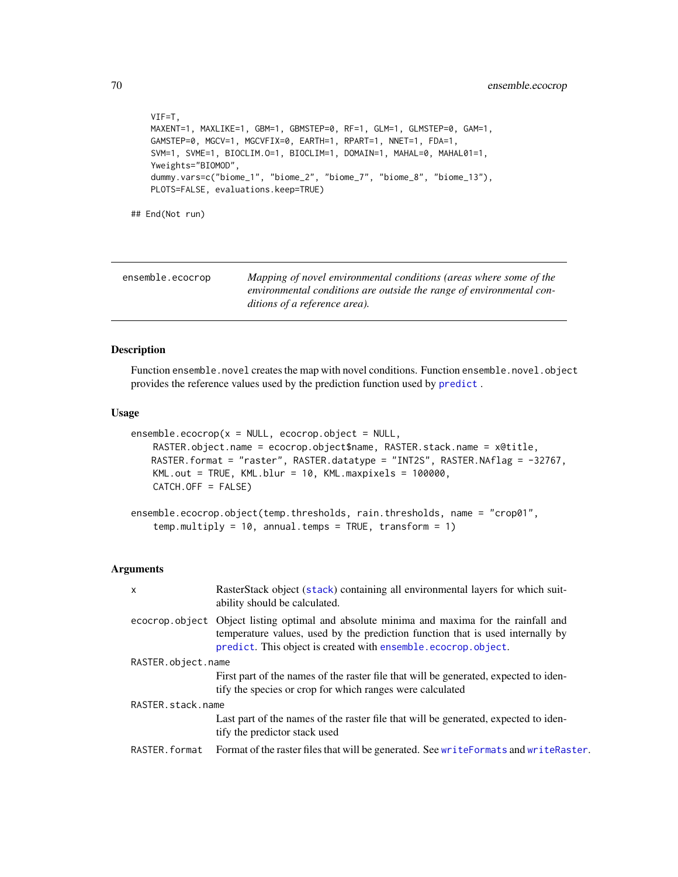```
VIF=T,
   MAXENT=1, MAXLIKE=1, GBM=1, GBMSTEP=0, RF=1, GLM=1, GLMSTEP=0, GAM=1,
   GAMSTEP=0, MGCV=1, MGCVFIX=0, EARTH=1, RPART=1, NNET=1, FDA=1,
   SVM=1, SVME=1, BIOCLIM.O=1, BIOCLIM=1, DOMAIN=1, MAHAL=0, MAHAL01=1,
   Yweights="BIOMOD",
   dummy.vars=c("biome_1", "biome_2", "biome_7", "biome_8", "biome_13"),
   PLOTS=FALSE, evaluations.keep=TRUE)
## End(Not run)
```
ensemble.ecocrop *Mapping of novel environmental conditions (areas where some of the environmental conditions are outside the range of environmental conditions of a reference area).*

### <span id="page-69-0"></span>Description

Function ensemble.novel creates the map with novel conditions. Function ensemble.novel.object provides the reference values used by the prediction function used by [predict](#page-0-0) .

# Usage

```
ensemble.eocrop(x = NULL, ecocrop.object = NULL,RASTER.object.name = ecocrop.object$name, RASTER.stack.name = x@title,
   RASTER.format = "raster", RASTER.datatype = "INT2S", RASTER.NAflag = -32767,
   KML.out = TRUE, KML.blur = 10, KML.maxpixels = 100000,
   CATCH.OFF = FALSE)
```

```
ensemble.ecocrop.object(temp.thresholds, rain.thresholds, name = "crop01",
    temp.multiply = 10, annual.temps = TRUE, transform = 1)
```
### **Arguments**

| $\mathsf{x}$       | RasterStack object (stack) containing all environmental layers for which suit-<br>ability should be calculated.                                                                                                                              |  |
|--------------------|----------------------------------------------------------------------------------------------------------------------------------------------------------------------------------------------------------------------------------------------|--|
|                    | ecocrop object Object listing optimal and absolute minima and maxima for the rainfall and<br>temperature values, used by the prediction function that is used internally by<br>predict. This object is created with ensemble.ecocrop.object. |  |
| RASTER.object.name |                                                                                                                                                                                                                                              |  |
|                    | First part of the names of the raster file that will be generated, expected to iden-<br>tify the species or crop for which ranges were calculated                                                                                            |  |
| RASTER.stack.name  |                                                                                                                                                                                                                                              |  |
|                    | Last part of the names of the raster file that will be generated, expected to iden-<br>tify the predictor stack used                                                                                                                         |  |
| RASTER.format      | Format of the raster files that will be generated. See write Formats and write Raster.                                                                                                                                                       |  |
|                    |                                                                                                                                                                                                                                              |  |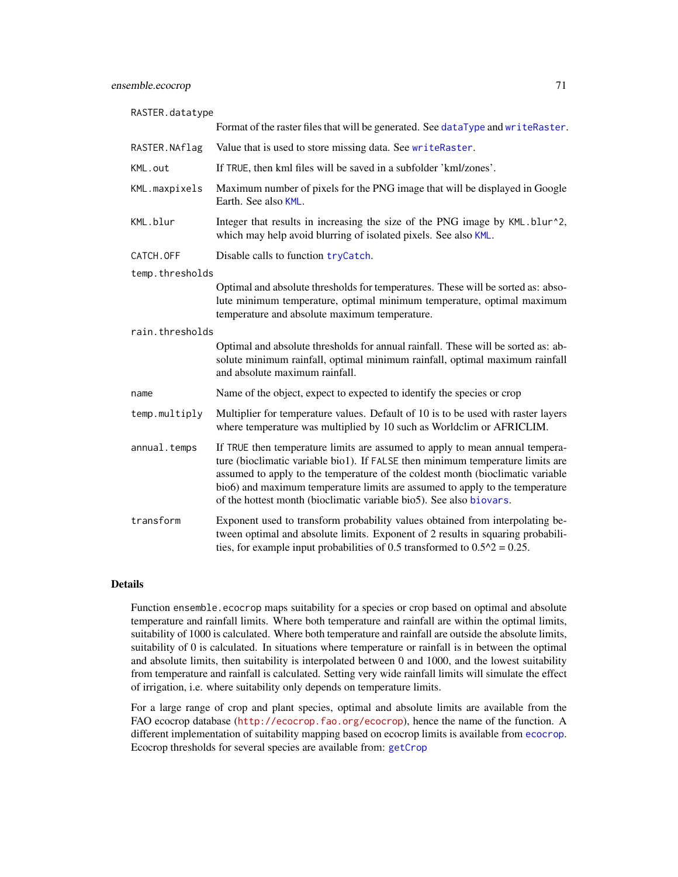| RASTER.datatype |                                                                                                                                                                                                                                                                                                                                                                                                         |
|-----------------|---------------------------------------------------------------------------------------------------------------------------------------------------------------------------------------------------------------------------------------------------------------------------------------------------------------------------------------------------------------------------------------------------------|
|                 | Format of the raster files that will be generated. See dataType and writeRaster.                                                                                                                                                                                                                                                                                                                        |
| RASTER.NAflag   | Value that is used to store missing data. See writeRaster.                                                                                                                                                                                                                                                                                                                                              |
| KML.out         | If TRUE, then kml files will be saved in a subfolder 'kml/zones'.                                                                                                                                                                                                                                                                                                                                       |
| KML.maxpixels   | Maximum number of pixels for the PNG image that will be displayed in Google<br>Earth. See also KML.                                                                                                                                                                                                                                                                                                     |
| KML.blur        | Integer that results in increasing the size of the PNG image by KML.blur^2,<br>which may help avoid blurring of isolated pixels. See also KML.                                                                                                                                                                                                                                                          |
| CATCH.OFF       | Disable calls to function tryCatch.                                                                                                                                                                                                                                                                                                                                                                     |
| temp.thresholds |                                                                                                                                                                                                                                                                                                                                                                                                         |
|                 | Optimal and absolute thresholds for temperatures. These will be sorted as: abso-<br>lute minimum temperature, optimal minimum temperature, optimal maximum<br>temperature and absolute maximum temperature.                                                                                                                                                                                             |
| rain.thresholds |                                                                                                                                                                                                                                                                                                                                                                                                         |
|                 | Optimal and absolute thresholds for annual rainfall. These will be sorted as: ab-<br>solute minimum rainfall, optimal minimum rainfall, optimal maximum rainfall<br>and absolute maximum rainfall.                                                                                                                                                                                                      |
| name            | Name of the object, expect to expected to identify the species or crop                                                                                                                                                                                                                                                                                                                                  |
| temp.multiply   | Multiplier for temperature values. Default of 10 is to be used with raster layers<br>where temperature was multiplied by 10 such as Worldclim or AFRICLIM.                                                                                                                                                                                                                                              |
| annual.temps    | If TRUE then temperature limits are assumed to apply to mean annual tempera-<br>ture (bioclimatic variable bio1). If FALSE then minimum temperature limits are<br>assumed to apply to the temperature of the coldest month (bioclimatic variable<br>bio6) and maximum temperature limits are assumed to apply to the temperature<br>of the hottest month (bioclimatic variable bio5). See also biovars. |
| transform       | Exponent used to transform probability values obtained from interpolating be-<br>tween optimal and absolute limits. Exponent of 2 results in squaring probabili-<br>ties, for example input probabilities of 0.5 transformed to $0.5^2$ = 0.25.                                                                                                                                                         |

# Details

Function ensemble.ecocrop maps suitability for a species or crop based on optimal and absolute temperature and rainfall limits. Where both temperature and rainfall are within the optimal limits, suitability of 1000 is calculated. Where both temperature and rainfall are outside the absolute limits, suitability of 0 is calculated. In situations where temperature or rainfall is in between the optimal and absolute limits, then suitability is interpolated between 0 and 1000, and the lowest suitability from temperature and rainfall is calculated. Setting very wide rainfall limits will simulate the effect of irrigation, i.e. where suitability only depends on temperature limits.

For a large range of crop and plant species, optimal and absolute limits are available from the FAO ecocrop database (<http://ecocrop.fao.org/ecocrop>), hence the name of the function. A different implementation of suitability mapping based on ecocrop limits is available from [ecocrop](#page-0-0). Ecocrop thresholds for several species are available from: [getCrop](#page-0-0)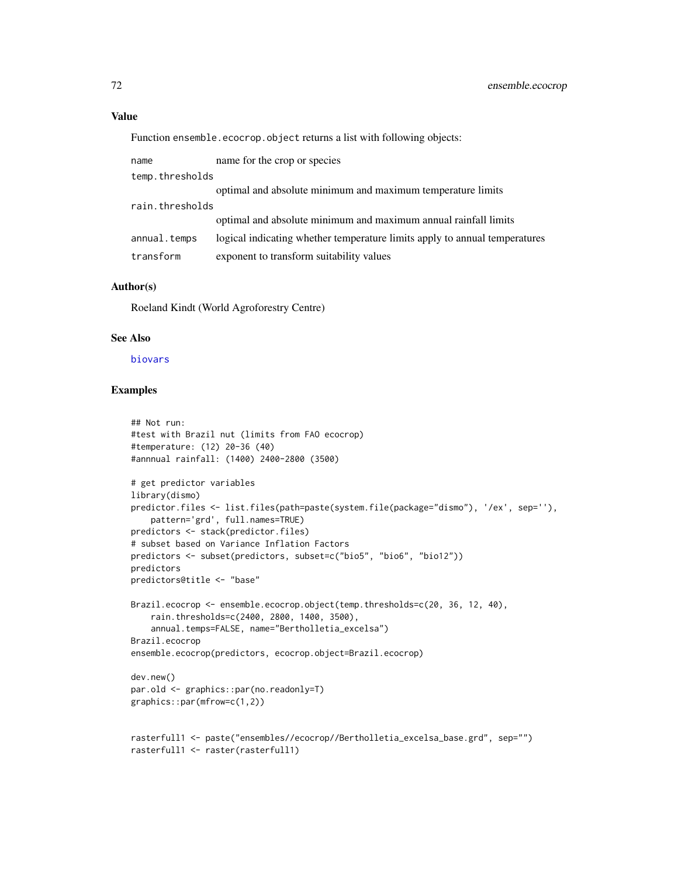## Value

Function ensemble.ecocrop.object returns a list with following objects:

| name            | name for the crop or species                                               |
|-----------------|----------------------------------------------------------------------------|
| temp.thresholds |                                                                            |
|                 | optimal and absolute minimum and maximum temperature limits                |
| rain.thresholds |                                                                            |
|                 | optimal and absolute minimum and maximum annual rainfall limits            |
| annual.temps    | logical indicating whether temperature limits apply to annual temperatures |
| transform       | exponent to transform suitability values                                   |
|                 |                                                                            |

# Author(s)

Roeland Kindt (World Agroforestry Centre)

### See Also

## [biovars](#page-0-0)

```
## Not run:
#test with Brazil nut (limits from FAO ecocrop)
#temperature: (12) 20-36 (40)
#annnual rainfall: (1400) 2400-2800 (3500)
# get predictor variables
library(dismo)
predictor.files <- list.files(path=paste(system.file(package="dismo"), '/ex', sep=''),
    pattern='grd', full.names=TRUE)
predictors <- stack(predictor.files)
# subset based on Variance Inflation Factors
predictors <- subset(predictors, subset=c("bio5", "bio6", "bio12"))
predictors
predictors@title <- "base"
Brazil.ecocrop <- ensemble.ecocrop.object(temp.thresholds=c(20, 36, 12, 40),
    rain.thresholds=c(2400, 2800, 1400, 3500),
    annual.temps=FALSE, name="Bertholletia_excelsa")
Brazil.ecocrop
ensemble.ecocrop(predictors, ecocrop.object=Brazil.ecocrop)
dev.new()
par.old <- graphics::par(no.readonly=T)
graphics::par(mfrow=c(1,2))
rasterfull1 <- paste("ensembles//ecocrop//Bertholletia_excelsa_base.grd", sep="")
rasterfull1 <- raster(rasterfull1)
```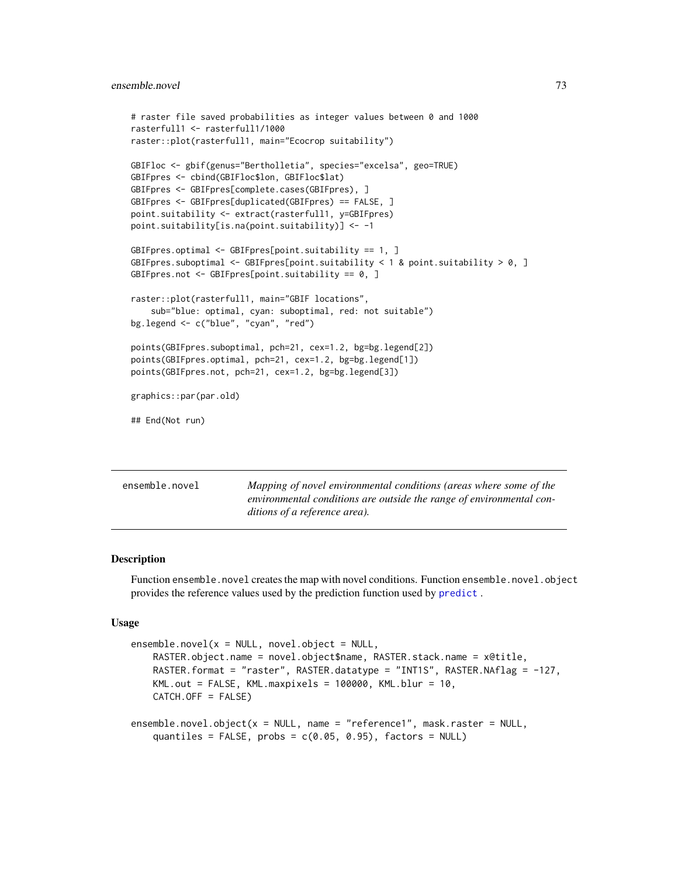## ensemble.novel 73

```
# raster file saved probabilities as integer values between 0 and 1000
rasterfull1 <- rasterfull1/1000
raster::plot(rasterfull1, main="Ecocrop suitability")
GBIFloc <- gbif(genus="Bertholletia", species="excelsa", geo=TRUE)
GBIFpres <- cbind(GBIFloc$lon, GBIFloc$lat)
GBIFpres <- GBIFpres[complete.cases(GBIFpres), ]
GBIFpres <- GBIFpres[duplicated(GBIFpres) == FALSE, ]
point.suitability <- extract(rasterfull1, y=GBIFpres)
point.suitability[is.na(point.suitability)] <- -1
GBIFpres.optimal <- GBIFpres[point.suitability == 1, ]
GBIFpres.suboptimal <- GBIFpres[point.suitability < 1 & point.suitability > 0, ]
GBIFpres.not <- GBIFpres[point.suitability == 0, ]
raster::plot(rasterfull1, main="GBIF locations",
    sub="blue: optimal, cyan: suboptimal, red: not suitable")
bg.legend <- c("blue", "cyan", "red")
points(GBIFpres.suboptimal, pch=21, cex=1.2, bg=bg.legend[2])
points(GBIFpres.optimal, pch=21, cex=1.2, bg=bg.legend[1])
points(GBIFpres.not, pch=21, cex=1.2, bg=bg.legend[3])
graphics::par(par.old)
## End(Not run)
```
ensemble.novel *Mapping of novel environmental conditions (areas where some of the environmental conditions are outside the range of environmental conditions of a reference area).*

#### <span id="page-72-0"></span>**Description**

Function ensemble.novel creates the map with novel conditions. Function ensemble.novel.object provides the reference values used by the prediction function used by [predict](#page-0-0) .

## Usage

```
ensemble.novel(x = NULL, novel.object = NULL,RASTER.object.name = novel.object$name, RASTER.stack.name = x@title,
   RASTER.format = "raster", RASTER.datatype = "INT1S", RASTER.NAflag = -127,
   KML.out = FALSE, KML.maxpixels = 100000, KML.blur = 10,CATCH.OFF = FALSE)
ensemble.novel.object(x = NULL, name = "reference1", mask.raster = NULL,
    quantiles = FALSE, probs = c(0.05, 0.95), factors = NULL)
```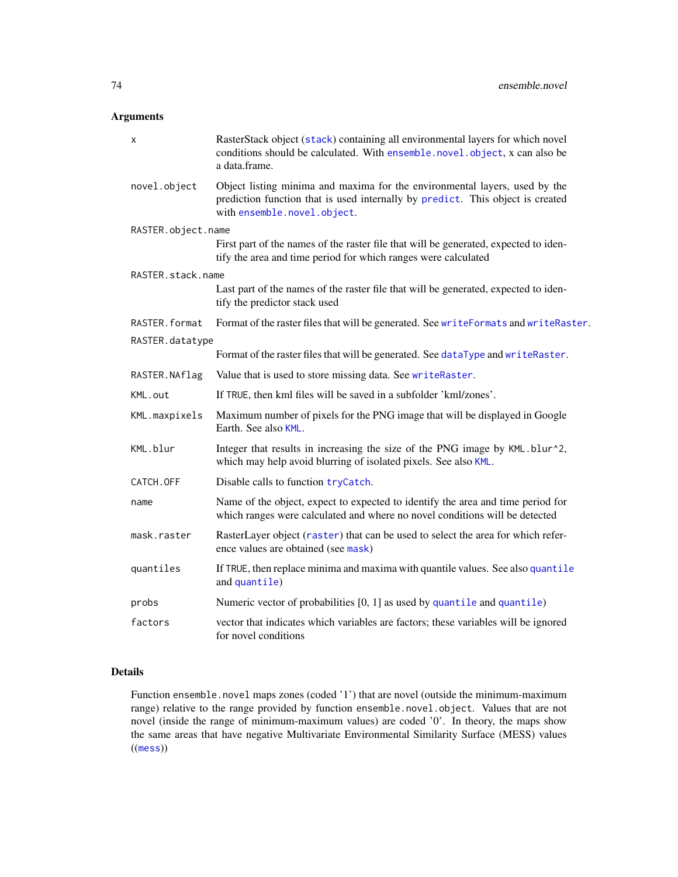# Arguments

| x                  | RasterStack object (stack) containing all environmental layers for which novel<br>conditions should be calculated. With ensemble.novel.object, x can also be<br>a data.frame.               |
|--------------------|---------------------------------------------------------------------------------------------------------------------------------------------------------------------------------------------|
| novel.object       | Object listing minima and maxima for the environmental layers, used by the<br>prediction function that is used internally by predict. This object is created<br>with ensemble.novel.object. |
| RASTER.object.name |                                                                                                                                                                                             |
|                    | First part of the names of the raster file that will be generated, expected to iden-<br>tify the area and time period for which ranges were calculated                                      |
| RASTER.stack.name  |                                                                                                                                                                                             |
|                    | Last part of the names of the raster file that will be generated, expected to iden-<br>tify the predictor stack used                                                                        |
| RASTER.format      | Format of the raster files that will be generated. See writeFormats and writeRaster.                                                                                                        |
| RASTER.datatype    |                                                                                                                                                                                             |
|                    | Format of the raster files that will be generated. See dataType and writeRaster.                                                                                                            |
| RASTER.NAflag      | Value that is used to store missing data. See writeRaster.                                                                                                                                  |
| KML.out            | If TRUE, then kml files will be saved in a subfolder 'kml/zones'.                                                                                                                           |
| KML.maxpixels      | Maximum number of pixels for the PNG image that will be displayed in Google<br>Earth. See also KML.                                                                                         |
| KML.blur           | Integer that results in increasing the size of the PNG image by KML.blur^2,<br>which may help avoid blurring of isolated pixels. See also KML.                                              |
| CATCH.OFF          | Disable calls to function tryCatch.                                                                                                                                                         |
| name               | Name of the object, expect to expected to identify the area and time period for<br>which ranges were calculated and where no novel conditions will be detected                              |
| mask.raster        | RasterLayer object (raster) that can be used to select the area for which refer-<br>ence values are obtained (see mask)                                                                     |
| quantiles          | If TRUE, then replace minima and maxima with quantile values. See also quantile<br>and quantile)                                                                                            |
| probs              | Numeric vector of probabilities $[0, 1]$ as used by quantile and quantile)                                                                                                                  |
| factors            | vector that indicates which variables are factors; these variables will be ignored<br>for novel conditions                                                                                  |

# Details

Function ensemble.novel maps zones (coded '1') that are novel (outside the minimum-maximum range) relative to the range provided by function ensemble.novel.object. Values that are not novel (inside the range of minimum-maximum values) are coded '0'. In theory, the maps show the same areas that have negative Multivariate Environmental Similarity Surface (MESS) values  $((\text{mess}))$  $((\text{mess}))$  $((\text{mess}))$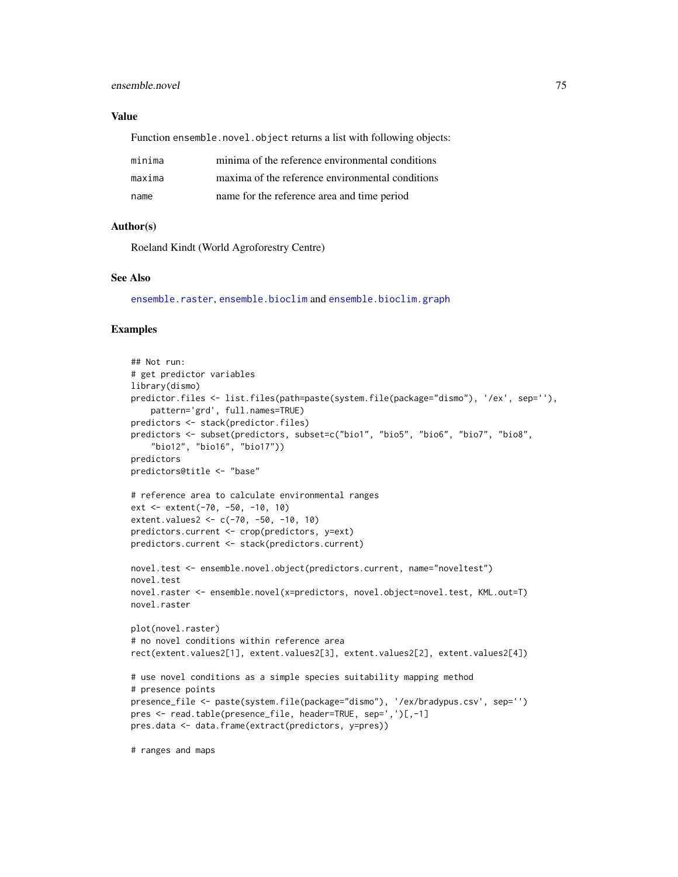## ensemble.novel 75

## Value

Function ensemble.novel.object returns a list with following objects:

| minima | minima of the reference environmental conditions |
|--------|--------------------------------------------------|
| maxima | maxima of the reference environmental conditions |
| name   | name for the reference area and time period      |

## Author(s)

Roeland Kindt (World Agroforestry Centre)

#### See Also

[ensemble.raster](#page-76-0), [ensemble.bioclim](#page-42-0) and [ensemble.bioclim.graph](#page-46-0)

## Examples

```
## Not run:
# get predictor variables
library(dismo)
predictor.files <- list.files(path=paste(system.file(package="dismo"), '/ex', sep=''),
    pattern='grd', full.names=TRUE)
predictors <- stack(predictor.files)
predictors <- subset(predictors, subset=c("bio1", "bio5", "bio6", "bio7", "bio8",
    "bio12", "bio16", "bio17"))
predictors
predictors@title <- "base"
# reference area to calculate environmental ranges
ext <- extent(-70, -50, -10, 10)
extent.values2 <- c(-70, -50, -10, 10)
predictors.current <- crop(predictors, y=ext)
predictors.current <- stack(predictors.current)
novel.test <- ensemble.novel.object(predictors.current, name="noveltest")
novel.test
novel.raster <- ensemble.novel(x=predictors, novel.object=novel.test, KML.out=T)
novel.raster
plot(novel.raster)
# no novel conditions within reference area
rect(extent.values2[1], extent.values2[3], extent.values2[2], extent.values2[4])
# use novel conditions as a simple species suitability mapping method
# presence points
presence_file <- paste(system.file(package="dismo"), '/ex/bradypus.csv', sep='')
pres <- read.table(presence_file, header=TRUE, sep=',')[,-1]
pres.data <- data.frame(extract(predictors, y=pres))
```
# ranges and maps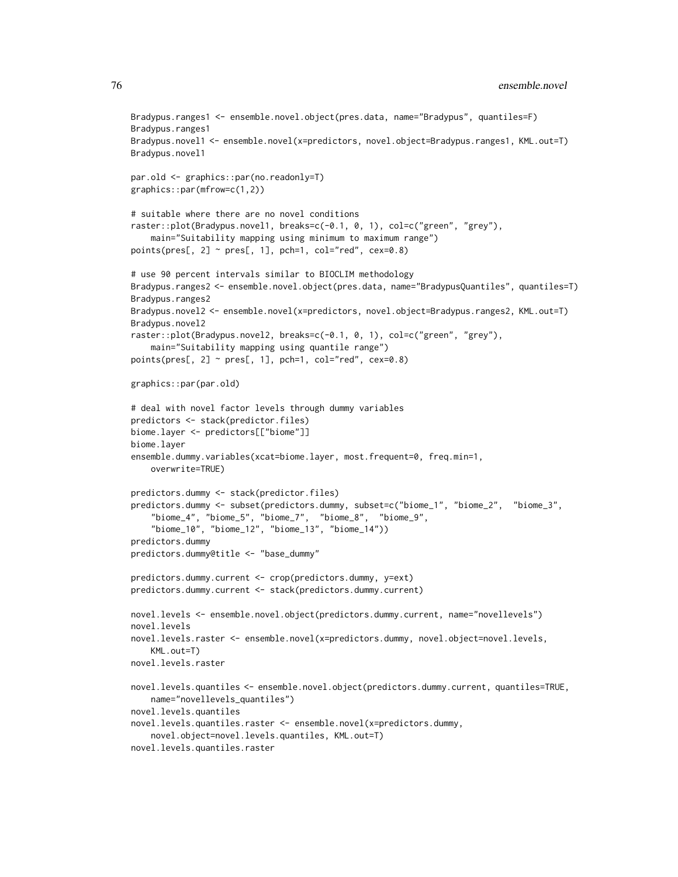```
Bradypus.ranges1 <- ensemble.novel.object(pres.data, name="Bradypus", quantiles=F)
Bradypus.ranges1
Bradypus.novel1 <- ensemble.novel(x=predictors, novel.object=Bradypus.ranges1, KML.out=T)
Bradypus.novel1
par.old <- graphics::par(no.readonly=T)
graphics::par(mfrow=c(1,2))
# suitable where there are no novel conditions
raster::plot(Bradypus.novel1, breaks=c(-0.1, 0, 1), col=c("green", "grey"),
    main="Suitability mapping using minimum to maximum range")
points(pres[, 2] \sim pres[, 1], pch=1, col="red", cex=0.8)
# use 90 percent intervals similar to BIOCLIM methodology
Bradypus.ranges2 <- ensemble.novel.object(pres.data, name="BradypusQuantiles", quantiles=T)
Bradypus.ranges2
Bradypus.novel2 <- ensemble.novel(x=predictors, novel.object=Bradypus.ranges2, KML.out=T)
Bradypus.novel2
raster::plot(Bradypus.novel2, breaks=c(-0.1, 0, 1), col=c("green", "grey"),
    main="Suitability mapping using quantile range")
points(pres[, 2] \sim pres[, 1], pch=1, col="red", cex=0.8)
graphics::par(par.old)
# deal with novel factor levels through dummy variables
predictors <- stack(predictor.files)
biome.layer <- predictors[["biome"]]
biome.layer
ensemble.dummy.variables(xcat=biome.layer, most.frequent=0, freq.min=1,
   overwrite=TRUE)
predictors.dummy <- stack(predictor.files)
predictors.dummy <- subset(predictors.dummy, subset=c("biome_1", "biome_2", "biome_3",
    "biome_4", "biome_5", "biome_7", "biome_8", "biome_9",
    "biome_10", "biome_12", "biome_13", "biome_14"))
predictors.dummy
predictors.dummy@title <- "base_dummy"
predictors.dummy.current <- crop(predictors.dummy, y=ext)
predictors.dummy.current <- stack(predictors.dummy.current)
novel.levels <- ensemble.novel.object(predictors.dummy.current, name="novellevels")
novel.levels
novel.levels.raster <- ensemble.novel(x=predictors.dummy, novel.object=novel.levels,
   KML.out=T)
novel.levels.raster
novel.levels.quantiles <- ensemble.novel.object(predictors.dummy.current, quantiles=TRUE,
   name="novellevels_quantiles")
novel.levels.quantiles
novel.levels.quantiles.raster <- ensemble.novel(x=predictors.dummy,
    novel.object=novel.levels.quantiles, KML.out=T)
novel.levels.quantiles.raster
```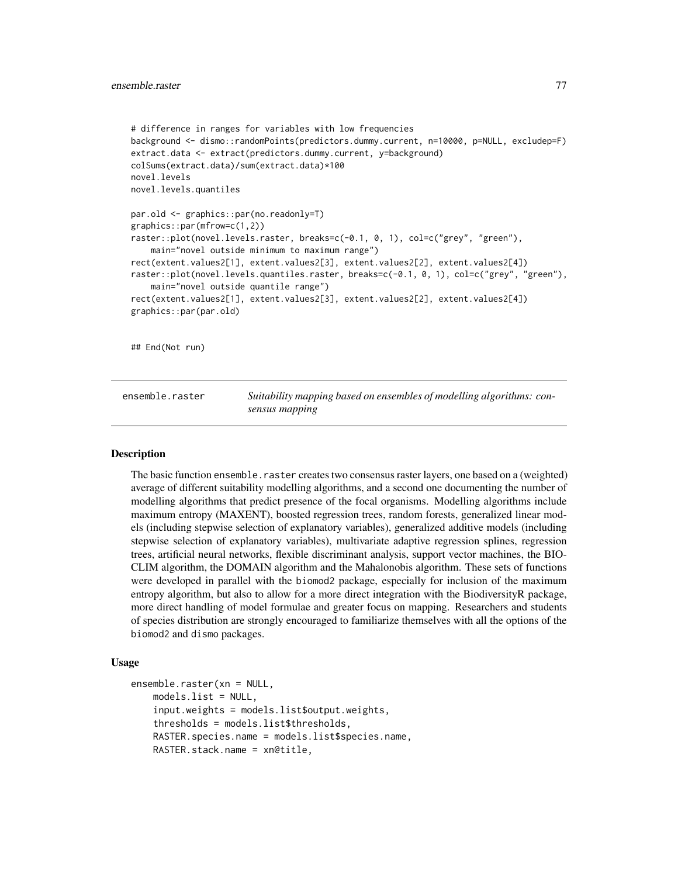```
# difference in ranges for variables with low frequencies
background <- dismo::randomPoints(predictors.dummy.current, n=10000, p=NULL, excludep=F)
extract.data <- extract(predictors.dummy.current, y=background)
colSums(extract.data)/sum(extract.data)*100
novel.levels
novel.levels.quantiles
par.old <- graphics::par(no.readonly=T)
graphics::par(mfrow=c(1,2))
raster::plot(novel.levels.raster, breaks=c(-0.1, 0, 1), col=c("grey", "green"),
    main="novel outside minimum to maximum range")
rect(extent.values2[1], extent.values2[3], extent.values2[2], extent.values2[4])
raster::plot(novel.levels.quantiles.raster, breaks=c(-0.1, 0, 1), col=c("grey", "green"),
    main="novel outside quantile range")
rect(extent.values2[1], extent.values2[3], extent.values2[2], extent.values2[4])
graphics::par(par.old)
## End(Not run)
```
<span id="page-76-0"></span>ensemble.raster *Suitability mapping based on ensembles of modelling algorithms: consensus mapping*

## **Description**

The basic function ensemble.raster creates two consensus raster layers, one based on a (weighted) average of different suitability modelling algorithms, and a second one documenting the number of modelling algorithms that predict presence of the focal organisms. Modelling algorithms include maximum entropy (MAXENT), boosted regression trees, random forests, generalized linear models (including stepwise selection of explanatory variables), generalized additive models (including stepwise selection of explanatory variables), multivariate adaptive regression splines, regression trees, artificial neural networks, flexible discriminant analysis, support vector machines, the BIO-CLIM algorithm, the DOMAIN algorithm and the Mahalonobis algorithm. These sets of functions were developed in parallel with the biomod2 package, especially for inclusion of the maximum entropy algorithm, but also to allow for a more direct integration with the BiodiversityR package, more direct handling of model formulae and greater focus on mapping. Researchers and students of species distribution are strongly encouraged to familiarize themselves with all the options of the biomod2 and dismo packages.

## Usage

```
ensemble.raster(xn = NULL,
   models.list = NULL,
    input.weights = models.list$output.weights,
    thresholds = models.list$thresholds,
    RASTER.species.name = models.list$species.name,
   RASTER.stack.name = xn@title,
```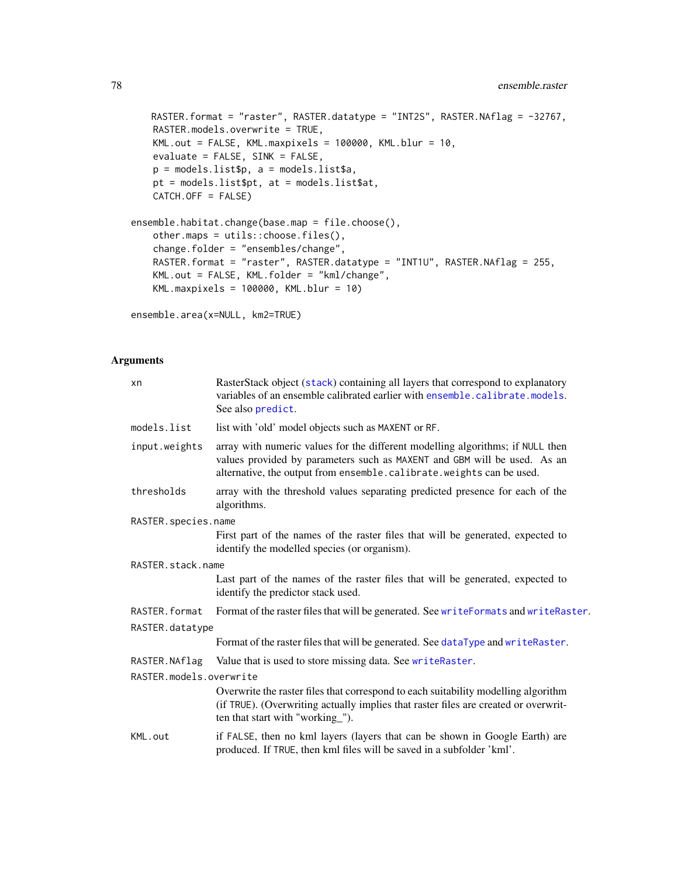```
RASTER.format = "raster", RASTER.datatype = "INT2S", RASTER.NAflag = -32767,
   RASTER.models.overwrite = TRUE,
   KML.out = FALSE, KML.maxpixels = 100000, KML.blur = 10,
   evaluate = FALSE, SINK = FALSE,
   p = models.list$p, a = models.list$a,
   pt = models.list$pt, at = models.list$at,
   CATCH.OFF = FALSE)
ensemble.habitat.change(base.map = file.choose(),
   other.maps = utils::choose.files(),
   change.folder = "ensembles/change",
   RASTER.format = "raster", RASTER.datatype = "INT1U", RASTER.NAflag = 255,
   KML.out = FALSE, KML.folder = "kml/change",
   KML.maxpixels = 100000, KML.blur = 10)
```
ensemble.area(x=NULL, km2=TRUE)

## Arguments

| xn                      | RasterStack object (stack) containing all layers that correspond to explanatory<br>variables of an ensemble calibrated earlier with ensemble.calibrate.models.<br>See also predict.                                                |
|-------------------------|------------------------------------------------------------------------------------------------------------------------------------------------------------------------------------------------------------------------------------|
| models.list             | list with 'old' model objects such as MAXENT or RF.                                                                                                                                                                                |
| input.weights           | array with numeric values for the different modelling algorithms; if NULL then<br>values provided by parameters such as MAXENT and GBM will be used. As an<br>alternative, the output from ensemble.calibrate.weights can be used. |
| thresholds              | array with the threshold values separating predicted presence for each of the<br>algorithms.                                                                                                                                       |
| RASTER.species.name     |                                                                                                                                                                                                                                    |
|                         | First part of the names of the raster files that will be generated, expected to<br>identify the modelled species (or organism).                                                                                                    |
| RASTER.stack.name       |                                                                                                                                                                                                                                    |
|                         | Last part of the names of the raster files that will be generated, expected to<br>identify the predictor stack used.                                                                                                               |
| RASTER.format           | Format of the raster files that will be generated. See writeFormats and writeRaster.                                                                                                                                               |
| RASTER.datatype         |                                                                                                                                                                                                                                    |
|                         | Format of the raster files that will be generated. See dataType and writeRaster.                                                                                                                                                   |
| RASTER.NAflag           | Value that is used to store missing data. See writeRaster.                                                                                                                                                                         |
| RASTER.models.overwrite |                                                                                                                                                                                                                                    |
|                         | Overwrite the raster files that correspond to each suitability modelling algorithm<br>(if TRUE). (Overwriting actually implies that raster files are created or overwrit-<br>ten that start with "working_").                      |
| KML.out                 | if FALSE, then no kml layers (layers that can be shown in Google Earth) are<br>produced. If TRUE, then kml files will be saved in a subfolder 'kml'.                                                                               |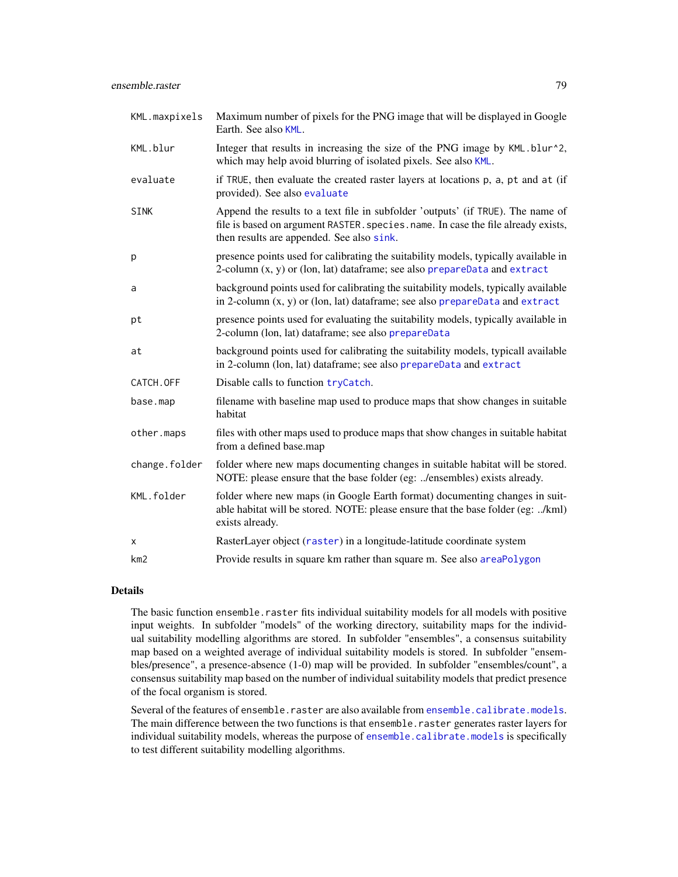| KML.maxpixels   | Maximum number of pixels for the PNG image that will be displayed in Google<br>Earth. See also KML.                                                                                                               |
|-----------------|-------------------------------------------------------------------------------------------------------------------------------------------------------------------------------------------------------------------|
| KML.blur        | Integer that results in increasing the size of the PNG image by KML.blur^2,<br>which may help avoid blurring of isolated pixels. See also KML.                                                                    |
| evaluate        | if TRUE, then evaluate the created raster layers at locations p, a, pt and at (if<br>provided). See also evaluate                                                                                                 |
| SINK            | Append the results to a text file in subfolder 'outputs' (if TRUE). The name of<br>file is based on argument RASTER. species. name. In case the file already exists,<br>then results are appended. See also sink. |
| p               | presence points used for calibrating the suitability models, typically available in<br>2-column $(x, y)$ or (lon, lat) dataframe; see also prepareData and extract                                                |
| a               | background points used for calibrating the suitability models, typically available<br>in 2-column $(x, y)$ or (lon, lat) dataframe; see also prepareData and extract                                              |
| pt              | presence points used for evaluating the suitability models, typically available in<br>2-column (lon, lat) dataframe; see also prepareData                                                                         |
| at              | background points used for calibrating the suitability models, typicall available<br>in 2-column (lon, lat) dataframe; see also prepareData and extract                                                           |
| CATCH.OFF       | Disable calls to function tryCatch.                                                                                                                                                                               |
| base.map        | filename with baseline map used to produce maps that show changes in suitable<br>habitat                                                                                                                          |
| other.maps      | files with other maps used to produce maps that show changes in suitable habitat<br>from a defined base.map                                                                                                       |
| change.folder   | folder where new maps documenting changes in suitable habitat will be stored.<br>NOTE: please ensure that the base folder (eg: /ensembles) exists already.                                                        |
| KML.folder      | folder where new maps (in Google Earth format) documenting changes in suit-<br>able habitat will be stored. NOTE: please ensure that the base folder (eg: /kml)<br>exists already.                                |
| x               | RasterLayer object (raster) in a longitude-latitude coordinate system                                                                                                                                             |
| km <sub>2</sub> | Provide results in square km rather than square m. See also areaPolygon                                                                                                                                           |

# Details

The basic function ensemble.raster fits individual suitability models for all models with positive input weights. In subfolder "models" of the working directory, suitability maps for the individual suitability modelling algorithms are stored. In subfolder "ensembles", a consensus suitability map based on a weighted average of individual suitability models is stored. In subfolder "ensembles/presence", a presence-absence (1-0) map will be provided. In subfolder "ensembles/count", a consensus suitability map based on the number of individual suitability models that predict presence of the focal organism is stored.

Several of the features of ensemble.raster are also available from [ensemble.calibrate.models](#page-49-0). The main difference between the two functions is that ensemble.raster generates raster layers for individual suitability models, whereas the purpose of [ensemble.calibrate.models](#page-49-0) is specifically to test different suitability modelling algorithms.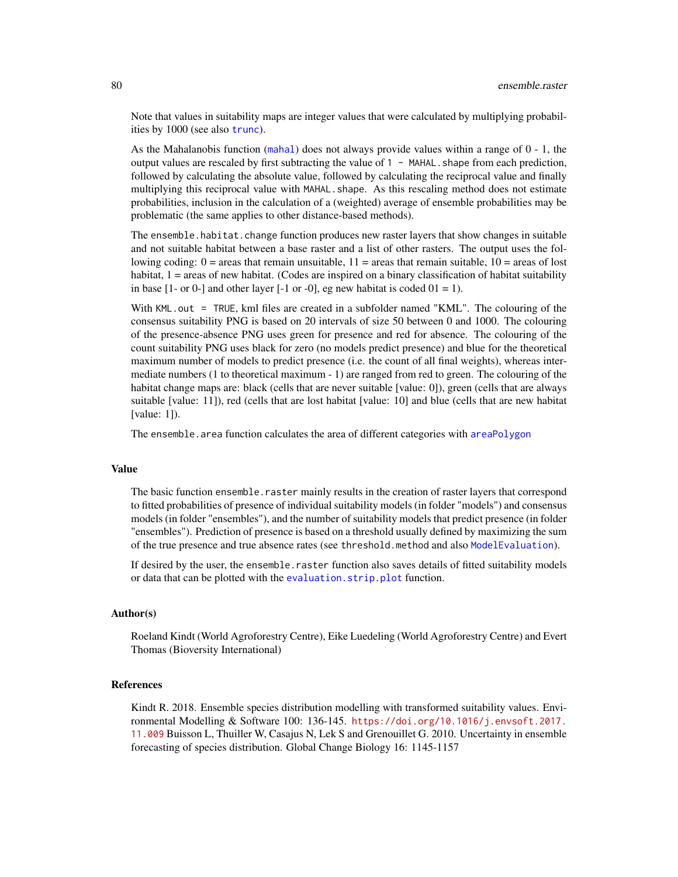Note that values in suitability maps are integer values that were calculated by multiplying probabilities by 1000 (see also [trunc](#page-0-0)).

As the Mahalanobis function ([mahal](#page-0-0)) does not always provide values within a range of  $0 - 1$ , the output values are rescaled by first subtracting the value of  $1 - \text{MAHAL}$ . shape from each prediction, followed by calculating the absolute value, followed by calculating the reciprocal value and finally multiplying this reciprocal value with MAHAL. shape. As this rescaling method does not estimate probabilities, inclusion in the calculation of a (weighted) average of ensemble probabilities may be problematic (the same applies to other distance-based methods).

The ensemble.habitat.change function produces new raster layers that show changes in suitable and not suitable habitat between a base raster and a list of other rasters. The output uses the following coding:  $0 = \text{areas that remain unsuitable}, 11 = \text{areas that remain suitable}, 10 = \text{areas of lost}$ habitat, 1 = areas of new habitat. (Codes are inspired on a binary classification of habitat suitability in base  $[1-\text{ or }0]$  and other layer  $[-1 \text{ or } -0]$ , eg new habitat is coded  $[0] = 1$ .

With KML.out = TRUE, kml files are created in a subfolder named "KML". The colouring of the consensus suitability PNG is based on 20 intervals of size 50 between 0 and 1000. The colouring of the presence-absence PNG uses green for presence and red for absence. The colouring of the count suitability PNG uses black for zero (no models predict presence) and blue for the theoretical maximum number of models to predict presence (i.e. the count of all final weights), whereas intermediate numbers (1 to theoretical maximum - 1) are ranged from red to green. The colouring of the habitat change maps are: black (cells that are never suitable [value: 0]), green (cells that are always suitable [value: 11]), red (cells that are lost habitat [value: 10] and blue (cells that are new habitat [value: 1]).

The ensemble, area function calculates the area of different categories with [areaPolygon](#page-0-0)

## Value

The basic function ensemble.raster mainly results in the creation of raster layers that correspond to fitted probabilities of presence of individual suitability models (in folder "models") and consensus models (in folder "ensembles"), and the number of suitability models that predict presence (in folder "ensembles"). Prediction of presence is based on a threshold usually defined by maximizing the sum of the true presence and true absence rates (see threshold.method and also [ModelEvaluation](#page-0-0)).

If desired by the user, the ensemble.raster function also saves details of fitted suitability models or data that can be plotted with the [evaluation.strip.plot](#page-92-0) function.

## Author(s)

Roeland Kindt (World Agroforestry Centre), Eike Luedeling (World Agroforestry Centre) and Evert Thomas (Bioversity International)

## References

Kindt R. 2018. Ensemble species distribution modelling with transformed suitability values. Environmental Modelling & Software 100: 136-145. [https://doi.org/10.1016/j.envsoft.2017.](https://doi.org/10.1016/j.envsoft.2017.11.009) [11.009](https://doi.org/10.1016/j.envsoft.2017.11.009) Buisson L, Thuiller W, Casajus N, Lek S and Grenouillet G. 2010. Uncertainty in ensemble forecasting of species distribution. Global Change Biology 16: 1145-1157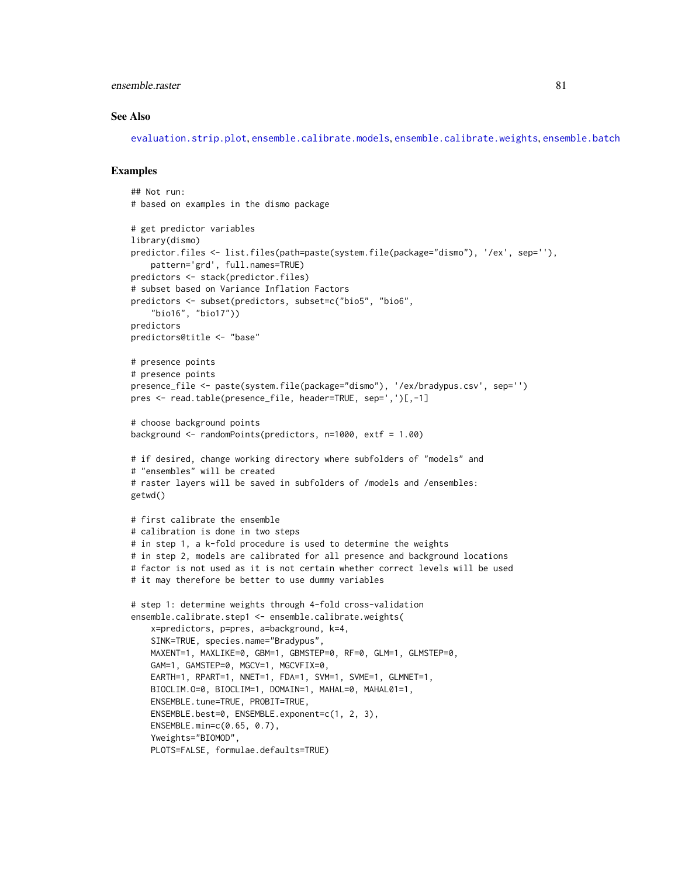## ensemble.raster 81

#### See Also

[evaluation.strip.plot](#page-92-0), [ensemble.calibrate.models](#page-49-0), [ensemble.calibrate.weights](#page-49-1), [ensemble.batch](#page-30-0)

#### Examples

```
## Not run:
# based on examples in the dismo package
# get predictor variables
library(dismo)
predictor.files <- list.files(path=paste(system.file(package="dismo"), '/ex', sep=''),
    pattern='grd', full.names=TRUE)
predictors <- stack(predictor.files)
# subset based on Variance Inflation Factors
predictors <- subset(predictors, subset=c("bio5", "bio6",
    "bio16", "bio17"))
predictors
predictors@title <- "base"
# presence points
# presence points
presence_file <- paste(system.file(package="dismo"), '/ex/bradypus.csv', sep='')
pres <- read.table(presence_file, header=TRUE, sep=',')[,-1]
# choose background points
background <- randomPoints(predictors, n=1000, extf = 1.00)
# if desired, change working directory where subfolders of "models" and
# "ensembles" will be created
# raster layers will be saved in subfolders of /models and /ensembles:
getwd()
# first calibrate the ensemble
# calibration is done in two steps
# in step 1, a k-fold procedure is used to determine the weights
# in step 2, models are calibrated for all presence and background locations
# factor is not used as it is not certain whether correct levels will be used
# it may therefore be better to use dummy variables
# step 1: determine weights through 4-fold cross-validation
ensemble.calibrate.step1 <- ensemble.calibrate.weights(
    x=predictors, p=pres, a=background, k=4,
    SINK=TRUE, species.name="Bradypus",
    MAXENT=1, MAXLIKE=0, GBM=1, GBMSTEP=0, RF=0, GLM=1, GLMSTEP=0,
    GAM=1, GAMSTEP=0, MGCV=1, MGCVFIX=0,
    EARTH=1, RPART=1, NNET=1, FDA=1, SVM=1, SVME=1, GLMNET=1,
    BIOCLIM.O=0, BIOCLIM=1, DOMAIN=1, MAHAL=0, MAHAL01=1,
    ENSEMBLE.tune=TRUE, PROBIT=TRUE,
    ENSEMBLE.best=0, ENSEMBLE.exponent=c(1, 2, 3),
    ENSEMBLE.min=c(0.65, 0.7),
    Yweights="BIOMOD",
    PLOTS=FALSE, formulae.defaults=TRUE)
```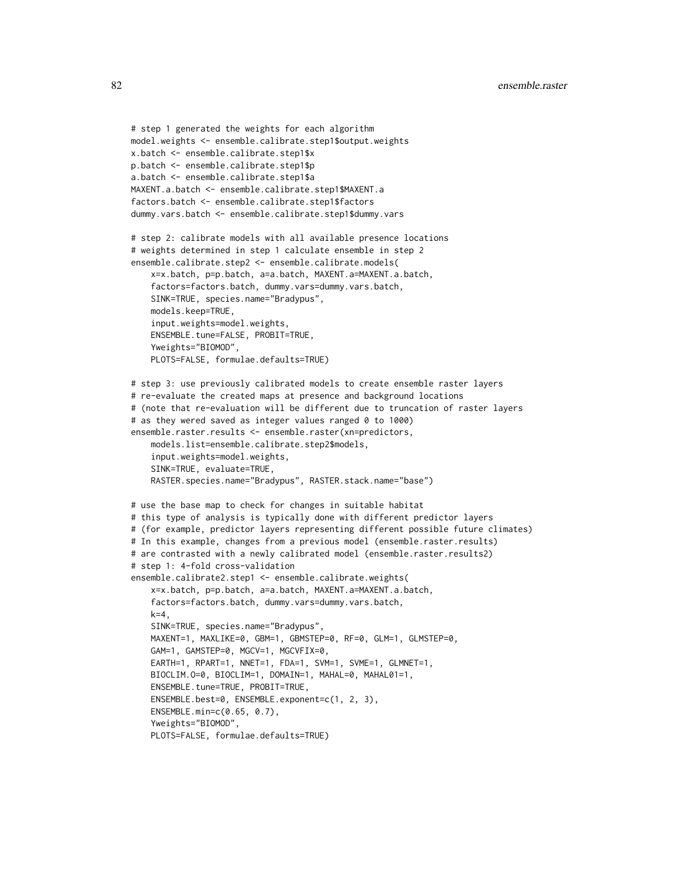```
# step 1 generated the weights for each algorithm
model.weights <- ensemble.calibrate.step1$output.weights
x.batch <- ensemble.calibrate.step1$x
p.batch <- ensemble.calibrate.step1$p
a.batch <- ensemble.calibrate.step1$a
MAXENT.a.batch <- ensemble.calibrate.step1$MAXENT.a
factors.batch <- ensemble.calibrate.step1$factors
dummy.vars.batch <- ensemble.calibrate.step1$dummy.vars
# step 2: calibrate models with all available presence locations
# weights determined in step 1 calculate ensemble in step 2
ensemble.calibrate.step2 <- ensemble.calibrate.models(
    x=x.batch, p=p.batch, a=a.batch, MAXENT.a=MAXENT.a.batch,
    factors=factors.batch, dummy.vars=dummy.vars.batch,
    SINK=TRUE, species.name="Bradypus",
    models.keep=TRUE,
    input.weights=model.weights,
    ENSEMBLE.tune=FALSE, PROBIT=TRUE,
    Yweights="BIOMOD",
    PLOTS=FALSE, formulae.defaults=TRUE)
# step 3: use previously calibrated models to create ensemble raster layers
# re-evaluate the created maps at presence and background locations
# (note that re-evaluation will be different due to truncation of raster layers
# as they wered saved as integer values ranged 0 to 1000)
ensemble.raster.results <- ensemble.raster(xn=predictors,
    models.list=ensemble.calibrate.step2$models,
    input.weights=model.weights,
    SINK=TRUE, evaluate=TRUE,
    RASTER.species.name="Bradypus", RASTER.stack.name="base")
# use the base map to check for changes in suitable habitat
# this type of analysis is typically done with different predictor layers
# (for example, predictor layers representing different possible future climates)
# In this example, changes from a previous model (ensemble.raster.results)
# are contrasted with a newly calibrated model (ensemble.raster.results2)
# step 1: 4-fold cross-validation
ensemble.calibrate2.step1 <- ensemble.calibrate.weights(
    x=x.batch, p=p.batch, a=a.batch, MAXENT.a=MAXENT.a.batch,
    factors=factors.batch, dummy.vars=dummy.vars.batch,
    k=4,
    SINK=TRUE, species.name="Bradypus",
   MAXENT=1, MAXLIKE=0, GBM=1, GBMSTEP=0, RF=0, GLM=1, GLMSTEP=0,
    GAM=1, GAMSTEP=0, MGCV=1, MGCVFIX=0,
    EARTH=1, RPART=1, NNET=1, FDA=1, SVM=1, SVME=1, GLMNET=1,
    BIOCLIM.O=0, BIOCLIM=1, DOMAIN=1, MAHAL=0, MAHAL01=1,
    ENSEMBLE.tune=TRUE, PROBIT=TRUE,
    ENSEMBLE.best=0, ENSEMBLE.exponent=c(1, 2, 3),
    ENSEMBLE.min=c(0.65, 0.7),
    Yweights="BIOMOD",
    PLOTS=FALSE, formulae.defaults=TRUE)
```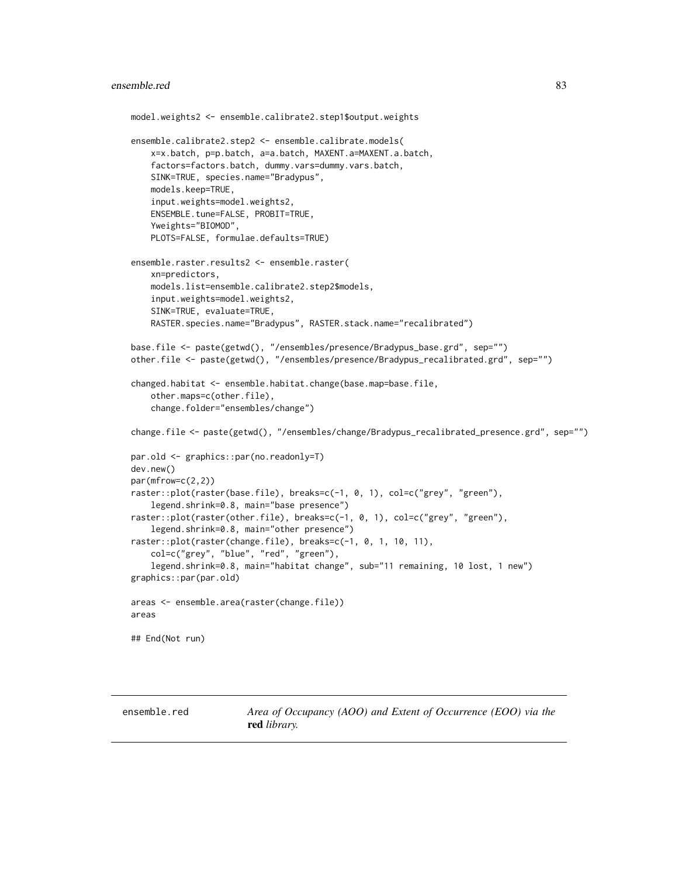#### ensemble.red 83

```
model.weights2 <- ensemble.calibrate2.step1$output.weights
ensemble.calibrate2.step2 <- ensemble.calibrate.models(
   x=x.batch, p=p.batch, a=a.batch, MAXENT.a=MAXENT.a.batch,
    factors=factors.batch, dummy.vars=dummy.vars.batch,
   SINK=TRUE, species.name="Bradypus",
    models.keep=TRUE,
    input.weights=model.weights2,
    ENSEMBLE.tune=FALSE, PROBIT=TRUE,
    Yweights="BIOMOD",
   PLOTS=FALSE, formulae.defaults=TRUE)
ensemble.raster.results2 <- ensemble.raster(
    xn=predictors,
    models.list=ensemble.calibrate2.step2$models,
    input.weights=model.weights2,
    SINK=TRUE, evaluate=TRUE,
    RASTER.species.name="Bradypus", RASTER.stack.name="recalibrated")
base.file <- paste(getwd(), "/ensembles/presence/Bradypus_base.grd", sep="")
other.file <- paste(getwd(), "/ensembles/presence/Bradypus_recalibrated.grd", sep="")
changed.habitat <- ensemble.habitat.change(base.map=base.file,
    other.maps=c(other.file),
    change.folder="ensembles/change")
change.file <- paste(getwd(), "/ensembles/change/Bradypus_recalibrated_presence.grd", sep="")
par.old <- graphics::par(no.readonly=T)
dev.new()
par(mfrow=c(2,2))
raster::plot(raster(base.file), breaks=c(-1, 0, 1), col=c("grey", "green"),
    legend.shrink=0.8, main="base presence")
raster::plot(raster(other.file), breaks=c(-1, 0, 1), col=c("grey", "green"),
    legend.shrink=0.8, main="other presence")
raster::plot(raster(change.file), breaks=c(-1, 0, 1, 10, 11),
    col=c("grey", "blue", "red", "green"),
    legend.shrink=0.8, main="habitat change", sub="11 remaining, 10 lost, 1 new")
graphics::par(par.old)
areas <- ensemble.area(raster(change.file))
areas
## End(Not run)
```
ensemble.red *Area of Occupancy (AOO) and Extent of Occurrence (EOO) via the* red *library.*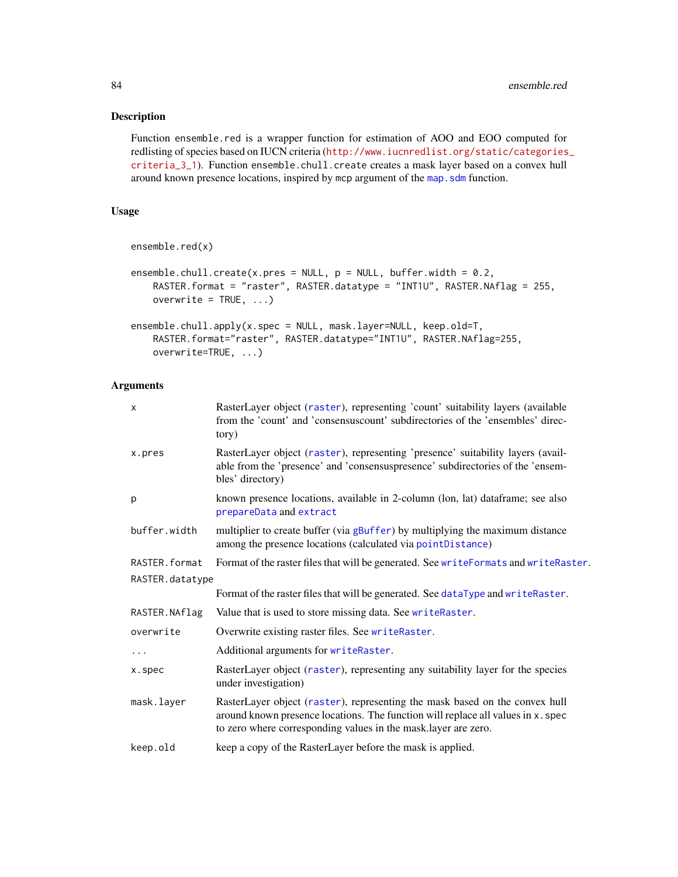# Description

Function ensemble.red is a wrapper function for estimation of AOO and EOO computed for redlisting of species based on IUCN criteria ([http://www.iucnredlist.org/static/categories](http://www.iucnredlist.org/static/categories_criteria_3_1)\_ [criteria\\_3\\_1](http://www.iucnredlist.org/static/categories_criteria_3_1)). Function ensemble.chull.create creates a mask layer based on a convex hull around known presence locations, inspired by mcp argument of the map. sdm function.

# Usage

```
ensemble.red(x)
```

```
ensemble.chull.create(x.pres = NULL, p = NULL, buffer.width = 0.2,
   RASTER.format = "raster", RASTER.datatype = "INT1U", RASTER.NAflag = 255,
   overwrite = TRUE, ...)
```

```
ensemble.chull.apply(x.spec = NULL, mask.layer=NULL, keep.old=T,
   RASTER.format="raster", RASTER.datatype="INT1U", RASTER.NAflag=255,
   overwrite=TRUE, ...)
```
# Arguments

| $\mathsf{x}$    | RasterLayer object (raster), representing 'count' suitability layers (available<br>from the 'count' and 'consensuscount' subdirectories of the 'ensembles' direc-<br>tory)                                                        |
|-----------------|-----------------------------------------------------------------------------------------------------------------------------------------------------------------------------------------------------------------------------------|
| x.pres          | RasterLayer object (raster), representing 'presence' suitability layers (avail-<br>able from the 'presence' and 'consensuspresence' subdirectories of the 'ensem-<br>bles' directory)                                             |
| p               | known presence locations, available in 2-column (lon, lat) dataframe; see also<br>prepareData and extract                                                                                                                         |
| buffer.width    | multiplier to create buffer (via gBuffer) by multiplying the maximum distance<br>among the presence locations (calculated via pointDistance)                                                                                      |
| RASTER. format  | Format of the raster files that will be generated. See writeFormats and writeRaster.                                                                                                                                              |
| RASTER.datatype |                                                                                                                                                                                                                                   |
|                 | Format of the raster files that will be generated. See dataType and writeRaster.                                                                                                                                                  |
| RASTER.NAflag   | Value that is used to store missing data. See writeRaster.                                                                                                                                                                        |
| overwrite       | Overwrite existing raster files. See writeRaster.                                                                                                                                                                                 |
| $\cdots$        | Additional arguments for writeRaster.                                                                                                                                                                                             |
| x.spec          | RasterLayer object (raster), representing any suitability layer for the species<br>under investigation)                                                                                                                           |
| mask.layer      | RasterLayer object (raster), representing the mask based on the convex hull<br>around known presence locations. The function will replace all values in x. spec<br>to zero where corresponding values in the mask.layer are zero. |
| keep.old        | keep a copy of the RasterLayer before the mask is applied.                                                                                                                                                                        |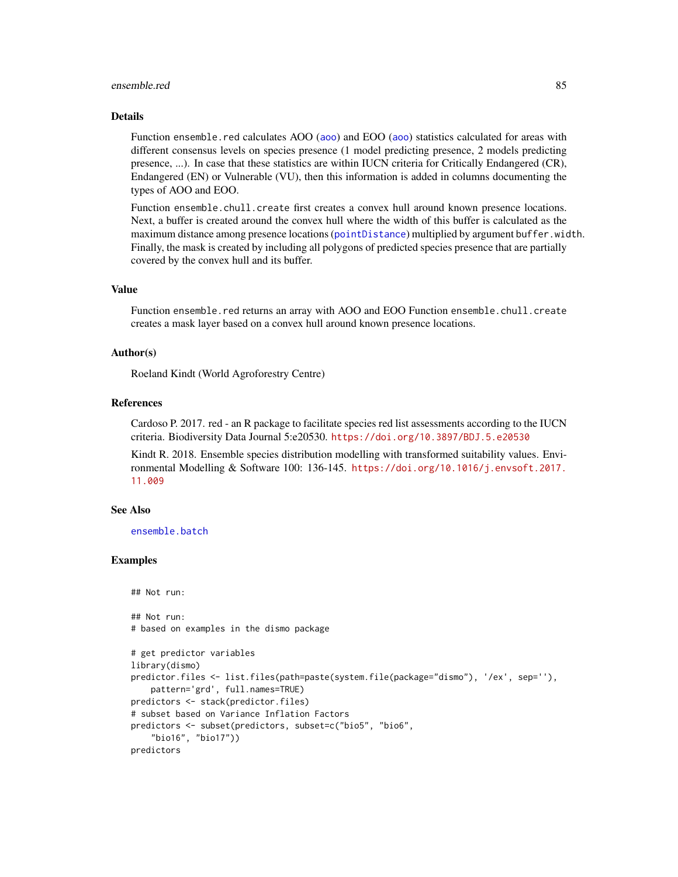#### ensemble.red 85

## Details

Function ensemble.red calculates AOO ([aoo](#page-0-0)) and EOO (aoo) statistics calculated for areas with different consensus levels on species presence (1 model predicting presence, 2 models predicting presence, ...). In case that these statistics are within IUCN criteria for Critically Endangered (CR), Endangered (EN) or Vulnerable (VU), then this information is added in columns documenting the types of AOO and EOO.

Function ensemble.chull.create first creates a convex hull around known presence locations. Next, a buffer is created around the convex hull where the width of this buffer is calculated as the maximum distance among presence locations ([pointDistance](#page-0-0)) multiplied by argument buffer.width. Finally, the mask is created by including all polygons of predicted species presence that are partially covered by the convex hull and its buffer.

## Value

Function ensemble.red returns an array with AOO and EOO Function ensemble.chull.create creates a mask layer based on a convex hull around known presence locations.

## Author(s)

Roeland Kindt (World Agroforestry Centre)

#### References

Cardoso P. 2017. red - an R package to facilitate species red list assessments according to the IUCN criteria. Biodiversity Data Journal 5:e20530. <https://doi.org/10.3897/BDJ.5.e20530>

Kindt R. 2018. Ensemble species distribution modelling with transformed suitability values. Environmental Modelling & Software 100: 136-145. [https://doi.org/10.1016/j.envsoft.2017.](https://doi.org/10.1016/j.envsoft.2017.11.009) [11.009](https://doi.org/10.1016/j.envsoft.2017.11.009)

# See Also

[ensemble.batch](#page-30-0)

## Examples

```
## Not run:
```

```
## Not run:
# based on examples in the dismo package
```

```
# get predictor variables
library(dismo)
predictor.files <- list.files(path=paste(system.file(package="dismo"), '/ex', sep=''),
    pattern='grd', full.names=TRUE)
predictors <- stack(predictor.files)
# subset based on Variance Inflation Factors
predictors <- subset(predictors, subset=c("bio5", "bio6",
    "bio16", "bio17"))
predictors
```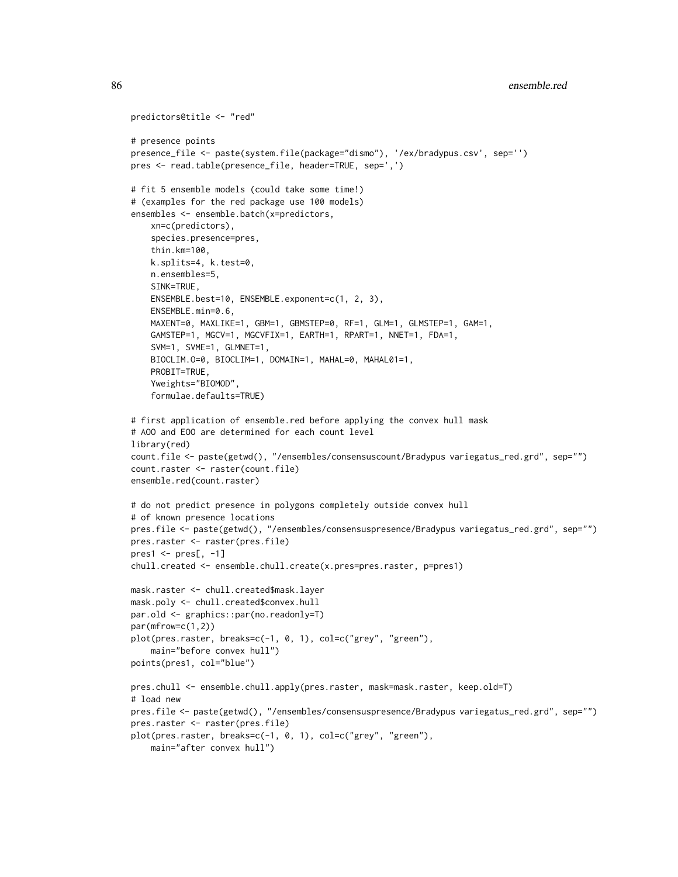```
predictors@title <- "red"
# presence points
presence_file <- paste(system.file(package="dismo"), '/ex/bradypus.csv', sep='')
pres <- read.table(presence_file, header=TRUE, sep=',')
# fit 5 ensemble models (could take some time!)
# (examples for the red package use 100 models)
ensembles <- ensemble.batch(x=predictors,
    xn=c(predictors),
    species.presence=pres,
    thin.km=100,
    k.splits=4, k.test=0,
    n.ensembles=5,
    SINK=TRUE,
    ENSEMBLE.best=10, ENSEMBLE.exponent=c(1, 2, 3),
    ENSEMBLE.min=0.6,
   MAXENT=0, MAXLIKE=1, GBM=1, GBMSTEP=0, RF=1, GLM=1, GLMSTEP=1, GAM=1,
    GAMSTEP=1, MGCV=1, MGCVFIX=1, EARTH=1, RPART=1, NNET=1, FDA=1,
    SVM=1, SVME=1, GLMNET=1,
    BIOCLIM.O=0, BIOCLIM=1, DOMAIN=1, MAHAL=0, MAHAL01=1,
    PROBIT=TRUE,
    Yweights="BIOMOD",
    formulae.defaults=TRUE)
# first application of ensemble.red before applying the convex hull mask
# AOO and EOO are determined for each count level
library(red)
count.file <- paste(getwd(), "/ensembles/consensuscount/Bradypus variegatus_red.grd", sep="")
count.raster <- raster(count.file)
ensemble.red(count.raster)
# do not predict presence in polygons completely outside convex hull
# of known presence locations
pres.file <- paste(getwd(), "/ensembles/consensuspresence/Bradypus variegatus_red.grd", sep="")
pres.raster <- raster(pres.file)
pres1 \leq - pres[, -1]chull.created <- ensemble.chull.create(x.pres=pres.raster, p=pres1)
mask.raster <- chull.created$mask.layer
mask.poly <- chull.created$convex.hull
par.old <- graphics::par(no.readonly=T)
par(mfrow=c(1,2))
plot(pres.raster, breaks=c(-1, 0, 1), col=c("grey", "green"),
    main="before convex hull")
points(pres1, col="blue")
pres.chull <- ensemble.chull.apply(pres.raster, mask=mask.raster, keep.old=T)
# load new
pres.file <- paste(getwd(), "/ensembles/consensuspresence/Bradypus variegatus_red.grd", sep="")
pres.raster <- raster(pres.file)
plot(pres.raster, breaks=c(-1, 0, 1), col=c("grey", "green"),
    main="after convex hull")
```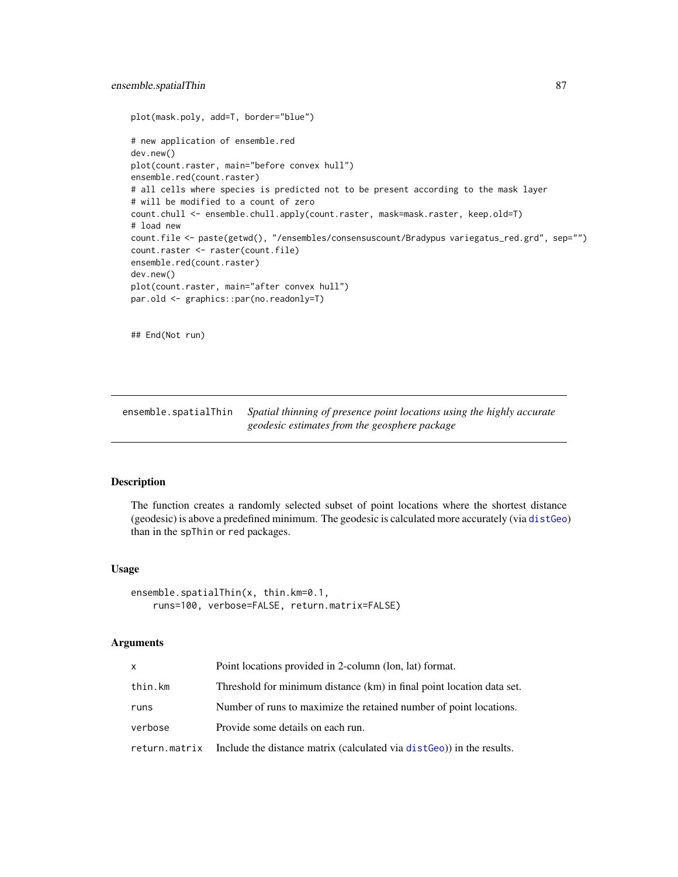```
plot(mask.poly, add=T, border="blue")
# new application of ensemble.red
dev.new()
plot(count.raster, main="before convex hull")
ensemble.red(count.raster)
# all cells where species is predicted not to be present according to the mask layer
# will be modified to a count of zero
count.chull <- ensemble.chull.apply(count.raster, mask=mask.raster, keep.old=T)
# load new
count.file <- paste(getwd(), "/ensembles/consensuscount/Bradypus variegatus_red.grd", sep="")
count.raster <- raster(count.file)
ensemble.red(count.raster)
dev.new()
plot(count.raster, main="after convex hull")
par.old <- graphics::par(no.readonly=T)
```
## End(Not run)

ensemble.spatialThin *Spatial thinning of presence point locations using the highly accurate geodesic estimates from the geosphere package*

# **Description**

The function creates a randomly selected subset of point locations where the shortest distance (geodesic) is above a predefined minimum. The geodesic is calculated more accurately (via [distGeo](#page-0-0)) than in the spThin or red packages.

## Usage

```
ensemble.spatialThin(x, thin.km=0.1,
   runs=100, verbose=FALSE, return.matrix=FALSE)
```
#### Arguments

| x       | Point locations provided in 2-column (lon, lat) format.                             |
|---------|-------------------------------------------------------------------------------------|
| thin.km | Threshold for minimum distance (km) in final point location data set.               |
| runs    | Number of runs to maximize the retained number of point locations.                  |
| verbose | Provide some details on each run.                                                   |
|         | return.matrix Include the distance matrix (calculated via distGeo)) in the results. |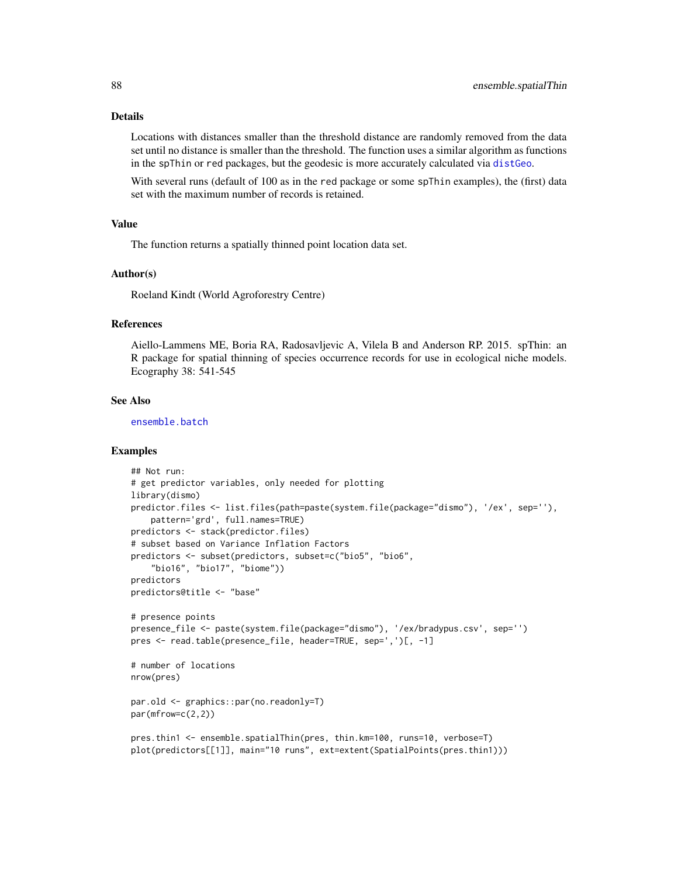# Details

Locations with distances smaller than the threshold distance are randomly removed from the data set until no distance is smaller than the threshold. The function uses a similar algorithm as functions in the spThin or red packages, but the geodesic is more accurately calculated via [distGeo](#page-0-0).

With several runs (default of 100 as in the red package or some spThin examples), the (first) data set with the maximum number of records is retained.

## Value

The function returns a spatially thinned point location data set.

#### Author(s)

Roeland Kindt (World Agroforestry Centre)

## References

Aiello-Lammens ME, Boria RA, Radosavljevic A, Vilela B and Anderson RP. 2015. spThin: an R package for spatial thinning of species occurrence records for use in ecological niche models. Ecography 38: 541-545

# See Also

[ensemble.batch](#page-30-0)

#### Examples

```
## Not run:
# get predictor variables, only needed for plotting
library(dismo)
predictor.files <- list.files(path=paste(system.file(package="dismo"), '/ex', sep=''),
    pattern='grd', full.names=TRUE)
predictors <- stack(predictor.files)
# subset based on Variance Inflation Factors
predictors <- subset(predictors, subset=c("bio5", "bio6",
    "bio16", "bio17", "biome"))
predictors
predictors@title <- "base"
# presence points
presence_file <- paste(system.file(package="dismo"), '/ex/bradypus.csv', sep='')
pres <- read.table(presence_file, header=TRUE, sep=',')[, -1]
# number of locations
nrow(pres)
par.old <- graphics::par(no.readonly=T)
par(mfrow=c(2,2))
pres.thin1 <- ensemble.spatialThin(pres, thin.km=100, runs=10, verbose=T)
plot(predictors[[1]], main="10 runs", ext=extent(SpatialPoints(pres.thin1)))
```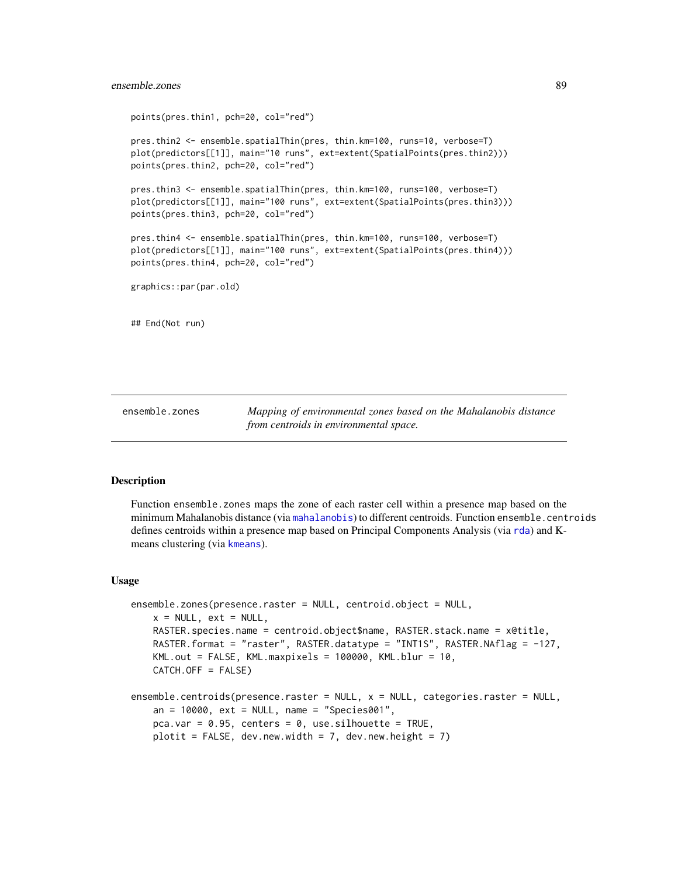## ensemble.zones 89

points(pres.thin1, pch=20, col="red") pres.thin2 <- ensemble.spatialThin(pres, thin.km=100, runs=10, verbose=T) plot(predictors[[1]], main="10 runs", ext=extent(SpatialPoints(pres.thin2))) points(pres.thin2, pch=20, col="red") pres.thin3 <- ensemble.spatialThin(pres, thin.km=100, runs=100, verbose=T) plot(predictors[[1]], main="100 runs", ext=extent(SpatialPoints(pres.thin3))) points(pres.thin3, pch=20, col="red") pres.thin4 <- ensemble.spatialThin(pres, thin.km=100, runs=100, verbose=T) plot(predictors[[1]], main="100 runs", ext=extent(SpatialPoints(pres.thin4))) points(pres.thin4, pch=20, col="red") graphics::par(par.old) ## End(Not run)

ensemble.zones *Mapping of environmental zones based on the Mahalanobis distance from centroids in environmental space.*

#### Description

Function ensemble.zones maps the zone of each raster cell within a presence map based on the minimum Mahalanobis distance (via [mahalanobis](#page-0-0)) to different centroids. Function ensemble.centroids defines centroids within a presence map based on Principal Components Analysis (via [rda](#page-0-0)) and Kmeans clustering (via [kmeans](#page-0-0)).

#### Usage

```
ensemble.zones(presence.raster = NULL, centroid.object = NULL,
   x = NULL, ext = NULL,RASTER.species.name = centroid.object$name, RASTER.stack.name = x@title,
   RASTER.format = "raster", RASTER.datatype = "INT1S", RASTER.NAflag = -127,
   KML.out = FALSE, KML.maxpixels = 100000, KML.blur = 10,
   CATCH.OFF = FALSE)
ensemble.centroids(presence.raster = NULL, x = NULL, categories.raster = NULL,
   an = 10000, ext = NULL, name = "Species001",
   pca.var = 0.95, centers = 0, use.silhouette = TRUE,
   plotit = FALSE, dev.new.width = 7, dev.new.height = 7)
```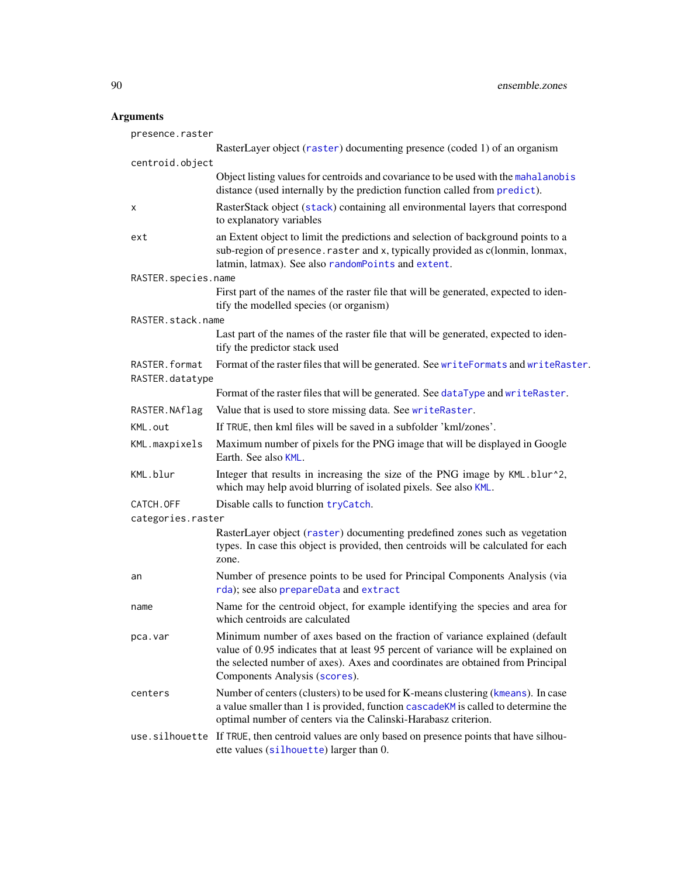# Arguments

| presence.raster                  |                                                                                                                                                                                                                                                                                     |
|----------------------------------|-------------------------------------------------------------------------------------------------------------------------------------------------------------------------------------------------------------------------------------------------------------------------------------|
|                                  | RasterLayer object (raster) documenting presence (coded 1) of an organism                                                                                                                                                                                                           |
| centroid.object                  |                                                                                                                                                                                                                                                                                     |
|                                  | Object listing values for centroids and covariance to be used with the mahalanobis<br>distance (used internally by the prediction function called from predict).                                                                                                                    |
| х                                | RasterStack object (stack) containing all environmental layers that correspond<br>to explanatory variables                                                                                                                                                                          |
| ext                              | an Extent object to limit the predictions and selection of background points to a<br>sub-region of presence. raster and x, typically provided as c(lonmin, lonmax,<br>latmin, latmax). See also randomPoints and extent.                                                            |
| RASTER.species.name              |                                                                                                                                                                                                                                                                                     |
|                                  | First part of the names of the raster file that will be generated, expected to iden-<br>tify the modelled species (or organism)                                                                                                                                                     |
| RASTER.stack.name                |                                                                                                                                                                                                                                                                                     |
|                                  | Last part of the names of the raster file that will be generated, expected to iden-<br>tify the predictor stack used                                                                                                                                                                |
| RASTER.format<br>RASTER.datatype | Format of the raster files that will be generated. See writeFormats and writeRaster.                                                                                                                                                                                                |
|                                  | Format of the raster files that will be generated. See dataType and writeRaster.                                                                                                                                                                                                    |
| RASTER.NAflag                    | Value that is used to store missing data. See writeRaster.                                                                                                                                                                                                                          |
| KML.out                          | If TRUE, then kml files will be saved in a subfolder 'kml/zones'.                                                                                                                                                                                                                   |
| KML.maxpixels                    | Maximum number of pixels for the PNG image that will be displayed in Google<br>Earth. See also KML.                                                                                                                                                                                 |
| KML.blur                         | Integer that results in increasing the size of the PNG image by KML.blur^2,<br>which may help avoid blurring of isolated pixels. See also KML.                                                                                                                                      |
| CATCH.OFF                        | Disable calls to function tryCatch.                                                                                                                                                                                                                                                 |
| categories.raster                |                                                                                                                                                                                                                                                                                     |
|                                  | RasterLayer object (raster) documenting predefined zones such as vegetation<br>types. In case this object is provided, then centroids will be calculated for each<br>zone.                                                                                                          |
| an                               | Number of presence points to be used for Principal Components Analysis (via<br>rda); see also prepareData and extract                                                                                                                                                               |
| name                             | Name for the centroid object, for example identifying the species and area for<br>which centroids are calculated                                                                                                                                                                    |
| pca.var                          | Minimum number of axes based on the fraction of variance explained (default<br>value of 0.95 indicates that at least 95 percent of variance will be explained on<br>the selected number of axes). Axes and coordinates are obtained from Principal<br>Components Analysis (scores). |
| centers                          | Number of centers (clusters) to be used for K-means clustering (kmeans). In case<br>a value smaller than 1 is provided, function cascadeKM is called to determine the<br>optimal number of centers via the Calinski-Harabasz criterion.                                             |
|                                  | use.silhouette If TRUE, then centroid values are only based on presence points that have silhou-<br>ette values (silhouette) larger than 0.                                                                                                                                         |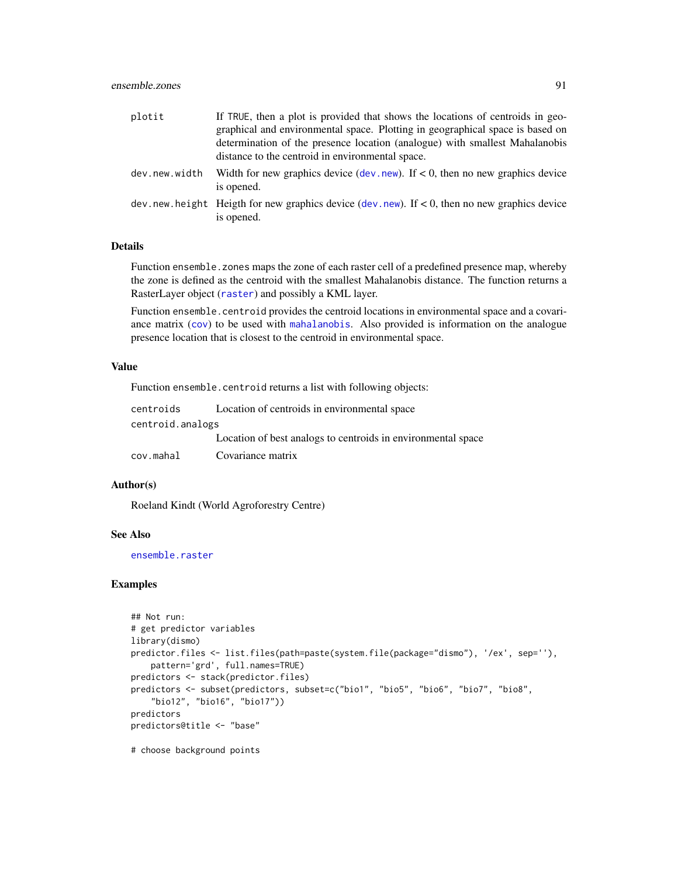## ensemble.zones 91

| plotit        | If TRUE, then a plot is provided that shows the locations of centroids in geo-<br>graphical and environmental space. Plotting in geographical space is based on<br>determination of the presence location (analogue) with smallest Mahalanobis<br>distance to the centroid in environmental space. |
|---------------|----------------------------------------------------------------------------------------------------------------------------------------------------------------------------------------------------------------------------------------------------------------------------------------------------|
| dev.new.width | Width for new graphics device (dev. new). If $< 0$ , then no new graphics device<br>is opened.                                                                                                                                                                                                     |
|               | dev. new. height Heigth for new graphics device (dev. new). If $< 0$ , then no new graphics device<br>is opened.                                                                                                                                                                                   |

## Details

Function ensemble.zones maps the zone of each raster cell of a predefined presence map, whereby the zone is defined as the centroid with the smallest Mahalanobis distance. The function returns a RasterLayer object ([raster](#page-0-0)) and possibly a KML layer.

Function ensemble.centroid provides the centroid locations in environmental space and a covariance matrix ([cov](#page-0-0)) to be used with [mahalanobis](#page-0-0). Also provided is information on the analogue presence location that is closest to the centroid in environmental space.

# Value

Function ensemble.centroid returns a list with following objects:

| centroids        | Location of centroids in environmental space                 |
|------------------|--------------------------------------------------------------|
| centroid.analogs |                                                              |
|                  | Location of best analogs to centroids in environmental space |
| cov.mahal        | Covariance matrix                                            |

#### Author(s)

Roeland Kindt (World Agroforestry Centre)

#### See Also

[ensemble.raster](#page-76-0)

# Examples

```
## Not run:
# get predictor variables
library(dismo)
predictor.files <- list.files(path=paste(system.file(package="dismo"), '/ex', sep=''),
    pattern='grd', full.names=TRUE)
predictors <- stack(predictor.files)
predictors <- subset(predictors, subset=c("bio1", "bio5", "bio6", "bio7", "bio8",
    "bio12", "bio16", "bio17"))
predictors
predictors@title <- "base"
```
# choose background points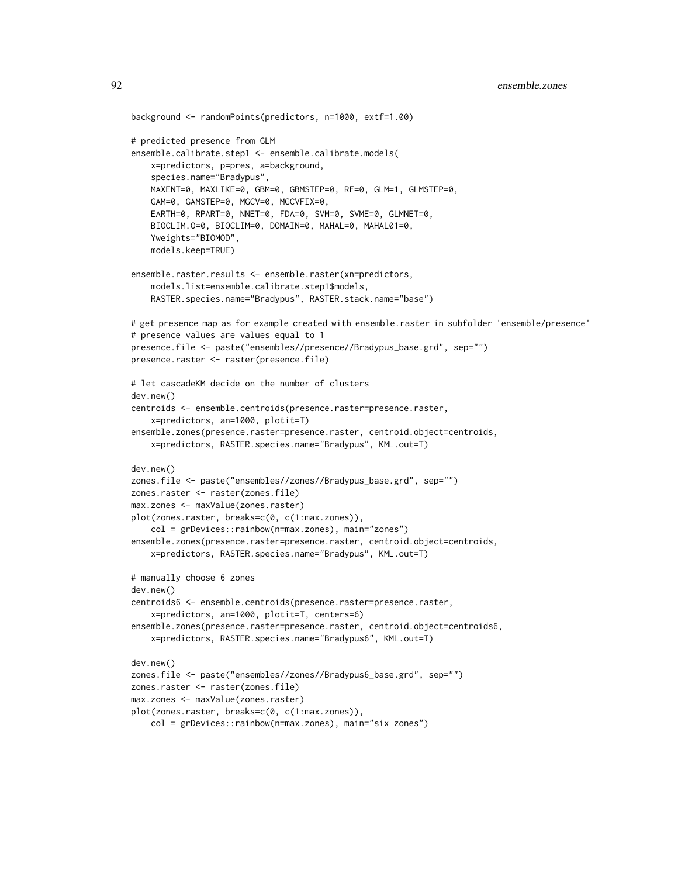```
background <- randomPoints(predictors, n=1000, extf=1.00)
# predicted presence from GLM
ensemble.calibrate.step1 <- ensemble.calibrate.models(
   x=predictors, p=pres, a=background,
    species.name="Bradypus",
   MAXENT=0, MAXLIKE=0, GBM=0, GBMSTEP=0, RF=0, GLM=1, GLMSTEP=0,
    GAM=0, GAMSTEP=0, MGCV=0, MGCVFIX=0,
    EARTH=0, RPART=0, NNET=0, FDA=0, SVM=0, SVME=0, GLMNET=0,
   BIOCLIM.O=0, BIOCLIM=0, DOMAIN=0, MAHAL=0, MAHAL01=0,
    Yweights="BIOMOD",
   models.keep=TRUE)
ensemble.raster.results <- ensemble.raster(xn=predictors,
    models.list=ensemble.calibrate.step1$models,
   RASTER.species.name="Bradypus", RASTER.stack.name="base")
# get presence map as for example created with ensemble.raster in subfolder 'ensemble/presence'
# presence values are values equal to 1
presence.file <- paste("ensembles//presence//Bradypus_base.grd", sep="")
presence.raster <- raster(presence.file)
# let cascadeKM decide on the number of clusters
dev.new()
centroids <- ensemble.centroids(presence.raster=presence.raster,
    x=predictors, an=1000, plotit=T)
ensemble.zones(presence.raster=presence.raster, centroid.object=centroids,
    x=predictors, RASTER.species.name="Bradypus", KML.out=T)
dev.new()
zones.file <- paste("ensembles//zones//Bradypus_base.grd", sep="")
zones.raster <- raster(zones.file)
max.zones <- maxValue(zones.raster)
plot(zones.raster, breaks=c(0, c(1:max.zones)),
    col = grDevices::rainbow(n=max.zones), main="zones")
ensemble.zones(presence.raster=presence.raster, centroid.object=centroids,
   x=predictors, RASTER.species.name="Bradypus", KML.out=T)
# manually choose 6 zones
dev.new()
centroids6 <- ensemble.centroids(presence.raster=presence.raster,
    x=predictors, an=1000, plotit=T, centers=6)
ensemble.zones(presence.raster=presence.raster, centroid.object=centroids6,
    x=predictors, RASTER.species.name="Bradypus6", KML.out=T)
dev.new()
zones.file <- paste("ensembles//zones//Bradypus6_base.grd", sep="")
zones.raster <- raster(zones.file)
max.zones <- maxValue(zones.raster)
plot(zones.raster, breaks=c(0, c(1:max.zones)),
    col = grDevices::rainbow(n=max.zones), main="six zones")
```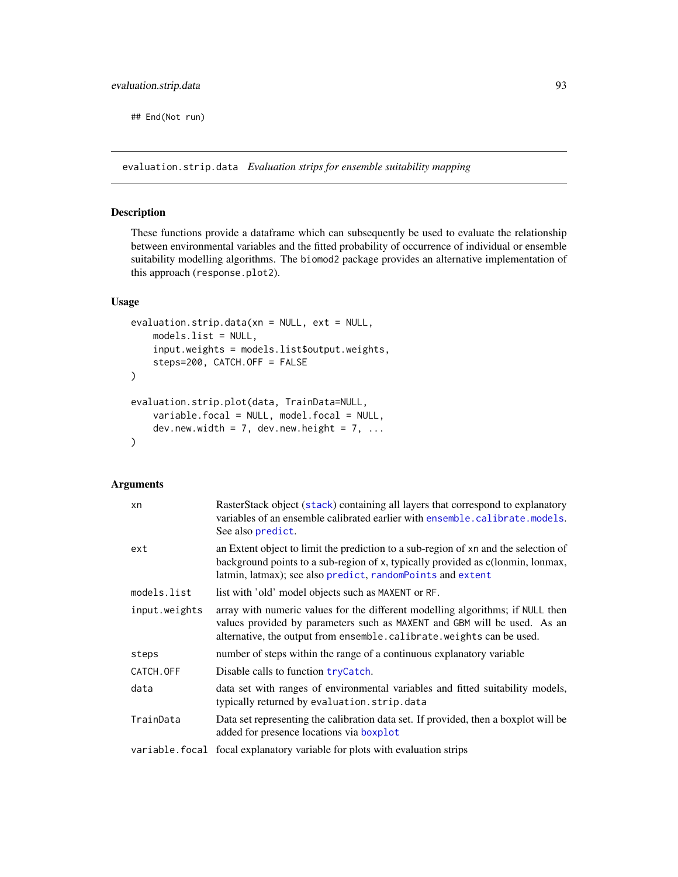## End(Not run)

evaluation.strip.data *Evaluation strips for ensemble suitability mapping*

# <span id="page-92-0"></span>Description

These functions provide a dataframe which can subsequently be used to evaluate the relationship between environmental variables and the fitted probability of occurrence of individual or ensemble suitability modelling algorithms. The biomod2 package provides an alternative implementation of this approach (response.plot2).

## Usage

```
evaluation.strip.data(xn = NULL, ext = NULL,
   models.list = NULL,
    input.weights = models.list$output.weights,
    steps=200, CATCH.OFF = FALSE
)
evaluation.strip.plot(data, TrainData=NULL,
    variable.focal = NULL, model.focal = NULL,
    dev.new.width = 7, dev.new.height = 7, ...
\mathcal{L}
```
## Arguments

| xn            | RasterStack object (stack) containing all layers that correspond to explanatory<br>variables of an ensemble calibrated earlier with ensemble.calibrate.models.<br>See also predict.                                                   |
|---------------|---------------------------------------------------------------------------------------------------------------------------------------------------------------------------------------------------------------------------------------|
| ext           | an Extent object to limit the prediction to a sub-region of xn and the selection of<br>background points to a sub-region of x, typically provided as c(lonmin, lonmax,<br>latmin, latmax); see also predict, random Points and extent |
| models.list   | list with 'old' model objects such as MAXENT or RF.                                                                                                                                                                                   |
| input.weights | array with numeric values for the different modelling algorithms; if NULL then<br>values provided by parameters such as MAXENT and GBM will be used. As an<br>alternative, the output from ensemble.calibrate.weights can be used.    |
| steps         | number of steps within the range of a continuous explanatory variable                                                                                                                                                                 |
| CATCH.OFF     | Disable calls to function tryCatch.                                                                                                                                                                                                   |
| data          | data set with ranges of environmental variables and fitted suitability models,<br>typically returned by evaluation.strip.data                                                                                                         |
| TrainData     | Data set representing the calibration data set. If provided, then a boxplot will be<br>added for presence locations via boxplot                                                                                                       |
|               | variable. focal focal explanatory variable for plots with evaluation strips                                                                                                                                                           |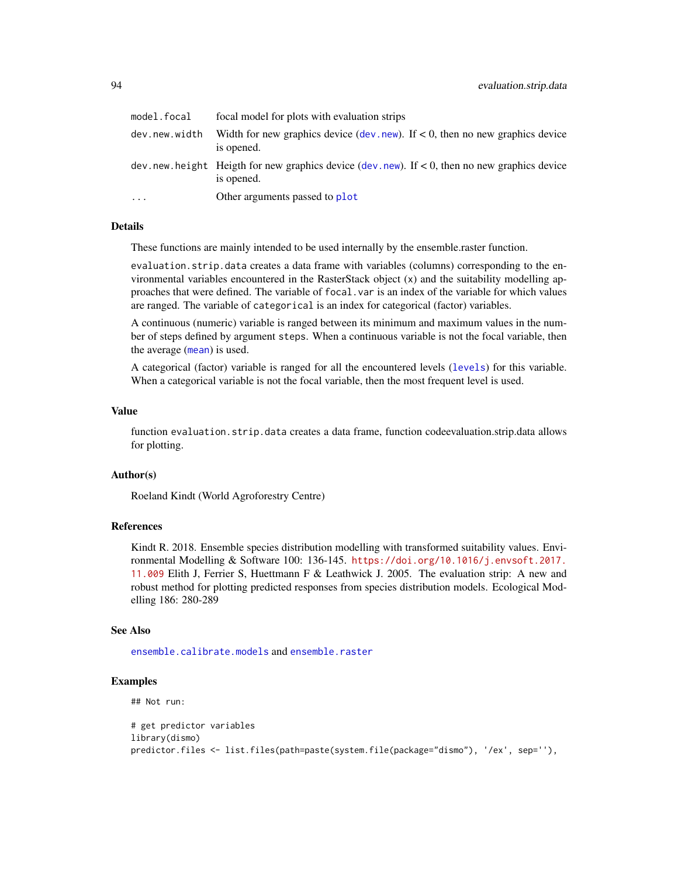| model.focal   | focal model for plots with evaluation strips                                                                  |
|---------------|---------------------------------------------------------------------------------------------------------------|
| dev.new.width | Width for new graphics device (dev. new). If $< 0$ , then no new graphics device<br>is opened.                |
|               | dev.new.height Heigth for new graphics device (dev.new). If $< 0$ , then no new graphics device<br>is opened. |
| .             | Other arguments passed to plot                                                                                |

# Details

These functions are mainly intended to be used internally by the ensemble.raster function.

evaluation.strip.data creates a data frame with variables (columns) corresponding to the environmental variables encountered in the RasterStack object (x) and the suitability modelling approaches that were defined. The variable of focal.var is an index of the variable for which values are ranged. The variable of categorical is an index for categorical (factor) variables.

A continuous (numeric) variable is ranged between its minimum and maximum values in the number of steps defined by argument steps. When a continuous variable is not the focal variable, then the average ([mean](#page-0-0)) is used.

A categorical (factor) variable is ranged for all the encountered levels ([levels](#page-0-0)) for this variable. When a categorical variable is not the focal variable, then the most frequent level is used.

#### Value

function evaluation.strip.data creates a data frame, function codeevaluation.strip.data allows for plotting.

#### Author(s)

Roeland Kindt (World Agroforestry Centre)

#### References

Kindt R. 2018. Ensemble species distribution modelling with transformed suitability values. Environmental Modelling & Software 100: 136-145. [https://doi.org/10.1016/j.envsoft.2017.](https://doi.org/10.1016/j.envsoft.2017.11.009) [11.009](https://doi.org/10.1016/j.envsoft.2017.11.009) Elith J, Ferrier S, Huettmann F & Leathwick J. 2005. The evaluation strip: A new and robust method for plotting predicted responses from species distribution models. Ecological Modelling 186: 280-289

#### See Also

[ensemble.calibrate.models](#page-49-0) and [ensemble.raster](#page-76-0)

# Examples

## Not run:

```
# get predictor variables
library(dismo)
predictor.files <- list.files(path=paste(system.file(package="dismo"), '/ex', sep=''),
```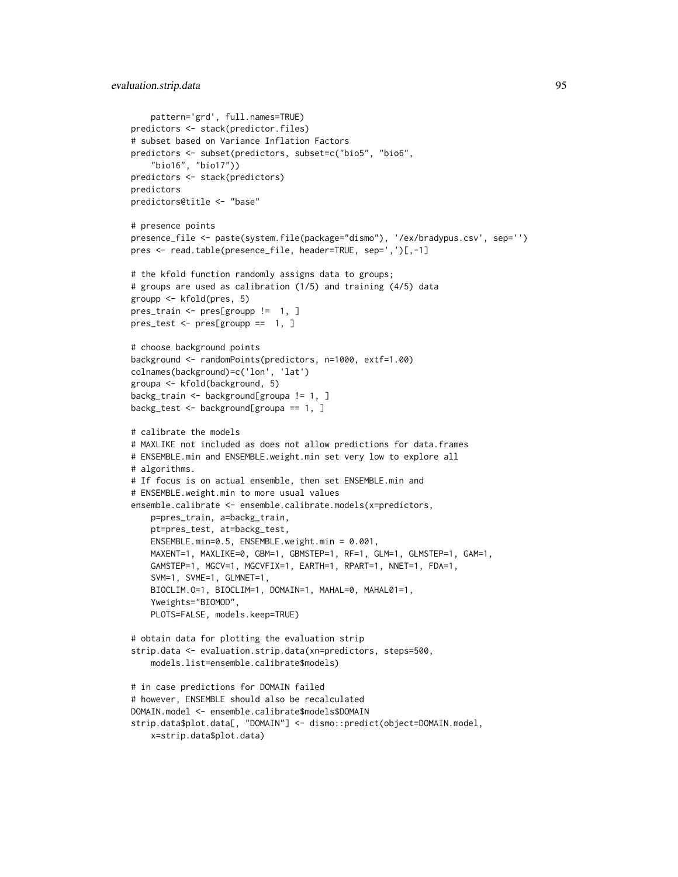```
pattern='grd', full.names=TRUE)
predictors <- stack(predictor.files)
# subset based on Variance Inflation Factors
predictors <- subset(predictors, subset=c("bio5", "bio6",
    "bio16", "bio17"))
predictors <- stack(predictors)
predictors
predictors@title <- "base"
# presence points
presence_file <- paste(system.file(package="dismo"), '/ex/bradypus.csv', sep='')
pres <- read.table(presence_file, header=TRUE, sep=',')[,-1]
# the kfold function randomly assigns data to groups;
# groups are used as calibration (1/5) and training (4/5) data
groupp <- kfold(pres, 5)
pres_train <- pres[groupp != 1, ]
pres_test <- pres[groupp == 1, ]
# choose background points
background <- randomPoints(predictors, n=1000, extf=1.00)
colnames(background)=c('lon', 'lat')
groupa <- kfold(background, 5)
backg_train <- background[groupa != 1, ]
backg_test <- background[groupa == 1, ]
# calibrate the models
# MAXLIKE not included as does not allow predictions for data.frames
# ENSEMBLE.min and ENSEMBLE.weight.min set very low to explore all
# algorithms.
# If focus is on actual ensemble, then set ENSEMBLE.min and
# ENSEMBLE.weight.min to more usual values
ensemble.calibrate <- ensemble.calibrate.models(x=predictors,
   p=pres_train, a=backg_train,
   pt=pres_test, at=backg_test,
   ENSEMBLE.min=0.5, ENSEMBLE.weight.min = 0.001,
   MAXENT=1, MAXLIKE=0, GBM=1, GBMSTEP=1, RF=1, GLM=1, GLMSTEP=1, GAM=1,
    GAMSTEP=1, MGCV=1, MGCVFIX=1, EARTH=1, RPART=1, NNET=1, FDA=1,
    SVM=1, SVME=1, GLMNET=1,
   BIOCLIM.O=1, BIOCLIM=1, DOMAIN=1, MAHAL=0, MAHAL01=1,
    Yweights="BIOMOD",
   PLOTS=FALSE, models.keep=TRUE)
# obtain data for plotting the evaluation strip
strip.data <- evaluation.strip.data(xn=predictors, steps=500,
    models.list=ensemble.calibrate$models)
# in case predictions for DOMAIN failed
# however, ENSEMBLE should also be recalculated
DOMAIN.model <- ensemble.calibrate$models$DOMAIN
strip.data$plot.data[, "DOMAIN"] <- dismo::predict(object=DOMAIN.model,
    x=strip.data$plot.data)
```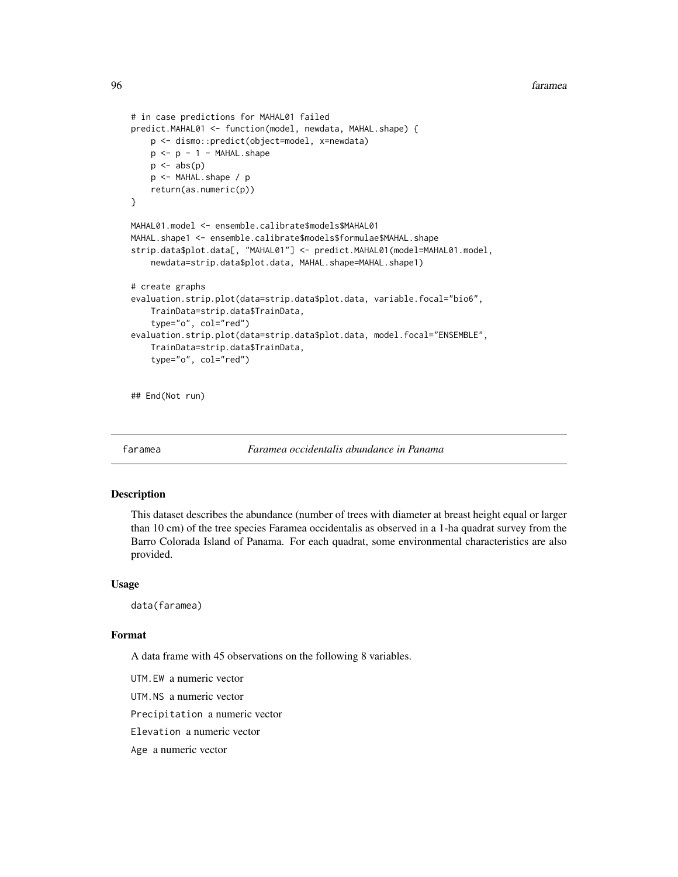```
# in case predictions for MAHAL01 failed
predict.MAHAL01 <- function(model, newdata, MAHAL.shape) {
    p <- dismo::predict(object=model, x=newdata)
    p \le -p - 1 - \text{MAHAL.shape}p \leftarrow abs(p)p <- MAHAL.shape / p
    return(as.numeric(p))
}
MAHAL01.model <- ensemble.calibrate$models$MAHAL01
MAHAL.shape1 <- ensemble.calibrate$models$formulae$MAHAL.shape
strip.data$plot.data[, "MAHAL01"] <- predict.MAHAL01(model=MAHAL01.model,
    newdata=strip.data$plot.data, MAHAL.shape=MAHAL.shape1)
# create graphs
evaluation.strip.plot(data=strip.data$plot.data, variable.focal="bio6",
    TrainData=strip.data$TrainData,
    type="o", col="red")
evaluation.strip.plot(data=strip.data$plot.data, model.focal="ENSEMBLE",
    TrainData=strip.data$TrainData,
    type="o", col="red")
```
## End(Not run)

faramea *Faramea occidentalis abundance in Panama*

#### Description

This dataset describes the abundance (number of trees with diameter at breast height equal or larger than 10 cm) of the tree species Faramea occidentalis as observed in a 1-ha quadrat survey from the Barro Colorada Island of Panama. For each quadrat, some environmental characteristics are also provided.

#### Usage

data(faramea)

## Format

A data frame with 45 observations on the following 8 variables.

UTM.EW a numeric vector

UTM.NS a numeric vector

Precipitation a numeric vector

Elevation a numeric vector

Age a numeric vector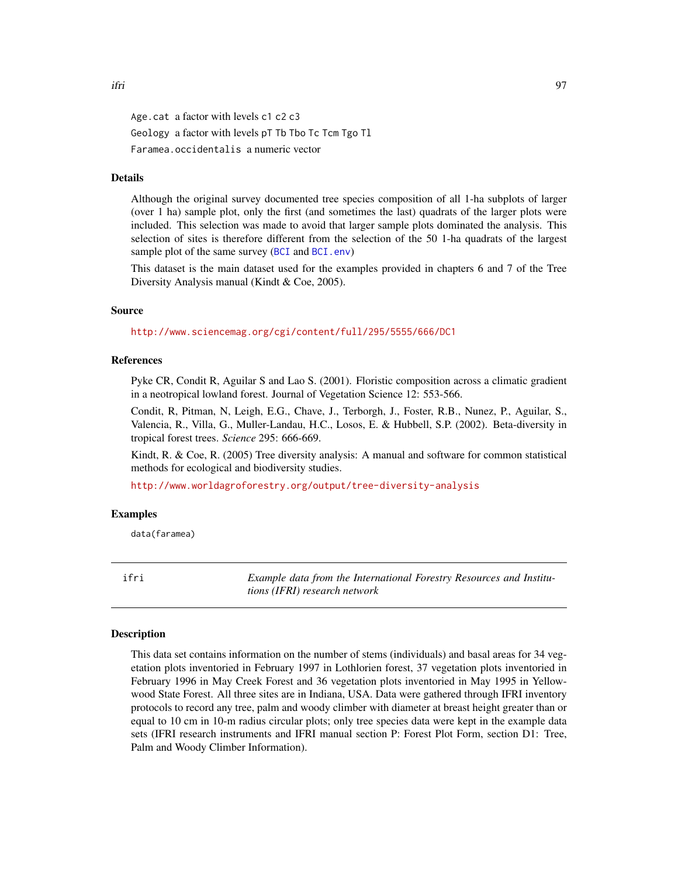Age.cat a factor with levels c1 c2 c3 Geology a factor with levels pT Tb Tbo Tc Tcm Tgo Tl Faramea.occidentalis a numeric vector

## Details

Although the original survey documented tree species composition of all 1-ha subplots of larger (over 1 ha) sample plot, only the first (and sometimes the last) quadrats of the larger plots were included. This selection was made to avoid that larger sample plots dominated the analysis. This selection of sites is therefore different from the selection of the 50 1-ha quadrats of the largest sample plot of the same survey ([BCI](#page-0-0) and [BCI.env](#page-8-0))

This dataset is the main dataset used for the examples provided in chapters 6 and 7 of the Tree Diversity Analysis manual (Kindt & Coe, 2005).

## Source

<http://www.sciencemag.org/cgi/content/full/295/5555/666/DC1>

# References

Pyke CR, Condit R, Aguilar S and Lao S. (2001). Floristic composition across a climatic gradient in a neotropical lowland forest. Journal of Vegetation Science 12: 553-566.

Condit, R, Pitman, N, Leigh, E.G., Chave, J., Terborgh, J., Foster, R.B., Nunez, P., Aguilar, S., Valencia, R., Villa, G., Muller-Landau, H.C., Losos, E. & Hubbell, S.P. (2002). Beta-diversity in tropical forest trees. *Science* 295: 666-669.

Kindt, R. & Coe, R. (2005) Tree diversity analysis: A manual and software for common statistical methods for ecological and biodiversity studies.

<http://www.worldagroforestry.org/output/tree-diversity-analysis>

#### Examples

data(faramea)

<span id="page-96-0"></span>ifri *Example data from the International Forestry Resources and Institutions (IFRI) research network*

#### Description

This data set contains information on the number of stems (individuals) and basal areas for 34 vegetation plots inventoried in February 1997 in Lothlorien forest, 37 vegetation plots inventoried in February 1996 in May Creek Forest and 36 vegetation plots inventoried in May 1995 in Yellowwood State Forest. All three sites are in Indiana, USA. Data were gathered through IFRI inventory protocols to record any tree, palm and woody climber with diameter at breast height greater than or equal to 10 cm in 10-m radius circular plots; only tree species data were kept in the example data sets (IFRI research instruments and IFRI manual section P: Forest Plot Form, section D1: Tree, Palm and Woody Climber Information).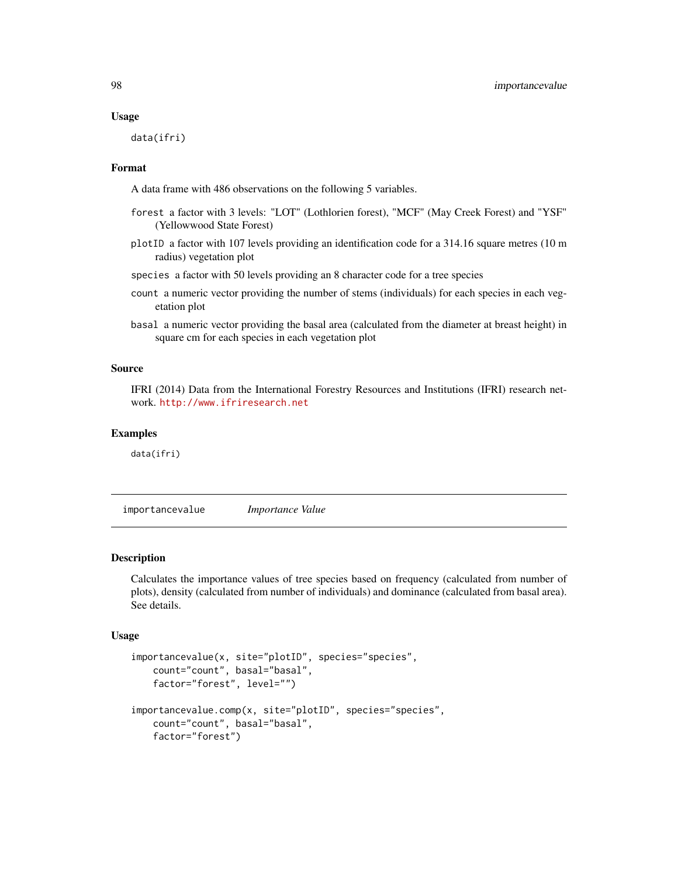#### Usage

data(ifri)

## Format

A data frame with 486 observations on the following 5 variables.

- forest a factor with 3 levels: "LOT" (Lothlorien forest), "MCF" (May Creek Forest) and "YSF" (Yellowwood State Forest)
- plotID a factor with 107 levels providing an identification code for a 314.16 square metres (10 m radius) vegetation plot
- species a factor with 50 levels providing an 8 character code for a tree species
- count a numeric vector providing the number of stems (individuals) for each species in each vegetation plot
- basal a numeric vector providing the basal area (calculated from the diameter at breast height) in square cm for each species in each vegetation plot

## Source

IFRI (2014) Data from the International Forestry Resources and Institutions (IFRI) research network. <http://www.ifriresearch.net>

# Examples

data(ifri)

importancevalue *Importance Value*

## Description

Calculates the importance values of tree species based on frequency (calculated from number of plots), density (calculated from number of individuals) and dominance (calculated from basal area). See details.

## Usage

```
importancevalue(x, site="plotID", species="species",
   count="count", basal="basal",
   factor="forest", level="")
importancevalue.comp(x, site="plotID", species="species",
   count="count", basal="basal",
   factor="forest")
```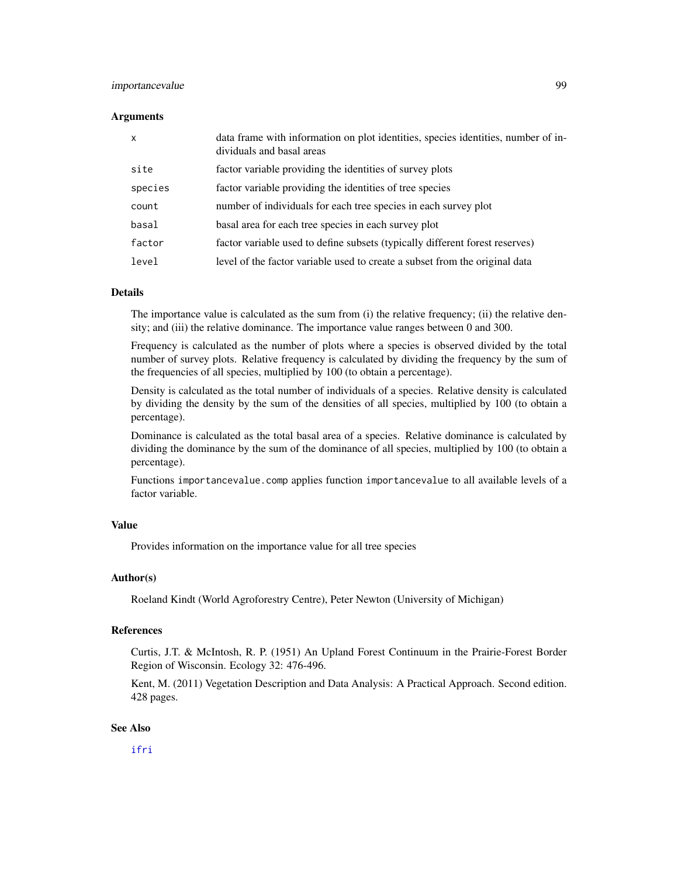## importancevalue 99

#### Arguments

| $\boldsymbol{\mathsf{x}}$ | data frame with information on plot identities, species identities, number of in-<br>dividuals and basal areas |
|---------------------------|----------------------------------------------------------------------------------------------------------------|
| site                      | factor variable providing the identities of survey plots                                                       |
| species                   | factor variable providing the identities of tree species                                                       |
| count                     | number of individuals for each tree species in each survey plot                                                |
| basal                     | basal area for each tree species in each survey plot                                                           |
| factor                    | factor variable used to define subsets (typically different forest reserves)                                   |
| level                     | level of the factor variable used to create a subset from the original data                                    |

## Details

The importance value is calculated as the sum from (i) the relative frequency; (ii) the relative density; and (iii) the relative dominance. The importance value ranges between 0 and 300.

Frequency is calculated as the number of plots where a species is observed divided by the total number of survey plots. Relative frequency is calculated by dividing the frequency by the sum of the frequencies of all species, multiplied by 100 (to obtain a percentage).

Density is calculated as the total number of individuals of a species. Relative density is calculated by dividing the density by the sum of the densities of all species, multiplied by 100 (to obtain a percentage).

Dominance is calculated as the total basal area of a species. Relative dominance is calculated by dividing the dominance by the sum of the dominance of all species, multiplied by 100 (to obtain a percentage).

Functions importancevalue.comp applies function importancevalue to all available levels of a factor variable.

#### Value

Provides information on the importance value for all tree species

#### Author(s)

Roeland Kindt (World Agroforestry Centre), Peter Newton (University of Michigan)

#### References

Curtis, J.T. & McIntosh, R. P. (1951) An Upland Forest Continuum in the Prairie-Forest Border Region of Wisconsin. Ecology 32: 476-496.

Kent, M. (2011) Vegetation Description and Data Analysis: A Practical Approach. Second edition. 428 pages.

## See Also

[ifri](#page-96-0)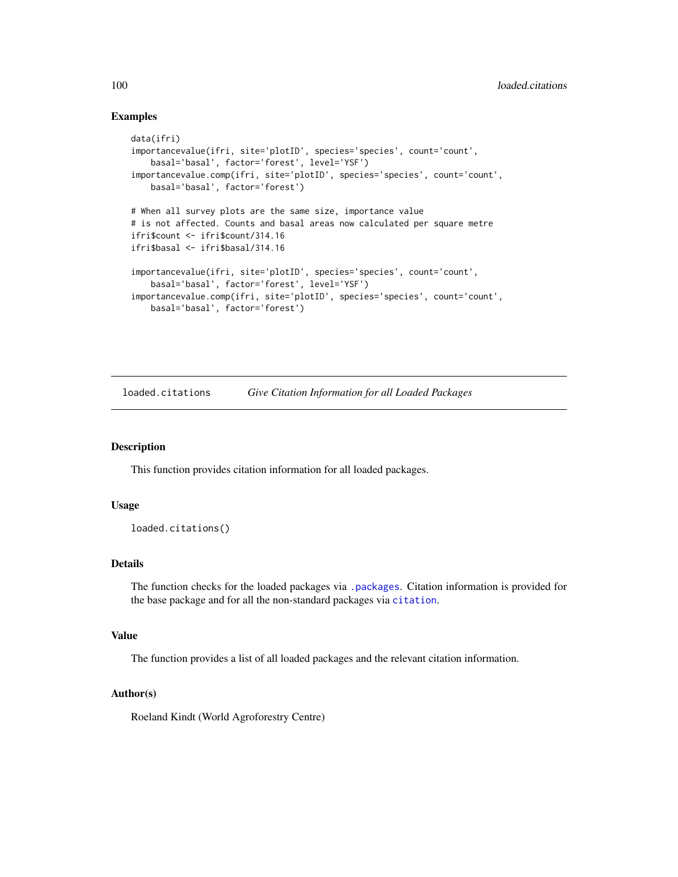## Examples

```
data(ifri)
importancevalue(ifri, site='plotID', species='species', count='count',
   basal='basal', factor='forest', level='YSF')
importancevalue.comp(ifri, site='plotID', species='species', count='count',
   basal='basal', factor='forest')
# When all survey plots are the same size, importance value
# is not affected. Counts and basal areas now calculated per square metre
ifri$count <- ifri$count/314.16
ifri$basal <- ifri$basal/314.16
importancevalue(ifri, site='plotID', species='species', count='count',
   basal='basal', factor='forest', level='YSF')
importancevalue.comp(ifri, site='plotID', species='species', count='count',
   basal='basal', factor='forest')
```
loaded.citations *Give Citation Information for all Loaded Packages*

#### Description

This function provides citation information for all loaded packages.

#### Usage

```
loaded.citations()
```
## Details

The function checks for the loaded packages via [.packages](#page-0-0). Citation information is provided for the base package and for all the non-standard packages via [citation](#page-0-0).

## Value

The function provides a list of all loaded packages and the relevant citation information.

# Author(s)

Roeland Kindt (World Agroforestry Centre)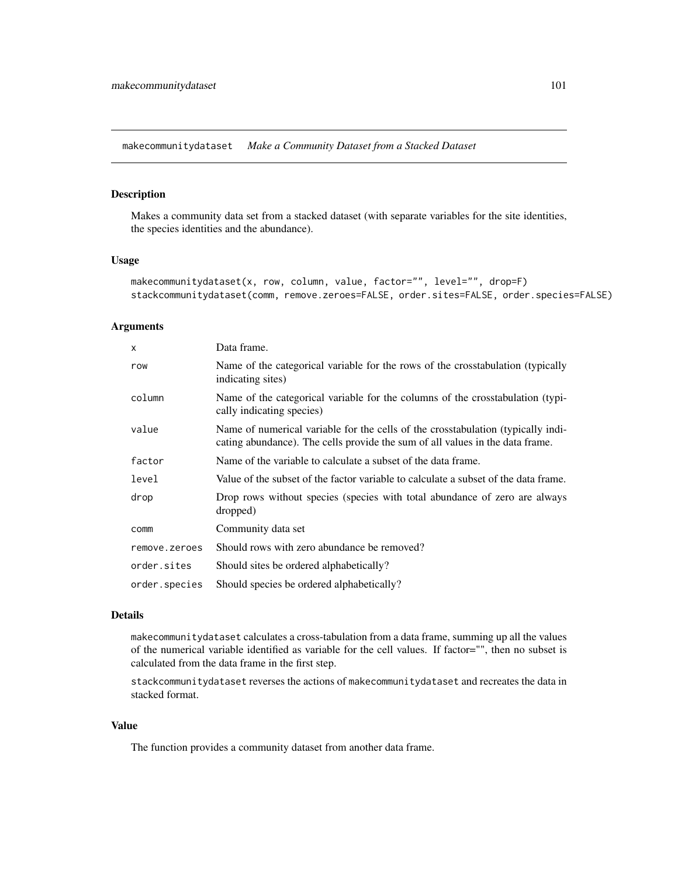makecommunitydataset *Make a Community Dataset from a Stacked Dataset*

# Description

Makes a community data set from a stacked dataset (with separate variables for the site identities, the species identities and the abundance).

#### Usage

```
makecommunitydataset(x, row, column, value, factor="", level="", drop=F)
stackcommunitydataset(comm, remove.zeroes=FALSE, order.sites=FALSE, order.species=FALSE)
```
## Arguments

| X             | Data frame.                                                                                                                                                       |
|---------------|-------------------------------------------------------------------------------------------------------------------------------------------------------------------|
| row           | Name of the categorical variable for the rows of the crosstabulation (typically<br>indicating sites)                                                              |
| column        | Name of the categorical variable for the columns of the crosstabulation (typi-<br>cally indicating species)                                                       |
| value         | Name of numerical variable for the cells of the crosstabulation (typically indi-<br>cating abundance). The cells provide the sum of all values in the data frame. |
| factor        | Name of the variable to calculate a subset of the data frame.                                                                                                     |
| level         | Value of the subset of the factor variable to calculate a subset of the data frame.                                                                               |
| drop          | Drop rows without species (species with total abundance of zero are always<br>dropped)                                                                            |
| comm          | Community data set                                                                                                                                                |
| remove.zeroes | Should rows with zero abundance be removed?                                                                                                                       |
| order.sites   | Should sites be ordered alphabetically?                                                                                                                           |
| order.species | Should species be ordered alphabetically?                                                                                                                         |

# Details

makecommunitydataset calculates a cross-tabulation from a data frame, summing up all the values of the numerical variable identified as variable for the cell values. If factor="", then no subset is calculated from the data frame in the first step.

stackcommunitydataset reverses the actions of makecommunitydataset and recreates the data in stacked format.

# Value

The function provides a community dataset from another data frame.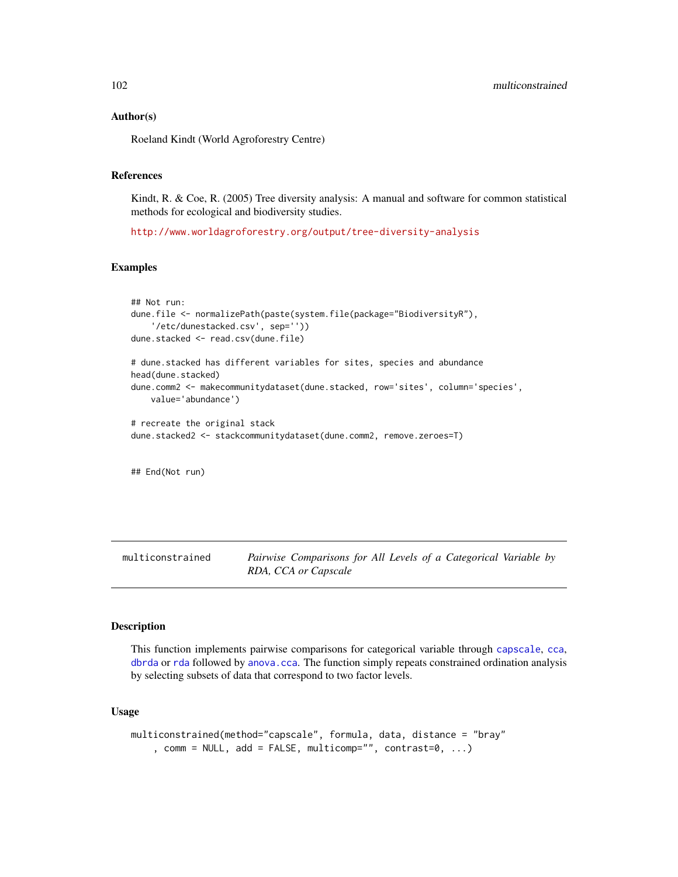## Author(s)

Roeland Kindt (World Agroforestry Centre)

#### References

Kindt, R. & Coe, R. (2005) Tree diversity analysis: A manual and software for common statistical methods for ecological and biodiversity studies.

<http://www.worldagroforestry.org/output/tree-diversity-analysis>

## Examples

```
## Not run:
dune.file <- normalizePath(paste(system.file(package="BiodiversityR"),
    '/etc/dunestacked.csv', sep=''))
dune.stacked <- read.csv(dune.file)
# dune.stacked has different variables for sites, species and abundance
head(dune.stacked)
dune.comm2 <- makecommunitydataset(dune.stacked, row='sites', column='species',
   value='abundance')
# recreate the original stack
dune.stacked2 <- stackcommunitydataset(dune.comm2, remove.zeroes=T)
## End(Not run)
```
multiconstrained *Pairwise Comparisons for All Levels of a Categorical Variable by RDA, CCA or Capscale*

#### Description

This function implements pairwise comparisons for categorical variable through [capscale](#page-0-0), [cca](#page-0-0), [dbrda](#page-0-0) or [rda](#page-0-0) followed by [anova.cca](#page-0-0). The function simply repeats constrained ordination analysis by selecting subsets of data that correspond to two factor levels.

# Usage

```
multiconstrained(method="capscale", formula, data, distance = "bray"
    , comm = NULL, add = FALSE, multicomp="", contrast=0, ...)
```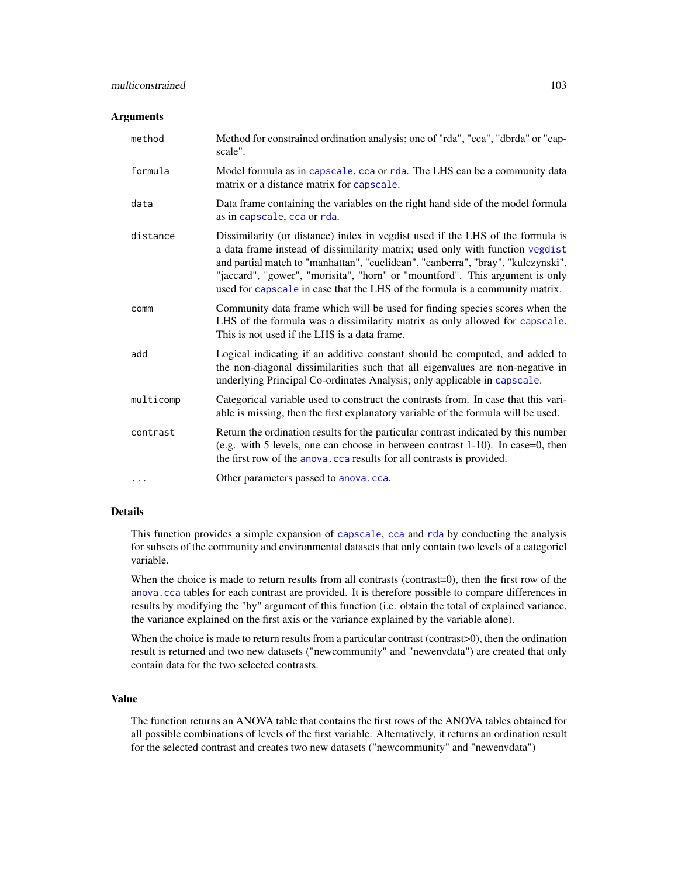#### **Arguments**

| method    | Method for constrained ordination analysis; one of "rda", "cca", "dbrda" or "cap-<br>scale".                                                                                                                                                                                                                                                                                                                        |
|-----------|---------------------------------------------------------------------------------------------------------------------------------------------------------------------------------------------------------------------------------------------------------------------------------------------------------------------------------------------------------------------------------------------------------------------|
| formula   | Model formula as in capscale, cca or rda. The LHS can be a community data<br>matrix or a distance matrix for capscale.                                                                                                                                                                                                                                                                                              |
| data      | Data frame containing the variables on the right hand side of the model formula<br>as in capscale, cca or rda.                                                                                                                                                                                                                                                                                                      |
| distance  | Dissimilarity (or distance) index in vegdist used if the LHS of the formula is<br>a data frame instead of dissimilarity matrix; used only with function vegdist<br>and partial match to "manhattan", "euclidean", "canberra", "bray", "kulczynski",<br>"jaccard", "gower", "morisita", "horn" or "mountford". This argument is only<br>used for capscale in case that the LHS of the formula is a community matrix. |
| comm      | Community data frame which will be used for finding species scores when the<br>LHS of the formula was a dissimilarity matrix as only allowed for capscale.<br>This is not used if the LHS is a data frame.                                                                                                                                                                                                          |
| add       | Logical indicating if an additive constant should be computed, and added to<br>the non-diagonal dissimilarities such that all eigenvalues are non-negative in<br>underlying Principal Co-ordinates Analysis; only applicable in capscale.                                                                                                                                                                           |
| multicomp | Categorical variable used to construct the contrasts from. In case that this vari-<br>able is missing, then the first explanatory variable of the formula will be used.                                                                                                                                                                                                                                             |
| contrast  | Return the ordination results for the particular contrast indicated by this number<br>(e.g. with 5 levels, one can choose in between contrast $1-10$ ). In case=0, then<br>the first row of the anova. cca results for all contrasts is provided.                                                                                                                                                                   |
| $\cdots$  | Other parameters passed to anova.cca.                                                                                                                                                                                                                                                                                                                                                                               |

# Details

This function provides a simple expansion of [capscale](#page-0-0), [cca](#page-0-0) and [rda](#page-0-0) by conducting the analysis for subsets of the community and environmental datasets that only contain two levels of a categoricl variable.

When the choice is made to return results from all contrasts (contrast=0), then the first row of the [anova.cca](#page-0-0) tables for each contrast are provided. It is therefore possible to compare differences in results by modifying the "by" argument of this function (i.e. obtain the total of explained variance, the variance explained on the first axis or the variance explained by the variable alone).

When the choice is made to return results from a particular contrast (contrast>0), then the ordination result is returned and two new datasets ("newcommunity" and "newenvdata") are created that only contain data for the two selected contrasts.

#### Value

The function returns an ANOVA table that contains the first rows of the ANOVA tables obtained for all possible combinations of levels of the first variable. Alternatively, it returns an ordination result for the selected contrast and creates two new datasets ("newcommunity" and "newenvdata")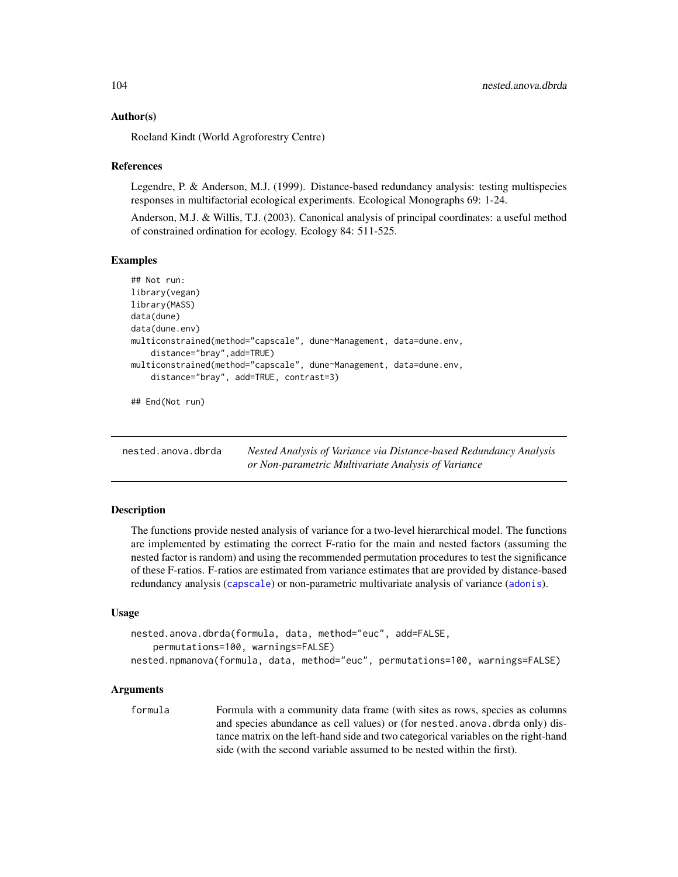## Author(s)

Roeland Kindt (World Agroforestry Centre)

## References

Legendre, P. & Anderson, M.J. (1999). Distance-based redundancy analysis: testing multispecies responses in multifactorial ecological experiments. Ecological Monographs 69: 1-24.

Anderson, M.J. & Willis, T.J. (2003). Canonical analysis of principal coordinates: a useful method of constrained ordination for ecology. Ecology 84: 511-525.

## Examples

```
## Not run:
library(vegan)
library(MASS)
data(dune)
data(dune.env)
multiconstrained(method="capscale", dune~Management, data=dune.env,
    distance="bray",add=TRUE)
multiconstrained(method="capscale", dune~Management, data=dune.env,
    distance="bray", add=TRUE, contrast=3)
```
## End(Not run)

| nested.anova.dbrda | Nested Analysis of Variance via Distance-based Redundancy Analysis |
|--------------------|--------------------------------------------------------------------|
|                    | or Non-parametric Multivariate Analysis of Variance                |

## Description

The functions provide nested analysis of variance for a two-level hierarchical model. The functions are implemented by estimating the correct F-ratio for the main and nested factors (assuming the nested factor is random) and using the recommended permutation procedures to test the significance of these F-ratios. F-ratios are estimated from variance estimates that are provided by distance-based redundancy analysis ([capscale](#page-0-0)) or non-parametric multivariate analysis of variance ([adonis](#page-0-0)).

#### Usage

```
nested.anova.dbrda(formula, data, method="euc", add=FALSE,
    permutations=100, warnings=FALSE)
nested.npmanova(formula, data, method="euc", permutations=100, warnings=FALSE)
```
## **Arguments**

formula Formula with a community data frame (with sites as rows, species as columns and species abundance as cell values) or (for nested.anova.dbrda only) distance matrix on the left-hand side and two categorical variables on the right-hand side (with the second variable assumed to be nested within the first).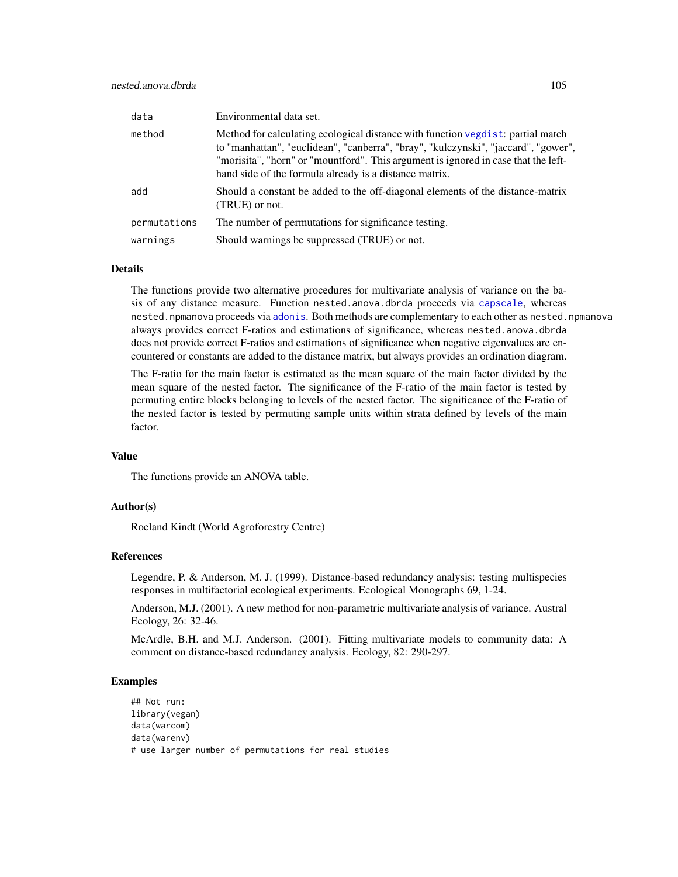| data         | Environmental data set.                                                                                                                                                                                                                                                                                               |
|--------------|-----------------------------------------------------------------------------------------------------------------------------------------------------------------------------------------------------------------------------------------------------------------------------------------------------------------------|
| method       | Method for calculating ecological distance with function vegdist: partial match<br>to "manhattan", "euclidean", "canberra", "bray", "kulczynski", "jaccard", "gower",<br>"morisita", "horn" or "mountford". This argument is ignored in case that the left-<br>hand side of the formula already is a distance matrix. |
| add          | Should a constant be added to the off-diagonal elements of the distance-matrix<br>(TRUE) or not.                                                                                                                                                                                                                      |
| permutations | The number of permutations for significance testing.                                                                                                                                                                                                                                                                  |
| warnings     | Should warnings be suppressed (TRUE) or not.                                                                                                                                                                                                                                                                          |

## Details

The functions provide two alternative procedures for multivariate analysis of variance on the basis of any distance measure. Function nested.anova.dbrda proceeds via [capscale](#page-0-0), whereas nested.npmanova proceeds via [adonis](#page-0-0). Both methods are complementary to each other as nested.npmanova always provides correct F-ratios and estimations of significance, whereas nested.anova.dbrda does not provide correct F-ratios and estimations of significance when negative eigenvalues are encountered or constants are added to the distance matrix, but always provides an ordination diagram.

The F-ratio for the main factor is estimated as the mean square of the main factor divided by the mean square of the nested factor. The significance of the F-ratio of the main factor is tested by permuting entire blocks belonging to levels of the nested factor. The significance of the F-ratio of the nested factor is tested by permuting sample units within strata defined by levels of the main factor.

## Value

The functions provide an ANOVA table.

## Author(s)

Roeland Kindt (World Agroforestry Centre)

#### References

Legendre, P. & Anderson, M. J. (1999). Distance-based redundancy analysis: testing multispecies responses in multifactorial ecological experiments. Ecological Monographs 69, 1-24.

Anderson, M.J. (2001). A new method for non-parametric multivariate analysis of variance. Austral Ecology, 26: 32-46.

McArdle, B.H. and M.J. Anderson. (2001). Fitting multivariate models to community data: A comment on distance-based redundancy analysis. Ecology, 82: 290-297.

# Examples

## Not run: library(vegan) data(warcom) data(warenv) # use larger number of permutations for real studies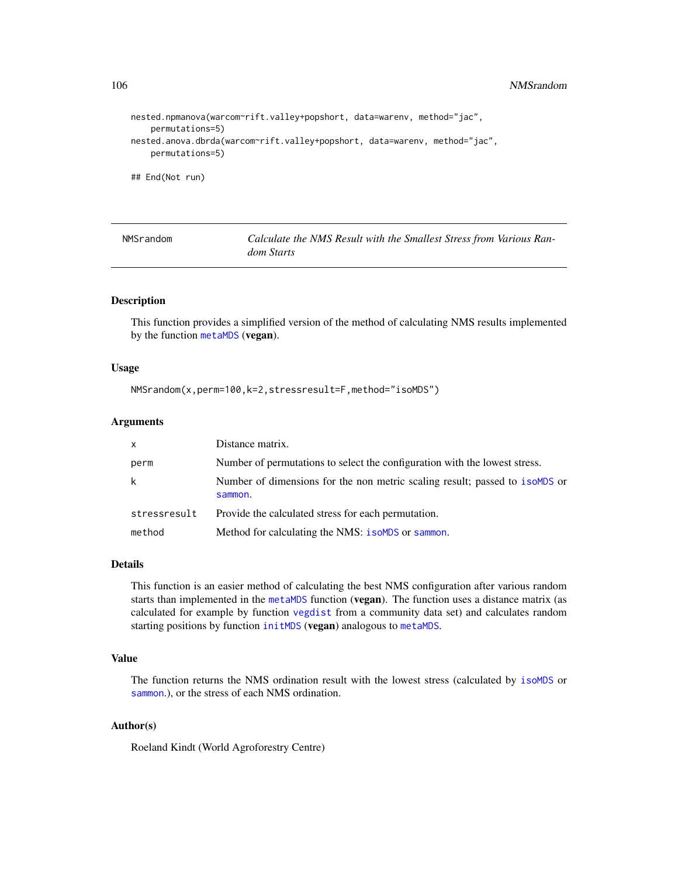```
nested.npmanova(warcom~rift.valley+popshort, data=warenv, method="jac",
    permutations=5)
nested.anova.dbrda(warcom~rift.valley+popshort, data=warenv, method="jac",
   permutations=5)
## End(Not run)
```

| NMSrandom | Calculate the NMS Result with the Smallest Stress from Various Ran- |
|-----------|---------------------------------------------------------------------|
|           | <i>dom Starts</i>                                                   |

#### Description

This function provides a simplified version of the method of calculating NMS results implemented by the function [metaMDS](#page-0-0) (vegan).

#### Usage

```
NMSrandom(x,perm=100,k=2,stressresult=F,method="isoMDS")
```
# Arguments

| $\mathsf{x}$ | Distance matrix.                                                                         |
|--------------|------------------------------------------------------------------------------------------|
| perm         | Number of permutations to select the configuration with the lowest stress.               |
| k            | Number of dimensions for the non metric scaling result; passed to isomptomore<br>sammon. |
| stressresult | Provide the calculated stress for each permutation.                                      |
| method       | Method for calculating the NMS: isoMDS or sammon.                                        |

#### Details

This function is an easier method of calculating the best NMS configuration after various random starts than implemented in the [metaMDS](#page-0-0) function (vegan). The function uses a distance matrix (as calculated for example by function [vegdist](#page-0-0) from a community data set) and calculates random starting positions by function [initMDS](#page-0-0) (vegan) analogous to [metaMDS](#page-0-0).

# Value

The function returns the NMS ordination result with the lowest stress (calculated by [isoMDS](#page-0-0) or [sammon](#page-0-0).), or the stress of each NMS ordination.

# Author(s)

Roeland Kindt (World Agroforestry Centre)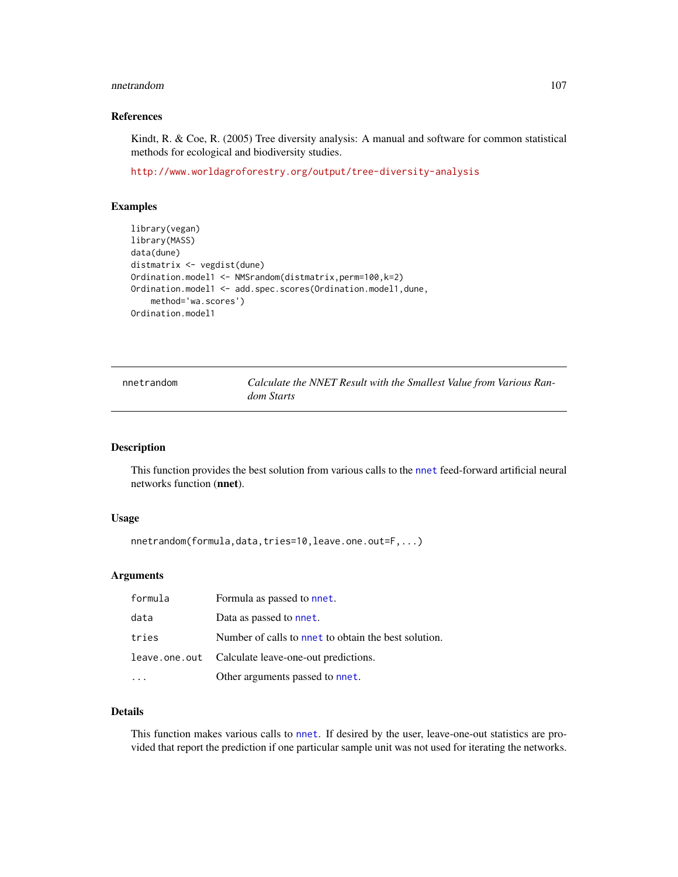#### nnetrandom 107

# References

Kindt, R. & Coe, R. (2005) Tree diversity analysis: A manual and software for common statistical methods for ecological and biodiversity studies.

<http://www.worldagroforestry.org/output/tree-diversity-analysis>

# Examples

```
library(vegan)
library(MASS)
data(dune)
distmatrix <- vegdist(dune)
Ordination.model1 <- NMSrandom(distmatrix,perm=100,k=2)
Ordination.model1 <- add.spec.scores(Ordination.model1,dune,
    method='wa.scores')
Ordination.model1
```

| nnetrandom | Calculate the NNET Result with the Smallest Value from Various Ran- |  |  |  |
|------------|---------------------------------------------------------------------|--|--|--|
|            | dom Starts                                                          |  |  |  |

#### Description

This function provides the best solution from various calls to the [nnet](#page-0-0) feed-forward artificial neural networks function (nnet).

# Usage

```
nnetrandom(formula,data,tries=10,leave.one.out=F,...)
```
## Arguments

| formula | Formula as passed to nnet.                          |
|---------|-----------------------------------------------------|
| data    | Data as passed to nnet.                             |
| tries   | Number of calls to net to obtain the best solution. |
|         | leave.one.out Calculate leave-one-out predictions.  |
|         | Other arguments passed to nnet.                     |

# Details

This function makes various calls to [nnet](#page-0-0). If desired by the user, leave-one-out statistics are provided that report the prediction if one particular sample unit was not used for iterating the networks.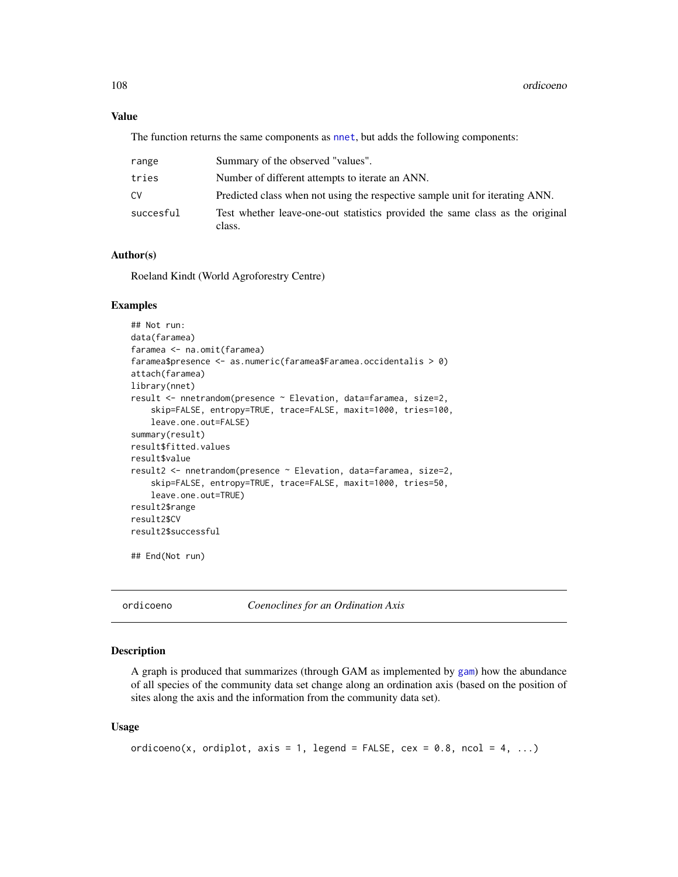## Value

The function returns the same components as [nnet](#page-0-0), but adds the following components:

| range     | Summary of the observed "values".                                                       |
|-----------|-----------------------------------------------------------------------------------------|
| tries     | Number of different attempts to iterate an ANN.                                         |
| CV        | Predicted class when not using the respective sample unit for iterating ANN.            |
| succesful | Test whether leave-one-out statistics provided the same class as the original<br>class. |

# Author(s)

Roeland Kindt (World Agroforestry Centre)

#### Examples

```
## Not run:
data(faramea)
faramea <- na.omit(faramea)
faramea$presence <- as.numeric(faramea$Faramea.occidentalis > 0)
attach(faramea)
library(nnet)
result <- nnetrandom(presence ~ Elevation, data=faramea, size=2,
    skip=FALSE, entropy=TRUE, trace=FALSE, maxit=1000, tries=100,
    leave.one.out=FALSE)
summary(result)
result$fitted.values
result$value
result2 <- nnetrandom(presence ~ Elevation, data=faramea, size=2,
    skip=FALSE, entropy=TRUE, trace=FALSE, maxit=1000, tries=50,
    leave.one.out=TRUE)
result2$range
result2$CV
result2$successful
## End(Not run)
```
ordicoeno *Coenoclines for an Ordination Axis*

## Description

A graph is produced that summarizes (through GAM as implemented by [gam](#page-0-0)) how the abundance of all species of the community data set change along an ordination axis (based on the position of sites along the axis and the information from the community data set).

#### Usage

```
ordicoeno(x, ordiplot, axis = 1, legend = FALSE, cex = 0.8, ncol = 4, ...)
```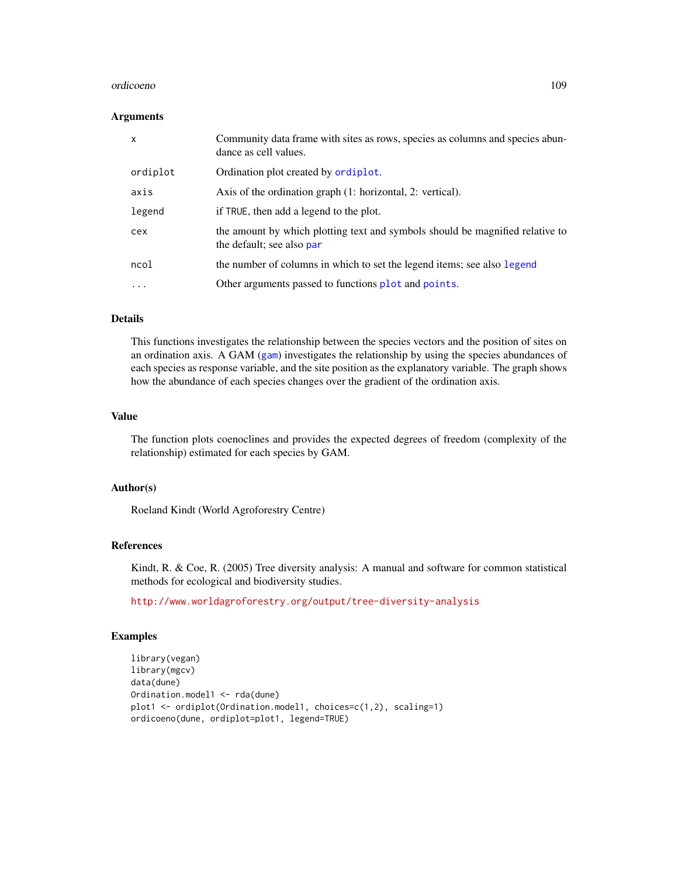#### <span id="page-108-0"></span>ordicoeno 109

#### Arguments

| $\boldsymbol{\mathsf{x}}$ | Community data frame with sites as rows, species as columns and species abun-<br>dance as cell values.     |
|---------------------------|------------------------------------------------------------------------------------------------------------|
| ordiplot                  | Ordination plot created by ordiplot.                                                                       |
| axis                      | Axis of the ordination graph (1: horizontal, 2: vertical).                                                 |
| legend                    | if TRUE, then add a legend to the plot.                                                                    |
| cex                       | the amount by which plotting text and symbols should be magnified relative to<br>the default; see also par |
| ncol                      | the number of columns in which to set the legend items; see also legend                                    |
| $\cdots$                  | Other arguments passed to functions plot and points.                                                       |

# Details

This functions investigates the relationship between the species vectors and the position of sites on an ordination axis. A GAM ([gam](#page-0-0)) investigates the relationship by using the species abundances of each species as response variable, and the site position as the explanatory variable. The graph shows how the abundance of each species changes over the gradient of the ordination axis.

#### Value

The function plots coenoclines and provides the expected degrees of freedom (complexity of the relationship) estimated for each species by GAM.

### Author(s)

Roeland Kindt (World Agroforestry Centre)

# References

Kindt, R. & Coe, R. (2005) Tree diversity analysis: A manual and software for common statistical methods for ecological and biodiversity studies.

<http://www.worldagroforestry.org/output/tree-diversity-analysis>

# Examples

```
library(vegan)
library(mgcv)
data(dune)
Ordination.model1 <- rda(dune)
plot1 <- ordiplot(Ordination.model1, choices=c(1,2), scaling=1)
ordicoeno(dune, ordiplot=plot1, legend=TRUE)
```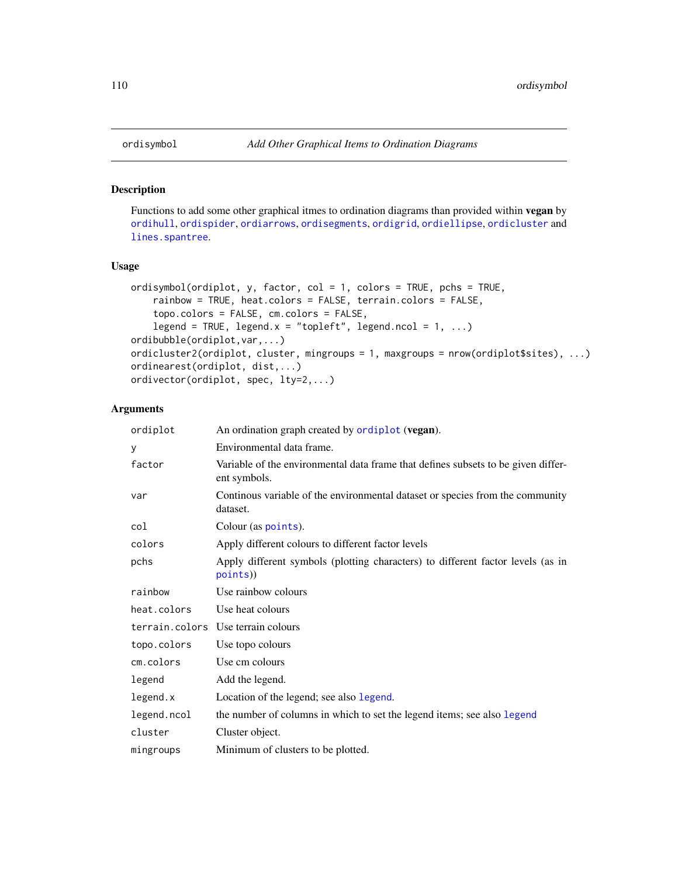#### Description

Functions to add some other graphical itmes to ordination diagrams than provided within vegan by [ordihull](#page-0-0), [ordispider](#page-0-0), [ordiarrows](#page-0-0), [ordisegments](#page-0-0), [ordigrid](#page-0-0), [ordiellipse](#page-0-0), [ordicluster](#page-0-0) and [lines.spantree](#page-0-0).

#### Usage

```
ordisymbol(ordiplot, y, factor, col = 1, colors = TRUE, pchs = TRUE,
    rainbow = TRUE, heat.colors = FALSE, terrain.colors = FALSE,
    topo.colors = FALSE, cm.colors = FALSE,
    legend = TRUE, legend.x = "topleft", legend.ncol = 1, ...)
ordibubble(ordiplot,var,...)
ordicluster2(ordiplot, cluster, mingroups = 1, maxgroups = nrow(ordiplot$sites), ...)
ordinearest(ordiplot, dist,...)
ordivector(ordiplot, spec, lty=2,...)
```
# Arguments

| ordiplot    | An ordination graph created by ordiplot (vegan).                                                  |
|-------------|---------------------------------------------------------------------------------------------------|
| y           | Environmental data frame.                                                                         |
| factor      | Variable of the environmental data frame that defines subsets to be given differ-<br>ent symbols. |
| var         | Continous variable of the environmental dataset or species from the community<br>dataset.         |
| col         | Colour (as points).                                                                               |
| colors      | Apply different colours to different factor levels                                                |
| pchs        | Apply different symbols (plotting characters) to different factor levels (as in<br>points))       |
| rainbow     | Use rainbow colours                                                                               |
| heat.colors | Use heat colours                                                                                  |
|             | terrain.colors Use terrain colours                                                                |
| topo.colors | Use topo colours                                                                                  |
| cm.colors   | Use cm colours                                                                                    |
| legend      | Add the legend.                                                                                   |
| legend.x    | Location of the legend; see also legend.                                                          |
| legend.ncol | the number of columns in which to set the legend items; see also legend                           |
| cluster     | Cluster object.                                                                                   |
| mingroups   | Minimum of clusters to be plotted.                                                                |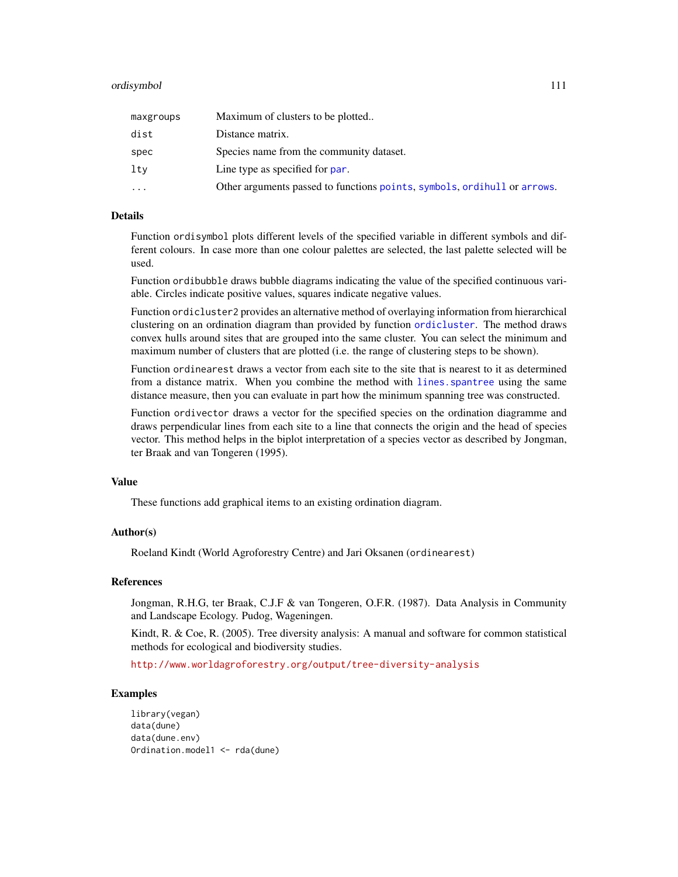#### <span id="page-110-0"></span>ordisymbol 111

| maxgroups | Maximum of clusters to be plotted                                        |
|-----------|--------------------------------------------------------------------------|
| dist      | Distance matrix.                                                         |
| spec      | Species name from the community dataset.                                 |
| ltv       | Line type as specified for par.                                          |
| $\ddotsc$ | Other arguments passed to functions points, symbols, ordihull or arrows. |

#### Details

Function ordisymbol plots different levels of the specified variable in different symbols and different colours. In case more than one colour palettes are selected, the last palette selected will be used.

Function ordibubble draws bubble diagrams indicating the value of the specified continuous variable. Circles indicate positive values, squares indicate negative values.

Function ordicluster2 provides an alternative method of overlaying information from hierarchical clustering on an ordination diagram than provided by function [ordicluster](#page-0-0). The method draws convex hulls around sites that are grouped into the same cluster. You can select the minimum and maximum number of clusters that are plotted (i.e. the range of clustering steps to be shown).

Function ordinearest draws a vector from each site to the site that is nearest to it as determined from a distance matrix. When you combine the method with [lines.spantree](#page-0-0) using the same distance measure, then you can evaluate in part how the minimum spanning tree was constructed.

Function ordivector draws a vector for the specified species on the ordination diagramme and draws perpendicular lines from each site to a line that connects the origin and the head of species vector. This method helps in the biplot interpretation of a species vector as described by Jongman, ter Braak and van Tongeren (1995).

#### Value

These functions add graphical items to an existing ordination diagram.

#### Author(s)

Roeland Kindt (World Agroforestry Centre) and Jari Oksanen (ordinearest)

### References

Jongman, R.H.G, ter Braak, C.J.F & van Tongeren, O.F.R. (1987). Data Analysis in Community and Landscape Ecology. Pudog, Wageningen.

Kindt, R. & Coe, R. (2005). Tree diversity analysis: A manual and software for common statistical methods for ecological and biodiversity studies.

<http://www.worldagroforestry.org/output/tree-diversity-analysis>

#### Examples

```
library(vegan)
data(dune)
data(dune.env)
Ordination.model1 <- rda(dune)
```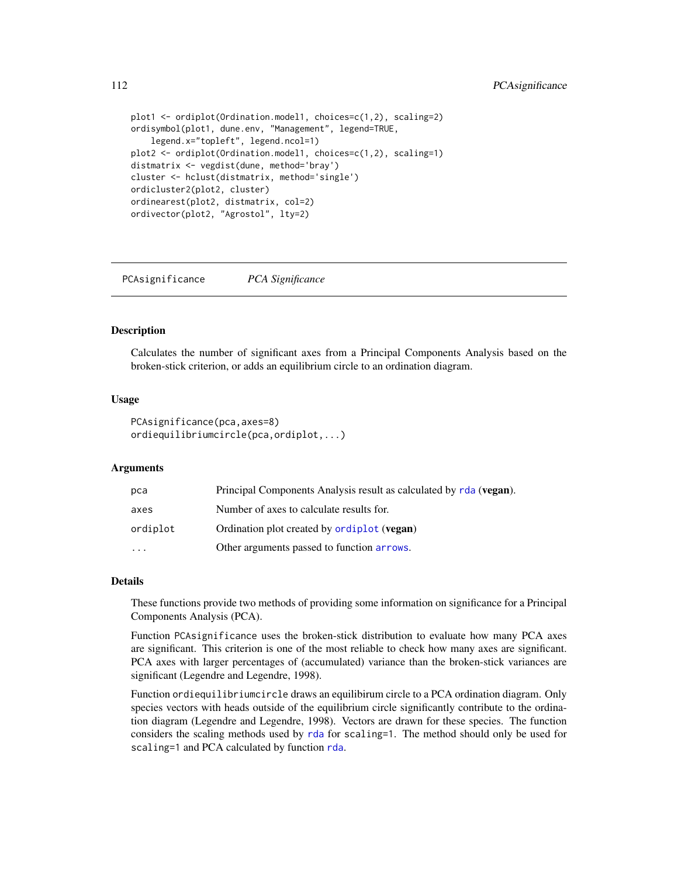```
plot1 <- ordiplot(Ordination.model1, choices=c(1,2), scaling=2)
ordisymbol(plot1, dune.env, "Management", legend=TRUE,
    legend.x="topleft", legend.ncol=1)
plot2 <- ordiplot(Ordination.model1, choices=c(1,2), scaling=1)
distmatrix <- vegdist(dune, method='bray')
cluster <- hclust(distmatrix, method='single')
ordicluster2(plot2, cluster)
ordinearest(plot2, distmatrix, col=2)
ordivector(plot2, "Agrostol", lty=2)
```
PCAsignificance *PCA Significance*

#### **Description**

Calculates the number of significant axes from a Principal Components Analysis based on the broken-stick criterion, or adds an equilibrium circle to an ordination diagram.

#### Usage

```
PCAsignificance(pca,axes=8)
ordiequilibriumcircle(pca,ordiplot,...)
```
# Arguments

| pca      | Principal Components Analysis result as calculated by rda (vegan). |
|----------|--------------------------------------------------------------------|
| axes     | Number of axes to calculate results for.                           |
| ordiplot | Ordination plot created by <b>ordiplot</b> ( <b>vegan</b> )        |
| $\cdots$ | Other arguments passed to function arrows.                         |

#### Details

These functions provide two methods of providing some information on significance for a Principal Components Analysis (PCA).

Function PCAsignificance uses the broken-stick distribution to evaluate how many PCA axes are significant. This criterion is one of the most reliable to check how many axes are significant. PCA axes with larger percentages of (accumulated) variance than the broken-stick variances are significant (Legendre and Legendre, 1998).

Function ordiequilibriumcircle draws an equilibirum circle to a PCA ordination diagram. Only species vectors with heads outside of the equilibrium circle significantly contribute to the ordination diagram (Legendre and Legendre, 1998). Vectors are drawn for these species. The function considers the scaling methods used by [rda](#page-0-0) for scaling=1. The method should only be used for scaling=1 and PCA calculated by function [rda](#page-0-0).

<span id="page-111-0"></span>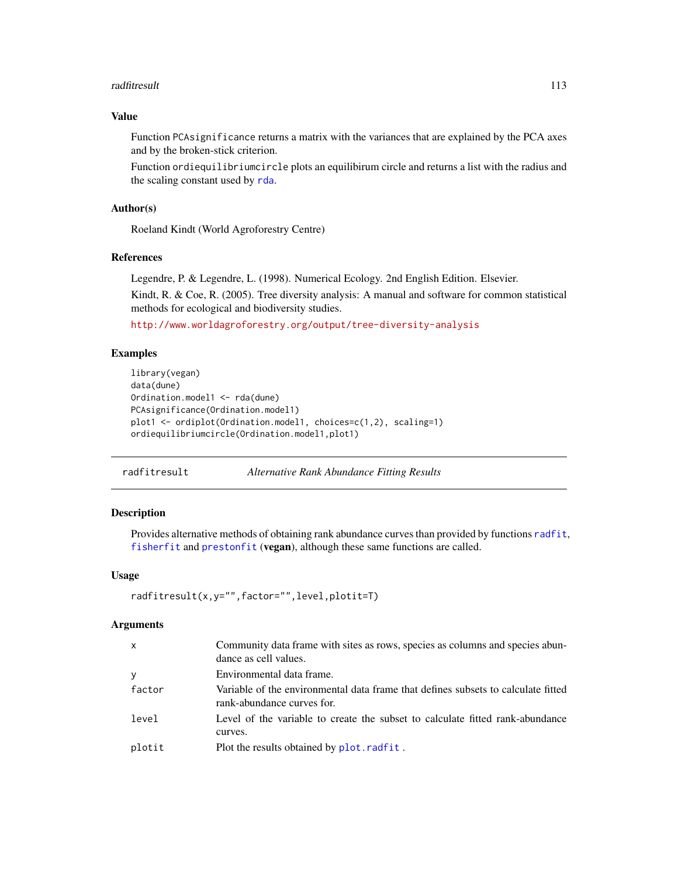#### <span id="page-112-0"></span>radfitresult that the contract of the contract of the contract of the contract of the contract of the contract of the contract of the contract of the contract of the contract of the contract of the contract of the contract

# Value

Function PCAsignificance returns a matrix with the variances that are explained by the PCA axes and by the broken-stick criterion.

Function ordiequilibriumcircle plots an equilibirum circle and returns a list with the radius and the scaling constant used by [rda](#page-0-0).

# Author(s)

Roeland Kindt (World Agroforestry Centre)

# References

Legendre, P. & Legendre, L. (1998). Numerical Ecology. 2nd English Edition. Elsevier.

Kindt, R. & Coe, R. (2005). Tree diversity analysis: A manual and software for common statistical methods for ecological and biodiversity studies.

<http://www.worldagroforestry.org/output/tree-diversity-analysis>

# Examples

```
library(vegan)
data(dune)
Ordination.model1 <- rda(dune)
PCAsignificance(Ordination.model1)
plot1 <- ordiplot(Ordination.model1, choices=c(1,2), scaling=1)
ordiequilibriumcircle(Ordination.model1,plot1)
```
radfitresult *Alternative Rank Abundance Fitting Results*

### Description

Provides alternative methods of obtaining rank abundance curves than provided by functions [radfit](#page-0-0), [fisherfit](#page-0-0) and [prestonfit](#page-0-0) (vegan), although these same functions are called.

# Usage

```
radfitresult(x,y="",factor="",level,plotit=T)
```
#### Arguments

| $\mathsf{x}$ | Community data frame with sites as rows, species as columns and species abun-<br>dance as cell values.          |
|--------------|-----------------------------------------------------------------------------------------------------------------|
| <b>y</b>     | Environmental data frame.                                                                                       |
| factor       | Variable of the environmental data frame that defines subsets to calculate fitted<br>rank-abundance curves for. |
| level        | Level of the variable to create the subset to calculate fitted rank-abundance<br>curves.                        |
| plotit       | Plot the results obtained by plot.radfit.                                                                       |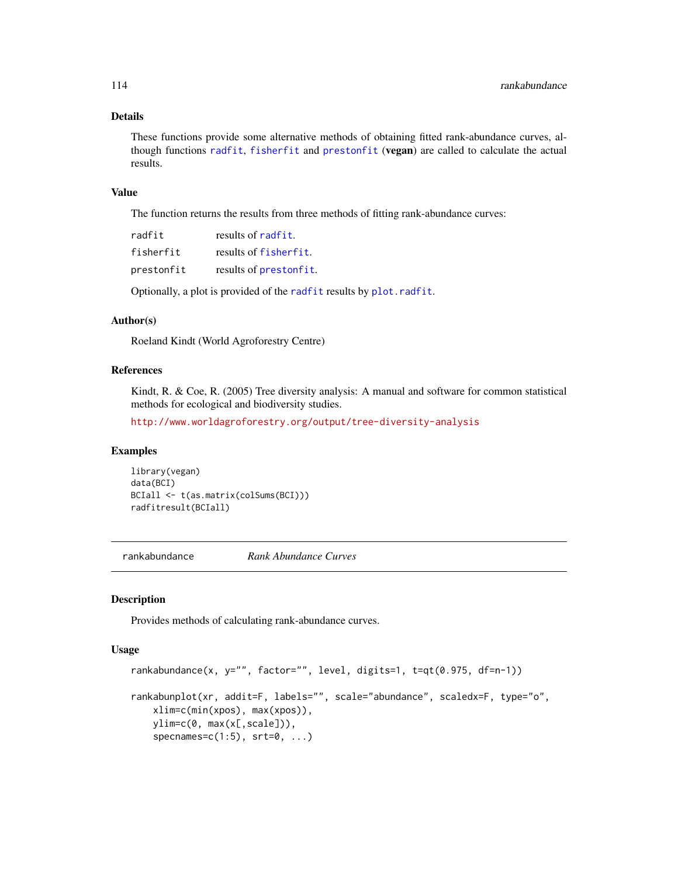# Details

These functions provide some alternative methods of obtaining fitted rank-abundance curves, although functions [radfit](#page-0-0), [fisherfit](#page-0-0) and [prestonfit](#page-0-0) (vegan) are called to calculate the actual results.

#### Value

The function returns the results from three methods of fitting rank-abundance curves:

| radfit     | results of radfit.     |
|------------|------------------------|
| fisherfit  | results of fisherfit.  |
| prestonfit | results of prestonfit. |

Optionally, a plot is provided of the [radfit](#page-0-0) results by [plot.radfit](#page-0-0).

#### Author(s)

Roeland Kindt (World Agroforestry Centre)

### References

Kindt, R. & Coe, R. (2005) Tree diversity analysis: A manual and software for common statistical methods for ecological and biodiversity studies.

<http://www.worldagroforestry.org/output/tree-diversity-analysis>

# Examples

library(vegan) data(BCI) BCIall <- t(as.matrix(colSums(BCI))) radfitresult(BCIall)

rankabundance *Rank Abundance Curves*

#### Description

Provides methods of calculating rank-abundance curves.

### Usage

```
rankabundance(x, y="", factor="", level, digits=1, t=qt(0.975, df=n-1))
rankabunplot(xr, addit=F, labels="", scale="abundance", scaledx=F, type="o",
   xlim=c(min(xpos), max(xpos)),
   ylim=c(0, max(x[,scale])),
    specnames=c(1:5), srt=0, ...)
```
<span id="page-113-0"></span>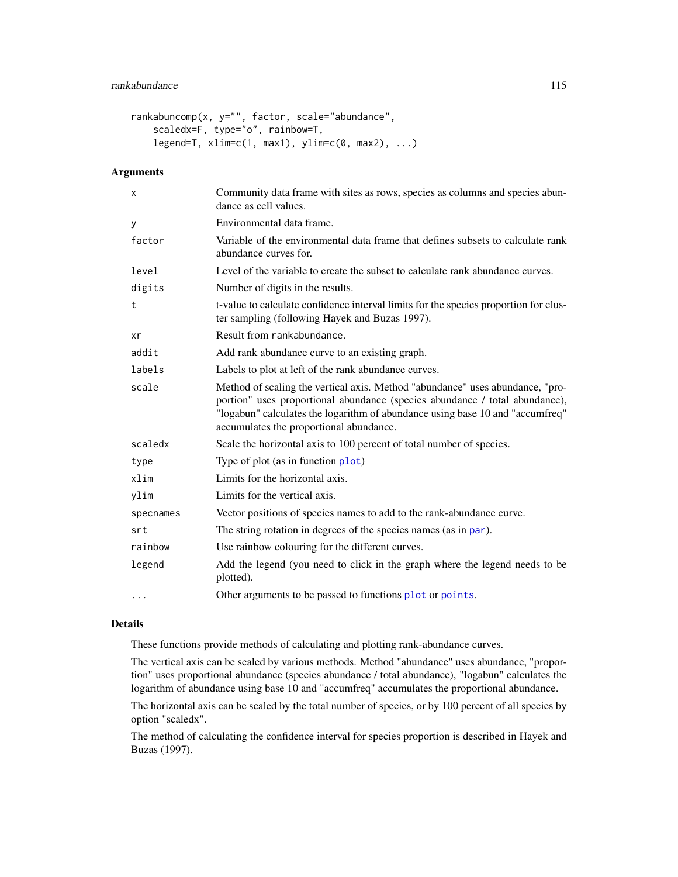# <span id="page-114-0"></span>rankabundance 115

```
rankabuncomp(x, y="", factor, scale="abundance",
    scaledx=F, type="o", rainbow=T,
    legend=T, xlim=c(1, max1), ylim=c(0, max2), ...)
```
# Arguments

| X         | Community data frame with sites as rows, species as columns and species abun-<br>dance as cell values.                                                                                                                                                                                   |
|-----------|------------------------------------------------------------------------------------------------------------------------------------------------------------------------------------------------------------------------------------------------------------------------------------------|
| y         | Environmental data frame.                                                                                                                                                                                                                                                                |
| factor    | Variable of the environmental data frame that defines subsets to calculate rank<br>abundance curves for.                                                                                                                                                                                 |
| level     | Level of the variable to create the subset to calculate rank abundance curves.                                                                                                                                                                                                           |
| digits    | Number of digits in the results.                                                                                                                                                                                                                                                         |
| t         | t-value to calculate confidence interval limits for the species proportion for clus-<br>ter sampling (following Hayek and Buzas 1997).                                                                                                                                                   |
| xr        | Result from rankabundance.                                                                                                                                                                                                                                                               |
| addit     | Add rank abundance curve to an existing graph.                                                                                                                                                                                                                                           |
| labels    | Labels to plot at left of the rank abundance curves.                                                                                                                                                                                                                                     |
| scale     | Method of scaling the vertical axis. Method "abundance" uses abundance, "pro-<br>portion" uses proportional abundance (species abundance / total abundance),<br>"logabun" calculates the logarithm of abundance using base 10 and "accumfreq"<br>accumulates the proportional abundance. |
| scaledx   | Scale the horizontal axis to 100 percent of total number of species.                                                                                                                                                                                                                     |
| type      | Type of plot (as in function plot)                                                                                                                                                                                                                                                       |
| xlim      | Limits for the horizontal axis.                                                                                                                                                                                                                                                          |
| ylim      | Limits for the vertical axis.                                                                                                                                                                                                                                                            |
| specnames | Vector positions of species names to add to the rank-abundance curve.                                                                                                                                                                                                                    |
| srt       | The string rotation in degrees of the species names (as in par).                                                                                                                                                                                                                         |
| rainbow   | Use rainbow colouring for the different curves.                                                                                                                                                                                                                                          |
| legend    | Add the legend (you need to click in the graph where the legend needs to be<br>plotted).                                                                                                                                                                                                 |
| $\cdots$  | Other arguments to be passed to functions plot or points.                                                                                                                                                                                                                                |

#### Details

These functions provide methods of calculating and plotting rank-abundance curves.

The vertical axis can be scaled by various methods. Method "abundance" uses abundance, "proportion" uses proportional abundance (species abundance / total abundance), "logabun" calculates the logarithm of abundance using base 10 and "accumfreq" accumulates the proportional abundance.

The horizontal axis can be scaled by the total number of species, or by 100 percent of all species by option "scaledx".

The method of calculating the confidence interval for species proportion is described in Hayek and Buzas (1997).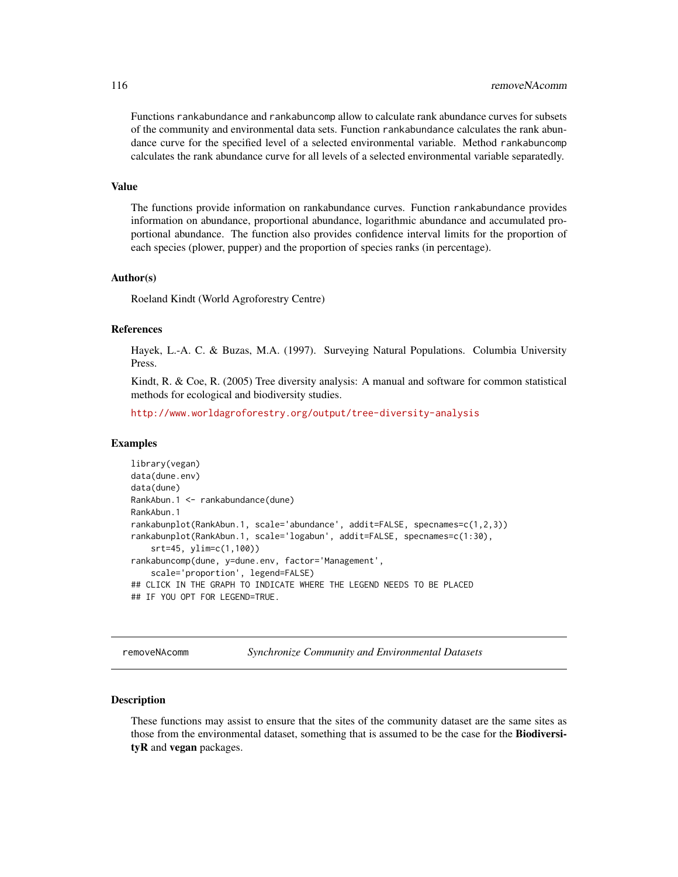<span id="page-115-0"></span>Functions rankabundance and rankabuncomp allow to calculate rank abundance curves for subsets of the community and environmental data sets. Function rankabundance calculates the rank abundance curve for the specified level of a selected environmental variable. Method rankabuncomp calculates the rank abundance curve for all levels of a selected environmental variable separatedly.

#### Value

The functions provide information on rankabundance curves. Function rankabundance provides information on abundance, proportional abundance, logarithmic abundance and accumulated proportional abundance. The function also provides confidence interval limits for the proportion of each species (plower, pupper) and the proportion of species ranks (in percentage).

#### Author(s)

Roeland Kindt (World Agroforestry Centre)

#### References

Hayek, L.-A. C. & Buzas, M.A. (1997). Surveying Natural Populations. Columbia University Press.

Kindt, R. & Coe, R. (2005) Tree diversity analysis: A manual and software for common statistical methods for ecological and biodiversity studies.

<http://www.worldagroforestry.org/output/tree-diversity-analysis>

#### Examples

```
library(vegan)
data(dune.env)
data(dune)
RankAbun.1 <- rankabundance(dune)
RankAbun.1
rankabunplot(RankAbun.1, scale='abundance', addit=FALSE, specnames=c(1,2,3))
rankabunplot(RankAbun.1, scale='logabun', addit=FALSE, specnames=c(1:30),
    srt=45, ylim=c(1,100))
rankabuncomp(dune, y=dune.env, factor='Management',
    scale='proportion', legend=FALSE)
## CLICK IN THE GRAPH TO INDICATE WHERE THE LEGEND NEEDS TO BE PLACED
## IF YOU OPT FOR LEGEND=TRUE.
```
removeNAcomm *Synchronize Community and Environmental Datasets*

#### **Description**

These functions may assist to ensure that the sites of the community dataset are the same sites as those from the environmental dataset, something that is assumed to be the case for the BiodiversityR and vegan packages.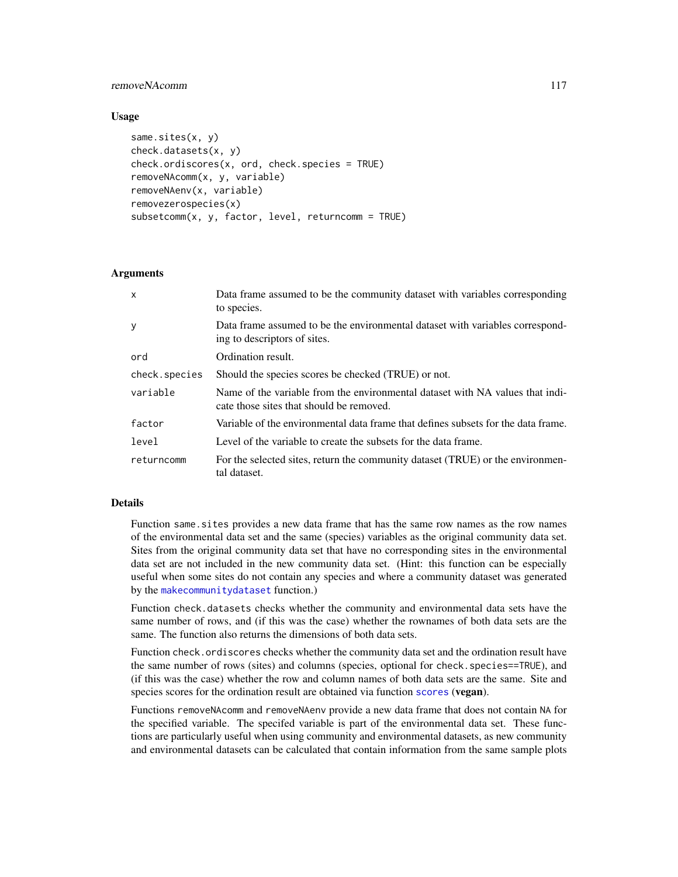# <span id="page-116-0"></span>removeNAcomm 117

#### Usage

```
same.sites(x, y)
check.datasets(x, y)
check.ordiscores(x, ord, check.species = TRUE)
removeNAcomm(x, y, variable)
removeNAenv(x, variable)
removezerospecies(x)
subsetcomm(x, y, factor, level, returncomm = TRUE)
```
# Arguments

| $\mathsf{x}$  | Data frame assumed to be the community dataset with variables corresponding<br>to species.                                |
|---------------|---------------------------------------------------------------------------------------------------------------------------|
| У             | Data frame assumed to be the environmental dataset with variables correspond-<br>ing to descriptors of sites.             |
| ord           | Ordination result.                                                                                                        |
| check.species | Should the species scores be checked (TRUE) or not.                                                                       |
| variable      | Name of the variable from the environmental dataset with NA values that indi-<br>cate those sites that should be removed. |
| factor        | Variable of the environmental data frame that defines subsets for the data frame.                                         |
| level         | Level of the variable to create the subsets for the data frame.                                                           |
| returncomm    | For the selected sites, return the community dataset (TRUE) or the environmen-<br>tal dataset.                            |

#### Details

Function same.sites provides a new data frame that has the same row names as the row names of the environmental data set and the same (species) variables as the original community data set. Sites from the original community data set that have no corresponding sites in the environmental data set are not included in the new community data set. (Hint: this function can be especially useful when some sites do not contain any species and where a community dataset was generated by the [makecommunitydataset](#page-100-0) function.)

Function check.datasets checks whether the community and environmental data sets have the same number of rows, and (if this was the case) whether the rownames of both data sets are the same. The function also returns the dimensions of both data sets.

Function check.ordiscores checks whether the community data set and the ordination result have the same number of rows (sites) and columns (species, optional for check.species==TRUE), and (if this was the case) whether the row and column names of both data sets are the same. Site and species [scores](#page-0-0) for the ordination result are obtained via function scores (vegan).

Functions removeNAcomm and removeNAenv provide a new data frame that does not contain NA for the specified variable. The specifed variable is part of the environmental data set. These functions are particularly useful when using community and environmental datasets, as new community and environmental datasets can be calculated that contain information from the same sample plots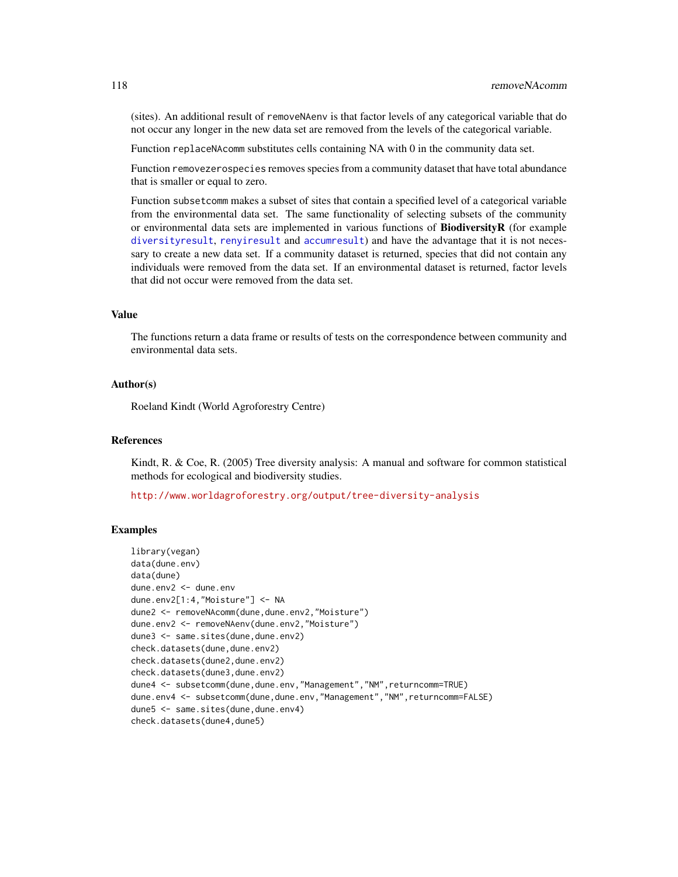<span id="page-117-0"></span>(sites). An additional result of removeNAenv is that factor levels of any categorical variable that do not occur any longer in the new data set are removed from the levels of the categorical variable.

Function replaceNAcomm substitutes cells containing NA with 0 in the community data set.

Function removezerospecies removes species from a community dataset that have total abundance that is smaller or equal to zero.

Function subsetcomm makes a subset of sites that contain a specified level of a categorical variable from the environmental data set. The same functionality of selecting subsets of the community or environmental data sets are implemented in various functions of BiodiversityR (for example [diversityresult](#page-23-0), [renyiresult](#page-118-0) and [accumresult](#page-3-0)) and have the advantage that it is not necessary to create a new data set. If a community dataset is returned, species that did not contain any individuals were removed from the data set. If an environmental dataset is returned, factor levels that did not occur were removed from the data set.

### Value

The functions return a data frame or results of tests on the correspondence between community and environmental data sets.

# Author(s)

Roeland Kindt (World Agroforestry Centre)

#### References

Kindt, R. & Coe, R. (2005) Tree diversity analysis: A manual and software for common statistical methods for ecological and biodiversity studies.

<http://www.worldagroforestry.org/output/tree-diversity-analysis>

## Examples

```
library(vegan)
data(dune.env)
data(dune)
dune.env2 <- dune.env
dune.env2[1:4,"Moisture"] <- NA
dune2 <- removeNAcomm(dune,dune.env2,"Moisture")
dune.env2 <- removeNAenv(dune.env2,"Moisture")
dune3 <- same.sites(dune,dune.env2)
check.datasets(dune,dune.env2)
check.datasets(dune2,dune.env2)
check.datasets(dune3,dune.env2)
dune4 <- subsetcomm(dune,dune.env,"Management","NM",returncomm=TRUE)
dune.env4 <- subsetcomm(dune,dune.env,"Management","NM",returncomm=FALSE)
dune5 <- same.sites(dune,dune.env4)
check.datasets(dune4,dune5)
```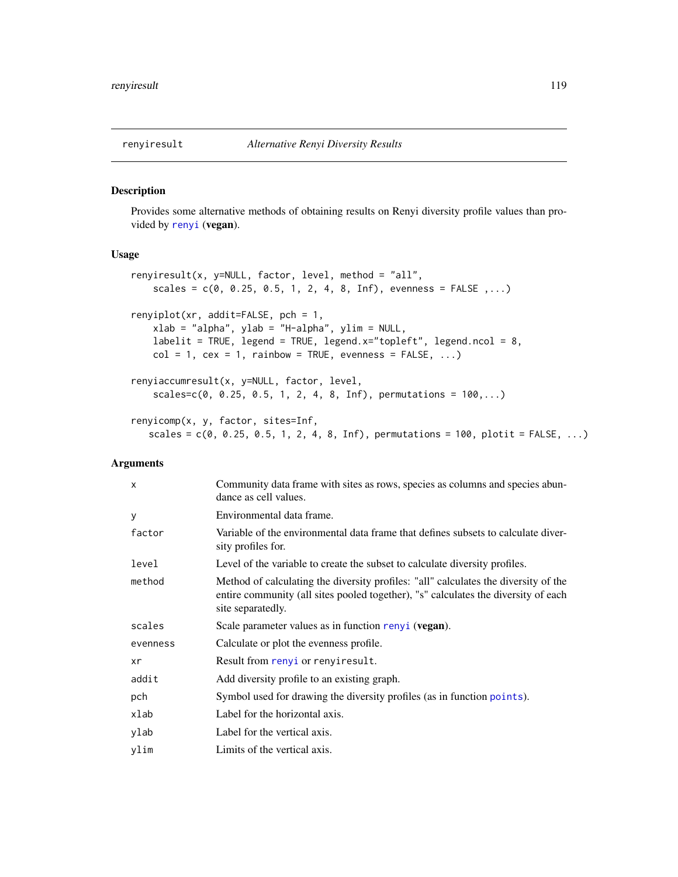#### <span id="page-118-1"></span><span id="page-118-0"></span>Description

Provides some alternative methods of obtaining results on Renyi diversity profile values than provided by [renyi](#page-0-0) (vegan).

# Usage

```
renyiresult(x, y=NULL, factor, level, method = "all",
   scales = c(0, 0.25, 0.5, 1, 2, 4, 8, Inf), evenness = FALSE ,...)
renyiplot(xr, addit=FALSE, pch = 1,
   xlab = "alpha", ylab = "H-alpha", ylim = NULL,
   labelit = TRUE, legend = TRUE, legend.x="topleft", legend.ncol = 8,
   col = 1, cex = 1, rainbow = TRUE, evenness = FALSE, ...)
renyiaccumresult(x, y=NULL, factor, level,
   scales=c(0, 0.25, 0.5, 1, 2, 4, 8, Inf), permutations = 100,...)
renyicomp(x, y, factor, sites=Inf,
```

```
scales = c(0, 0.25, 0.5, 1, 2, 4, 8, Inf), permutations = 100, plotit = FALE, ...)
```
# Arguments

| $\times$ | Community data frame with sites as rows, species as columns and species abun-<br>dance as cell values.                                                                                         |
|----------|------------------------------------------------------------------------------------------------------------------------------------------------------------------------------------------------|
| У        | Environmental data frame.                                                                                                                                                                      |
| factor   | Variable of the environmental data frame that defines subsets to calculate diver-<br>sity profiles for.                                                                                        |
| level    | Level of the variable to create the subset to calculate diversity profiles.                                                                                                                    |
| method   | Method of calculating the diversity profiles: "all" calculates the diversity of the<br>entire community (all sites pooled together), "s" calculates the diversity of each<br>site separatedly. |
| scales   | Scale parameter values as in function renyi (vegan).                                                                                                                                           |
| evenness | Calculate or plot the evenness profile.                                                                                                                                                        |
| xr       | Result from renyi or renyiresult.                                                                                                                                                              |
| addit    | Add diversity profile to an existing graph.                                                                                                                                                    |
| pch      | Symbol used for drawing the diversity profiles (as in function points).                                                                                                                        |
| xlab     | Label for the horizontal axis.                                                                                                                                                                 |
| ylab     | Label for the vertical axis.                                                                                                                                                                   |
| ylim     | Limits of the vertical axis.                                                                                                                                                                   |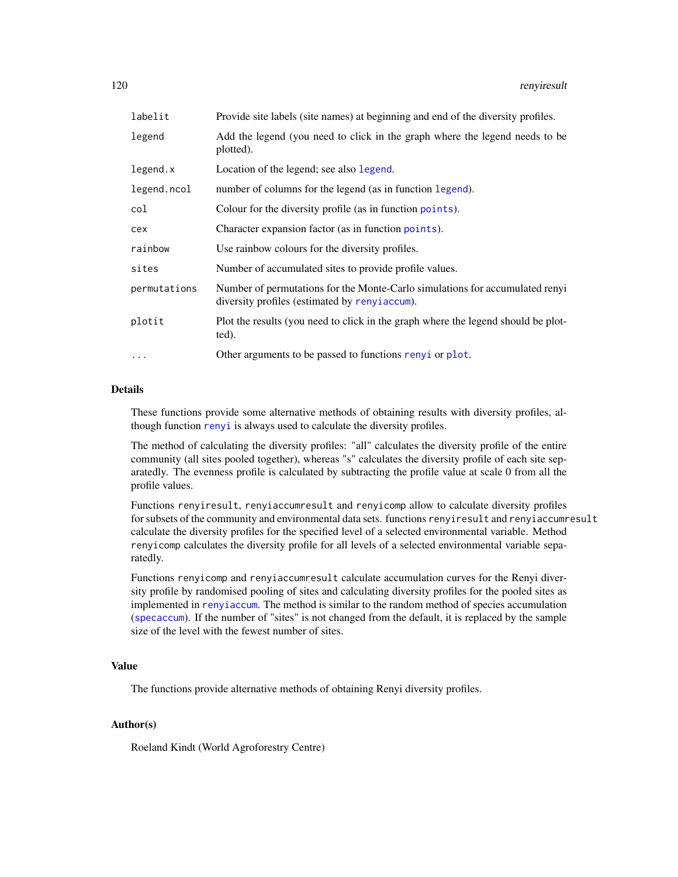<span id="page-119-0"></span>

| labelit      | Provide site labels (site names) at beginning and end of the diversity profiles.                                              |
|--------------|-------------------------------------------------------------------------------------------------------------------------------|
| legend       | Add the legend (you need to click in the graph where the legend needs to be<br>plotted).                                      |
| legend.x     | Location of the legend; see also legend.                                                                                      |
| legend.ncol  | number of columns for the legend (as in function legend).                                                                     |
| col          | Colour for the diversity profile (as in function points).                                                                     |
| cex          | Character expansion factor (as in function points).                                                                           |
| rainbow      | Use rainbow colours for the diversity profiles.                                                                               |
| sites        | Number of accumulated sites to provide profile values.                                                                        |
| permutations | Number of permutations for the Monte-Carlo simulations for accumulated renyi<br>diversity profiles (estimated by renyiaccum). |
| plotit       | Plot the results (you need to click in the graph where the legend should be plot-<br>ted).                                    |
| $\cdots$     | Other arguments to be passed to functions renyi or plot.                                                                      |

# Details

These functions provide some alternative methods of obtaining results with diversity profiles, although function [renyi](#page-0-0) is always used to calculate the diversity profiles.

The method of calculating the diversity profiles: "all" calculates the diversity profile of the entire community (all sites pooled together), whereas "s" calculates the diversity profile of each site separatedly. The evenness profile is calculated by subtracting the profile value at scale 0 from all the profile values.

Functions renyiresult, renyiaccumresult and renyicomp allow to calculate diversity profiles for subsets of the community and environmental data sets. functions renyiresult and renyiaccumresult calculate the diversity profiles for the specified level of a selected environmental variable. Method renyicomp calculates the diversity profile for all levels of a selected environmental variable separatedly.

Functions renyicomp and renyiaccumresult calculate accumulation curves for the Renyi diversity profile by randomised pooling of sites and calculating diversity profiles for the pooled sites as implemented in [renyiaccum](#page-0-0). The method is similar to the random method of species accumulation ([specaccum](#page-0-0)). If the number of "sites" is not changed from the default, it is replaced by the sample size of the level with the fewest number of sites.

#### Value

The functions provide alternative methods of obtaining Renyi diversity profiles.

# Author(s)

Roeland Kindt (World Agroforestry Centre)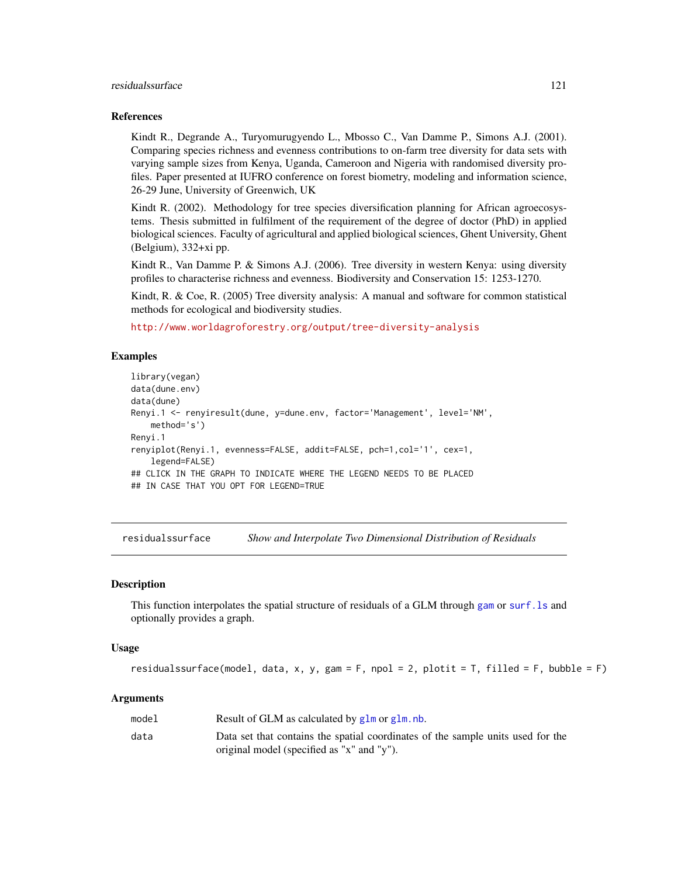#### <span id="page-120-0"></span>residualssurface 121

#### References

Kindt R., Degrande A., Turyomurugyendo L., Mbosso C., Van Damme P., Simons A.J. (2001). Comparing species richness and evenness contributions to on-farm tree diversity for data sets with varying sample sizes from Kenya, Uganda, Cameroon and Nigeria with randomised diversity profiles. Paper presented at IUFRO conference on forest biometry, modeling and information science, 26-29 June, University of Greenwich, UK

Kindt R. (2002). Methodology for tree species diversification planning for African agroecosystems. Thesis submitted in fulfilment of the requirement of the degree of doctor (PhD) in applied biological sciences. Faculty of agricultural and applied biological sciences, Ghent University, Ghent (Belgium), 332+xi pp.

Kindt R., Van Damme P. & Simons A.J. (2006). Tree diversity in western Kenya: using diversity profiles to characterise richness and evenness. Biodiversity and Conservation 15: 1253-1270.

Kindt, R. & Coe, R. (2005) Tree diversity analysis: A manual and software for common statistical methods for ecological and biodiversity studies.

<http://www.worldagroforestry.org/output/tree-diversity-analysis>

# Examples

```
library(vegan)
data(dune.env)
data(dune)
Renyi.1 <- renyiresult(dune, y=dune.env, factor='Management', level='NM',
   method='s')
Renyi.1
renyiplot(Renyi.1, evenness=FALSE, addit=FALSE, pch=1,col='1', cex=1,
    legend=FALSE)
## CLICK IN THE GRAPH TO INDICATE WHERE THE LEGEND NEEDS TO BE PLACED
## IN CASE THAT YOU OPT FOR LEGEND=TRUE
```
residualssurface *Show and Interpolate Two Dimensional Distribution of Residuals*

#### Description

This function interpolates the spatial structure of residuals of a GLM through [gam](#page-0-0) or [surf.ls](#page-0-0) and optionally provides a graph.

#### Usage

```
residualssurface(model, data, x, y, gam = F, npol = 2, plotit = T, filled = F, bubble = F)
```
#### Arguments

| model | Result of GLM as calculated by glm or glm.nb.                                   |
|-------|---------------------------------------------------------------------------------|
| data  | Data set that contains the spatial coordinates of the sample units used for the |
|       | original model (specified as "x" and "y").                                      |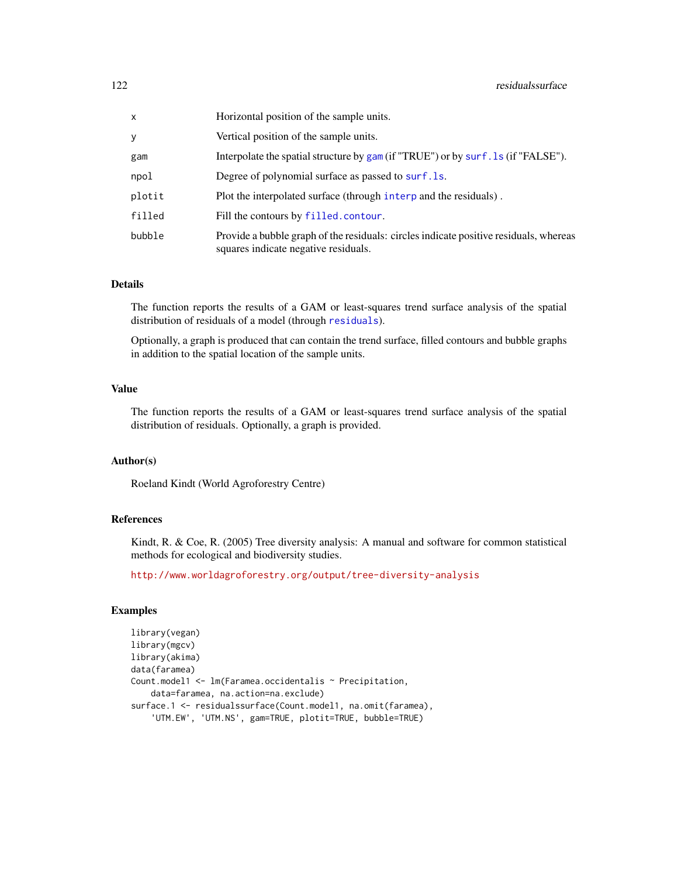<span id="page-121-0"></span>

| x      | Horizontal position of the sample units.                                                                                      |
|--------|-------------------------------------------------------------------------------------------------------------------------------|
| y      | Vertical position of the sample units.                                                                                        |
| gam    | Interpolate the spatial structure by gam (if "TRUE") or by surf. 1s (if "FALSE").                                             |
| npol   | Degree of polynomial surface as passed to surf. 1s.                                                                           |
| plotit | Plot the interpolated surface (through interp and the residuals).                                                             |
| filled | Fill the contours by filled.contour.                                                                                          |
| bubble | Provide a bubble graph of the residuals: circles indicate positive residuals, whereas<br>squares indicate negative residuals. |

#### Details

The function reports the results of a GAM or least-squares trend surface analysis of the spatial distribution of residuals of a model (through [residuals](#page-0-0)).

Optionally, a graph is produced that can contain the trend surface, filled contours and bubble graphs in addition to the spatial location of the sample units.

# Value

The function reports the results of a GAM or least-squares trend surface analysis of the spatial distribution of residuals. Optionally, a graph is provided.

## Author(s)

Roeland Kindt (World Agroforestry Centre)

# References

Kindt, R. & Coe, R. (2005) Tree diversity analysis: A manual and software for common statistical methods for ecological and biodiversity studies.

<http://www.worldagroforestry.org/output/tree-diversity-analysis>

### Examples

```
library(vegan)
library(mgcv)
library(akima)
data(faramea)
Count.model1 <- lm(Faramea.occidentalis ~ Precipitation,
    data=faramea, na.action=na.exclude)
surface.1 <- residualssurface(Count.model1, na.omit(faramea),
    'UTM.EW', 'UTM.NS', gam=TRUE, plotit=TRUE, bubble=TRUE)
```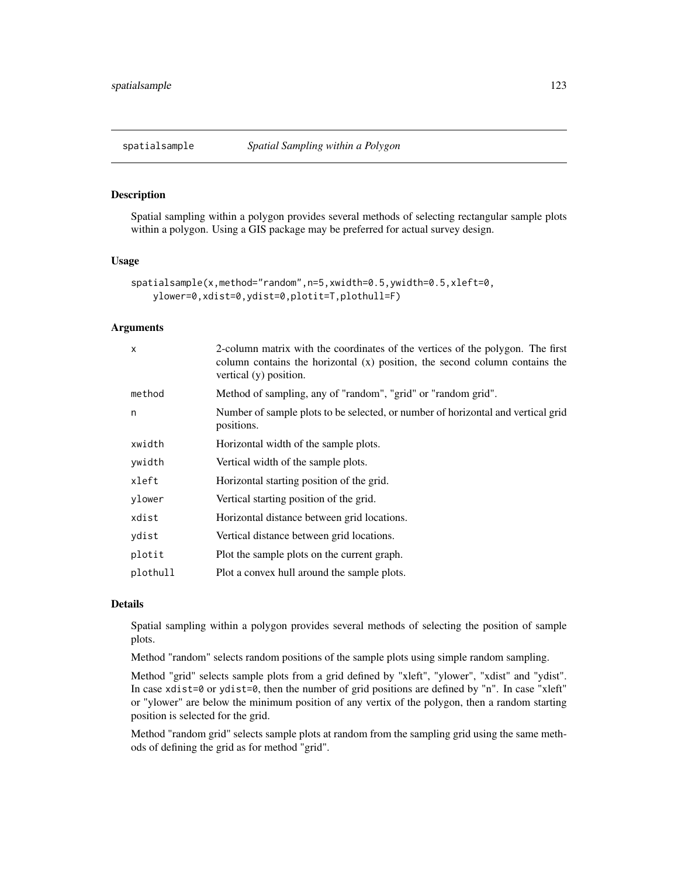<span id="page-122-0"></span>

# Description

Spatial sampling within a polygon provides several methods of selecting rectangular sample plots within a polygon. Using a GIS package may be preferred for actual survey design.

# Usage

```
spatialsample(x,method="random",n=5,xwidth=0.5,ywidth=0.5,xleft=0,
   ylower=0,xdist=0,ydist=0,plotit=T,plothull=F)
```
# Arguments

| Method of sampling, any of "random", "grid" or "random grid".<br>method                             |
|-----------------------------------------------------------------------------------------------------|
| Number of sample plots to be selected, or number of horizontal and vertical grid<br>n<br>positions. |
| xwidth<br>Horizontal width of the sample plots.                                                     |
| ywidth<br>Vertical width of the sample plots.                                                       |
| Horizontal starting position of the grid.<br>xleft                                                  |
| Vertical starting position of the grid.<br>ylower                                                   |
| xdist<br>Horizontal distance between grid locations.                                                |
| ydist<br>Vertical distance between grid locations.                                                  |
| plotit<br>Plot the sample plots on the current graph.                                               |
| plothull<br>Plot a convex hull around the sample plots.                                             |

#### Details

Spatial sampling within a polygon provides several methods of selecting the position of sample plots.

Method "random" selects random positions of the sample plots using simple random sampling.

Method "grid" selects sample plots from a grid defined by "xleft", "ylower", "xdist" and "ydist". In case xdist=0 or ydist=0, then the number of grid positions are defined by "n". In case "xleft" or "ylower" are below the minimum position of any vertix of the polygon, then a random starting position is selected for the grid.

Method "random grid" selects sample plots at random from the sampling grid using the same methods of defining the grid as for method "grid".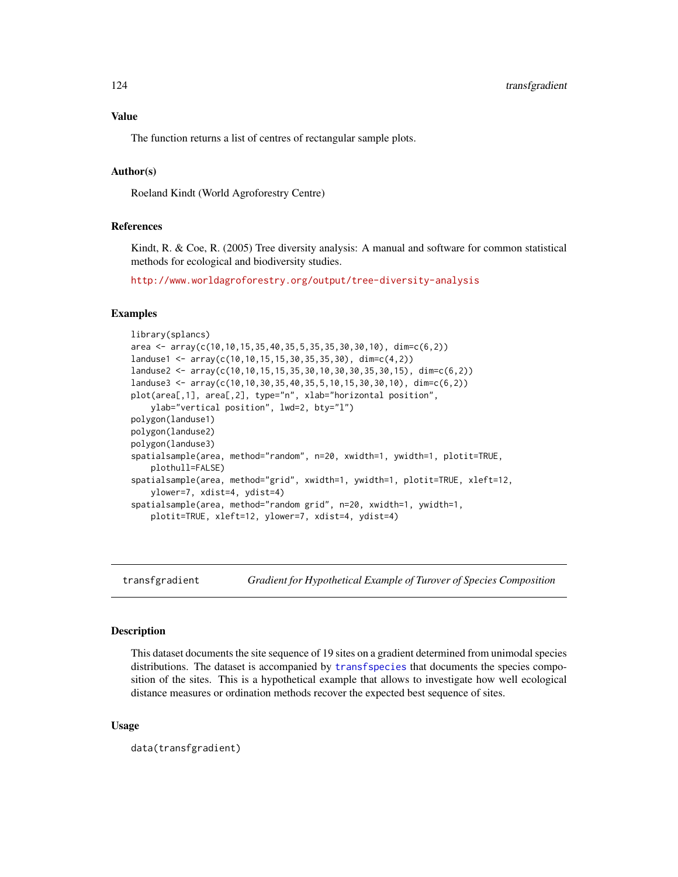# <span id="page-123-1"></span>Value

The function returns a list of centres of rectangular sample plots.

# Author(s)

Roeland Kindt (World Agroforestry Centre)

# References

Kindt, R. & Coe, R. (2005) Tree diversity analysis: A manual and software for common statistical methods for ecological and biodiversity studies.

<http://www.worldagroforestry.org/output/tree-diversity-analysis>

#### Examples

```
library(splancs)
area <- array(c(10, 10, 15, 35, 40, 35, 5, 35, 35, 30, 30, 10), dim=c(6, 2))
landuse1 <- array(c(10,10,15,15,30,35,35,30), dim=c(4,2))
landuse2 <- array(c(10,10,15,15,35,30,10,30,30,35,30,15), dim=c(6,2))
landuse3 <- array(c(10,10,30,35,40,35,5,10,15,30,30,10), dim=c(6,2))
plot(area[,1], area[,2], type="n", xlab="horizontal position",
   ylab="vertical position", lwd=2, bty="l")
polygon(landuse1)
polygon(landuse2)
polygon(landuse3)
spatialsample(area, method="random", n=20, xwidth=1, ywidth=1, plotit=TRUE,
    plothull=FALSE)
spatialsample(area, method="grid", xwidth=1, ywidth=1, plotit=TRUE, xleft=12,
   ylower=7, xdist=4, ydist=4)
spatialsample(area, method="random grid", n=20, xwidth=1, ywidth=1,
   plotit=TRUE, xleft=12, ylower=7, xdist=4, ydist=4)
```
<span id="page-123-0"></span>

transfgradient *Gradient for Hypothetical Example of Turover of Species Composition*

#### Description

This dataset documents the site sequence of 19 sites on a gradient determined from unimodal species distributions. The dataset is accompanied by [transfspecies](#page-124-0) that documents the species composition of the sites. This is a hypothetical example that allows to investigate how well ecological distance measures or ordination methods recover the expected best sequence of sites.

#### Usage

data(transfgradient)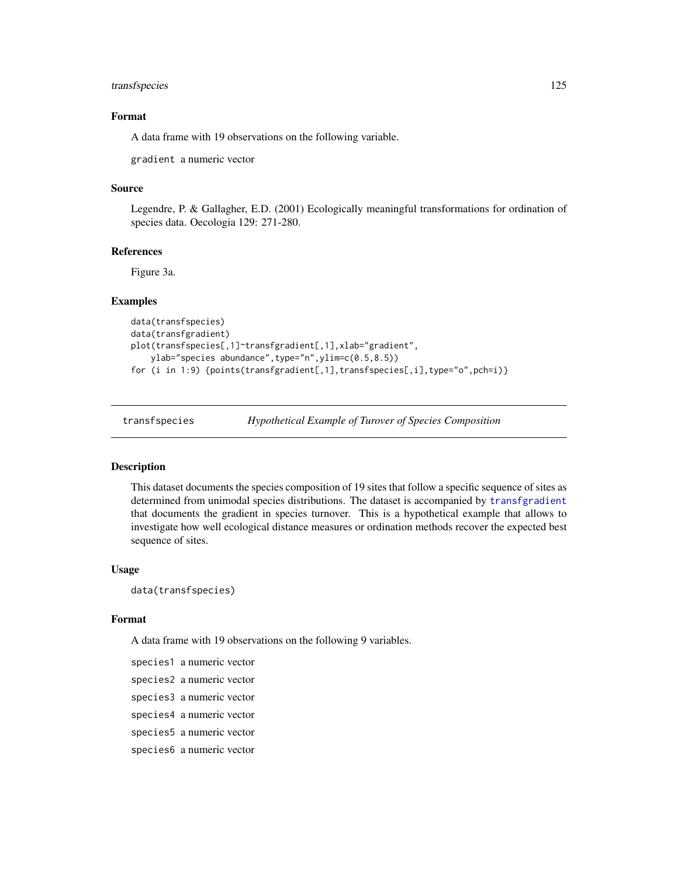# <span id="page-124-1"></span>transfspecies 125

# Format

A data frame with 19 observations on the following variable.

gradient a numeric vector

# Source

Legendre, P. & Gallagher, E.D. (2001) Ecologically meaningful transformations for ordination of species data. Oecologia 129: 271-280.

#### References

Figure 3a.

#### Examples

```
data(transfspecies)
data(transfgradient)
plot(transfspecies[,1]~transfgradient[,1],xlab="gradient",
   ylab="species abundance",type="n",ylim=c(0.5,8.5))
for (i in 1:9) {points(transfgradient[,1],transfspecies[,i],type="o",pch=i)}
```
<span id="page-124-0"></span>

transfspecies *Hypothetical Example of Turover of Species Composition*

#### Description

This dataset documents the species composition of 19 sites that follow a specific sequence of sites as determined from unimodal species distributions. The dataset is accompanied by [transfgradient](#page-123-0) that documents the gradient in species turnover. This is a hypothetical example that allows to investigate how well ecological distance measures or ordination methods recover the expected best sequence of sites.

#### Usage

data(transfspecies)

#### Format

A data frame with 19 observations on the following 9 variables.

```
species1 a numeric vector
species2 a numeric vector
species3 a numeric vector
species4 a numeric vector
species5 a numeric vector
species6 a numeric vector
```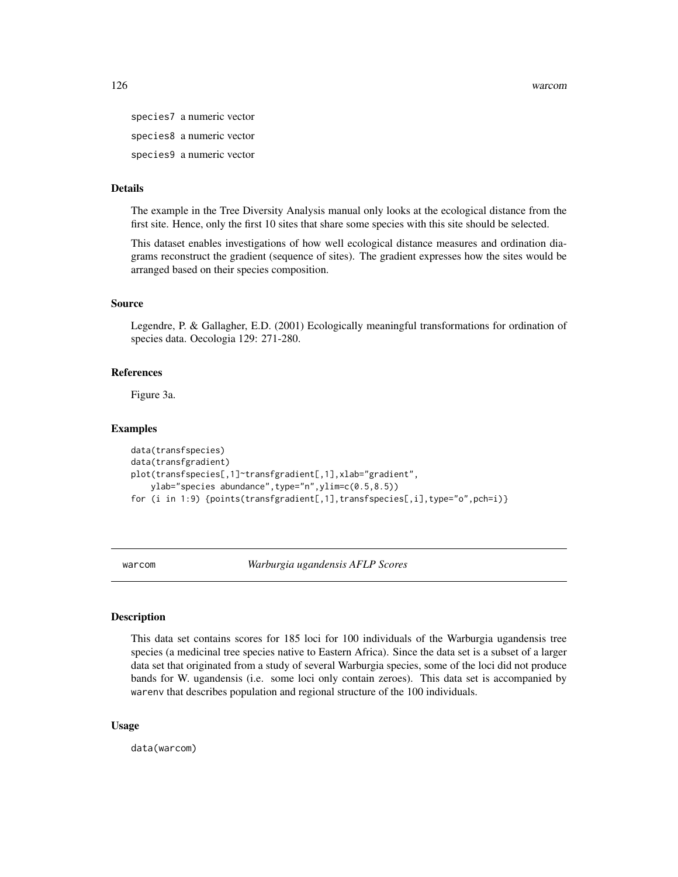<span id="page-125-0"></span>species7 a numeric vector species8 a numeric vector species9 a numeric vector

# Details

The example in the Tree Diversity Analysis manual only looks at the ecological distance from the first site. Hence, only the first 10 sites that share some species with this site should be selected.

This dataset enables investigations of how well ecological distance measures and ordination diagrams reconstruct the gradient (sequence of sites). The gradient expresses how the sites would be arranged based on their species composition.

#### Source

Legendre, P. & Gallagher, E.D. (2001) Ecologically meaningful transformations for ordination of species data. Oecologia 129: 271-280.

# References

Figure 3a.

#### Examples

```
data(transfspecies)
data(transfgradient)
plot(transfspecies[,1]~transfgradient[,1],xlab="gradient",
    ylab="species abundance",type="n",ylim=c(0.5,8.5))
for (i in 1:9) {points(transfgradient[,1],transfspecies[,i],type="o",pch=i)}
```
warcom *Warburgia ugandensis AFLP Scores*

#### **Description**

This data set contains scores for 185 loci for 100 individuals of the Warburgia ugandensis tree species (a medicinal tree species native to Eastern Africa). Since the data set is a subset of a larger data set that originated from a study of several Warburgia species, some of the loci did not produce bands for W. ugandensis (i.e. some loci only contain zeroes). This data set is accompanied by warenv that describes population and regional structure of the 100 individuals.

#### Usage

data(warcom)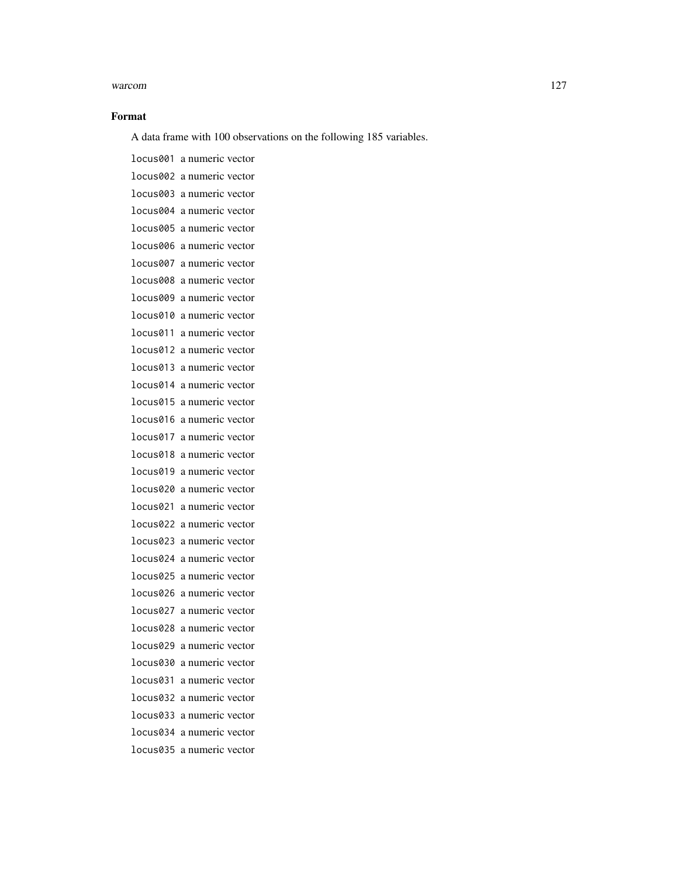#### warcom and the contract of the contract of the contract of the contract of the contract of the contract of the contract of the contract of the contract of the contract of the contract of the contract of the contract of the

#### Format

A data frame with 100 observations on the following 185 variables.

locus001 a numeric vector locus002 a numeric vector locus003 a numeric vector locus004 a numeric vector locus005 a numeric vector locus006 a numeric vector locus007 a numeric vector locus008 a numeric vector locus009 a numeric vector locus010 a numeric vector locus011 a numeric vector locus012 a numeric vector locus013 a numeric vector locus014 a numeric vector locus015 a numeric vector locus016 a numeric vector locus017 a numeric vector locus018 a numeric vector locus019 a numeric vector locus020 a numeric vector locus021 a numeric vector locus022 a numeric vector locus023 a numeric vector locus024 a numeric vector locus025 a numeric vector locus026 a numeric vector locus027 a numeric vector locus028 a numeric vector locus029 a numeric vector locus030 a numeric vector locus031 a numeric vector locus032 a numeric vector locus033 a numeric vector locus034 a numeric vector locus035 a numeric vector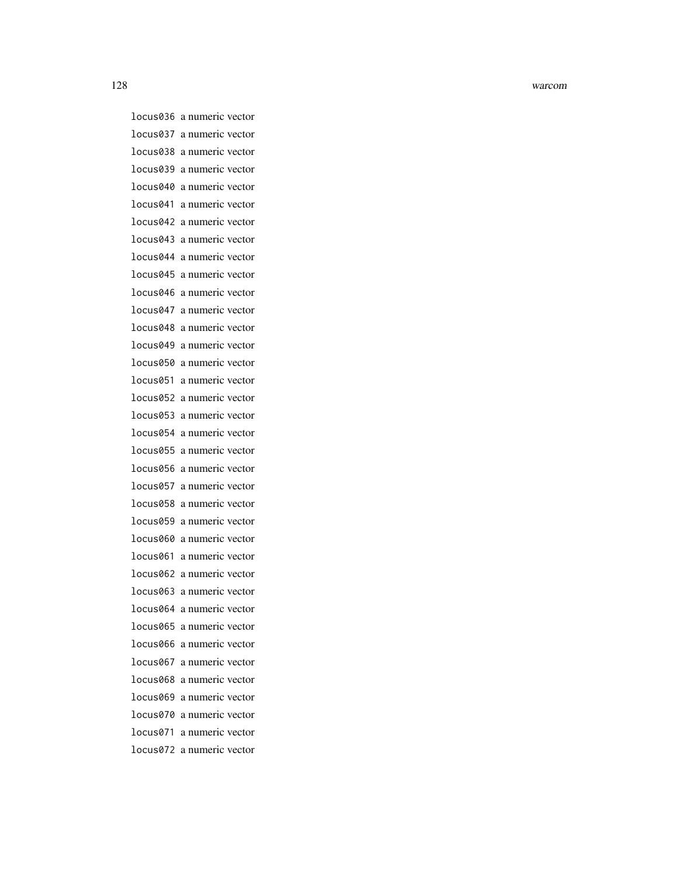128 warcom

locus036 a numeric vector locus037 a numeric vector locus038 a numeric vector locus039 a numeric vector locus040 a numeric vector locus041 a numeric vector locus042 a numeric vector locus043 a numeric vector locus044 a numeric vector locus045 a numeric vector locus046 a numeric vector locus047 a numeric vector locus048 a numeric vector locus049 a numeric vector locus050 a numeric vector locus051 a numeric vector locus052 a numeric vector locus053 a numeric vector locus054 a numeric vector locus055 a numeric vector locus056 a numeric vector locus057 a numeric vector locus058 a numeric vector locus059 a numeric vector locus060 a numeric vector locus061 a numeric vector locus062 a numeric vector locus063 a numeric vector locus064 a numeric vector locus065 a numeric vector locus066 a numeric vector locus067 a numeric vector locus068 a numeric vector locus069 a numeric vector locus070 a numeric vector locus071 a numeric vector locus072 a numeric vector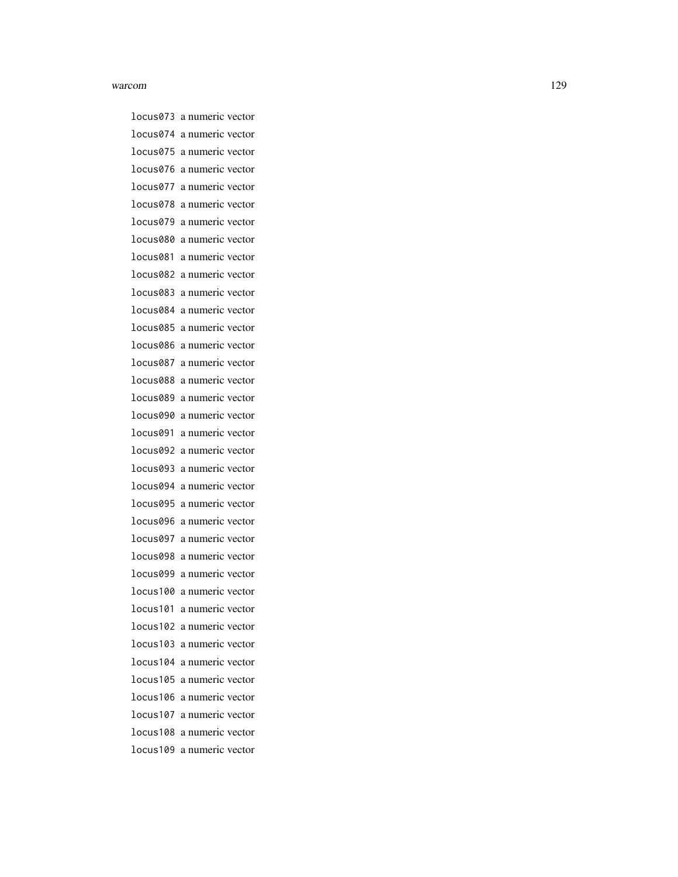#### warcom and the contract of the contract of the contract of the contract of the contract of the contract of the contract of the contract of the contract of the contract of the contract of the contract of the contract of the

locus073 a numeric vector locus074 a numeric vector locus075 a numeric vector locus076 a numeric vector locus077 a numeric vector locus078 a numeric vector locus079 a numeric vector locus080 a numeric vector locus081 a numeric vector locus082 a numeric vector locus083 a numeric vector locus084 a numeric vector locus085 a numeric vector locus086 a numeric vector locus087 a numeric vector locus088 a numeric vector locus089 a numeric vector locus090 a numeric vector locus091 a numeric vector locus092 a numeric vector locus093 a numeric vector locus094 a numeric vector locus095 a numeric vector locus096 a numeric vector locus097 a numeric vector locus098 a numeric vector locus099 a numeric vector locus100 a numeric vector locus101 a numeric vector locus102 a numeric vector locus103 a numeric vector locus104 a numeric vector locus105 a numeric vector locus106 a numeric vector locus107 a numeric vector locus108 a numeric vector locus109 a numeric vector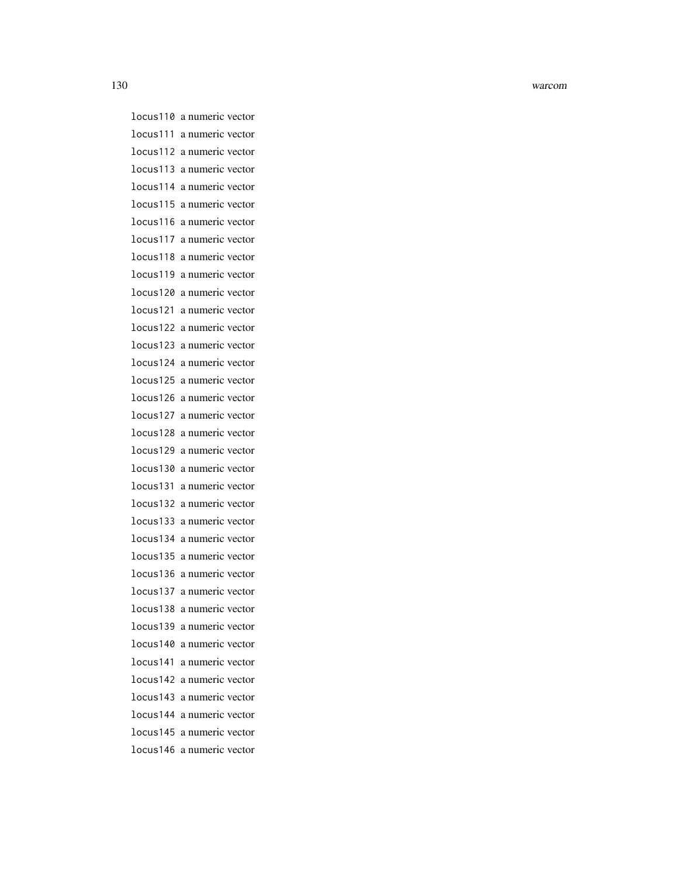130 warcom

locus110 a numeric vector locus111 a numeric vector locus112 a numeric vector locus113 a numeric vector locus114 a numeric vector locus115 a numeric vector locus116 a numeric vector locus117 a numeric vector locus118 a numeric vector locus119 a numeric vector locus120 a numeric vector locus121 a numeric vector locus122 a numeric vector locus123 a numeric vector locus124 a numeric vector locus125 a numeric vector locus126 a numeric vector locus127 a numeric vector locus128 a numeric vector locus129 a numeric vector locus130 a numeric vector locus131 a numeric vector locus132 a numeric vector locus133 a numeric vector locus134 a numeric vector locus135 a numeric vector locus136 a numeric vector locus137 a numeric vector locus138 a numeric vector locus139 a numeric vector locus140 a numeric vector locus141 a numeric vector locus142 a numeric vector locus143 a numeric vector locus144 a numeric vector locus145 a numeric vector locus146 a numeric vector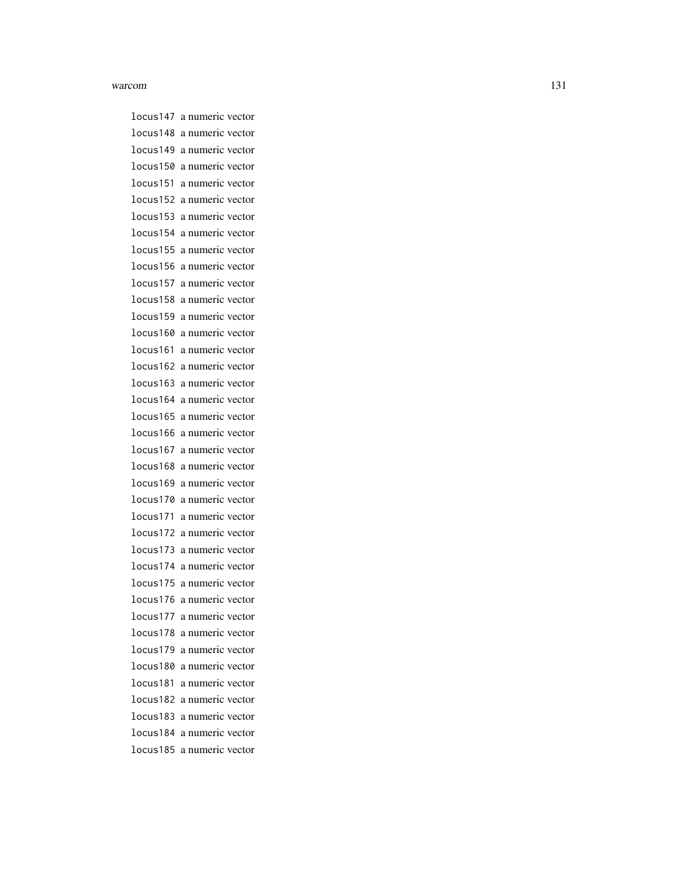#### warcom and the state of the state of the state of the state of the state of the state of the state of the state of the state of the state of the state of the state of the state of the state of the state of the state of the

locus147 a numeric vector locus148 a numeric vector locus149 a numeric vector locus150 a numeric vector locus151 a numeric vector locus152 a numeric vector locus153 a numeric vector locus154 a numeric vector locus155 a numeric vector locus156 a numeric vector locus157 a numeric vector locus158 a numeric vector locus159 a numeric vector locus160 a numeric vector locus161 a numeric vector locus162 a numeric vector locus163 a numeric vector locus164 a numeric vector locus165 a numeric vector locus166 a numeric vector locus167 a numeric vector locus168 a numeric vector locus169 a numeric vector locus170 a numeric vector locus171 a numeric vector locus172 a numeric vector locus173 a numeric vector locus174 a numeric vector locus175 a numeric vector locus176 a numeric vector locus177 a numeric vector locus178 a numeric vector locus179 a numeric vector locus180 a numeric vector locus181 a numeric vector locus182 a numeric vector locus183 a numeric vector locus184 a numeric vector locus185 a numeric vector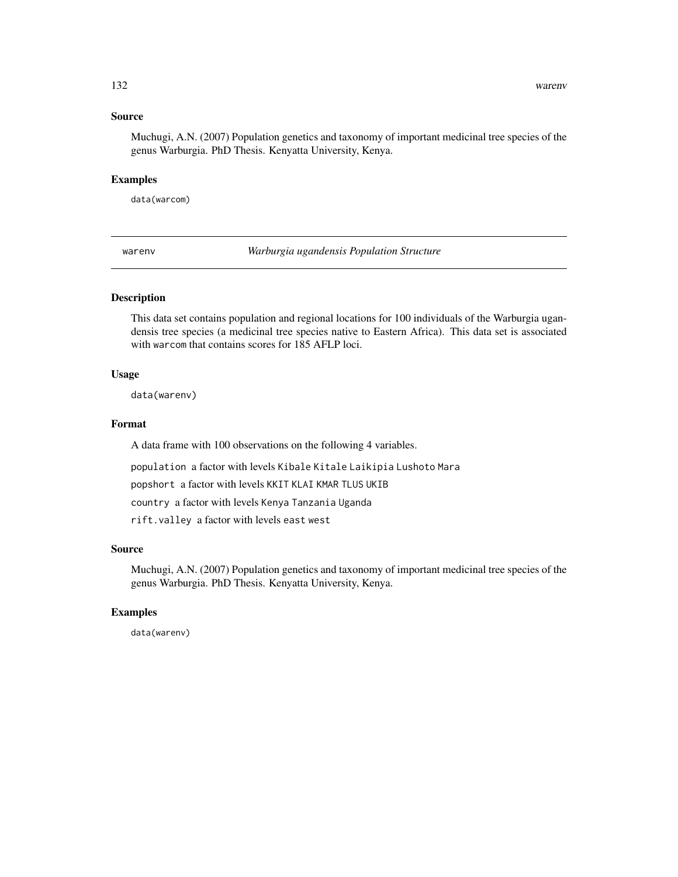# <span id="page-131-0"></span>Source

Muchugi, A.N. (2007) Population genetics and taxonomy of important medicinal tree species of the genus Warburgia. PhD Thesis. Kenyatta University, Kenya.

#### Examples

data(warcom)

warenv *Warburgia ugandensis Population Structure*

# Description

This data set contains population and regional locations for 100 individuals of the Warburgia ugandensis tree species (a medicinal tree species native to Eastern Africa). This data set is associated with warcom that contains scores for 185 AFLP loci.

#### Usage

data(warenv)

### Format

A data frame with 100 observations on the following 4 variables.

population a factor with levels Kibale Kitale Laikipia Lushoto Mara

popshort a factor with levels KKIT KLAI KMAR TLUS UKIB

country a factor with levels Kenya Tanzania Uganda

rift.valley a factor with levels east west

#### Source

Muchugi, A.N. (2007) Population genetics and taxonomy of important medicinal tree species of the genus Warburgia. PhD Thesis. Kenyatta University, Kenya.

# Examples

data(warenv)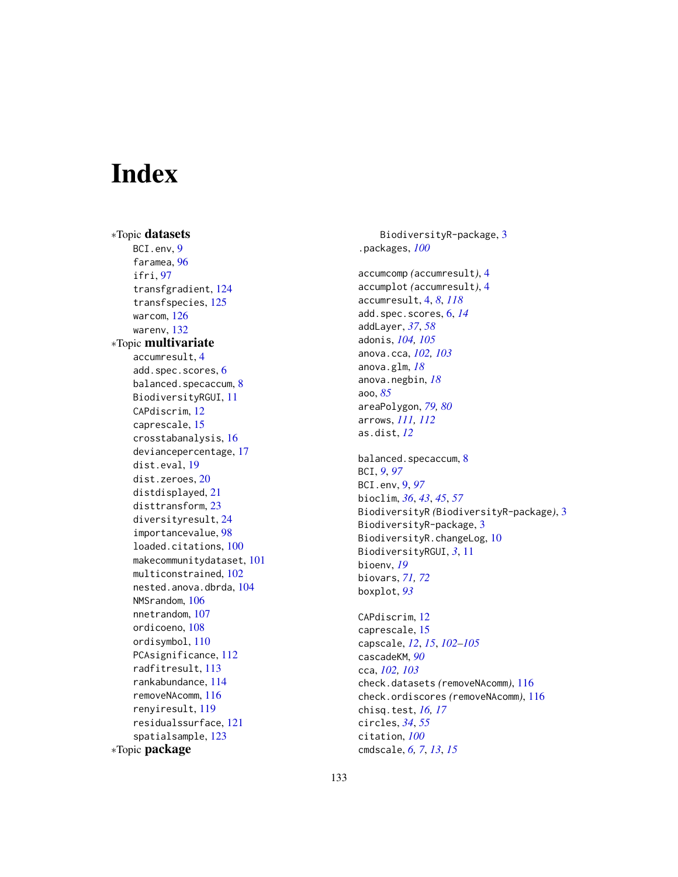# **Index**

∗Topic datasets BCI.env, [9](#page-8-0) faramea, [96](#page-95-0) ifri, [97](#page-96-0) transfgradient, [124](#page-123-1) transfspecies, [125](#page-124-1) warcom, [126](#page-125-0) warenv, [132](#page-131-0) ∗Topic multivariate accumresult, [4](#page-3-1) add.spec.scores, [6](#page-5-0) balanced.specaccum, [8](#page-7-0) BiodiversityRGUI, [11](#page-10-0) CAPdiscrim, [12](#page-11-0) caprescale, [15](#page-14-0) crosstabanalysis, [16](#page-15-0) deviancepercentage, [17](#page-16-0) dist.eval, [19](#page-18-0) dist.zeroes, [20](#page-19-0) distdisplayed, [21](#page-20-0) disttransform, [23](#page-22-0) diversityresult, [24](#page-23-1) importancevalue, [98](#page-97-0) loaded.citations, [100](#page-99-0) makecommunitydataset, [101](#page-100-1) multiconstrained, [102](#page-101-0) nested.anova.dbrda, [104](#page-103-0) NMSrandom, [106](#page-105-0) nnetrandom, [107](#page-106-0) ordicoeno, [108](#page-107-0) ordisymbol, [110](#page-109-0) PCAsignificance, [112](#page-111-0) radfitresult, [113](#page-112-0) rankabundance, [114](#page-113-0) removeNAcomm, [116](#page-115-0) renyiresult, [119](#page-118-1) residualssurface, [121](#page-120-0) spatialsample, [123](#page-122-0) ∗Topic package

BiodiversityR-package, [3](#page-2-0) .packages, *[100](#page-99-0)* accumcomp *(*accumresult*)*, [4](#page-3-1) accumplot *(*accumresult*)*, [4](#page-3-1) accumresult, [4,](#page-3-1) *[8](#page-7-0)*, *[118](#page-117-0)* add.spec.scores, [6,](#page-5-0) *[14](#page-13-0)* addLayer, *[37](#page-36-0)*, *[58](#page-57-0)* adonis, *[104,](#page-103-0) [105](#page-104-0)* anova.cca, *[102,](#page-101-0) [103](#page-102-0)* anova.glm, *[18](#page-17-0)* anova.negbin, *[18](#page-17-0)* aoo, *[85](#page-84-0)* areaPolygon, *[79,](#page-78-0) [80](#page-79-0)* arrows, *[111,](#page-110-0) [112](#page-111-0)* as.dist, *[12](#page-11-0)* balanced.specaccum, [8](#page-7-0) BCI, *[9](#page-8-0)*, *[97](#page-96-0)* BCI.env, [9,](#page-8-0) *[97](#page-96-0)* bioclim, *[36](#page-35-0)*, *[43](#page-42-0)*, *[45](#page-44-0)*, *[57](#page-56-0)* BiodiversityR *(*BiodiversityR-package*)*, [3](#page-2-0) BiodiversityR-package, [3](#page-2-0) BiodiversityR.changeLog, [10](#page-9-0) BiodiversityRGUI, *[3](#page-2-0)*, [11](#page-10-0) bioenv, *[19](#page-18-0)* biovars, *[71,](#page-70-0) [72](#page-71-0)* boxplot, *[93](#page-92-0)* CAPdiscrim, [12](#page-11-0) caprescale, [15](#page-14-0) capscale, *[12](#page-11-0)*, *[15](#page-14-0)*, *[102](#page-101-0)[–105](#page-104-0)* cascadeKM, *[90](#page-89-0)* cca, *[102,](#page-101-0) [103](#page-102-0)* check.datasets *(*removeNAcomm*)*, [116](#page-115-0) check.ordiscores *(*removeNAcomm*)*, [116](#page-115-0) chisq.test, *[16,](#page-15-0) [17](#page-16-0)* circles, *[34](#page-33-0)*, *[55](#page-54-0)* citation, *[100](#page-99-0)* cmdscale, *[6,](#page-5-0) [7](#page-6-0)*, *[13](#page-12-0)*, *[15](#page-14-0)*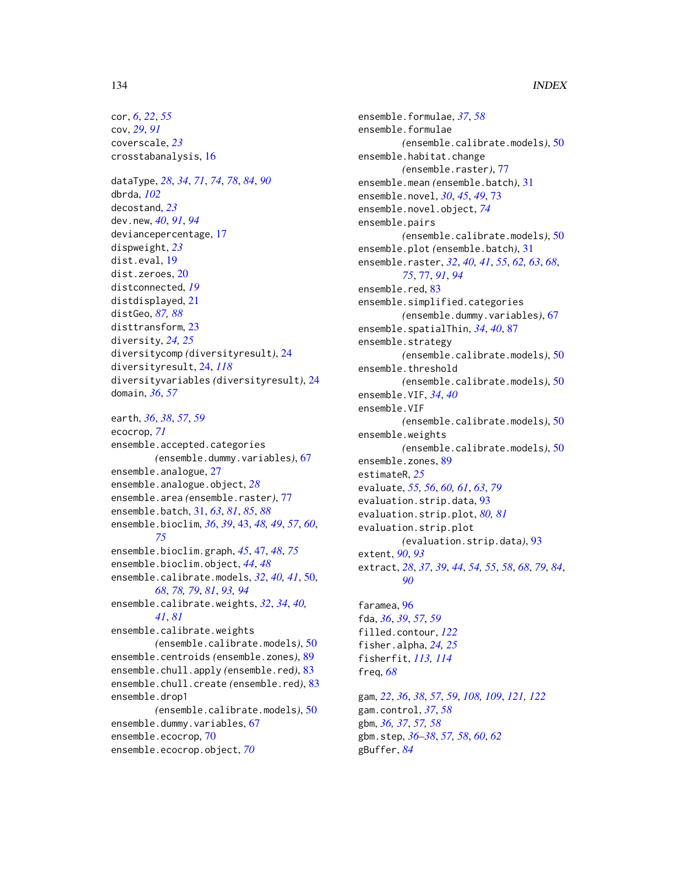# 134 INDEX

cor, *[6](#page-5-0)*, *[22](#page-21-0)*, *[55](#page-54-0)* cov, *[29](#page-28-0)*, *[91](#page-90-0)* coverscale, *[23](#page-22-0)* crosstabanalysis, [16](#page-15-0) dataType, *[28](#page-27-0)*, *[34](#page-33-0)*, *[71](#page-70-0)*, *[74](#page-73-0)*, *[78](#page-77-0)*, *[84](#page-83-0)*, *[90](#page-89-0)* dbrda, *[102](#page-101-0)* decostand, *[23](#page-22-0)* dev.new, *[40](#page-39-0)*, *[91](#page-90-0)*, *[94](#page-93-0)* deviancepercentage, [17](#page-16-0) dispweight, *[23](#page-22-0)* dist.eval, [19](#page-18-0) dist.zeroes, [20](#page-19-0) distconnected, *[19](#page-18-0)* distdisplayed, [21](#page-20-0) distGeo, *[87,](#page-86-0) [88](#page-87-0)* disttransform, [23](#page-22-0) diversity, *[24,](#page-23-1) [25](#page-24-0)* diversitycomp *(*diversityresult*)*, [24](#page-23-1) diversityresult, [24,](#page-23-1) *[118](#page-117-0)* diversityvariables *(*diversityresult*)*, [24](#page-23-1) domain, *[36](#page-35-0)*, *[57](#page-56-0)* earth, *[36](#page-35-0)*, *[38](#page-37-0)*, *[57](#page-56-0)*, *[59](#page-58-0)* ecocrop, *[71](#page-70-0)* ensemble.accepted.categories *(*ensemble.dummy.variables*)*, [67](#page-66-0) ensemble.analogue, [27](#page-26-0) ensemble.analogue.object, *[28](#page-27-0)* ensemble.area *(*ensemble.raster*)*, [77](#page-76-0) ensemble.batch, [31,](#page-30-0) *[63](#page-62-0)*, *[81](#page-80-0)*, *[85](#page-84-0)*, *[88](#page-87-0)* ensemble.bioclim, *[36](#page-35-0)*, *[39](#page-38-0)*, [43,](#page-42-0) *[48,](#page-47-0) [49](#page-48-0)*, *[57](#page-56-0)*, *[60](#page-59-0)*, *[75](#page-74-0)* ensemble.bioclim.graph, *[45](#page-44-0)*, [47,](#page-46-0) *[48](#page-47-0)*, *[75](#page-74-0)* ensemble.bioclim.object, *[44](#page-43-0)*, *[48](#page-47-0)* ensemble.calibrate.models, *[32](#page-31-0)*, *[40,](#page-39-0) [41](#page-40-0)*, [50,](#page-49-0) *[68](#page-67-0)*, *[78,](#page-77-0) [79](#page-78-0)*, *[81](#page-80-0)*, *[93,](#page-92-0) [94](#page-93-0)* ensemble.calibrate.weights, *[32](#page-31-0)*, *[34](#page-33-0)*, *[40,](#page-39-0) [41](#page-40-0)*, *[81](#page-80-0)* ensemble.calibrate.weights *(*ensemble.calibrate.models*)*, [50](#page-49-0) ensemble.centroids *(*ensemble.zones*)*, [89](#page-88-0) ensemble.chull.apply *(*ensemble.red*)*, [83](#page-82-0) ensemble.chull.create *(*ensemble.red*)*, [83](#page-82-0) ensemble.drop1 *(*ensemble.calibrate.models*)*, [50](#page-49-0) ensemble.dummy.variables, [67](#page-66-0) ensemble.ecocrop, [70](#page-69-0) ensemble.ecocrop.object, *[70](#page-69-0)*

ensemble.formulae, *[37](#page-36-0)*, *[58](#page-57-0)* ensemble.formulae *(*ensemble.calibrate.models*)*, [50](#page-49-0) ensemble.habitat.change *(*ensemble.raster*)*, [77](#page-76-0) ensemble.mean *(*ensemble.batch*)*, [31](#page-30-0) ensemble.novel, *[30](#page-29-0)*, *[45](#page-44-0)*, *[49](#page-48-0)*, [73](#page-72-0) ensemble.novel.object, *[74](#page-73-0)* ensemble.pairs *(*ensemble.calibrate.models*)*, [50](#page-49-0) ensemble.plot *(*ensemble.batch*)*, [31](#page-30-0) ensemble.raster, *[32](#page-31-0)*, *[40,](#page-39-0) [41](#page-40-0)*, *[55](#page-54-0)*, *[62,](#page-61-0) [63](#page-62-0)*, *[68](#page-67-0)*, *[75](#page-74-0)*, [77,](#page-76-0) *[91](#page-90-0)*, *[94](#page-93-0)* ensemble.red, [83](#page-82-0) ensemble.simplified.categories *(*ensemble.dummy.variables*)*, [67](#page-66-0) ensemble.spatialThin, *[34](#page-33-0)*, *[40](#page-39-0)*, [87](#page-86-0) ensemble.strategy *(*ensemble.calibrate.models*)*, [50](#page-49-0) ensemble.threshold *(*ensemble.calibrate.models*)*, [50](#page-49-0) ensemble.VIF, *[34](#page-33-0)*, *[40](#page-39-0)* ensemble.VIF *(*ensemble.calibrate.models*)*, [50](#page-49-0) ensemble.weights *(*ensemble.calibrate.models*)*, [50](#page-49-0) ensemble.zones, [89](#page-88-0) estimateR, *[25](#page-24-0)* evaluate, *[55,](#page-54-0) [56](#page-55-0)*, *[60,](#page-59-0) [61](#page-60-0)*, *[63](#page-62-0)*, *[79](#page-78-0)* evaluation.strip.data, [93](#page-92-0) evaluation.strip.plot, *[80,](#page-79-0) [81](#page-80-0)* evaluation.strip.plot *(*evaluation.strip.data*)*, [93](#page-92-0) extent, *[90](#page-89-0)*, *[93](#page-92-0)* extract, *[28](#page-27-0)*, *[37](#page-36-0)*, *[39](#page-38-0)*, *[44](#page-43-0)*, *[54,](#page-53-0) [55](#page-54-0)*, *[58](#page-57-0)*, *[68](#page-67-0)*, *[79](#page-78-0)*, *[84](#page-83-0)*, *[90](#page-89-0)* faramea, [96](#page-95-0) fda, *[36](#page-35-0)*, *[39](#page-38-0)*, *[57](#page-56-0)*, *[59](#page-58-0)* filled.contour, *[122](#page-121-0)*

fisher.alpha, *[24,](#page-23-1) [25](#page-24-0)* fisherfit, *[113,](#page-112-0) [114](#page-113-0)* freq, *[68](#page-67-0)* gam, *[22](#page-21-0)*, *[36](#page-35-0)*, *[38](#page-37-0)*, *[57](#page-56-0)*, *[59](#page-58-0)*, *[108,](#page-107-0) [109](#page-108-0)*, *[121,](#page-120-0) [122](#page-121-0)* gam.control, *[37](#page-36-0)*, *[58](#page-57-0)* gbm, *[36,](#page-35-0) [37](#page-36-0)*, *[57,](#page-56-0) [58](#page-57-0)*

gbm.step, *[36](#page-35-0)[–38](#page-37-0)*, *[57,](#page-56-0) [58](#page-57-0)*, *[60](#page-59-0)*, *[62](#page-61-0)* gBuffer, *[84](#page-83-0)*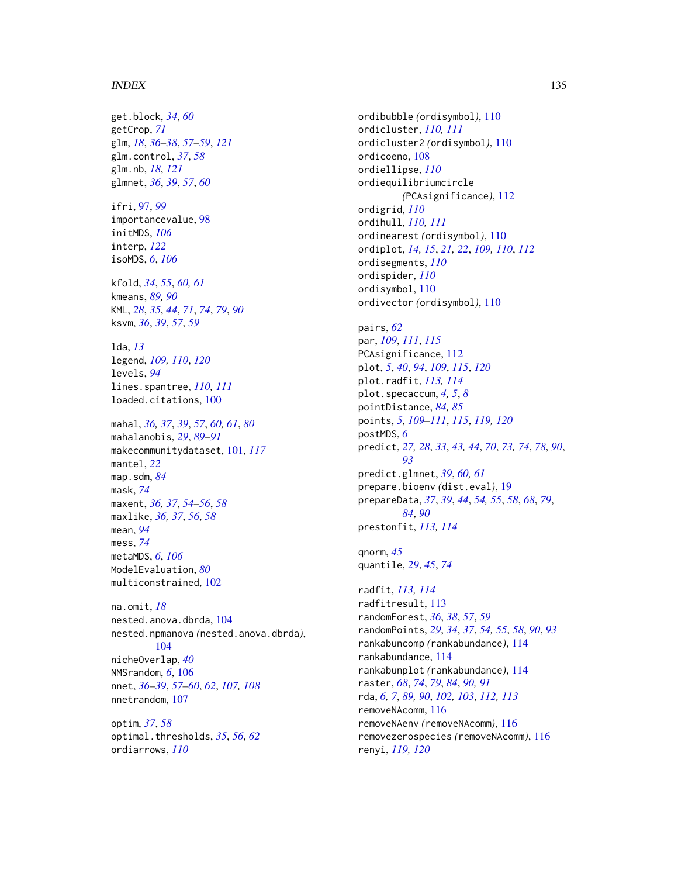#### INDEX 135

get.block, *[34](#page-33-0)*, *[60](#page-59-0)* getCrop, *[71](#page-70-0)* glm, *[18](#page-17-0)*, *[36](#page-35-0)[–38](#page-37-0)*, *[57](#page-56-0)[–59](#page-58-0)*, *[121](#page-120-0)* glm.control, *[37](#page-36-0)*, *[58](#page-57-0)* glm.nb, *[18](#page-17-0)*, *[121](#page-120-0)* glmnet, *[36](#page-35-0)*, *[39](#page-38-0)*, *[57](#page-56-0)*, *[60](#page-59-0)*

ifri, [97,](#page-96-0) *[99](#page-98-0)* importancevalue, [98](#page-97-0) initMDS, *[106](#page-105-0)* interp, *[122](#page-121-0)* isoMDS, *[6](#page-5-0)*, *[106](#page-105-0)*

kfold, *[34](#page-33-0)*, *[55](#page-54-0)*, *[60,](#page-59-0) [61](#page-60-0)* kmeans, *[89,](#page-88-0) [90](#page-89-0)* KML, *[28](#page-27-0)*, *[35](#page-34-0)*, *[44](#page-43-0)*, *[71](#page-70-0)*, *[74](#page-73-0)*, *[79](#page-78-0)*, *[90](#page-89-0)* ksvm, *[36](#page-35-0)*, *[39](#page-38-0)*, *[57](#page-56-0)*, *[59](#page-58-0)*

lda, *[13](#page-12-0)* legend, *[109,](#page-108-0) [110](#page-109-0)*, *[120](#page-119-0)* levels, *[94](#page-93-0)* lines.spantree, *[110,](#page-109-0) [111](#page-110-0)* loaded.citations, [100](#page-99-0)

mahal, *[36,](#page-35-0) [37](#page-36-0)*, *[39](#page-38-0)*, *[57](#page-56-0)*, *[60,](#page-59-0) [61](#page-60-0)*, *[80](#page-79-0)* mahalanobis, *[29](#page-28-0)*, *[89](#page-88-0)[–91](#page-90-0)* makecommunitydataset, [101,](#page-100-1) *[117](#page-116-0)* mantel, *[22](#page-21-0)* map.sdm, *[84](#page-83-0)* mask, *[74](#page-73-0)* maxent, *[36,](#page-35-0) [37](#page-36-0)*, *[54](#page-53-0)[–56](#page-55-0)*, *[58](#page-57-0)* maxlike, *[36,](#page-35-0) [37](#page-36-0)*, *[56](#page-55-0)*, *[58](#page-57-0)* mean, *[94](#page-93-0)* mess, *[74](#page-73-0)* metaMDS, *[6](#page-5-0)*, *[106](#page-105-0)* ModelEvaluation, *[80](#page-79-0)* multiconstrained, [102](#page-101-0)

na.omit, *[18](#page-17-0)* nested.anova.dbrda, [104](#page-103-0) nested.npmanova *(*nested.anova.dbrda*)*, [104](#page-103-0) nicheOverlap, *[40](#page-39-0)* NMSrandom, *[6](#page-5-0)*, [106](#page-105-0) nnet, *[36](#page-35-0)[–39](#page-38-0)*, *[57](#page-56-0)[–60](#page-59-0)*, *[62](#page-61-0)*, *[107,](#page-106-0) [108](#page-107-0)* nnetrandom, [107](#page-106-0)

optim, *[37](#page-36-0)*, *[58](#page-57-0)* optimal.thresholds, *[35](#page-34-0)*, *[56](#page-55-0)*, *[62](#page-61-0)* ordiarrows, *[110](#page-109-0)*

ordibubble *(*ordisymbol*)*, [110](#page-109-0) ordicluster, *[110,](#page-109-0) [111](#page-110-0)* ordicluster2 *(*ordisymbol*)*, [110](#page-109-0) ordicoeno, [108](#page-107-0) ordiellipse, *[110](#page-109-0)* ordiequilibriumcircle *(*PCAsignificance*)*, [112](#page-111-0) ordigrid, *[110](#page-109-0)* ordihull, *[110,](#page-109-0) [111](#page-110-0)* ordinearest *(*ordisymbol*)*, [110](#page-109-0) ordiplot, *[14,](#page-13-0) [15](#page-14-0)*, *[21,](#page-20-0) [22](#page-21-0)*, *[109,](#page-108-0) [110](#page-109-0)*, *[112](#page-111-0)* ordisegments, *[110](#page-109-0)* ordispider, *[110](#page-109-0)* ordisymbol, [110](#page-109-0) ordivector *(*ordisymbol*)*, [110](#page-109-0)

pairs, *[62](#page-61-0)* par, *[109](#page-108-0)*, *[111](#page-110-0)*, *[115](#page-114-0)* PCAsignificance, [112](#page-111-0) plot, *[5](#page-4-0)*, *[40](#page-39-0)*, *[94](#page-93-0)*, *[109](#page-108-0)*, *[115](#page-114-0)*, *[120](#page-119-0)* plot.radfit, *[113,](#page-112-0) [114](#page-113-0)* plot.specaccum, *[4,](#page-3-1) [5](#page-4-0)*, *[8](#page-7-0)* pointDistance, *[84,](#page-83-0) [85](#page-84-0)* points, *[5](#page-4-0)*, *[109](#page-108-0)[–111](#page-110-0)*, *[115](#page-114-0)*, *[119,](#page-118-1) [120](#page-119-0)* postMDS, *[6](#page-5-0)* predict, *[27,](#page-26-0) [28](#page-27-0)*, *[33](#page-32-0)*, *[43,](#page-42-0) [44](#page-43-0)*, *[70](#page-69-0)*, *[73,](#page-72-0) [74](#page-73-0)*, *[78](#page-77-0)*, *[90](#page-89-0)*, *[93](#page-92-0)* predict.glmnet, *[39](#page-38-0)*, *[60,](#page-59-0) [61](#page-60-0)* prepare.bioenv *(*dist.eval*)*, [19](#page-18-0) prepareData, *[37](#page-36-0)*, *[39](#page-38-0)*, *[44](#page-43-0)*, *[54,](#page-53-0) [55](#page-54-0)*, *[58](#page-57-0)*, *[68](#page-67-0)*, *[79](#page-78-0)*, *[84](#page-83-0)*, *[90](#page-89-0)* prestonfit, *[113,](#page-112-0) [114](#page-113-0)*

qnorm, *[45](#page-44-0)* quantile, *[29](#page-28-0)*, *[45](#page-44-0)*, *[74](#page-73-0)*

radfit, *[113,](#page-112-0) [114](#page-113-0)* radfitresult, [113](#page-112-0) randomForest, *[36](#page-35-0)*, *[38](#page-37-0)*, *[57](#page-56-0)*, *[59](#page-58-0)* randomPoints, *[29](#page-28-0)*, *[34](#page-33-0)*, *[37](#page-36-0)*, *[54,](#page-53-0) [55](#page-54-0)*, *[58](#page-57-0)*, *[90](#page-89-0)*, *[93](#page-92-0)* rankabuncomp *(*rankabundance*)*, [114](#page-113-0) rankabundance, [114](#page-113-0) rankabunplot *(*rankabundance*)*, [114](#page-113-0) raster, *[68](#page-67-0)*, *[74](#page-73-0)*, *[79](#page-78-0)*, *[84](#page-83-0)*, *[90,](#page-89-0) [91](#page-90-0)* rda, *[6,](#page-5-0) [7](#page-6-0)*, *[89,](#page-88-0) [90](#page-89-0)*, *[102,](#page-101-0) [103](#page-102-0)*, *[112,](#page-111-0) [113](#page-112-0)* removeNAcomm, [116](#page-115-0) removeNAenv *(*removeNAcomm*)*, [116](#page-115-0) removezerospecies *(*removeNAcomm*)*, [116](#page-115-0) renyi, *[119,](#page-118-1) [120](#page-119-0)*